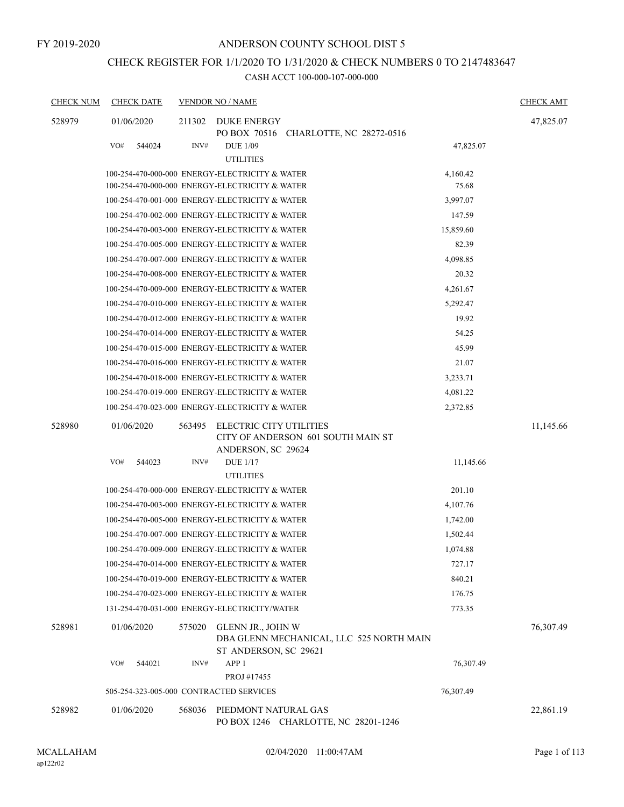# CHECK REGISTER FOR 1/1/2020 TO 1/31/2020 & CHECK NUMBERS 0 TO 2147483647

| <b>CHECK NUM</b> | <b>CHECK DATE</b>                       |        | <b>VENDOR NO / NAME</b>                                                                |           | <b>CHECK AMT</b> |
|------------------|-----------------------------------------|--------|----------------------------------------------------------------------------------------|-----------|------------------|
| 528979           | 01/06/2020                              | 211302 | DUKE ENERGY<br>PO BOX 70516 CHARLOTTE, NC 28272-0516                                   |           | 47,825.07        |
|                  | VO#<br>544024                           | INV#   | <b>DUE 1/09</b><br><b>UTILITIES</b>                                                    | 47,825.07 |                  |
|                  |                                         |        | 100-254-470-000-000 ENERGY-ELECTRICITY & WATER                                         | 4,160.42  |                  |
|                  |                                         |        | 100-254-470-000-000 ENERGY-ELECTRICITY & WATER                                         | 75.68     |                  |
|                  |                                         |        | 100-254-470-001-000 ENERGY-ELECTRICITY & WATER                                         | 3,997.07  |                  |
|                  |                                         |        | 100-254-470-002-000 ENERGY-ELECTRICITY & WATER                                         | 147.59    |                  |
|                  |                                         |        | 100-254-470-003-000 ENERGY-ELECTRICITY & WATER                                         | 15,859.60 |                  |
|                  |                                         |        | 100-254-470-005-000 ENERGY-ELECTRICITY & WATER                                         | 82.39     |                  |
|                  |                                         |        | 100-254-470-007-000 ENERGY-ELECTRICITY & WATER                                         | 4,098.85  |                  |
|                  |                                         |        | 100-254-470-008-000 ENERGY-ELECTRICITY & WATER                                         | 20.32     |                  |
|                  |                                         |        | 100-254-470-009-000 ENERGY-ELECTRICITY & WATER                                         | 4,261.67  |                  |
|                  |                                         |        | 100-254-470-010-000 ENERGY-ELECTRICITY & WATER                                         | 5,292.47  |                  |
|                  |                                         |        | 100-254-470-012-000 ENERGY-ELECTRICITY & WATER                                         | 19.92     |                  |
|                  |                                         |        | 100-254-470-014-000 ENERGY-ELECTRICITY & WATER                                         | 54.25     |                  |
|                  |                                         |        | 100-254-470-015-000 ENERGY-ELECTRICITY & WATER                                         | 45.99     |                  |
|                  |                                         |        | 100-254-470-016-000 ENERGY-ELECTRICITY & WATER                                         | 21.07     |                  |
|                  |                                         |        | 100-254-470-018-000 ENERGY-ELECTRICITY & WATER                                         | 3,233.71  |                  |
|                  |                                         |        | 100-254-470-019-000 ENERGY-ELECTRICITY & WATER                                         | 4,081.22  |                  |
|                  |                                         |        | 100-254-470-023-000 ENERGY-ELECTRICITY & WATER                                         | 2,372.85  |                  |
| 528980           | 01/06/2020                              | 563495 | ELECTRIC CITY UTILITIES<br>CITY OF ANDERSON 601 SOUTH MAIN ST<br>ANDERSON, SC 29624    |           | 11,145.66        |
|                  | VO#<br>544023                           | INV#   | <b>DUE 1/17</b><br><b>UTILITIES</b>                                                    | 11,145.66 |                  |
|                  |                                         |        | 100-254-470-000-000 ENERGY-ELECTRICITY & WATER                                         | 201.10    |                  |
|                  |                                         |        | 100-254-470-003-000 ENERGY-ELECTRICITY & WATER                                         | 4,107.76  |                  |
|                  |                                         |        | 100-254-470-005-000 ENERGY-ELECTRICITY & WATER                                         | 1,742.00  |                  |
|                  |                                         |        | 100-254-470-007-000 ENERGY-ELECTRICITY & WATER                                         | 1,502.44  |                  |
|                  |                                         |        | 100-254-470-009-000 ENERGY-ELECTRICITY & WATER                                         | 1,074.88  |                  |
|                  |                                         |        | 100-254-470-014-000 ENERGY-ELECTRICITY & WATER                                         | 727.17    |                  |
|                  |                                         |        | 100-254-470-019-000 ENERGY-ELECTRICITY & WATER                                         | 840.21    |                  |
|                  |                                         |        | 100-254-470-023-000 ENERGY-ELECTRICITY & WATER                                         | 176.75    |                  |
|                  |                                         |        | 131-254-470-031-000 ENERGY-ELECTRICITY/WATER                                           | 773.35    |                  |
| 528981           | 01/06/2020                              | 575020 | GLENN JR., JOHN W<br>DBA GLENN MECHANICAL, LLC 525 NORTH MAIN<br>ST ANDERSON, SC 29621 |           | 76,307.49        |
|                  | VO#<br>544021                           | INV#   | APP <sub>1</sub><br>PROJ #17455                                                        | 76,307.49 |                  |
|                  | 505-254-323-005-000 CONTRACTED SERVICES |        |                                                                                        | 76,307.49 |                  |
| 528982           | 01/06/2020                              | 568036 | PIEDMONT NATURAL GAS<br>PO BOX 1246 CHARLOTTE, NC 28201-1246                           |           | 22,861.19        |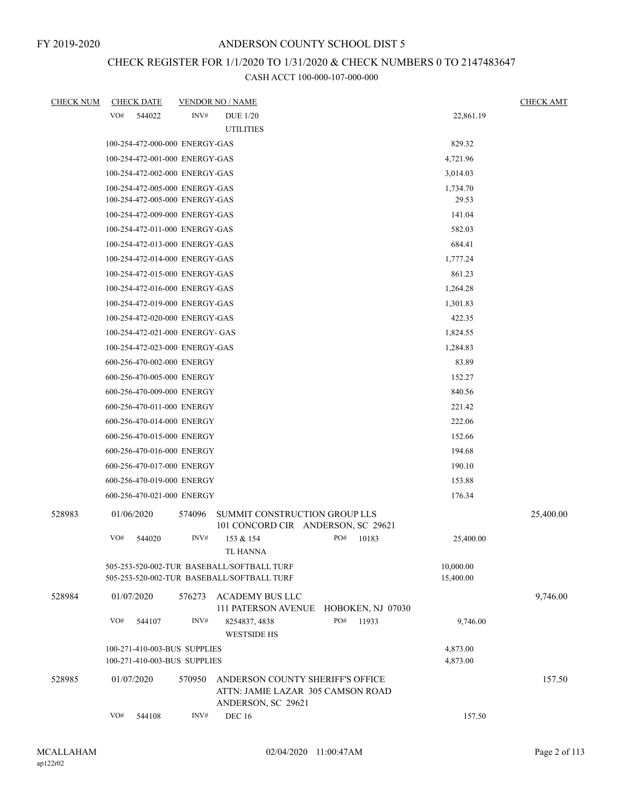# CHECK REGISTER FOR 1/1/2020 TO 1/31/2020 & CHECK NUMBERS 0 TO 2147483647

| <b>CHECK NUM</b> | <b>CHECK DATE</b> |                                                              |        | <b>VENDOR NO / NAME</b>                                                                     |     |       |                      |           | <b>CHECK AMT</b> |
|------------------|-------------------|--------------------------------------------------------------|--------|---------------------------------------------------------------------------------------------|-----|-------|----------------------|-----------|------------------|
|                  | VO#               | 544022                                                       | INV#   | <b>DUE 1/20</b>                                                                             |     |       |                      | 22,861.19 |                  |
|                  |                   |                                                              |        | <b>UTILITIES</b>                                                                            |     |       |                      |           |                  |
|                  |                   | 100-254-472-000-000 ENERGY-GAS                               |        |                                                                                             |     |       | 829.32               |           |                  |
|                  |                   | 100-254-472-001-000 ENERGY-GAS                               |        |                                                                                             |     |       | 4,721.96             |           |                  |
|                  |                   | 100-254-472-002-000 ENERGY-GAS                               |        |                                                                                             |     |       | 3,014.03             |           |                  |
|                  |                   | 100-254-472-005-000 ENERGY-GAS                               |        |                                                                                             |     |       | 1,734.70             |           |                  |
|                  |                   | 100-254-472-005-000 ENERGY-GAS                               |        |                                                                                             |     |       | 29.53                |           |                  |
|                  |                   | 100-254-472-009-000 ENERGY-GAS                               |        |                                                                                             |     |       | 141.04               |           |                  |
|                  |                   | 100-254-472-011-000 ENERGY-GAS                               |        |                                                                                             |     |       | 582.03               |           |                  |
|                  |                   | 100-254-472-013-000 ENERGY-GAS                               |        |                                                                                             |     |       | 684.41               |           |                  |
|                  |                   | 100-254-472-014-000 ENERGY-GAS                               |        |                                                                                             |     |       | 1,777.24             |           |                  |
|                  |                   | 100-254-472-015-000 ENERGY-GAS                               |        |                                                                                             |     |       | 861.23               |           |                  |
|                  |                   | 100-254-472-016-000 ENERGY-GAS                               |        |                                                                                             |     |       | 1,264.28             |           |                  |
|                  |                   | 100-254-472-019-000 ENERGY-GAS                               |        |                                                                                             |     |       | 1,301.83             |           |                  |
|                  |                   | 100-254-472-020-000 ENERGY-GAS                               |        |                                                                                             |     |       | 422.35               |           |                  |
|                  |                   | 100-254-472-021-000 ENERGY- GAS                              |        |                                                                                             |     |       | 1,824.55             |           |                  |
|                  |                   | 100-254-472-023-000 ENERGY-GAS                               |        |                                                                                             |     |       | 1,284.83             |           |                  |
|                  |                   | 600-256-470-002-000 ENERGY                                   |        |                                                                                             |     |       | 83.89                |           |                  |
|                  |                   | 600-256-470-005-000 ENERGY                                   |        |                                                                                             |     |       | 152.27               |           |                  |
|                  |                   | 600-256-470-009-000 ENERGY                                   |        |                                                                                             |     |       | 840.56               |           |                  |
|                  |                   | 600-256-470-011-000 ENERGY                                   |        |                                                                                             |     |       | 221.42               |           |                  |
|                  |                   | 600-256-470-014-000 ENERGY                                   |        |                                                                                             |     |       | 222.06               |           |                  |
|                  |                   | 600-256-470-015-000 ENERGY                                   |        |                                                                                             |     |       | 152.66               |           |                  |
|                  |                   | 600-256-470-016-000 ENERGY                                   |        |                                                                                             |     |       | 194.68               |           |                  |
|                  |                   | 600-256-470-017-000 ENERGY                                   |        |                                                                                             |     |       | 190.10               |           |                  |
|                  |                   | 600-256-470-019-000 ENERGY                                   |        |                                                                                             |     |       | 153.88               |           |                  |
|                  |                   | 600-256-470-021-000 ENERGY                                   |        |                                                                                             |     |       | 176.34               |           |                  |
| 528983           | 01/06/2020        |                                                              | 574096 | SUMMIT CONSTRUCTION GROUP LLS<br>101 CONCORD CIR ANDERSON, SC 29621                         |     |       |                      |           | 25,400.00        |
|                  | VO#               | 544020                                                       | INV#   | 153 & 154<br>TL HANNA                                                                       | PO# | 10183 |                      | 25,400.00 |                  |
|                  |                   |                                                              |        | 505-253-520-002-TUR BASEBALL/SOFTBALL TURF                                                  |     |       | 10,000.00            |           |                  |
|                  |                   |                                                              |        | 505-253-520-002-TUR BASEBALL/SOFTBALL TURF                                                  |     |       | 15,400.00            |           |                  |
| 528984           | 01/07/2020        |                                                              | 576273 | ACADEMY BUS LLC<br>111 PATERSON AVENUE HOBOKEN, NJ 07030                                    |     |       |                      |           | 9,746.00         |
|                  | VO#               | 544107                                                       | INV#   | 8254837, 4838<br><b>WESTSIDE HS</b>                                                         | PO# | 11933 |                      | 9,746.00  |                  |
|                  |                   | 100-271-410-003-BUS SUPPLIES<br>100-271-410-003-BUS SUPPLIES |        |                                                                                             |     |       | 4,873.00<br>4,873.00 |           |                  |
| 528985           | 01/07/2020        |                                                              | 570950 | ANDERSON COUNTY SHERIFF'S OFFICE<br>ATTN: JAMIE LAZAR 305 CAMSON ROAD<br>ANDERSON, SC 29621 |     |       |                      |           | 157.50           |
|                  | VO#               | 544108                                                       | INV#   | <b>DEC 16</b>                                                                               |     |       |                      | 157.50    |                  |
|                  |                   |                                                              |        |                                                                                             |     |       |                      |           |                  |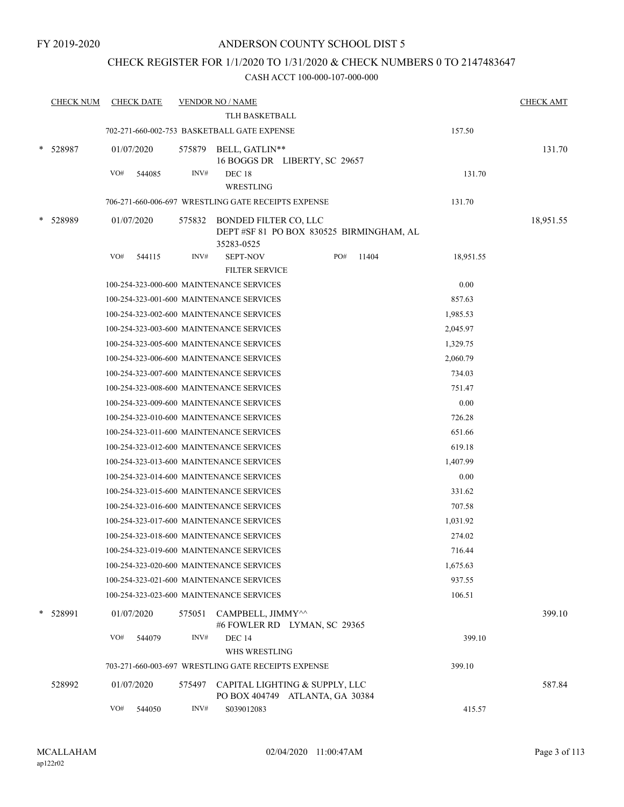#### CHECK REGISTER FOR 1/1/2020 TO 1/31/2020 & CHECK NUMBERS 0 TO 2147483647

| <b>CHECK NUM</b> |     | <b>CHECK DATE</b> |        | <b>VENDOR NO / NAME</b>                                                               |     |       |           | <b>CHECK AMT</b> |
|------------------|-----|-------------------|--------|---------------------------------------------------------------------------------------|-----|-------|-----------|------------------|
|                  |     |                   |        | TLH BASKETBALL                                                                        |     |       |           |                  |
|                  |     |                   |        | 702-271-660-002-753 BASKETBALL GATE EXPENSE                                           |     |       | 157.50    |                  |
| 528987           |     | 01/07/2020        | 575879 | BELL, GATLIN**<br>16 BOGGS DR LIBERTY, SC 29657                                       |     |       |           | 131.70           |
|                  | VO# | 544085            | INV#   | <b>DEC 18</b>                                                                         |     |       | 131.70    |                  |
|                  |     |                   |        | WRESTLING                                                                             |     |       |           |                  |
|                  |     |                   |        | 706-271-660-006-697 WRESTLING GATE RECEIPTS EXPENSE                                   |     |       | 131.70    |                  |
| 528989           |     | 01/07/2020        | 575832 | <b>BONDED FILTER CO, LLC</b><br>DEPT#SF 81 PO BOX 830525 BIRMINGHAM, AL<br>35283-0525 |     |       |           | 18,951.55        |
|                  | VO# | 544115            | INV#   | <b>SEPT-NOV</b>                                                                       | PO# | 11404 | 18,951.55 |                  |
|                  |     |                   |        | <b>FILTER SERVICE</b>                                                                 |     |       |           |                  |
|                  |     |                   |        | 100-254-323-000-600 MAINTENANCE SERVICES                                              |     |       | 0.00      |                  |
|                  |     |                   |        | 100-254-323-001-600 MAINTENANCE SERVICES                                              |     |       | 857.63    |                  |
|                  |     |                   |        | 100-254-323-002-600 MAINTENANCE SERVICES                                              |     |       | 1,985.53  |                  |
|                  |     |                   |        | 100-254-323-003-600 MAINTENANCE SERVICES                                              |     |       | 2,045.97  |                  |
|                  |     |                   |        | 100-254-323-005-600 MAINTENANCE SERVICES                                              |     |       | 1,329.75  |                  |
|                  |     |                   |        | 100-254-323-006-600 MAINTENANCE SERVICES                                              |     |       | 2,060.79  |                  |
|                  |     |                   |        | 100-254-323-007-600 MAINTENANCE SERVICES                                              |     |       | 734.03    |                  |
|                  |     |                   |        | 100-254-323-008-600 MAINTENANCE SERVICES                                              |     |       | 751.47    |                  |
|                  |     |                   |        | 100-254-323-009-600 MAINTENANCE SERVICES                                              |     |       | 0.00      |                  |
|                  |     |                   |        | 100-254-323-010-600 MAINTENANCE SERVICES                                              |     |       | 726.28    |                  |
|                  |     |                   |        | 100-254-323-011-600 MAINTENANCE SERVICES                                              |     |       | 651.66    |                  |
|                  |     |                   |        | 100-254-323-012-600 MAINTENANCE SERVICES                                              |     |       | 619.18    |                  |
|                  |     |                   |        | 100-254-323-013-600 MAINTENANCE SERVICES                                              |     |       | 1,407.99  |                  |
|                  |     |                   |        | 100-254-323-014-600 MAINTENANCE SERVICES                                              |     |       | 0.00      |                  |
|                  |     |                   |        | 100-254-323-015-600 MAINTENANCE SERVICES                                              |     |       | 331.62    |                  |
|                  |     |                   |        | 100-254-323-016-600 MAINTENANCE SERVICES                                              |     |       | 707.58    |                  |
|                  |     |                   |        | 100-254-323-017-600 MAINTENANCE SERVICES                                              |     |       | 1,031.92  |                  |
|                  |     |                   |        | 100-254-323-018-600 MAINTENANCE SERVICES                                              |     |       | 274.02    |                  |
|                  |     |                   |        | 100-254-323-019-600 MAINTENANCE SERVICES                                              |     |       | 716.44    |                  |
|                  |     |                   |        | 100-254-323-020-600 MAINTENANCE SERVICES                                              |     |       | 1,675.63  |                  |
|                  |     |                   |        | 100-254-323-021-600 MAINTENANCE SERVICES                                              |     |       | 937.55    |                  |
|                  |     |                   |        | 100-254-323-023-600 MAINTENANCE SERVICES                                              |     |       | 106.51    |                  |
| 528991           |     | 01/07/2020        | 575051 | CAMPBELL, JIMMY^^<br>#6 FOWLER RD LYMAN, SC 29365                                     |     |       |           | 399.10           |
|                  | VO# | 544079            | INV#   | <b>DEC 14</b>                                                                         |     |       | 399.10    |                  |
|                  |     |                   |        | WHS WRESTLING                                                                         |     |       |           |                  |
|                  |     |                   |        | 703-271-660-003-697 WRESTLING GATE RECEIPTS EXPENSE                                   |     |       | 399.10    |                  |
| 528992           |     | 01/07/2020        | 575497 | CAPITAL LIGHTING & SUPPLY, LLC<br>PO BOX 404749 ATLANTA, GA 30384                     |     |       |           | 587.84           |
|                  | VO# | 544050            | INV#   | S039012083                                                                            |     |       | 415.57    |                  |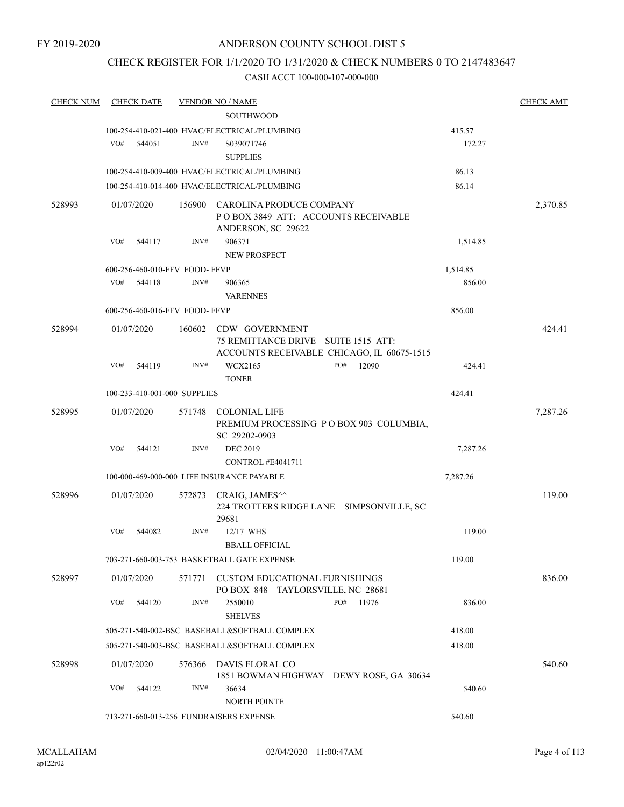## CHECK REGISTER FOR 1/1/2020 TO 1/31/2020 & CHECK NUMBERS 0 TO 2147483647

| <b>CHECK NUM</b> |     | <b>CHECK DATE</b> |                                | <b>VENDOR NO / NAME</b>                                                                             |              |          | <b>CHECK AMT</b> |
|------------------|-----|-------------------|--------------------------------|-----------------------------------------------------------------------------------------------------|--------------|----------|------------------|
|                  |     |                   |                                | <b>SOUTHWOOD</b>                                                                                    |              |          |                  |
|                  |     |                   |                                | 100-254-410-021-400 HVAC/ELECTRICAL/PLUMBING                                                        |              | 415.57   |                  |
|                  | VO# | 544051            | INV#                           | S039071746                                                                                          |              | 172.27   |                  |
|                  |     |                   |                                | <b>SUPPLIES</b>                                                                                     |              |          |                  |
|                  |     |                   |                                | 100-254-410-009-400 HVAC/ELECTRICAL/PLUMBING                                                        |              | 86.13    |                  |
|                  |     |                   |                                | 100-254-410-014-400 HVAC/ELECTRICAL/PLUMBING                                                        |              | 86.14    |                  |
| 528993           |     | 01/07/2020        | 156900                         | CAROLINA PRODUCE COMPANY<br>POBOX 3849 ATT: ACCOUNTS RECEIVABLE<br>ANDERSON, SC 29622               |              |          | 2,370.85         |
|                  | VO# | 544117            | INV#                           | 906371                                                                                              |              | 1,514.85 |                  |
|                  |     |                   |                                | <b>NEW PROSPECT</b>                                                                                 |              |          |                  |
|                  |     |                   | 600-256-460-010-FFV FOOD-FFVP  |                                                                                                     |              | 1,514.85 |                  |
|                  | VO# | 544118            | INV#                           | 906365<br><b>VARENNES</b>                                                                           |              | 856.00   |                  |
|                  |     |                   | 600-256-460-016-FFV FOOD- FFVP |                                                                                                     |              | 856.00   |                  |
|                  |     |                   |                                |                                                                                                     |              |          |                  |
| 528994           |     | 01/07/2020        | 160602                         | CDW GOVERNMENT<br>75 REMITTANCE DRIVE SUITE 1515 ATT:<br>ACCOUNTS RECEIVABLE CHICAGO, IL 60675-1515 |              |          | 424.41           |
|                  | VO# | 544119            | INV#                           | WCX2165                                                                                             | PO#<br>12090 | 424.41   |                  |
|                  |     |                   |                                | <b>TONER</b>                                                                                        |              |          |                  |
|                  |     |                   | 100-233-410-001-000 SUPPLIES   |                                                                                                     |              | 424.41   |                  |
| 528995           |     | 01/07/2020        | 571748                         | <b>COLONIAL LIFE</b><br>PREMIUM PROCESSING PO BOX 903 COLUMBIA,<br>SC 29202-0903                    |              |          | 7,287.26         |
|                  | VO# | 544121            | INV#                           | <b>DEC 2019</b>                                                                                     |              | 7,287.26 |                  |
|                  |     |                   |                                | CONTROL#E4041711                                                                                    |              |          |                  |
|                  |     |                   |                                | 100-000-469-000-000 LIFE INSURANCE PAYABLE                                                          |              | 7,287.26 |                  |
| 528996           |     | 01/07/2020        | 572873                         | CRAIG, JAMES <sup>^^</sup><br>224 TROTTERS RIDGE LANE SIMPSONVILLE, SC                              |              |          | 119.00           |
|                  | VO# | 544082            | INV#                           | 29681<br>12/17 WHS                                                                                  |              | 119.00   |                  |
|                  |     |                   |                                | <b>BBALL OFFICIAL</b>                                                                               |              |          |                  |
|                  |     |                   |                                | 703-271-660-003-753 BASKETBALL GATE EXPENSE                                                         |              | 119.00   |                  |
|                  |     |                   |                                |                                                                                                     |              |          |                  |
| 528997           |     | 01/07/2020        | 571771                         | <b>CUSTOM EDUCATIONAL FURNISHINGS</b><br>PO BOX 848 TAYLORSVILLE, NC 28681                          |              |          | 836.00           |
|                  | VO# | 544120            | INV#                           | 2550010<br><b>SHELVES</b>                                                                           | PO#<br>11976 | 836.00   |                  |
|                  |     |                   |                                | 505-271-540-002-BSC BASEBALL&SOFTBALL COMPLEX                                                       |              | 418.00   |                  |
|                  |     |                   |                                | 505-271-540-003-BSC BASEBALL&SOFTBALL COMPLEX                                                       |              | 418.00   |                  |
|                  |     |                   |                                |                                                                                                     |              |          |                  |
| 528998           |     | 01/07/2020        | 576366                         | DAVIS FLORAL CO<br>1851 BOWMAN HIGHWAY DEWY ROSE, GA 30634                                          |              |          | 540.60           |
|                  | VO# | 544122            | INV#                           | 36634<br>NORTH POINTE                                                                               |              | 540.60   |                  |
|                  |     |                   |                                | 713-271-660-013-256 FUNDRAISERS EXPENSE                                                             |              | 540.60   |                  |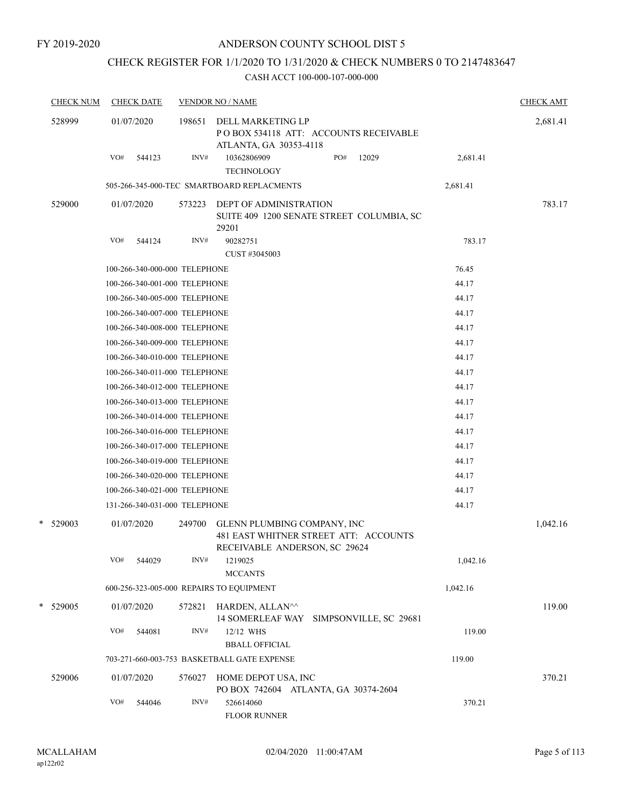# CHECK REGISTER FOR 1/1/2020 TO 1/31/2020 & CHECK NUMBERS 0 TO 2147483647

| <b>CHECK NUM</b> | <b>CHECK DATE</b>             |        | <b>VENDOR NO / NAME</b>                                                                               |     |       |          | <b>CHECK AMT</b> |
|------------------|-------------------------------|--------|-------------------------------------------------------------------------------------------------------|-----|-------|----------|------------------|
| 528999           | 01/07/2020                    | 198651 | DELL MARKETING LP<br>PO BOX 534118 ATT: ACCOUNTS RECEIVABLE<br>ATLANTA, GA 30353-4118                 |     |       |          | 2,681.41         |
|                  | VO#<br>544123                 | INV#   | 10362806909<br><b>TECHNOLOGY</b>                                                                      | PO# | 12029 | 2,681.41 |                  |
|                  |                               |        | 505-266-345-000-TEC SMARTBOARD REPLACMENTS                                                            |     |       | 2,681.41 |                  |
| 529000           | 01/07/2020                    | 573223 | <b>DEPT OF ADMINISTRATION</b><br>SUITE 409 1200 SENATE STREET COLUMBIA, SC<br>29201                   |     |       |          | 783.17           |
|                  | VO#<br>544124                 | INV#   | 90282751<br>CUST #3045003                                                                             |     |       | 783.17   |                  |
|                  | 100-266-340-000-000 TELEPHONE |        |                                                                                                       |     |       | 76.45    |                  |
|                  | 100-266-340-001-000 TELEPHONE |        |                                                                                                       |     |       | 44.17    |                  |
|                  | 100-266-340-005-000 TELEPHONE |        |                                                                                                       |     |       | 44.17    |                  |
|                  | 100-266-340-007-000 TELEPHONE |        |                                                                                                       |     |       | 44.17    |                  |
|                  | 100-266-340-008-000 TELEPHONE |        |                                                                                                       |     |       | 44.17    |                  |
|                  | 100-266-340-009-000 TELEPHONE |        |                                                                                                       |     |       | 44.17    |                  |
|                  | 100-266-340-010-000 TELEPHONE |        |                                                                                                       |     |       | 44.17    |                  |
|                  | 100-266-340-011-000 TELEPHONE |        |                                                                                                       |     |       | 44.17    |                  |
|                  | 100-266-340-012-000 TELEPHONE |        |                                                                                                       |     |       | 44.17    |                  |
|                  | 100-266-340-013-000 TELEPHONE |        |                                                                                                       |     |       | 44.17    |                  |
|                  | 100-266-340-014-000 TELEPHONE |        |                                                                                                       |     |       | 44.17    |                  |
|                  | 100-266-340-016-000 TELEPHONE |        |                                                                                                       |     |       | 44.17    |                  |
|                  | 100-266-340-017-000 TELEPHONE |        |                                                                                                       |     |       | 44.17    |                  |
|                  | 100-266-340-019-000 TELEPHONE |        |                                                                                                       |     |       | 44.17    |                  |
|                  | 100-266-340-020-000 TELEPHONE |        |                                                                                                       |     |       | 44.17    |                  |
|                  | 100-266-340-021-000 TELEPHONE |        |                                                                                                       |     |       | 44.17    |                  |
|                  | 131-266-340-031-000 TELEPHONE |        |                                                                                                       |     |       | 44.17    |                  |
| * 529003         | 01/07/2020                    | 249700 | GLENN PLUMBING COMPANY, INC<br>481 EAST WHITNER STREET ATT: ACCOUNTS<br>RECEIVABLE ANDERSON, SC 29624 |     |       |          | 1,042.16         |
|                  | VO#<br>544029                 | INV#   | 1219025<br><b>MCCANTS</b>                                                                             |     |       | 1,042.16 |                  |
|                  |                               |        | 600-256-323-005-000 REPAIRS TO EQUIPMENT                                                              |     |       | 1,042.16 |                  |
| * 529005         | 01/07/2020                    | 572821 | HARDEN, ALLAN^^<br>14 SOMERLEAF WAY SIMPSONVILLE, SC 29681                                            |     |       |          | 119.00           |
|                  | VO#<br>544081                 | INV#   | 12/12 WHS<br><b>BBALL OFFICIAL</b>                                                                    |     |       | 119.00   |                  |
|                  |                               |        | 703-271-660-003-753 BASKETBALL GATE EXPENSE                                                           |     |       | 119.00   |                  |
| 529006           | 01/07/2020                    | 576027 | HOME DEPOT USA, INC<br>PO BOX 742604 ATLANTA, GA 30374-2604                                           |     |       |          | 370.21           |
|                  | VO#<br>544046                 | INV#   | 526614060<br><b>FLOOR RUNNER</b>                                                                      |     |       | 370.21   |                  |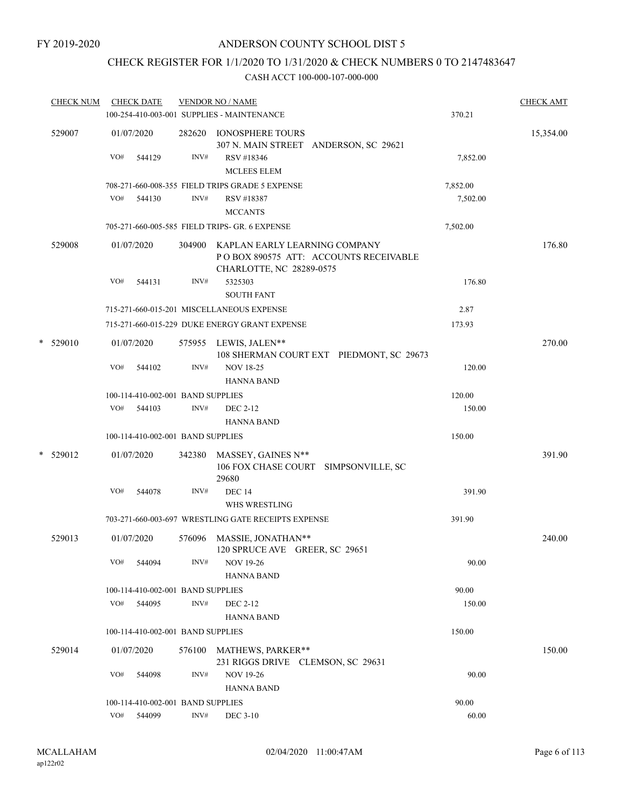# CHECK REGISTER FOR 1/1/2020 TO 1/31/2020 & CHECK NUMBERS 0 TO 2147483647

|   | <b>CHECK NUM</b> |     | <b>CHECK DATE</b>                 |        | <b>VENDOR NO / NAME</b><br>100-254-410-003-001 SUPPLIES - MAINTENANCE |                                          | 370.21   | <b>CHECK AMT</b> |
|---|------------------|-----|-----------------------------------|--------|-----------------------------------------------------------------------|------------------------------------------|----------|------------------|
|   | 529007           | VO# | 01/07/2020<br>544129              | INV#   | 282620 IONOSPHERE TOURS<br>RSV #18346<br><b>MCLEES ELEM</b>           | 307 N. MAIN STREET ANDERSON, SC 29621    | 7,852.00 | 15,354.00        |
|   |                  |     |                                   |        | 708-271-660-008-355 FIELD TRIPS GRADE 5 EXPENSE                       |                                          | 7,852.00 |                  |
|   |                  | VO# | 544130                            | INV#   | RSV #18387<br><b>MCCANTS</b>                                          |                                          | 7,502.00 |                  |
|   |                  |     |                                   |        | 705-271-660-005-585 FIELD TRIPS- GR. 6 EXPENSE                        |                                          | 7,502.00 |                  |
|   | 529008           |     | 01/07/2020                        |        | 304900 KAPLAN EARLY LEARNING COMPANY<br>CHARLOTTE, NC 28289-0575      | POBOX 890575 ATT: ACCOUNTS RECEIVABLE    |          | 176.80           |
|   |                  | VO# | 544131                            | INV#   | 5325303<br><b>SOUTH FANT</b>                                          |                                          | 176.80   |                  |
|   |                  |     |                                   |        | 715-271-660-015-201 MISCELLANEOUS EXPENSE                             |                                          | 2.87     |                  |
|   |                  |     |                                   |        | 715-271-660-015-229 DUKE ENERGY GRANT EXPENSE                         |                                          | 173.93   |                  |
|   | $*$ 529010       |     | 01/07/2020                        |        | 575955 LEWIS, JALEN**                                                 | 108 SHERMAN COURT EXT PIEDMONT, SC 29673 |          | 270.00           |
|   |                  | VO# | 544102                            | INV#   | <b>NOV 18-25</b><br><b>HANNA BAND</b>                                 |                                          | 120.00   |                  |
|   |                  |     | 100-114-410-002-001 BAND SUPPLIES |        |                                                                       |                                          | 120.00   |                  |
|   |                  | VO# | 544103                            | INV#   | DEC 2-12                                                              |                                          | 150.00   |                  |
|   |                  |     |                                   |        | <b>HANNA BAND</b>                                                     |                                          |          |                  |
|   |                  |     | 100-114-410-002-001 BAND SUPPLIES |        |                                                                       |                                          | 150.00   |                  |
| * | 529012           |     | 01/07/2020                        | 342380 | MASSEY, GAINES N**<br>29680                                           | 106 FOX CHASE COURT SIMPSONVILLE, SC     |          | 391.90           |
|   |                  | VO# | 544078                            | INV#   | <b>DEC 14</b><br>WHS WRESTLING                                        |                                          | 391.90   |                  |
|   |                  |     |                                   |        | 703-271-660-003-697 WRESTLING GATE RECEIPTS EXPENSE                   |                                          | 391.90   |                  |
|   | 529013           |     | 01/07/2020                        | 576096 | MASSIE, JONATHAN**<br>120 SPRUCE AVE GREER, SC 29651                  |                                          |          | 240.00           |
|   |                  | VO# | 544094                            | INV#   | <b>NOV 19-26</b><br><b>HANNA BAND</b>                                 |                                          | 90.00    |                  |
|   |                  |     | 100-114-410-002-001 BAND SUPPLIES |        |                                                                       |                                          | 90.00    |                  |
|   |                  | VO# | 544095                            | INV#   | DEC 2-12<br><b>HANNA BAND</b>                                         |                                          | 150.00   |                  |
|   |                  |     | 100-114-410-002-001 BAND SUPPLIES |        |                                                                       |                                          | 150.00   |                  |
|   | 529014           |     | 01/07/2020                        | 576100 | <b>MATHEWS, PARKER**</b><br>231 RIGGS DRIVE CLEMSON, SC 29631         |                                          |          | 150.00           |
|   |                  | VO# | 544098                            | INV#   | <b>NOV 19-26</b><br><b>HANNA BAND</b>                                 |                                          | 90.00    |                  |
|   |                  |     | 100-114-410-002-001 BAND SUPPLIES |        |                                                                       |                                          | 90.00    |                  |
|   |                  |     | VO# 544099                        | INV#   | <b>DEC 3-10</b>                                                       |                                          | 60.00    |                  |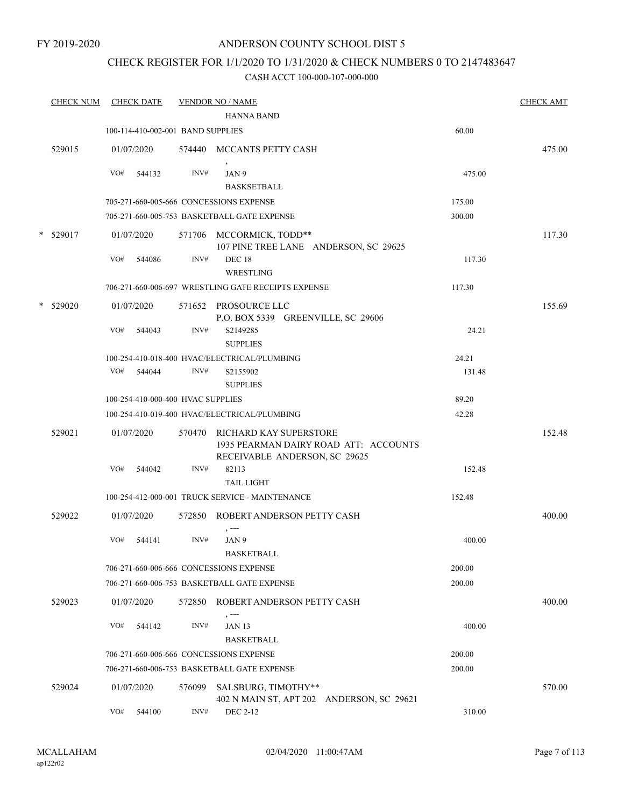#### FY 2019-2020

## ANDERSON COUNTY SCHOOL DIST 5

## CHECK REGISTER FOR 1/1/2020 TO 1/31/2020 & CHECK NUMBERS 0 TO 2147483647

|   | <b>CHECK NUM</b> |     | <b>CHECK DATE</b> |                                   | <b>VENDOR NO / NAME</b>                                                                                 |        | <b>CHECK AMT</b> |
|---|------------------|-----|-------------------|-----------------------------------|---------------------------------------------------------------------------------------------------------|--------|------------------|
|   |                  |     |                   |                                   | <b>HANNA BAND</b>                                                                                       |        |                  |
|   |                  |     |                   | 100-114-410-002-001 BAND SUPPLIES |                                                                                                         | 60.00  |                  |
|   | 529015           |     | 01/07/2020        |                                   | 574440 MCCANTS PETTY CASH                                                                               |        | 475.00           |
|   |                  | VO# | 544132            | INV#                              | JAN 9<br><b>BASKSETBALL</b>                                                                             | 475.00 |                  |
|   |                  |     |                   |                                   | 705-271-660-005-666 CONCESSIONS EXPENSE                                                                 | 175.00 |                  |
|   |                  |     |                   |                                   | 705-271-660-005-753 BASKETBALL GATE EXPENSE                                                             | 300.00 |                  |
|   | $*$ 529017       |     | 01/07/2020        |                                   | 571706 MCCORMICK, TODD**<br>107 PINE TREE LANE ANDERSON, SC 29625                                       |        | 117.30           |
|   |                  | VO# | 544086            | INV#                              | <b>DEC 18</b><br>WRESTLING                                                                              | 117.30 |                  |
|   |                  |     |                   |                                   | 706-271-660-006-697 WRESTLING GATE RECEIPTS EXPENSE                                                     | 117.30 |                  |
| * | 529020           |     | 01/07/2020        |                                   | 571652 PROSOURCE LLC<br>P.O. BOX 5339 GREENVILLE, SC 29606                                              |        | 155.69           |
|   |                  | VO# | 544043            | INV#                              | S2149285<br><b>SUPPLIES</b>                                                                             | 24.21  |                  |
|   |                  |     |                   |                                   | 100-254-410-018-400 HVAC/ELECTRICAL/PLUMBING                                                            | 24.21  |                  |
|   |                  |     | VO# 544044        | INV#                              | S2155902<br><b>SUPPLIES</b>                                                                             | 131.48 |                  |
|   |                  |     |                   | 100-254-410-000-400 HVAC SUPPLIES |                                                                                                         | 89.20  |                  |
|   |                  |     |                   |                                   | 100-254-410-019-400 HVAC/ELECTRICAL/PLUMBING                                                            | 42.28  |                  |
|   | 529021           |     | 01/07/2020        |                                   | 570470 RICHARD KAY SUPERSTORE<br>1935 PEARMAN DAIRY ROAD ATT: ACCOUNTS<br>RECEIVABLE ANDERSON, SC 29625 |        | 152.48           |
|   |                  | VO# | 544042            | INV#                              | 82113<br><b>TAIL LIGHT</b>                                                                              | 152.48 |                  |
|   |                  |     |                   |                                   | 100-254-412-000-001 TRUCK SERVICE - MAINTENANCE                                                         | 152.48 |                  |
|   | 529022           |     | 01/07/2020        |                                   | 572850 ROBERT ANDERSON PETTY CASH<br>$, --$                                                             |        | 400.00           |
|   |                  | VO# | 544141            | INV#                              | JAN 9<br><b>BASKETBALL</b>                                                                              | 400.00 |                  |
|   |                  |     |                   |                                   | 706-271-660-006-666 CONCESSIONS EXPENSE                                                                 | 200.00 |                  |
|   |                  |     |                   |                                   | 706-271-660-006-753 BASKETBALL GATE EXPENSE                                                             | 200.00 |                  |
|   | 529023           |     | 01/07/2020        | 572850                            | ROBERT ANDERSON PETTY CASH<br>, ---                                                                     |        | 400.00           |
|   |                  | VO# | 544142            | INV#                              | <b>JAN 13</b><br><b>BASKETBALL</b>                                                                      | 400.00 |                  |
|   |                  |     |                   |                                   | 706-271-660-006-666 CONCESSIONS EXPENSE                                                                 | 200.00 |                  |
|   |                  |     |                   |                                   | 706-271-660-006-753 BASKETBALL GATE EXPENSE                                                             | 200.00 |                  |
|   | 529024           |     | 01/07/2020        | 576099                            | SALSBURG, TIMOTHY**<br>402 N MAIN ST, APT 202 ANDERSON, SC 29621                                        |        | 570.00           |
|   |                  | VO# | 544100            | INV#                              | DEC 2-12                                                                                                | 310.00 |                  |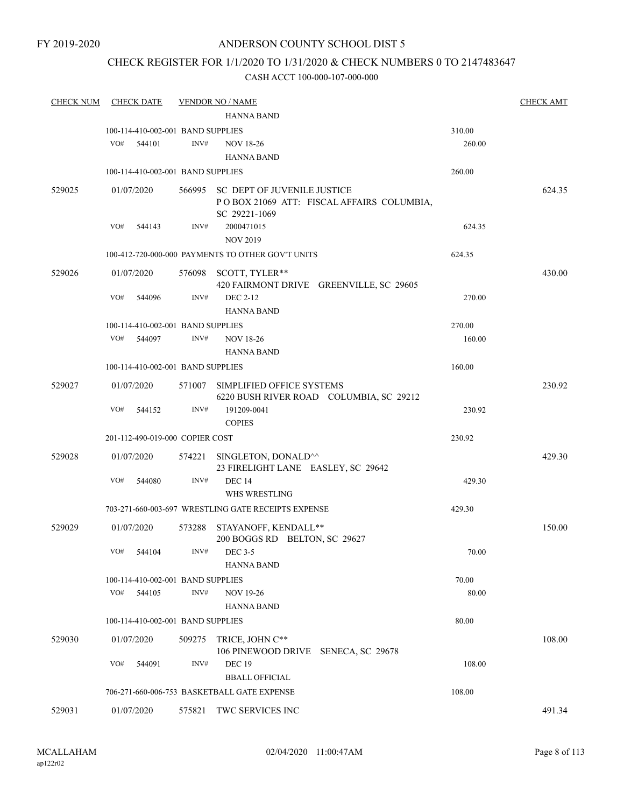## CHECK REGISTER FOR 1/1/2020 TO 1/31/2020 & CHECK NUMBERS 0 TO 2147483647

| <b>CHECK NUM</b> | <b>CHECK DATE</b>                 |        | <b>VENDOR NO / NAME</b>                                              |        | <b>CHECK AMT</b> |
|------------------|-----------------------------------|--------|----------------------------------------------------------------------|--------|------------------|
|                  |                                   |        | <b>HANNA BAND</b>                                                    |        |                  |
|                  | 100-114-410-002-001 BAND SUPPLIES |        |                                                                      | 310.00 |                  |
|                  | VO#<br>544101                     | INV#   | <b>NOV 18-26</b>                                                     | 260.00 |                  |
|                  |                                   |        | <b>HANNA BAND</b>                                                    |        |                  |
|                  | 100-114-410-002-001 BAND SUPPLIES |        |                                                                      | 260.00 |                  |
| 529025           | 01/07/2020                        |        | 566995 SC DEPT OF JUVENILE JUSTICE                                   |        | 624.35           |
|                  |                                   |        | POBOX 21069 ATT: FISCAL AFFAIRS COLUMBIA,<br>SC 29221-1069           |        |                  |
|                  | VO#<br>544143                     | INV#   | 2000471015                                                           | 624.35 |                  |
|                  |                                   |        | <b>NOV 2019</b>                                                      |        |                  |
|                  |                                   |        | 100-412-720-000-000 PAYMENTS TO OTHER GOV'T UNITS                    | 624.35 |                  |
| 529026           | 01/07/2020                        |        | 576098 SCOTT, TYLER**                                                |        | 430.00           |
|                  |                                   |        | 420 FAIRMONT DRIVE GREENVILLE, SC 29605                              |        |                  |
|                  | VO#<br>544096                     | INV#   | DEC 2-12                                                             | 270.00 |                  |
|                  |                                   |        | <b>HANNA BAND</b>                                                    |        |                  |
|                  | 100-114-410-002-001 BAND SUPPLIES |        |                                                                      | 270.00 |                  |
|                  | VO#<br>544097                     | INV#   | <b>NOV 18-26</b>                                                     | 160.00 |                  |
|                  |                                   |        | <b>HANNA BAND</b>                                                    |        |                  |
|                  | 100-114-410-002-001 BAND SUPPLIES |        |                                                                      | 160.00 |                  |
| 529027           | 01/07/2020                        |        | 571007 SIMPLIFIED OFFICE SYSTEMS                                     |        | 230.92           |
|                  |                                   |        | 6220 BUSH RIVER ROAD COLUMBIA, SC 29212                              |        |                  |
|                  | VO#<br>544152                     | INV#   | 191209-0041                                                          | 230.92 |                  |
|                  |                                   |        | <b>COPIES</b>                                                        |        |                  |
|                  | 201-112-490-019-000 COPIER COST   |        |                                                                      | 230.92 |                  |
| 529028           | 01/07/2020                        | 574221 | SINGLETON, DONALD^^                                                  |        | 429.30           |
|                  |                                   |        | 23 FIRELIGHT LANE EASLEY, SC 29642                                   |        |                  |
|                  | VO#<br>544080                     | INV#   | <b>DEC 14</b>                                                        | 429.30 |                  |
|                  |                                   |        | WHS WRESTLING<br>703-271-660-003-697 WRESTLING GATE RECEIPTS EXPENSE | 429.30 |                  |
|                  |                                   |        |                                                                      |        |                  |
| 529029           | 01/07/2020                        | 573288 | STAYANOFF, KENDALL**                                                 |        | 150.00           |
|                  | VO# 544104                        |        | 200 BOGGS RD BELTON, SC 29627<br>$INV#$ DEC 3-5                      | 70.00  |                  |
|                  |                                   |        | <b>HANNA BAND</b>                                                    |        |                  |
|                  | 100-114-410-002-001 BAND SUPPLIES |        |                                                                      | 70.00  |                  |
|                  | VO#<br>544105                     | INV#   | <b>NOV 19-26</b>                                                     | 80.00  |                  |
|                  |                                   |        | HANNA BAND                                                           |        |                  |
|                  | 100-114-410-002-001 BAND SUPPLIES |        |                                                                      | 80.00  |                  |
| 529030           | 01/07/2020                        |        | 509275 TRICE, JOHN C**                                               |        | 108.00           |
|                  |                                   |        | 106 PINEWOOD DRIVE SENECA, SC 29678                                  |        |                  |
|                  | VO#<br>544091                     | INV#   | DEC 19                                                               | 108.00 |                  |
|                  |                                   |        | <b>BBALL OFFICIAL</b>                                                |        |                  |
|                  |                                   |        | 706-271-660-006-753 BASKETBALL GATE EXPENSE                          | 108.00 |                  |
| 529031           | 01/07/2020                        |        | 575821 TWC SERVICES INC                                              |        | 491.34           |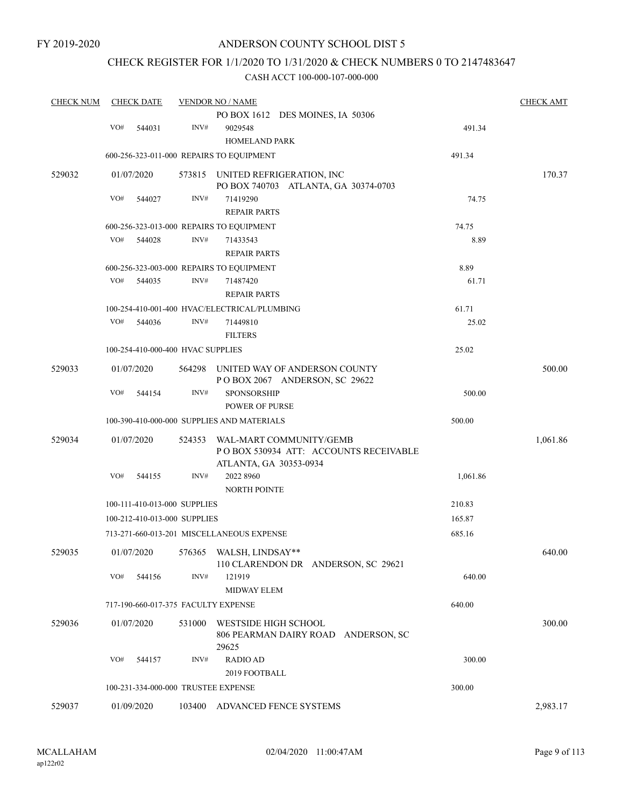## CHECK REGISTER FOR 1/1/2020 TO 1/31/2020 & CHECK NUMBERS 0 TO 2147483647

| <b>CHECK NUM</b> |            | <b>CHECK DATE</b> |                                   | <b>VENDOR NO / NAME</b>                      |          | <b>CHECK AMT</b> |
|------------------|------------|-------------------|-----------------------------------|----------------------------------------------|----------|------------------|
|                  |            |                   |                                   | PO BOX 1612 DES MOINES, IA 50306             |          |                  |
|                  | VO#        | 544031            | INV#                              | 9029548                                      | 491.34   |                  |
|                  |            |                   |                                   | HOMELAND PARK                                |          |                  |
|                  |            |                   |                                   | 600-256-323-011-000 REPAIRS TO EQUIPMENT     | 491.34   |                  |
| 529032           | 01/07/2020 |                   |                                   | 573815 UNITED REFRIGERATION, INC             |          | 170.37           |
|                  |            |                   |                                   | PO BOX 740703 ATLANTA, GA 30374-0703         |          |                  |
|                  | VO#        | 544027            | INV#                              | 71419290                                     | 74.75    |                  |
|                  |            |                   |                                   | <b>REPAIR PARTS</b>                          |          |                  |
|                  |            |                   |                                   | 600-256-323-013-000 REPAIRS TO EQUIPMENT     | 74.75    |                  |
|                  | VO#        | 544028            | INV#                              | 71433543                                     | 8.89     |                  |
|                  |            |                   |                                   | <b>REPAIR PARTS</b>                          |          |                  |
|                  |            |                   |                                   | 600-256-323-003-000 REPAIRS TO EQUIPMENT     | 8.89     |                  |
|                  | VO#        | 544035            | INV#                              | 71487420                                     | 61.71    |                  |
|                  |            |                   |                                   | <b>REPAIR PARTS</b>                          |          |                  |
|                  |            |                   |                                   | 100-254-410-001-400 HVAC/ELECTRICAL/PLUMBING | 61.71    |                  |
|                  | VO#        | 544036            | INV#                              | 71449810                                     | 25.02    |                  |
|                  |            |                   |                                   | <b>FILTERS</b>                               |          |                  |
|                  |            |                   | 100-254-410-000-400 HVAC SUPPLIES |                                              | 25.02    |                  |
| 529033           | 01/07/2020 |                   |                                   | 564298 UNITED WAY OF ANDERSON COUNTY         |          | 500.00           |
|                  |            |                   |                                   | POBOX 2067 ANDERSON, SC 29622                |          |                  |
|                  | VO#        | 544154            | INV#                              | SPONSORSHIP                                  | 500.00   |                  |
|                  |            |                   |                                   | <b>POWER OF PURSE</b>                        |          |                  |
|                  |            |                   |                                   | 100-390-410-000-000 SUPPLIES AND MATERIALS   | 500.00   |                  |
| 529034           | 01/07/2020 |                   | 524353                            | WAL-MART COMMUNITY/GEMB                      |          | 1,061.86         |
|                  |            |                   |                                   | PO BOX 530934 ATT: ACCOUNTS RECEIVABLE       |          |                  |
|                  |            |                   |                                   | ATLANTA, GA 30353-0934                       |          |                  |
|                  | VO#        | 544155            | INV#                              | 2022 8960                                    | 1,061.86 |                  |
|                  |            |                   |                                   | <b>NORTH POINTE</b>                          |          |                  |
|                  |            |                   | 100-111-410-013-000 SUPPLIES      |                                              | 210.83   |                  |
|                  |            |                   | 100-212-410-013-000 SUPPLIES      |                                              | 165.87   |                  |
|                  |            |                   |                                   | 713-271-660-013-201 MISCELLANEOUS EXPENSE    | 685.16   |                  |
| 529035           | 01/07/2020 |                   |                                   | 576365 WALSH, LINDSAY**                      |          | 640.00           |
|                  |            |                   |                                   | 110 CLARENDON DR ANDERSON, SC 29621          |          |                  |
|                  | VO#        | 544156            | INV#                              | 121919                                       | 640.00   |                  |
|                  |            |                   |                                   | <b>MIDWAY ELEM</b>                           |          |                  |
|                  |            |                   |                                   | 717-190-660-017-375 FACULTY EXPENSE          | 640.00   |                  |
| 529036           | 01/07/2020 |                   | 531000                            | WESTSIDE HIGH SCHOOL                         |          | 300.00           |
|                  |            |                   |                                   | 806 PEARMAN DAIRY ROAD ANDERSON, SC          |          |                  |
|                  |            |                   |                                   | 29625                                        |          |                  |
|                  | VO#        | 544157            | INV#                              | <b>RADIO AD</b>                              | 300.00   |                  |
|                  |            |                   |                                   | 2019 FOOTBALL                                |          |                  |
|                  |            |                   |                                   | 100-231-334-000-000 TRUSTEE EXPENSE          | 300.00   |                  |
| 529037           | 01/09/2020 |                   |                                   | 103400 ADVANCED FENCE SYSTEMS                |          | 2,983.17         |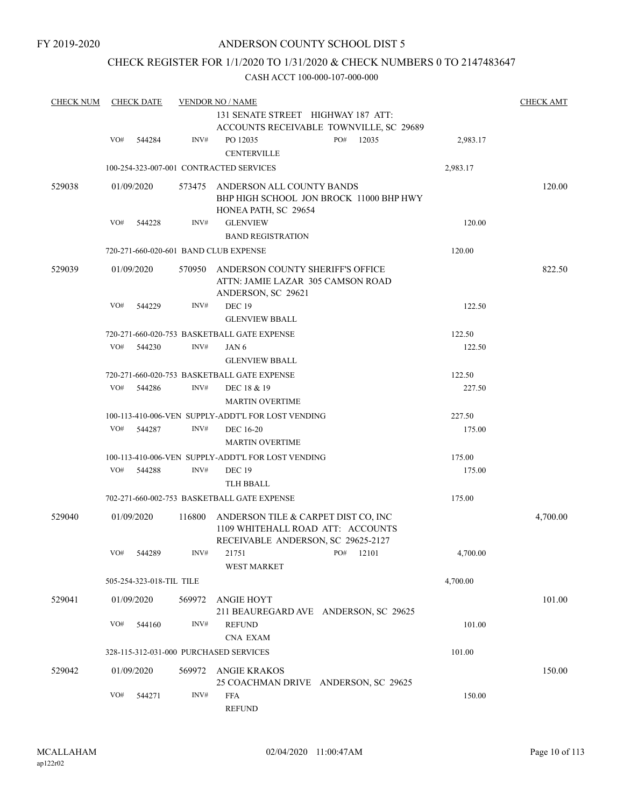## CHECK REGISTER FOR 1/1/2020 TO 1/31/2020 & CHECK NUMBERS 0 TO 2147483647

| <b>CHECK NUM</b> |     | <b>CHECK DATE</b>        |        | <b>VENDOR NO / NAME</b>                                                                                        |     |           |          | <b>CHECK AMT</b> |
|------------------|-----|--------------------------|--------|----------------------------------------------------------------------------------------------------------------|-----|-----------|----------|------------------|
|                  |     |                          |        | 131 SENATE STREET HIGHWAY 187 ATT:<br>ACCOUNTS RECEIVABLE TOWNVILLE, SC 29689                                  |     |           |          |                  |
|                  | VO# | 544284                   | INV#   | PO 12035                                                                                                       | PO# | 12035     | 2,983.17 |                  |
|                  |     |                          |        | <b>CENTERVILLE</b>                                                                                             |     |           |          |                  |
|                  |     |                          |        | 100-254-323-007-001 CONTRACTED SERVICES                                                                        |     |           | 2,983.17 |                  |
| 529038           |     | 01/09/2020               | 573475 | ANDERSON ALL COUNTY BANDS<br>BHP HIGH SCHOOL JON BROCK 11000 BHP HWY<br>HONEA PATH, SC 29654                   |     |           |          | 120.00           |
|                  | VO# | 544228                   | INV#   | <b>GLENVIEW</b>                                                                                                |     |           | 120.00   |                  |
|                  |     |                          |        | <b>BAND REGISTRATION</b>                                                                                       |     |           |          |                  |
|                  |     |                          |        | 720-271-660-020-601 BAND CLUB EXPENSE                                                                          |     |           | 120.00   |                  |
| 529039           |     | 01/09/2020               | 570950 | ANDERSON COUNTY SHERIFF'S OFFICE<br>ATTN: JAMIE LAZAR 305 CAMSON ROAD<br>ANDERSON, SC 29621                    |     |           |          | 822.50           |
|                  | VO# | 544229                   | INV#   | <b>DEC 19</b>                                                                                                  |     |           | 122.50   |                  |
|                  |     |                          |        | <b>GLENVIEW BBALL</b>                                                                                          |     |           |          |                  |
|                  |     |                          |        | 720-271-660-020-753 BASKETBALL GATE EXPENSE                                                                    |     |           | 122.50   |                  |
|                  | VO# | 544230                   | INV#   | JAN 6                                                                                                          |     |           | 122.50   |                  |
|                  |     |                          |        | <b>GLENVIEW BBALL</b>                                                                                          |     |           |          |                  |
|                  |     |                          |        | 720-271-660-020-753 BASKETBALL GATE EXPENSE                                                                    |     |           | 122.50   |                  |
|                  | VO# | 544286                   | INV#   | DEC 18 & 19<br><b>MARTIN OVERTIME</b>                                                                          |     |           | 227.50   |                  |
|                  |     |                          |        | 100-113-410-006-VEN SUPPLY-ADDT'L FOR LOST VENDING                                                             |     |           | 227.50   |                  |
|                  | VO# | 544287                   | INV#   | <b>DEC 16-20</b>                                                                                               |     |           | 175.00   |                  |
|                  |     |                          |        | <b>MARTIN OVERTIME</b>                                                                                         |     |           |          |                  |
|                  |     |                          |        | 100-113-410-006-VEN SUPPLY-ADDT'L FOR LOST VENDING                                                             |     |           | 175.00   |                  |
|                  | VO# | 544288                   | INV#   | <b>DEC 19</b>                                                                                                  |     |           | 175.00   |                  |
|                  |     |                          |        | TLH BBALL                                                                                                      |     |           |          |                  |
|                  |     |                          |        | 702-271-660-002-753 BASKETBALL GATE EXPENSE                                                                    |     |           | 175.00   |                  |
| 529040           |     | 01/09/2020               | 116800 | ANDERSON TILE & CARPET DIST CO, INC<br>1109 WHITEHALL ROAD ATT: ACCOUNTS<br>RECEIVABLE ANDERSON, SC 29625-2127 |     |           |          | 4,700.00         |
|                  | VO# | 544289                   | INV#   | 21751<br><b>WEST MARKET</b>                                                                                    |     | PO# 12101 | 4,700.00 |                  |
|                  |     | 505-254-323-018-TIL TILE |        |                                                                                                                |     |           | 4,700.00 |                  |
| 529041           |     | 01/09/2020               | 569972 | ANGIE HOYT<br>211 BEAUREGARD AVE ANDERSON, SC 29625                                                            |     |           |          | 101.00           |
|                  | VO# | 544160                   | INV#   | <b>REFUND</b><br><b>CNA EXAM</b>                                                                               |     |           | 101.00   |                  |
|                  |     |                          |        | 328-115-312-031-000 PURCHASED SERVICES                                                                         |     |           | 101.00   |                  |
|                  |     |                          |        |                                                                                                                |     |           |          |                  |
| 529042           |     | 01/09/2020               | 569972 | ANGIE KRAKOS<br>25 COACHMAN DRIVE ANDERSON, SC 29625                                                           |     |           |          | 150.00           |
|                  | VO# | 544271                   | INV#   | <b>FFA</b><br><b>REFUND</b>                                                                                    |     |           | 150.00   |                  |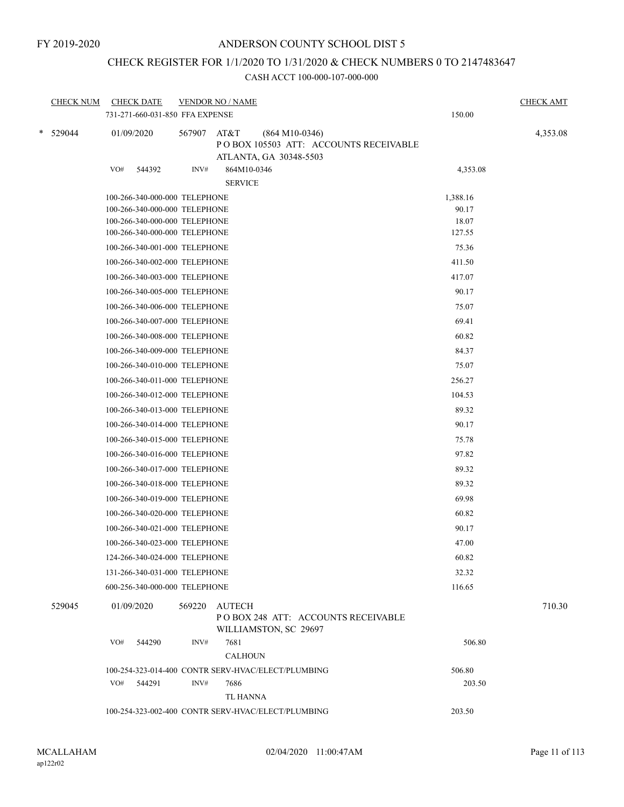# CHECK REGISTER FOR 1/1/2020 TO 1/31/2020 & CHECK NUMBERS 0 TO 2147483647

| <b>CHECK NUM</b> | <b>CHECK DATE</b><br>731-271-660-031-850 FFA EXPENSE | <b>VENDOR NO / NAME</b>               |                                                                                     | 150.00   | <b>CHECK AMT</b> |
|------------------|------------------------------------------------------|---------------------------------------|-------------------------------------------------------------------------------------|----------|------------------|
| * 529044         | 01/09/2020                                           | 567907<br>AT&T                        | $(864 M10-0346)$<br>POBOX 105503 ATT: ACCOUNTS RECEIVABLE<br>ATLANTA, GA 30348-5503 |          | 4,353.08         |
|                  | VO#<br>544392                                        | INV#<br>864M10-0346<br><b>SERVICE</b> |                                                                                     | 4,353.08 |                  |
|                  | 100-266-340-000-000 TELEPHONE                        |                                       |                                                                                     | 1,388.16 |                  |
|                  | 100-266-340-000-000 TELEPHONE                        |                                       |                                                                                     | 90.17    |                  |
|                  | 100-266-340-000-000 TELEPHONE                        |                                       |                                                                                     | 18.07    |                  |
|                  | 100-266-340-000-000 TELEPHONE                        |                                       |                                                                                     | 127.55   |                  |
|                  | 100-266-340-001-000 TELEPHONE                        |                                       |                                                                                     | 75.36    |                  |
|                  | 100-266-340-002-000 TELEPHONE                        |                                       |                                                                                     | 411.50   |                  |
|                  | 100-266-340-003-000 TELEPHONE                        |                                       |                                                                                     | 417.07   |                  |
|                  | 100-266-340-005-000 TELEPHONE                        |                                       |                                                                                     | 90.17    |                  |
|                  | 100-266-340-006-000 TELEPHONE                        |                                       |                                                                                     | 75.07    |                  |
|                  | 100-266-340-007-000 TELEPHONE                        |                                       |                                                                                     | 69.41    |                  |
|                  | 100-266-340-008-000 TELEPHONE                        |                                       |                                                                                     | 60.82    |                  |
|                  | 100-266-340-009-000 TELEPHONE                        |                                       |                                                                                     | 84.37    |                  |
|                  | 100-266-340-010-000 TELEPHONE                        |                                       |                                                                                     | 75.07    |                  |
|                  | 100-266-340-011-000 TELEPHONE                        |                                       |                                                                                     | 256.27   |                  |
|                  | 100-266-340-012-000 TELEPHONE                        |                                       |                                                                                     | 104.53   |                  |
|                  | 100-266-340-013-000 TELEPHONE                        |                                       |                                                                                     | 89.32    |                  |
|                  | 100-266-340-014-000 TELEPHONE                        |                                       |                                                                                     | 90.17    |                  |
|                  | 100-266-340-015-000 TELEPHONE                        |                                       |                                                                                     | 75.78    |                  |
|                  | 100-266-340-016-000 TELEPHONE                        |                                       |                                                                                     | 97.82    |                  |
|                  | 100-266-340-017-000 TELEPHONE                        |                                       |                                                                                     | 89.32    |                  |
|                  | 100-266-340-018-000 TELEPHONE                        |                                       |                                                                                     | 89.32    |                  |
|                  | 100-266-340-019-000 TELEPHONE                        |                                       |                                                                                     | 69.98    |                  |
|                  | 100-266-340-020-000 TELEPHONE                        |                                       |                                                                                     | 60.82    |                  |
|                  | 100-266-340-021-000 TELEPHONE                        |                                       |                                                                                     | 90.17    |                  |
|                  | 100-266-340-023-000 TELEPHONE                        |                                       |                                                                                     | 47.00    |                  |
|                  | 124-266-340-024-000 TELEPHONE                        |                                       |                                                                                     | 60.82    |                  |
|                  | 131-266-340-031-000 TELEPHONE                        |                                       |                                                                                     |          |                  |
|                  |                                                      |                                       |                                                                                     | 32.32    |                  |
|                  | 600-256-340-000-000 TELEPHONE                        |                                       |                                                                                     | 116.65   |                  |
| 529045           | 01/09/2020                                           | 569220<br>AUTECH                      | POBOX 248 ATT: ACCOUNTS RECEIVABLE<br>WILLIAMSTON, SC 29697                         |          | 710.30           |
|                  | VO#<br>544290                                        | INV#<br>7681<br><b>CALHOUN</b>        |                                                                                     | 506.80   |                  |
|                  |                                                      |                                       | 100-254-323-014-400 CONTR SERV-HVAC/ELECT/PLUMBING                                  | 506.80   |                  |
|                  | VO# 544291                                           | INV#<br>7686                          |                                                                                     | 203.50   |                  |
|                  |                                                      | TL HANNA                              |                                                                                     |          |                  |
|                  |                                                      |                                       | 100-254-323-002-400 CONTR SERV-HVAC/ELECT/PLUMBING                                  | 203.50   |                  |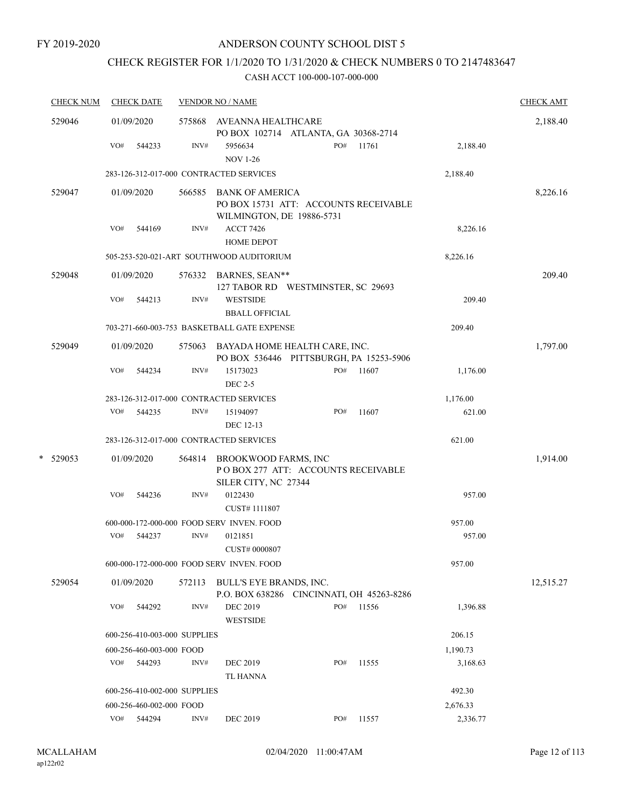# CHECK REGISTER FOR 1/1/2020 TO 1/31/2020 & CHECK NUMBERS 0 TO 2147483647

|   | <b>CHECK NUM</b> |     | <b>CHECK DATE</b>            |        | <b>VENDOR NO / NAME</b>                                                                    |     |       |          | <b>CHECK AMT</b> |
|---|------------------|-----|------------------------------|--------|--------------------------------------------------------------------------------------------|-----|-------|----------|------------------|
|   | 529046           |     | 01/09/2020                   |        | 575868 AVEANNA HEALTHCARE<br>PO BOX 102714 ATLANTA, GA 30368-2714                          |     |       |          | 2,188.40         |
|   |                  | VO# | 544233                       | INV#   | 5956634<br><b>NOV 1-26</b>                                                                 | PO# | 11761 | 2,188.40 |                  |
|   |                  |     |                              |        | 283-126-312-017-000 CONTRACTED SERVICES                                                    |     |       | 2,188.40 |                  |
|   | 529047           |     | 01/09/2020                   | 566585 | <b>BANK OF AMERICA</b><br>PO BOX 15731 ATT: ACCOUNTS RECEIVABLE                            |     |       |          | 8,226.16         |
|   |                  | VO# | 544169                       | INV#   | WILMINGTON, DE 19886-5731<br><b>ACCT 7426</b><br><b>HOME DEPOT</b>                         |     |       | 8,226.16 |                  |
|   |                  |     |                              |        | 505-253-520-021-ART SOUTHWOOD AUDITORIUM                                                   |     |       | 8,226.16 |                  |
|   | 529048           |     | 01/09/2020                   |        | 576332 BARNES, SEAN**<br>127 TABOR RD WESTMINSTER, SC 29693                                |     |       |          | 209.40           |
|   |                  | VO# | 544213                       | INV#   | <b>WESTSIDE</b><br><b>BBALL OFFICIAL</b>                                                   |     |       | 209.40   |                  |
|   |                  |     |                              |        | 703-271-660-003-753 BASKETBALL GATE EXPENSE                                                |     |       | 209.40   |                  |
|   | 529049           |     | 01/09/2020                   |        | 575063 BAYADA HOME HEALTH CARE, INC.<br>PO BOX 536446 PITTSBURGH, PA 15253-5906            |     |       |          | 1,797.00         |
|   |                  | VO# | 544234                       | INV#   | 15173023<br><b>DEC 2-5</b>                                                                 | PO# | 11607 | 1,176.00 |                  |
|   |                  |     |                              |        | 283-126-312-017-000 CONTRACTED SERVICES                                                    |     |       | 1,176.00 |                  |
|   |                  | VO# | 544235                       | INV#   | 15194097                                                                                   | PO# | 11607 | 621.00   |                  |
|   |                  |     |                              |        | DEC 12-13                                                                                  |     |       |          |                  |
|   |                  |     |                              |        | 283-126-312-017-000 CONTRACTED SERVICES                                                    |     |       | 621.00   |                  |
| * | 529053           |     | 01/09/2020                   |        | 564814 BROOKWOOD FARMS, INC<br>PO BOX 277 ATT: ACCOUNTS RECEIVABLE<br>SILER CITY, NC 27344 |     |       |          | 1,914.00         |
|   |                  | VO# | 544236                       | INV#   | 0122430<br>CUST#1111807                                                                    |     |       | 957.00   |                  |
|   |                  |     |                              |        | 600-000-172-000-000 FOOD SERV INVEN. FOOD                                                  |     |       | 957.00   |                  |
|   |                  | VO# | 544237                       | INV#   | 0121851<br>CUST# 0000807                                                                   |     |       | 957.00   |                  |
|   |                  |     |                              |        | 600-000-172-000-000 FOOD SERV INVEN. FOOD                                                  |     |       | 957.00   |                  |
|   | 529054           |     | 01/09/2020                   | 572113 | BULL'S EYE BRANDS, INC.<br>P.O. BOX 638286 CINCINNATI, OH 45263-8286                       |     |       |          | 12,515.27        |
|   |                  | VO# | 544292                       | INV#   | <b>DEC 2019</b><br><b>WESTSIDE</b>                                                         | PO# | 11556 | 1,396.88 |                  |
|   |                  |     | 600-256-410-003-000 SUPPLIES |        |                                                                                            |     |       | 206.15   |                  |
|   |                  |     | 600-256-460-003-000 FOOD     |        |                                                                                            |     |       | 1,190.73 |                  |
|   |                  | VO# | 544293                       | INV#   | <b>DEC 2019</b><br><b>TL HANNA</b>                                                         | PO# | 11555 | 3,168.63 |                  |
|   |                  |     | 600-256-410-002-000 SUPPLIES |        |                                                                                            |     |       | 492.30   |                  |
|   |                  |     | 600-256-460-002-000 FOOD     |        |                                                                                            |     |       | 2,676.33 |                  |
|   |                  |     | VO# 544294                   | INV#   | DEC 2019                                                                                   | PO# | 11557 | 2,336.77 |                  |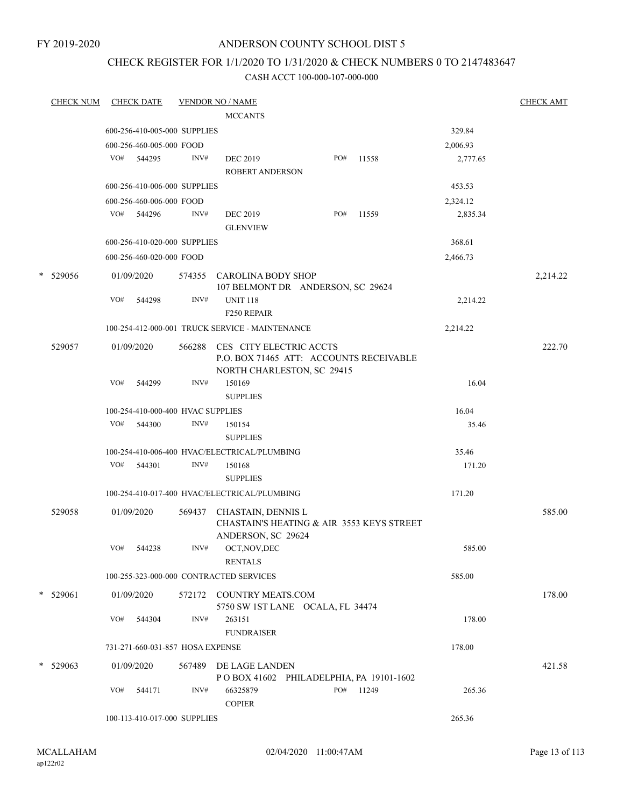FY 2019-2020

## ANDERSON COUNTY SCHOOL DIST 5

## CHECK REGISTER FOR 1/1/2020 TO 1/31/2020 & CHECK NUMBERS 0 TO 2147483647

| <b>CHECK NUM</b> |     | <b>CHECK DATE</b>                 |        | <b>VENDOR NO / NAME</b>                                                                          |     |                                           |          | <b>CHECK AMT</b> |
|------------------|-----|-----------------------------------|--------|--------------------------------------------------------------------------------------------------|-----|-------------------------------------------|----------|------------------|
|                  |     |                                   |        | <b>MCCANTS</b>                                                                                   |     |                                           |          |                  |
|                  |     | 600-256-410-005-000 SUPPLIES      |        |                                                                                                  |     |                                           | 329.84   |                  |
|                  |     | 600-256-460-005-000 FOOD          |        |                                                                                                  |     |                                           | 2,006.93 |                  |
|                  |     | VO# 544295                        | INV#   | <b>DEC 2019</b><br><b>ROBERT ANDERSON</b>                                                        | PO# | 11558                                     | 2,777.65 |                  |
|                  |     | 600-256-410-006-000 SUPPLIES      |        |                                                                                                  |     |                                           | 453.53   |                  |
|                  |     | 600-256-460-006-000 FOOD          |        |                                                                                                  |     |                                           | 2,324.12 |                  |
|                  | VO# | 544296                            | INV#   | <b>DEC 2019</b><br><b>GLENVIEW</b>                                                               | PO# | 11559                                     | 2,835.34 |                  |
|                  |     | 600-256-410-020-000 SUPPLIES      |        |                                                                                                  |     |                                           | 368.61   |                  |
|                  |     | 600-256-460-020-000 FOOD          |        |                                                                                                  |     |                                           | 2,466.73 |                  |
| * 529056         |     | 01/09/2020                        | 574355 | <b>CAROLINA BODY SHOP</b><br>107 BELMONT DR ANDERSON, SC 29624                                   |     |                                           |          | 2,214.22         |
|                  | VO# | 544298                            | INV#   | <b>UNIT 118</b><br>F250 REPAIR                                                                   |     |                                           | 2,214.22 |                  |
|                  |     |                                   |        | 100-254-412-000-001 TRUCK SERVICE - MAINTENANCE                                                  |     |                                           | 2,214.22 |                  |
| 529057           |     | 01/09/2020                        | 566288 | CES CITY ELECTRIC ACCTS<br>P.O. BOX 71465 ATT: ACCOUNTS RECEIVABLE<br>NORTH CHARLESTON, SC 29415 |     |                                           |          | 222.70           |
|                  | VO# | 544299                            | INV#   | 150169<br><b>SUPPLIES</b>                                                                        |     |                                           | 16.04    |                  |
|                  |     | 100-254-410-000-400 HVAC SUPPLIES |        |                                                                                                  |     |                                           | 16.04    |                  |
|                  | VO# | 544300                            | INV#   | 150154<br><b>SUPPLIES</b>                                                                        |     |                                           | 35.46    |                  |
|                  |     |                                   |        | 100-254-410-006-400 HVAC/ELECTRICAL/PLUMBING                                                     |     |                                           | 35.46    |                  |
|                  | VO# | 544301                            | INV#   | 150168<br><b>SUPPLIES</b>                                                                        |     |                                           | 171.20   |                  |
|                  |     |                                   |        | 100-254-410-017-400 HVAC/ELECTRICAL/PLUMBING                                                     |     |                                           | 171.20   |                  |
| 529058           |     | 01/09/2020                        | 569437 | <b>CHASTAIN, DENNIS L</b><br>ANDERSON, SC 29624                                                  |     | CHASTAIN'S HEATING & AIR 3553 KEYS STREET |          | 585.00           |
|                  | VO# | 544238                            | INV#   | OCT, NOV, DEC<br><b>RENTALS</b>                                                                  |     |                                           | 585.00   |                  |
|                  |     |                                   |        | 100-255-323-000-000 CONTRACTED SERVICES                                                          |     |                                           | 585.00   |                  |
| $*$ 529061       |     | 01/09/2020                        |        | 572172 COUNTRY MEATS.COM<br>5750 SW 1ST LANE OCALA, FL 34474                                     |     |                                           |          | 178.00           |
|                  | VO# | 544304                            | INV#   | 263151<br><b>FUNDRAISER</b>                                                                      |     |                                           | 178.00   |                  |
|                  |     | 731-271-660-031-857 HOSA EXPENSE  |        |                                                                                                  |     |                                           | 178.00   |                  |
| $*$ 529063       |     | 01/09/2020                        |        | 567489 DE LAGE LANDEN<br>POBOX 41602 PHILADELPHIA, PA 19101-1602                                 |     |                                           |          | 421.58           |
|                  | VO# | 544171                            | INV#   | 66325879<br><b>COPIER</b>                                                                        | PO# | 11249                                     | 265.36   |                  |
|                  |     | 100-113-410-017-000 SUPPLIES      |        |                                                                                                  |     |                                           | 265.36   |                  |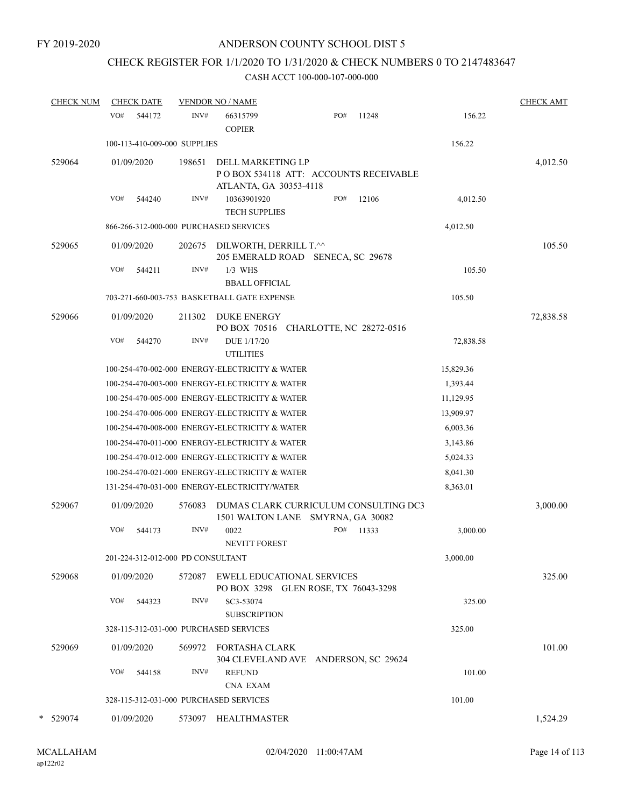# CHECK REGISTER FOR 1/1/2020 TO 1/31/2020 & CHECK NUMBERS 0 TO 2147483647

| <b>CHECK NUM</b> |     | <b>CHECK DATE</b>                 |        | <b>VENDOR NO / NAME</b>                                                              |     |       |           | <b>CHECK AMT</b> |
|------------------|-----|-----------------------------------|--------|--------------------------------------------------------------------------------------|-----|-------|-----------|------------------|
|                  | VO# | 544172                            | INV#   | 66315799<br><b>COPIER</b>                                                            | PO# | 11248 | 156.22    |                  |
|                  |     | 100-113-410-009-000 SUPPLIES      |        |                                                                                      |     |       | 156.22    |                  |
| 529064           |     | 01/09/2020                        | 198651 | DELL MARKETING LP<br>POBOX 534118 ATT: ACCOUNTS RECEIVABLE<br>ATLANTA, GA 30353-4118 |     |       |           | 4,012.50         |
|                  | VO# | 544240                            | INV#   | 10363901920<br><b>TECH SUPPLIES</b>                                                  | PO# | 12106 | 4,012.50  |                  |
|                  |     |                                   |        | 866-266-312-000-000 PURCHASED SERVICES                                               |     |       | 4,012.50  |                  |
| 529065           |     | 01/09/2020                        | 202675 | DILWORTH, DERRILL T.^^<br>205 EMERALD ROAD SENECA, SC 29678                          |     |       |           | 105.50           |
|                  | VO# | 544211                            | INV#   | $1/3$ WHS<br><b>BBALL OFFICIAL</b>                                                   |     |       | 105.50    |                  |
|                  |     |                                   |        | 703-271-660-003-753 BASKETBALL GATE EXPENSE                                          |     |       | 105.50    |                  |
| 529066           |     | 01/09/2020                        | 211302 | <b>DUKE ENERGY</b><br>PO BOX 70516 CHARLOTTE, NC 28272-0516                          |     |       |           | 72,838.58        |
|                  | VO# | 544270                            | INV#   | DUE 1/17/20<br><b>UTILITIES</b>                                                      |     |       | 72,838.58 |                  |
|                  |     |                                   |        | 100-254-470-002-000 ENERGY-ELECTRICITY & WATER                                       |     |       | 15,829.36 |                  |
|                  |     |                                   |        | 100-254-470-003-000 ENERGY-ELECTRICITY & WATER                                       |     |       | 1,393.44  |                  |
|                  |     |                                   |        | 100-254-470-005-000 ENERGY-ELECTRICITY & WATER                                       |     |       | 11,129.95 |                  |
|                  |     |                                   |        | 100-254-470-006-000 ENERGY-ELECTRICITY & WATER                                       |     |       | 13,909.97 |                  |
|                  |     |                                   |        | 100-254-470-008-000 ENERGY-ELECTRICITY & WATER                                       |     |       | 6,003.36  |                  |
|                  |     |                                   |        | 100-254-470-011-000 ENERGY-ELECTRICITY & WATER                                       |     |       | 3,143.86  |                  |
|                  |     |                                   |        | 100-254-470-012-000 ENERGY-ELECTRICITY & WATER                                       |     |       | 5,024.33  |                  |
|                  |     |                                   |        | 100-254-470-021-000 ENERGY-ELECTRICITY & WATER                                       |     |       | 8,041.30  |                  |
|                  |     |                                   |        | 131-254-470-031-000 ENERGY-ELECTRICITY/WATER                                         |     |       | 8,363.01  |                  |
| 529067           |     | 01/09/2020                        | 576083 | DUMAS CLARK CURRICULUM CONSULTING DC3<br>1501 WALTON LANE SMYRNA, GA 30082           |     |       |           | 3,000.00         |
|                  | VO# | 544173                            | INV#   | 0022<br><b>NEVITT FOREST</b>                                                         | PO# | 11333 | 3,000.00  |                  |
|                  |     | 201-224-312-012-000 PD CONSULTANT |        |                                                                                      |     |       | 3,000.00  |                  |
| 529068           |     | 01/09/2020                        | 572087 | <b>EWELL EDUCATIONAL SERVICES</b><br>PO BOX 3298 GLEN ROSE, TX 76043-3298            |     |       |           | 325.00           |
|                  | VO# | 544323                            | INV#   | SC3-53074<br><b>SUBSCRIPTION</b>                                                     |     |       | 325.00    |                  |
|                  |     |                                   |        | 328-115-312-031-000 PURCHASED SERVICES                                               |     |       | 325.00    |                  |
| 529069           |     | 01/09/2020                        | 569972 | FORTASHA CLARK<br>304 CLEVELAND AVE ANDERSON, SC 29624                               |     |       |           | 101.00           |
|                  | VO# | 544158                            | INV#   | <b>REFUND</b><br><b>CNA EXAM</b>                                                     |     |       | 101.00    |                  |
|                  |     |                                   |        | 328-115-312-031-000 PURCHASED SERVICES                                               |     |       | 101.00    |                  |
| * 529074         |     | 01/09/2020                        | 573097 | <b>HEALTHMASTER</b>                                                                  |     |       |           | 1,524.29         |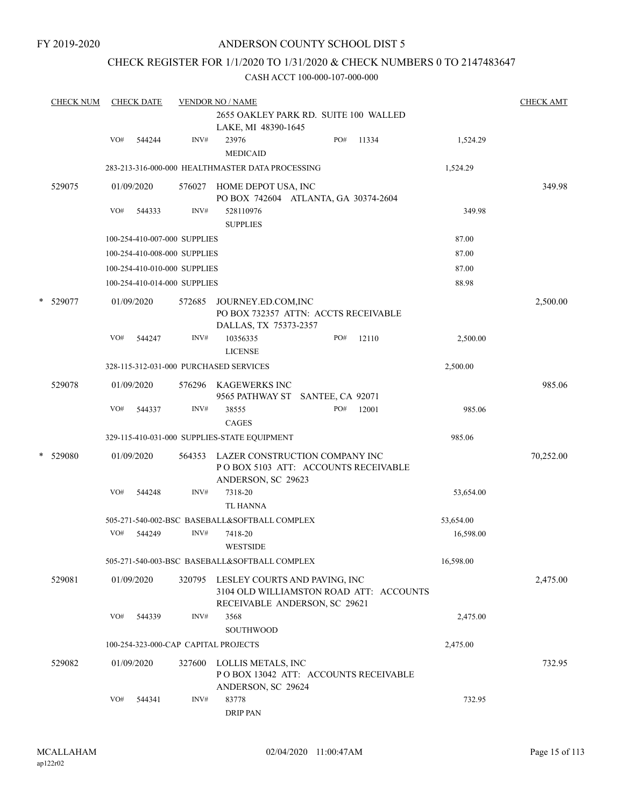FY 2019-2020

## ANDERSON COUNTY SCHOOL DIST 5

## CHECK REGISTER FOR 1/1/2020 TO 1/31/2020 & CHECK NUMBERS 0 TO 2147483647

|   | <b>CHECK NUM</b> |     | <b>CHECK DATE</b> |                              | <b>VENDOR NO / NAME</b>                                                                                          |     |       |           | <b>CHECK AMT</b> |
|---|------------------|-----|-------------------|------------------------------|------------------------------------------------------------------------------------------------------------------|-----|-------|-----------|------------------|
|   |                  |     |                   |                              | 2655 OAKLEY PARK RD. SUITE 100 WALLED<br>LAKE, MI 48390-1645                                                     |     |       |           |                  |
|   |                  | VO# | 544244            | INV#                         | 23976<br><b>MEDICAID</b>                                                                                         | PO# | 11334 | 1,524.29  |                  |
|   |                  |     |                   |                              | 283-213-316-000-000 HEALTHMASTER DATA PROCESSING                                                                 |     |       | 1,524.29  |                  |
|   | 529075           |     | 01/09/2020        | 576027                       | HOME DEPOT USA, INC<br>PO BOX 742604 ATLANTA, GA 30374-2604                                                      |     |       |           | 349.98           |
|   |                  | VO# | 544333            | INV#                         | 528110976<br><b>SUPPLIES</b>                                                                                     |     |       | 349.98    |                  |
|   |                  |     |                   | 100-254-410-007-000 SUPPLIES |                                                                                                                  |     |       | 87.00     |                  |
|   |                  |     |                   | 100-254-410-008-000 SUPPLIES |                                                                                                                  |     |       | 87.00     |                  |
|   |                  |     |                   | 100-254-410-010-000 SUPPLIES |                                                                                                                  |     |       | 87.00     |                  |
|   |                  |     |                   | 100-254-410-014-000 SUPPLIES |                                                                                                                  |     |       | 88.98     |                  |
|   | * 529077         |     | 01/09/2020        | 572685                       | JOURNEY.ED.COM,INC<br>PO BOX 732357 ATTN: ACCTS RECEIVABLE<br>DALLAS, TX 75373-2357                              |     |       |           | 2,500.00         |
|   |                  | VO# | 544247            | INV#                         | 10356335<br><b>LICENSE</b>                                                                                       | PO# | 12110 | 2,500.00  |                  |
|   |                  |     |                   |                              | 328-115-312-031-000 PURCHASED SERVICES                                                                           |     |       | 2,500.00  |                  |
|   | 529078           |     | 01/09/2020        |                              | 576296 KAGEWERKS INC<br>9565 PATHWAY ST SANTEE, CA 92071                                                         |     |       |           | 985.06           |
|   |                  | VO# | 544337            | INV#                         | 38555<br><b>CAGES</b>                                                                                            | PO# | 12001 | 985.06    |                  |
|   |                  |     |                   |                              | 329-115-410-031-000 SUPPLIES-STATE EQUIPMENT                                                                     |     |       | 985.06    |                  |
| * | 529080           |     | 01/09/2020        | 564353                       | LAZER CONSTRUCTION COMPANY INC<br>POBOX 5103 ATT: ACCOUNTS RECEIVABLE<br>ANDERSON, SC 29623                      |     |       |           | 70,252.00        |
|   |                  | VO# | 544248            | INV#                         | 7318-20<br><b>TL HANNA</b>                                                                                       |     |       | 53,654.00 |                  |
|   |                  |     |                   |                              | 505-271-540-002-BSC BASEBALL&SOFTBALL COMPLEX                                                                    |     |       | 53,654.00 |                  |
|   |                  | VO# | 544249            | INV#                         | 7418-20<br><b>WESTSIDE</b>                                                                                       |     |       | 16,598.00 |                  |
|   |                  |     |                   |                              | 505-271-540-003-BSC BASEBALL&SOFTBALL COMPLEX                                                                    |     |       | 16,598.00 |                  |
|   | 529081           |     | 01/09/2020        |                              | 320795 LESLEY COURTS AND PAVING, INC<br>3104 OLD WILLIAMSTON ROAD ATT: ACCOUNTS<br>RECEIVABLE ANDERSON, SC 29621 |     |       |           | 2,475.00         |
|   |                  | VO# | 544339            | INV#                         | 3568<br>SOUTHWOOD                                                                                                |     |       | 2,475.00  |                  |
|   |                  |     |                   |                              | 100-254-323-000-CAP CAPITAL PROJECTS                                                                             |     |       | 2,475.00  |                  |
|   | 529082           |     | 01/09/2020        | 327600                       | LOLLIS METALS, INC<br>PO BOX 13042 ATT: ACCOUNTS RECEIVABLE<br>ANDERSON, SC 29624                                |     |       |           | 732.95           |
|   |                  | VO# | 544341            | INV#                         | 83778<br><b>DRIP PAN</b>                                                                                         |     |       | 732.95    |                  |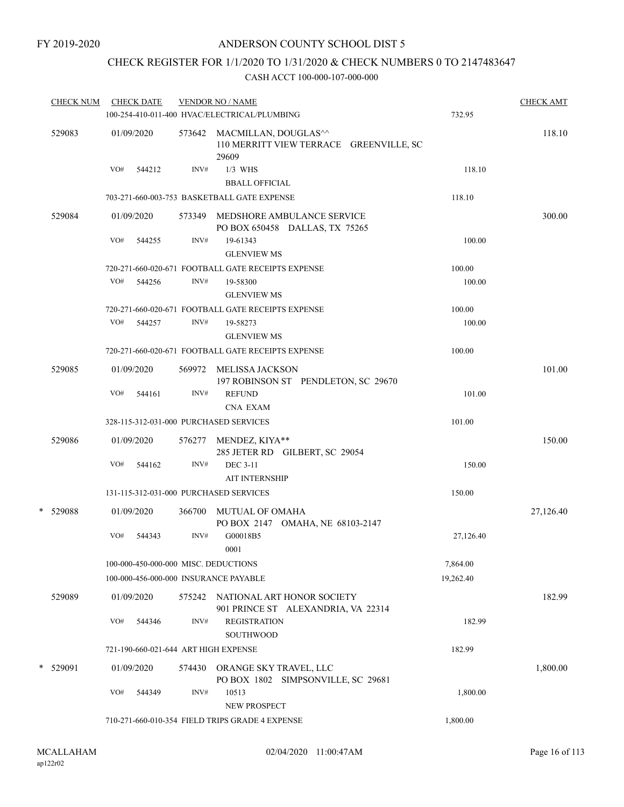# CHECK REGISTER FOR 1/1/2020 TO 1/31/2020 & CHECK NUMBERS 0 TO 2147483647

|   | <b>CHECK NUM</b> |     | <b>CHECK DATE</b> |        | <b>VENDOR NO / NAME</b><br>100-254-410-011-400 HVAC/ELECTRICAL/PLUMBING         | 732.95    | <b>CHECK AMT</b> |
|---|------------------|-----|-------------------|--------|---------------------------------------------------------------------------------|-----------|------------------|
|   | 529083           |     | 01/09/2020        |        | 573642 MACMILLAN, DOUGLAS^^<br>110 MERRITT VIEW TERRACE GREENVILLE, SC<br>29609 |           | 118.10           |
|   |                  | VO# | 544212            | INV#   | $1/3$ WHS<br><b>BBALL OFFICIAL</b>                                              | 118.10    |                  |
|   |                  |     |                   |        | 703-271-660-003-753 BASKETBALL GATE EXPENSE                                     | 118.10    |                  |
|   | 529084           |     | 01/09/2020        | 573349 | MEDSHORE AMBULANCE SERVICE<br>PO BOX 650458 DALLAS, TX 75265                    |           | 300.00           |
|   |                  | VO# | 544255            | INV#   | 19-61343<br><b>GLENVIEW MS</b>                                                  | 100.00    |                  |
|   |                  |     |                   |        | 720-271-660-020-671 FOOTBALL GATE RECEIPTS EXPENSE                              | 100.00    |                  |
|   |                  | VO# | 544256            | INV#   | 19-58300<br><b>GLENVIEW MS</b>                                                  | 100.00    |                  |
|   |                  |     |                   |        | 720-271-660-020-671 FOOTBALL GATE RECEIPTS EXPENSE                              | 100.00    |                  |
|   |                  | VO# | 544257            | INV#   | 19-58273<br><b>GLENVIEW MS</b>                                                  | 100.00    |                  |
|   |                  |     |                   |        | 720-271-660-020-671 FOOTBALL GATE RECEIPTS EXPENSE                              | 100.00    |                  |
|   | 529085           |     | 01/09/2020        |        | 569972 MELISSA JACKSON<br>197 ROBINSON ST PENDLETON, SC 29670                   |           | 101.00           |
|   |                  | VO# | 544161            | INV#   | <b>REFUND</b><br><b>CNA EXAM</b>                                                | 101.00    |                  |
|   |                  |     |                   |        | 328-115-312-031-000 PURCHASED SERVICES                                          | 101.00    |                  |
|   | 529086           |     | 01/09/2020        | 576277 | MENDEZ, KIYA**<br>285 JETER RD GILBERT, SC 29054                                |           | 150.00           |
|   |                  | VO# | 544162            | INV#   | <b>DEC 3-11</b><br><b>AIT INTERNSHIP</b>                                        | 150.00    |                  |
|   |                  |     |                   |        | 131-115-312-031-000 PURCHASED SERVICES                                          | 150.00    |                  |
| * | 529088           |     | 01/09/2020        |        | 366700 MUTUAL OF OMAHA<br>PO BOX 2147 OMAHA, NE 68103-2147                      |           | 27,126.40        |
|   |                  | VO# | 544343            | INV#   | G00018B5<br>0001                                                                | 27,126.40 |                  |
|   |                  |     |                   |        | 100-000-450-000-000 MISC. DEDUCTIONS                                            | 7,864.00  |                  |
|   |                  |     |                   |        | 100-000-456-000-000 INSURANCE PAYABLE                                           | 19,262.40 |                  |
|   | 529089           |     | 01/09/2020        |        | 575242 NATIONAL ART HONOR SOCIETY<br>901 PRINCE ST ALEXANDRIA, VA 22314         |           | 182.99           |
|   |                  | VO# | 544346            | INV#   | <b>REGISTRATION</b><br>SOUTHWOOD                                                | 182.99    |                  |
|   |                  |     |                   |        | 721-190-660-021-644 ART HIGH EXPENSE                                            | 182.99    |                  |
|   | * 529091         |     | 01/09/2020        | 574430 | ORANGE SKY TRAVEL, LLC<br>PO BOX 1802 SIMPSONVILLE, SC 29681                    |           | 1,800.00         |
|   |                  | VO# | 544349            | INV#   | 10513<br>NEW PROSPECT                                                           | 1,800.00  |                  |
|   |                  |     |                   |        | 710-271-660-010-354 FIELD TRIPS GRADE 4 EXPENSE                                 | 1,800.00  |                  |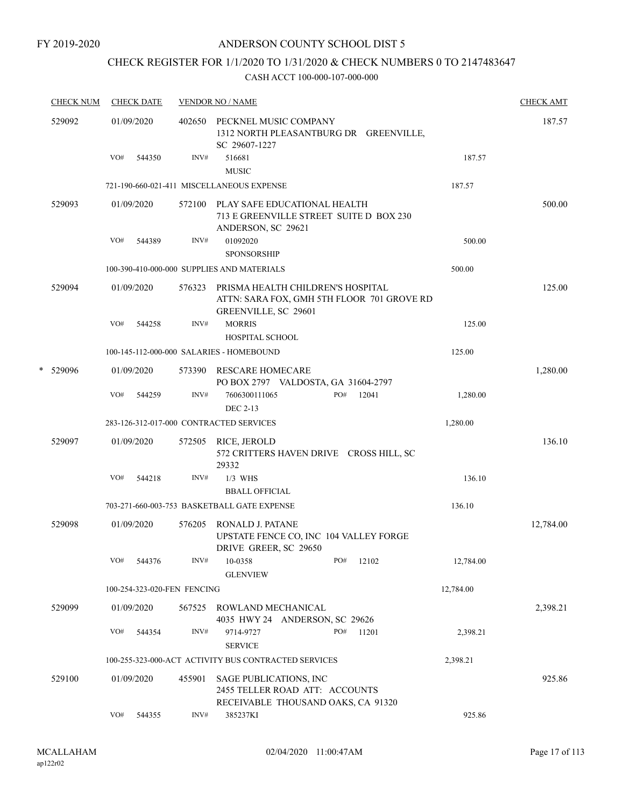# CHECK REGISTER FOR 1/1/2020 TO 1/31/2020 & CHECK NUMBERS 0 TO 2147483647

|   | <b>CHECK NUM</b> |     | <b>CHECK DATE</b> |                             | <b>VENDOR NO / NAME</b>                                                                                 |     |       |           | <b>CHECK AMT</b> |
|---|------------------|-----|-------------------|-----------------------------|---------------------------------------------------------------------------------------------------------|-----|-------|-----------|------------------|
|   | 529092           |     | 01/09/2020        | 402650                      | PECKNEL MUSIC COMPANY<br>1312 NORTH PLEASANTBURG DR GREENVILLE,<br>SC 29607-1227                        |     |       |           | 187.57           |
|   |                  | VO# | 544350            | INV#                        | 516681<br><b>MUSIC</b>                                                                                  |     |       | 187.57    |                  |
|   |                  |     |                   |                             | 721-190-660-021-411 MISCELLANEOUS EXPENSE                                                               |     |       | 187.57    |                  |
|   | 529093           |     | 01/09/2020        | 572100                      | PLAY SAFE EDUCATIONAL HEALTH<br>713 E GREENVILLE STREET SUITE D BOX 230<br>ANDERSON, SC 29621           |     |       |           | 500.00           |
|   |                  | VO# | 544389            | INV#                        | 01092020                                                                                                |     |       | 500.00    |                  |
|   |                  |     |                   |                             | <b>SPONSORSHIP</b>                                                                                      |     |       |           |                  |
|   |                  |     |                   |                             | 100-390-410-000-000 SUPPLIES AND MATERIALS                                                              |     |       | 500.00    |                  |
|   | 529094           |     | 01/09/2020        | 576323                      | PRISMA HEALTH CHILDREN'S HOSPITAL<br>ATTN: SARA FOX, GMH 5TH FLOOR 701 GROVE RD<br>GREENVILLE, SC 29601 |     |       |           | 125.00           |
|   |                  | VO# | 544258            | INV#                        | <b>MORRIS</b><br>HOSPITAL SCHOOL                                                                        |     |       | 125.00    |                  |
|   |                  |     |                   |                             | 100-145-112-000-000 SALARIES - HOMEBOUND                                                                |     |       | 125.00    |                  |
| * | 529096           |     | 01/09/2020        | 573390                      | <b>RESCARE HOMECARE</b><br>PO BOX 2797 VALDOSTA, GA 31604-2797                                          |     |       |           | 1,280.00         |
|   |                  | VO# | 544259            | INV#                        | 7606300111065<br>DEC 2-13                                                                               | PO# | 12041 | 1,280.00  |                  |
|   |                  |     |                   |                             | 283-126-312-017-000 CONTRACTED SERVICES                                                                 |     |       | 1,280.00  |                  |
|   | 529097           |     | 01/09/2020        | 572505                      | RICE, JEROLD<br>572 CRITTERS HAVEN DRIVE CROSS HILL, SC<br>29332                                        |     |       |           | 136.10           |
|   |                  | VO# | 544218            | INV#                        | $1/3$ WHS<br><b>BBALL OFFICIAL</b>                                                                      |     |       | 136.10    |                  |
|   |                  |     |                   |                             | 703-271-660-003-753 BASKETBALL GATE EXPENSE                                                             |     |       | 136.10    |                  |
|   | 529098           |     | 01/09/2020        | 576205                      | RONALD J. PATANE<br>UPSTATE FENCE CO, INC 104 VALLEY FORGE<br>DRIVE GREER, SC 29650                     |     |       |           | 12,784.00        |
|   |                  | VO# | 544376            | INV#                        | 10-0358<br><b>GLENVIEW</b>                                                                              | PO# | 12102 | 12,784.00 |                  |
|   |                  |     |                   | 100-254-323-020-FEN FENCING |                                                                                                         |     |       | 12,784.00 |                  |
|   | 529099           |     | 01/09/2020        | 567525                      | ROWLAND MECHANICAL<br>4035 HWY 24 ANDERSON, SC 29626                                                    |     |       |           | 2,398.21         |
|   |                  | VO# | 544354            | INV#                        | 9714-9727<br><b>SERVICE</b>                                                                             | PO# | 11201 | 2,398.21  |                  |
|   |                  |     |                   |                             | 100-255-323-000-ACT ACTIVITY BUS CONTRACTED SERVICES                                                    |     |       | 2,398.21  |                  |
|   | 529100           |     | 01/09/2020        | 455901                      | SAGE PUBLICATIONS, INC<br>2455 TELLER ROAD ATT: ACCOUNTS<br>RECEIVABLE THOUSAND OAKS, CA 91320          |     |       |           | 925.86           |
|   |                  | VO# | 544355            | INV#                        | 385237KI                                                                                                |     |       | 925.86    |                  |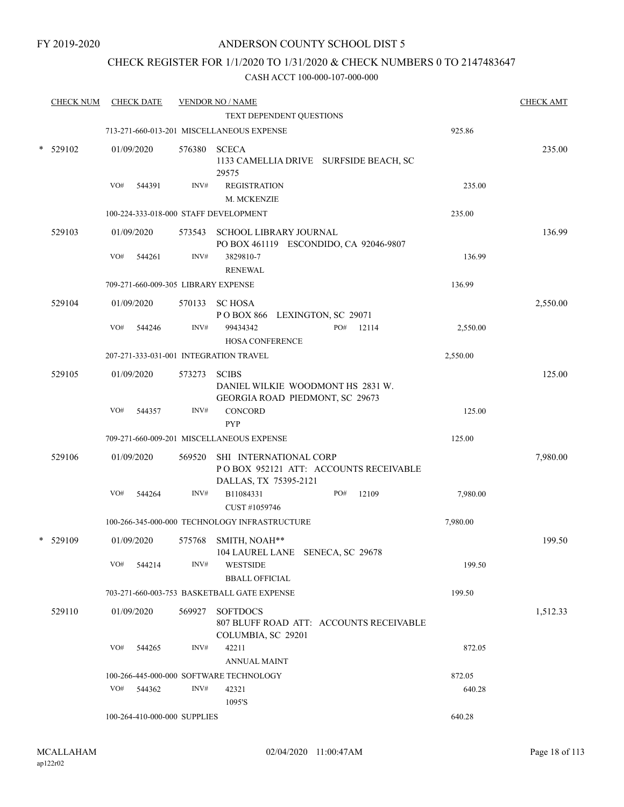## CHECK REGISTER FOR 1/1/2020 TO 1/31/2020 & CHECK NUMBERS 0 TO 2147483647

| <b>CHECK NUM</b> |     | <b>CHECK DATE</b>    |                                     | <b>VENDOR NO / NAME</b><br>TEXT DEPENDENT QUESTIONS                                      |     |       |          | <b>CHECK AMT</b> |
|------------------|-----|----------------------|-------------------------------------|------------------------------------------------------------------------------------------|-----|-------|----------|------------------|
|                  |     |                      |                                     | 713-271-660-013-201 MISCELLANEOUS EXPENSE                                                |     |       | 925.86   |                  |
| 529102           |     | 01/09/2020           | 576380 SCECA                        | 1133 CAMELLIA DRIVE SURFSIDE BEACH, SC<br>29575                                          |     |       |          | 235.00           |
|                  | VO# | 544391               | INV#                                | <b>REGISTRATION</b><br>M. MCKENZIE                                                       |     |       | 235.00   |                  |
|                  |     |                      |                                     | 100-224-333-018-000 STAFF DEVELOPMENT                                                    |     |       | 235.00   |                  |
| 529103           | VO# | 01/09/2020<br>544261 | INV#                                | 573543 SCHOOL LIBRARY JOURNAL<br>PO BOX 461119 ESCONDIDO, CA 92046-9807<br>3829810-7     |     |       | 136.99   | 136.99           |
|                  |     |                      |                                     | <b>RENEWAL</b>                                                                           |     |       |          |                  |
|                  |     |                      | 709-271-660-009-305 LIBRARY EXPENSE |                                                                                          |     |       | 136.99   |                  |
| 529104           |     | 01/09/2020           | 570133                              | <b>SC HOSA</b><br>POBOX 866 LEXINGTON, SC 29071                                          |     |       |          | 2,550.00         |
|                  | VO# | 544246               | INV#                                | 99434342<br><b>HOSA CONFERENCE</b>                                                       | PO# | 12114 | 2,550.00 |                  |
|                  |     |                      |                                     | 207-271-333-031-001 INTEGRATION TRAVEL                                                   |     |       | 2,550.00 |                  |
| 529105           |     | 01/09/2020           | 573273                              | <b>SCIBS</b><br>DANIEL WILKIE WOODMONT HS 2831 W.<br>GEORGIA ROAD PIEDMONT, SC 29673     |     |       |          | 125.00           |
|                  | VO# | 544357               | INV#                                | CONCORD<br><b>PYP</b>                                                                    |     |       | 125.00   |                  |
|                  |     |                      |                                     | 709-271-660-009-201 MISCELLANEOUS EXPENSE                                                |     |       | 125.00   |                  |
| 529106           |     | 01/09/2020           | 569520                              | SHI INTERNATIONAL CORP<br>POBOX 952121 ATT: ACCOUNTS RECEIVABLE<br>DALLAS, TX 75395-2121 |     |       |          | 7,980.00         |
|                  | VO# | 544264               | INV#                                | B11084331<br>CUST #1059746                                                               | PO# | 12109 | 7,980.00 |                  |
|                  |     |                      |                                     | 100-266-345-000-000 TECHNOLOGY INFRASTRUCTURE                                            |     |       | 7,980.00 |                  |
| $*$ 529109       |     | 01/09/2020           |                                     | 575768 SMITH, NOAH**<br>104 LAUREL LANE SENECA, SC 29678                                 |     |       |          | 199.50           |
|                  |     | VO# 544214           | INV#                                | <b>WESTSIDE</b><br><b>BBALL OFFICIAL</b>                                                 |     |       | 199.50   |                  |
|                  |     |                      |                                     | 703-271-660-003-753 BASKETBALL GATE EXPENSE                                              |     |       | 199.50   |                  |
| 529110           |     | 01/09/2020           | 569927                              | <b>SOFTDOCS</b><br>807 BLUFF ROAD ATT: ACCOUNTS RECEIVABLE<br>COLUMBIA, SC 29201         |     |       |          | 1,512.33         |
|                  |     | VO# 544265           | INV#                                | 42211<br><b>ANNUAL MAINT</b>                                                             |     |       | 872.05   |                  |
|                  |     |                      |                                     | 100-266-445-000-000 SOFTWARE TECHNOLOGY                                                  |     |       | 872.05   |                  |
|                  |     | VO# 544362           | INV#                                | 42321<br>1095'S                                                                          |     |       | 640.28   |                  |
|                  |     |                      | 100-264-410-000-000 SUPPLIES        |                                                                                          |     |       | 640.28   |                  |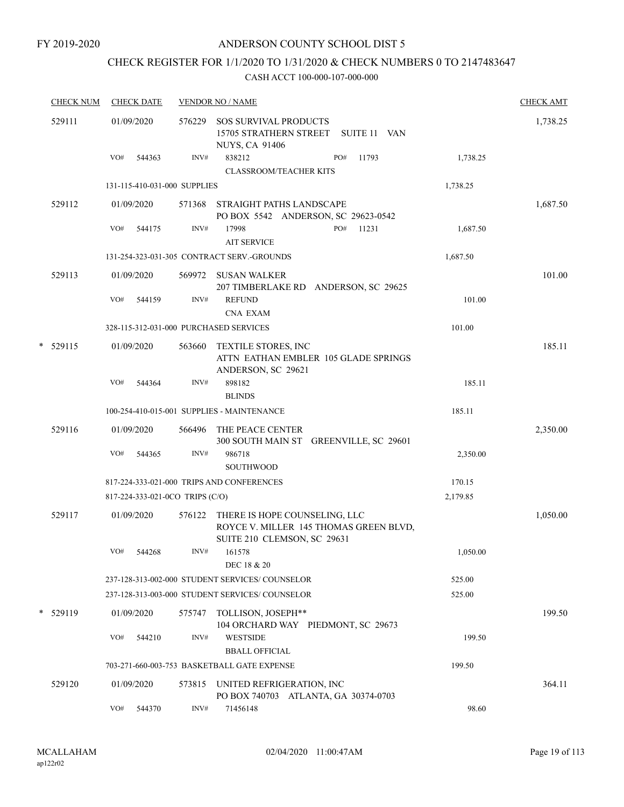FY 2019-2020

## ANDERSON COUNTY SCHOOL DIST 5

# CHECK REGISTER FOR 1/1/2020 TO 1/31/2020 & CHECK NUMBERS 0 TO 2147483647

|   | <b>CHECK NUM</b> | <b>CHECK DATE</b>                      |        | <b>VENDOR NO / NAME</b>                                                                                |          |          |  |  |  |
|---|------------------|----------------------------------------|--------|--------------------------------------------------------------------------------------------------------|----------|----------|--|--|--|
|   | 529111           | 01/09/2020                             | 576229 | SOS SURVIVAL PRODUCTS<br>15705 STRATHERN STREET<br>SUITE 11 VAN<br><b>NUYS, CA 91406</b>               |          | 1,738.25 |  |  |  |
|   |                  | VO#<br>544363                          | INV#   | 838212<br>PO#<br>11793<br><b>CLASSROOM/TEACHER KITS</b>                                                | 1,738.25 |          |  |  |  |
|   |                  | 131-115-410-031-000 SUPPLIES           |        |                                                                                                        | 1,738.25 |          |  |  |  |
|   | 529112           | 01/09/2020                             | 571368 | STRAIGHT PATHS LANDSCAPE<br>PO BOX 5542 ANDERSON, SC 29623-0542                                        |          | 1,687.50 |  |  |  |
|   |                  | VO#<br>544175                          | INV#   | PO#<br>17998<br>11231<br><b>AIT SERVICE</b>                                                            | 1,687.50 |          |  |  |  |
|   |                  |                                        |        | 131-254-323-031-305 CONTRACT SERV.-GROUNDS                                                             | 1,687.50 |          |  |  |  |
|   | 529113           | 01/09/2020                             | 569972 | <b>SUSAN WALKER</b><br>207 TIMBERLAKE RD ANDERSON, SC 29625                                            |          | 101.00   |  |  |  |
|   |                  | VO#<br>544159                          | INV#   | <b>REFUND</b><br><b>CNA EXAM</b>                                                                       | 101.00   |          |  |  |  |
|   |                  | 328-115-312-031-000 PURCHASED SERVICES |        |                                                                                                        | 101.00   |          |  |  |  |
| * | 529115           | 01/09/2020                             | 563660 | <b>TEXTILE STORES, INC</b><br>ATTN EATHAN EMBLER 105 GLADE SPRINGS<br>ANDERSON, SC 29621               |          | 185.11   |  |  |  |
|   |                  | VO#<br>544364                          | INV#   | 898182<br><b>BLINDS</b>                                                                                | 185.11   |          |  |  |  |
|   |                  |                                        |        | 100-254-410-015-001 SUPPLIES - MAINTENANCE                                                             | 185.11   |          |  |  |  |
|   | 529116           | 01/09/2020                             | 566496 | THE PEACE CENTER<br>300 SOUTH MAIN ST GREENVILLE, SC 29601                                             |          | 2,350.00 |  |  |  |
|   |                  | VO#<br>544365                          | INV#   | 986718<br><b>SOUTHWOOD</b>                                                                             | 2,350.00 |          |  |  |  |
|   |                  |                                        |        | 817-224-333-021-000 TRIPS AND CONFERENCES                                                              | 170.15   |          |  |  |  |
|   |                  | 817-224-333-021-0CO TRIPS (C/O)        |        |                                                                                                        | 2,179.85 |          |  |  |  |
|   | 529117           | 01/09/2020                             | 576122 | THERE IS HOPE COUNSELING, LLC<br>ROYCE V. MILLER 145 THOMAS GREEN BLVD,<br>SUITE 210 CLEMSON, SC 29631 |          | 1,050.00 |  |  |  |
|   |                  | VO#<br>544268                          |        | $INV#$ 161578<br>DEC 18 & 20                                                                           | 1,050.00 |          |  |  |  |
|   |                  |                                        |        | 237-128-313-002-000 STUDENT SERVICES/COUNSELOR                                                         | 525.00   |          |  |  |  |
|   |                  |                                        |        | 237-128-313-003-000 STUDENT SERVICES/ COUNSELOR                                                        | 525.00   |          |  |  |  |
|   | * 529119         | 01/09/2020                             | 575747 | TOLLISON, JOSEPH**<br>104 ORCHARD WAY PIEDMONT, SC 29673                                               |          | 199.50   |  |  |  |
|   |                  | VO#<br>544210                          | INV#   | <b>WESTSIDE</b>                                                                                        | 199.50   |          |  |  |  |
|   |                  |                                        |        | <b>BBALL OFFICIAL</b>                                                                                  |          |          |  |  |  |
|   |                  |                                        |        | 703-271-660-003-753 BASKETBALL GATE EXPENSE                                                            | 199.50   |          |  |  |  |
|   | 529120           | 01/09/2020                             |        | 573815 UNITED REFRIGERATION, INC<br>PO BOX 740703 ATLANTA, GA 30374-0703                               |          | 364.11   |  |  |  |
|   |                  | VO#<br>544370                          | INV#   | 71456148                                                                                               | 98.60    |          |  |  |  |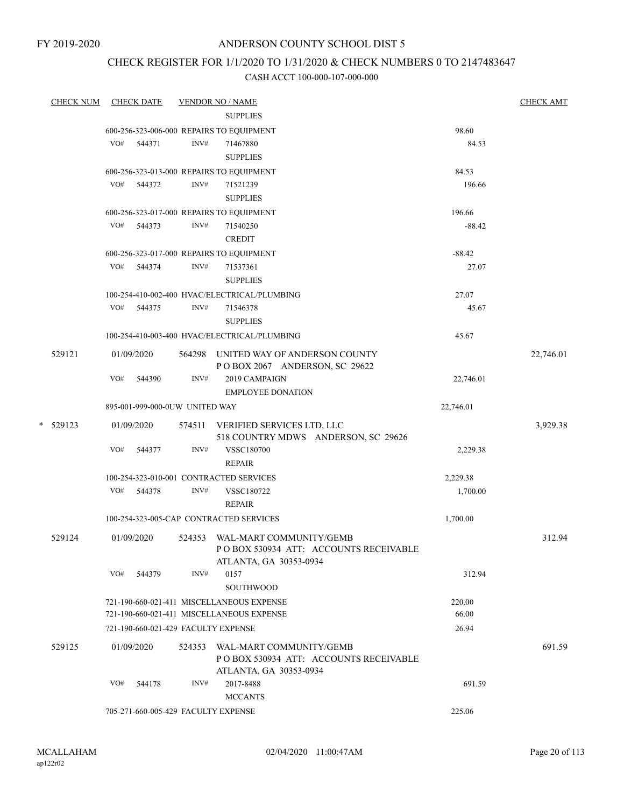## CHECK REGISTER FOR 1/1/2020 TO 1/31/2020 & CHECK NUMBERS 0 TO 2147483647

|   | <b>CHECK NUM</b> |     | <b>CHECK DATE</b>                   |        | <b>VENDOR NO / NAME</b>                                                                     |           | <b>CHECK AMT</b> |
|---|------------------|-----|-------------------------------------|--------|---------------------------------------------------------------------------------------------|-----------|------------------|
|   |                  |     |                                     |        | <b>SUPPLIES</b>                                                                             |           |                  |
|   |                  |     |                                     |        | 600-256-323-006-000 REPAIRS TO EQUIPMENT                                                    | 98.60     |                  |
|   |                  | VO# | 544371                              | INV#   | 71467880                                                                                    | 84.53     |                  |
|   |                  |     |                                     |        | <b>SUPPLIES</b>                                                                             |           |                  |
|   |                  |     |                                     |        | 600-256-323-013-000 REPAIRS TO EQUIPMENT                                                    | 84.53     |                  |
|   |                  |     | VO# 544372                          | INV#   | 71521239<br><b>SUPPLIES</b>                                                                 | 196.66    |                  |
|   |                  |     |                                     |        | 600-256-323-017-000 REPAIRS TO EQUIPMENT                                                    | 196.66    |                  |
|   |                  | VO# | 544373                              | INV#   | 71540250<br><b>CREDIT</b>                                                                   | $-88.42$  |                  |
|   |                  |     |                                     |        | 600-256-323-017-000 REPAIRS TO EQUIPMENT                                                    | $-88.42$  |                  |
|   |                  | VO# | 544374                              | INV#   | 71537361<br><b>SUPPLIES</b>                                                                 | 27.07     |                  |
|   |                  |     |                                     |        | 100-254-410-002-400 HVAC/ELECTRICAL/PLUMBING                                                | 27.07     |                  |
|   |                  |     | VO# 544375                          | INV#   | 71546378<br><b>SUPPLIES</b>                                                                 | 45.67     |                  |
|   |                  |     |                                     |        | 100-254-410-003-400 HVAC/ELECTRICAL/PLUMBING                                                | 45.67     |                  |
|   | 529121           |     | 01/09/2020                          |        | 564298 UNITED WAY OF ANDERSON COUNTY<br>POBOX 2067 ANDERSON, SC 29622                       |           | 22,746.01        |
|   |                  | VO# | 544390                              | INV#   | 2019 CAMPAIGN<br><b>EMPLOYEE DONATION</b>                                                   | 22,746.01 |                  |
|   |                  |     | 895-001-999-000-0UW UNITED WAY      |        |                                                                                             | 22,746.01 |                  |
|   |                  |     |                                     |        |                                                                                             |           |                  |
| * | 529123           |     | 01/09/2020                          |        | 574511 VERIFIED SERVICES LTD, LLC<br>518 COUNTRY MDWS ANDERSON, SC 29626                    |           | 3,929.38         |
|   |                  | VO# | 544377                              | INV#   | <b>VSSC180700</b><br><b>REPAIR</b>                                                          | 2,229.38  |                  |
|   |                  |     |                                     |        | 100-254-323-010-001 CONTRACTED SERVICES                                                     | 2,229.38  |                  |
|   |                  | VO# | 544378                              | INV#   | VSSC180722<br><b>REPAIR</b>                                                                 | 1,700.00  |                  |
|   |                  |     |                                     |        | 100-254-323-005-CAP CONTRACTED SERVICES                                                     | 1,700.00  |                  |
|   | 529124           |     | 01/09/2020                          | 524353 | WAL-MART COMMUNITY/GEMB<br>PO BOX 530934 ATT: ACCOUNTS RECEIVABLE<br>ATLANTA, GA 30353-0934 |           | 312.94           |
|   |                  | VO# | 544379                              | INV#   | 0157<br>SOUTHWOOD                                                                           | 312.94    |                  |
|   |                  |     |                                     |        | 721-190-660-021-411 MISCELLANEOUS EXPENSE                                                   | 220.00    |                  |
|   |                  |     |                                     |        | 721-190-660-021-411 MISCELLANEOUS EXPENSE                                                   | 66.00     |                  |
|   |                  |     |                                     |        | 721-190-660-021-429 FACULTY EXPENSE                                                         | 26.94     |                  |
|   | 529125           |     | 01/09/2020                          | 524353 | WAL-MART COMMUNITY/GEMB<br>PO BOX 530934 ATT: ACCOUNTS RECEIVABLE                           |           | 691.59           |
|   |                  | VO# | 544178                              | INV#   | ATLANTA, GA 30353-0934<br>2017-8488<br><b>MCCANTS</b>                                       | 691.59    |                  |
|   |                  |     | 705-271-660-005-429 FACULTY EXPENSE |        |                                                                                             | 225.06    |                  |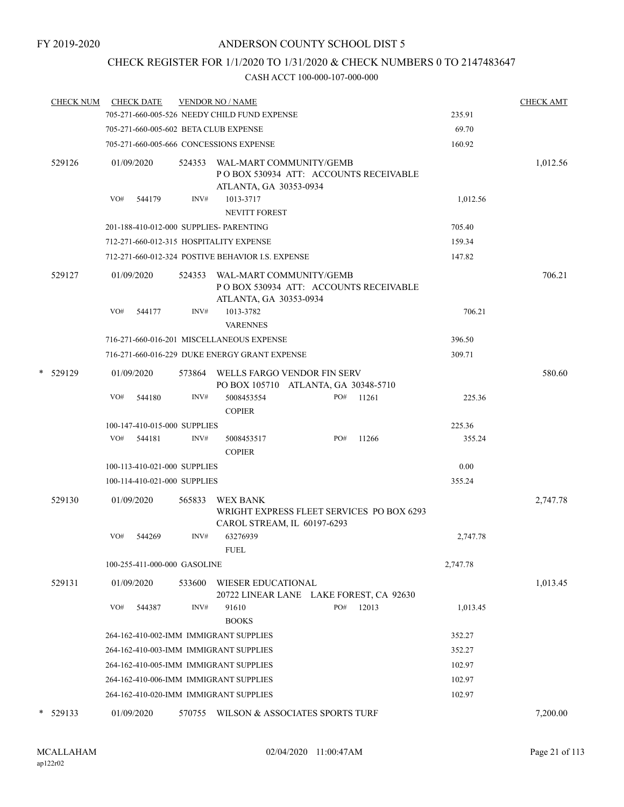# CHECK REGISTER FOR 1/1/2020 TO 1/31/2020 & CHECK NUMBERS 0 TO 2147483647

|        | <b>CHECK NUM</b> |     | <b>CHECK DATE</b> |                              | <b>VENDOR NO / NAME</b>                                                                            |     |       |          | <b>CHECK AMT</b> |
|--------|------------------|-----|-------------------|------------------------------|----------------------------------------------------------------------------------------------------|-----|-------|----------|------------------|
|        |                  |     |                   |                              | 705-271-660-005-526 NEEDY CHILD FUND EXPENSE                                                       |     |       | 235.91   |                  |
|        |                  |     |                   |                              | 705-271-660-005-602 BETA CLUB EXPENSE                                                              |     |       | 69.70    |                  |
|        |                  |     |                   |                              | 705-271-660-005-666 CONCESSIONS EXPENSE                                                            |     |       | 160.92   |                  |
|        | 529126           |     | 01/09/2020        |                              | 524353 WAL-MART COMMUNITY/GEMB<br>PO BOX 530934 ATT: ACCOUNTS RECEIVABLE<br>ATLANTA, GA 30353-0934 |     |       |          | 1,012.56         |
|        |                  | VO# | 544179            | INV#                         | 1013-3717                                                                                          |     |       | 1,012.56 |                  |
|        |                  |     |                   |                              | NEVITT FOREST                                                                                      |     |       |          |                  |
|        |                  |     |                   |                              | 201-188-410-012-000 SUPPLIES- PARENTING                                                            |     |       | 705.40   |                  |
|        |                  |     |                   |                              | 712-271-660-012-315 HOSPITALITY EXPENSE                                                            |     |       | 159.34   |                  |
|        |                  |     |                   |                              | 712-271-660-012-324 POSTIVE BEHAVIOR I.S. EXPENSE                                                  |     |       | 147.82   |                  |
|        | 529127           |     | 01/09/2020        |                              | 524353 WAL-MART COMMUNITY/GEMB<br>POBOX 530934 ATT: ACCOUNTS RECEIVABLE<br>ATLANTA, GA 30353-0934  |     |       |          | 706.21           |
|        |                  | VO# | 544177            | INV#                         | 1013-3782<br><b>VARENNES</b>                                                                       |     |       | 706.21   |                  |
|        |                  |     |                   |                              | 716-271-660-016-201 MISCELLANEOUS EXPENSE                                                          |     |       | 396.50   |                  |
|        |                  |     |                   |                              | 716-271-660-016-229 DUKE ENERGY GRANT EXPENSE                                                      |     |       | 309.71   |                  |
|        | * 529129         |     | 01/09/2020        |                              | 573864 WELLS FARGO VENDOR FIN SERV<br>PO BOX 105710 ATLANTA, GA 30348-5710                         |     |       |          | 580.60           |
|        |                  | VO# | 544180            | INV#                         | 5008453554<br><b>COPIER</b>                                                                        | PO# | 11261 | 225.36   |                  |
|        |                  |     |                   | 100-147-410-015-000 SUPPLIES |                                                                                                    |     |       | 225.36   |                  |
|        |                  | VO# | 544181            | INV#                         | 5008453517<br><b>COPIER</b>                                                                        | PO# | 11266 | 355.24   |                  |
|        |                  |     |                   | 100-113-410-021-000 SUPPLIES |                                                                                                    |     |       | 0.00     |                  |
|        |                  |     |                   | 100-114-410-021-000 SUPPLIES |                                                                                                    |     |       | 355.24   |                  |
|        | 529130           |     | 01/09/2020        | 565833                       | WEX BANK<br>WRIGHT EXPRESS FLEET SERVICES PO BOX 6293<br>CAROL STREAM, IL 60197-6293               |     |       |          | 2,747.78         |
|        |                  | VO# | 544269            | INV#                         | 63276939<br><b>FUEL</b>                                                                            |     |       | 2,747.78 |                  |
|        |                  |     |                   | 100-255-411-000-000 GASOLINE |                                                                                                    |     |       | 2,747.78 |                  |
|        | 529131           |     | 01/09/2020        | 533600                       | <b>WIESER EDUCATIONAL</b><br>20722 LINEAR LANE LAKE FOREST, CA 92630                               |     |       |          | 1,013.45         |
|        |                  | VO# | 544387            | INV#                         | 91610<br><b>BOOKS</b>                                                                              | PO# | 12013 | 1,013.45 |                  |
|        |                  |     |                   |                              | 264-162-410-002-IMM IMMIGRANT SUPPLIES                                                             |     |       | 352.27   |                  |
|        |                  |     |                   |                              | 264-162-410-003-IMM IMMIGRANT SUPPLIES                                                             |     |       | 352.27   |                  |
|        |                  |     |                   |                              | 264-162-410-005-IMM IMMIGRANT SUPPLIES                                                             |     |       | 102.97   |                  |
|        |                  |     |                   |                              | 264-162-410-006-IMM IMMIGRANT SUPPLIES                                                             |     |       | 102.97   |                  |
|        |                  |     |                   |                              | 264-162-410-020-IMM IMMIGRANT SUPPLIES                                                             |     |       | 102.97   |                  |
| $\ast$ | 529133           |     | 01/09/2020        | 570755                       | WILSON & ASSOCIATES SPORTS TURF                                                                    |     |       |          | 7,200.00         |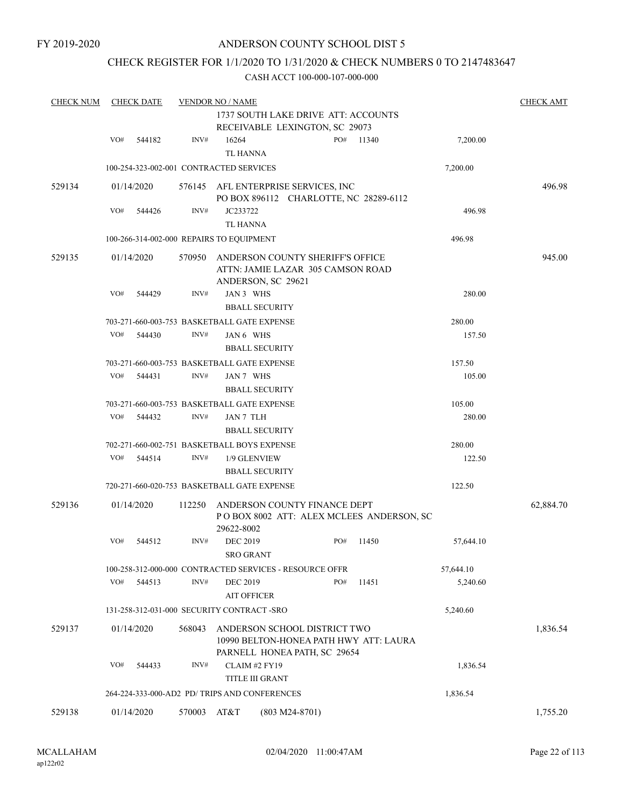## CHECK REGISTER FOR 1/1/2020 TO 1/31/2020 & CHECK NUMBERS 0 TO 2147483647

| <b>CHECK NUM</b> |     | <b>CHECK DATE</b>                         |             | <b>VENDOR NO / NAME</b>               | 1737 SOUTH LAKE DRIVE ATT: ACCOUNTS                                                                    |     |       |           | <b>CHECK AMT</b> |
|------------------|-----|-------------------------------------------|-------------|---------------------------------------|--------------------------------------------------------------------------------------------------------|-----|-------|-----------|------------------|
|                  |     |                                           |             |                                       | RECEIVABLE LEXINGTON, SC 29073                                                                         |     |       |           |                  |
|                  | VO# | 544182                                    | INV#        | 16264<br><b>TL HANNA</b>              |                                                                                                        | PO# | 11340 | 7,200.00  |                  |
|                  |     | 100-254-323-002-001 CONTRACTED SERVICES   |             |                                       |                                                                                                        |     |       | 7,200.00  |                  |
| 529134           |     | 01/14/2020                                | 576145      |                                       | AFL ENTERPRISE SERVICES, INC<br>PO BOX 896112 CHARLOTTE, NC 28289-6112                                 |     |       |           | 496.98           |
|                  | VO# | 544426                                    | INV#        | JC233722<br>TL HANNA                  |                                                                                                        |     |       | 496.98    |                  |
|                  |     | 100-266-314-002-000 REPAIRS TO EQUIPMENT  |             |                                       |                                                                                                        |     |       | 496.98    |                  |
|                  |     |                                           |             |                                       |                                                                                                        |     |       |           |                  |
| 529135           |     | 01/14/2020                                | 570950      |                                       | ANDERSON COUNTY SHERIFF'S OFFICE<br>ATTN: JAMIE LAZAR 305 CAMSON ROAD<br>ANDERSON, SC 29621            |     |       |           | 945.00           |
|                  | VO# | 544429                                    | INV#        | JAN 3 WHS                             |                                                                                                        |     |       | 280.00    |                  |
|                  |     |                                           |             |                                       | <b>BBALL SECURITY</b>                                                                                  |     |       |           |                  |
|                  |     |                                           |             |                                       | 703-271-660-003-753 BASKETBALL GATE EXPENSE                                                            |     |       | 280.00    |                  |
|                  | VO# | 544430                                    | INV#        | JAN 6 WHS                             |                                                                                                        |     |       | 157.50    |                  |
|                  |     |                                           |             |                                       | <b>BBALL SECURITY</b>                                                                                  |     |       |           |                  |
|                  |     |                                           |             |                                       | 703-271-660-003-753 BASKETBALL GATE EXPENSE                                                            |     |       | 157.50    |                  |
|                  | VO# | 544431                                    | INV#        | JAN 7 WHS                             | <b>BBALL SECURITY</b>                                                                                  |     |       | 105.00    |                  |
|                  |     |                                           |             |                                       | 703-271-660-003-753 BASKETBALL GATE EXPENSE                                                            |     |       | 105.00    |                  |
|                  | VO# | 544432                                    | INV#        | JAN 7 TLH                             |                                                                                                        |     |       | 280.00    |                  |
|                  |     |                                           |             |                                       | <b>BBALL SECURITY</b>                                                                                  |     |       |           |                  |
|                  |     |                                           |             |                                       | 702-271-660-002-751 BASKETBALL BOYS EXPENSE                                                            |     |       | 280.00    |                  |
|                  | VO# | 544514                                    | INV#        |                                       | 1/9 GLENVIEW                                                                                           |     |       | 122.50    |                  |
|                  |     |                                           |             |                                       | <b>BBALL SECURITY</b>                                                                                  |     |       |           |                  |
|                  |     |                                           |             |                                       | 720-271-660-020-753 BASKETBALL GATE EXPENSE                                                            |     |       | 122.50    |                  |
| 529136           |     | 01/14/2020                                | 112250      | 29622-8002                            | ANDERSON COUNTY FINANCE DEPT<br>POBOX 8002 ATT: ALEX MCLEES ANDERSON, SC                               |     |       |           | 62,884.70        |
|                  | VO# | 544512                                    | INV#        | <b>DEC 2019</b>                       |                                                                                                        | PO# | 11450 | 57,644.10 |                  |
|                  |     |                                           |             | SRO GRANT                             |                                                                                                        |     |       |           |                  |
|                  | VO# |                                           | INV#        |                                       | 100-258-312-000-000 CONTRACTED SERVICES - RESOURCE OFFR                                                | PO# |       | 57,644.10 |                  |
|                  |     | 544513                                    |             | <b>DEC 2019</b><br><b>AIT OFFICER</b> |                                                                                                        |     | 11451 | 5,240.60  |                  |
|                  |     | 131-258-312-031-000 SECURITY CONTRACT-SRO |             |                                       |                                                                                                        |     |       | 5,240.60  |                  |
| 529137           |     | 01/14/2020                                | 568043      |                                       | ANDERSON SCHOOL DISTRICT TWO<br>10990 BELTON-HONEA PATH HWY ATT: LAURA<br>PARNELL HONEA PATH, SC 29654 |     |       |           | 1,836.54         |
|                  | VO# | 544433                                    | INV#        |                                       | CLAIM #2 FY19                                                                                          |     |       | 1,836.54  |                  |
|                  |     |                                           |             |                                       | <b>TITLE III GRANT</b>                                                                                 |     |       |           |                  |
|                  |     |                                           |             |                                       | 264-224-333-000-AD2 PD/ TRIPS AND CONFERENCES                                                          |     |       | 1,836.54  |                  |
| 529138           |     | 01/14/2020                                | 570003 AT&T |                                       | $(803 M24-8701)$                                                                                       |     |       |           | 1,755.20         |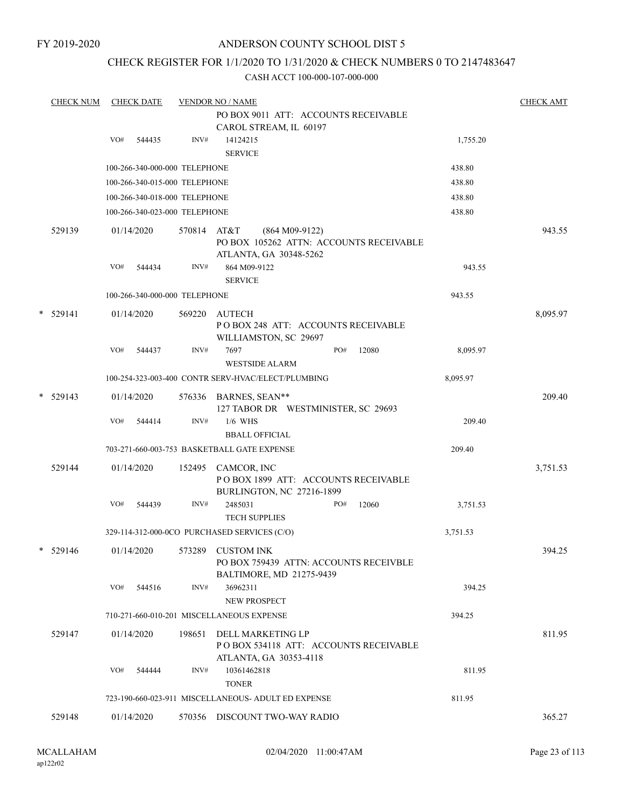FY 2019-2020

## ANDERSON COUNTY SCHOOL DIST 5

## CHECK REGISTER FOR 1/1/2020 TO 1/31/2020 & CHECK NUMBERS 0 TO 2147483647

| <b>CHECK NUM</b> |     | <b>CHECK DATE</b>             |             | <b>VENDOR NO / NAME</b><br>PO BOX 9011 ATT: ACCOUNTS RECEIVABLE                         |     |       |          | <b>CHECK AMT</b> |
|------------------|-----|-------------------------------|-------------|-----------------------------------------------------------------------------------------|-----|-------|----------|------------------|
|                  | VO# | 544435                        | INV#        | CAROL STREAM, IL 60197<br>14124215<br><b>SERVICE</b>                                    |     |       | 1,755.20 |                  |
|                  |     | 100-266-340-000-000 TELEPHONE |             |                                                                                         |     |       | 438.80   |                  |
|                  |     | 100-266-340-015-000 TELEPHONE |             |                                                                                         |     |       | 438.80   |                  |
|                  |     | 100-266-340-018-000 TELEPHONE |             |                                                                                         |     |       | 438.80   |                  |
|                  |     | 100-266-340-023-000 TELEPHONE |             |                                                                                         |     |       | 438.80   |                  |
| 529139           |     | 01/14/2020                    | 570814 AT&T | $(864 M09-9122)$<br>PO BOX 105262 ATTN: ACCOUNTS RECEIVABLE<br>ATLANTA, GA 30348-5262   |     |       |          | 943.55           |
|                  | VO# | 544434                        | INV#        | 864 M09-9122<br><b>SERVICE</b>                                                          |     |       | 943.55   |                  |
|                  |     | 100-266-340-000-000 TELEPHONE |             |                                                                                         |     |       | 943.55   |                  |
| $*$ 529141       |     | 01/14/2020                    | 569220      | AUTECH<br>PO BOX 248 ATT: ACCOUNTS RECEIVABLE<br>WILLIAMSTON, SC 29697                  |     |       |          | 8,095.97         |
|                  | VO# | 544437                        | INV#        | 7697<br><b>WESTSIDE ALARM</b>                                                           | PO# | 12080 | 8,095.97 |                  |
|                  |     |                               |             | 100-254-323-003-400 CONTR SERV-HVAC/ELECT/PLUMBING                                      |     |       | 8,095.97 |                  |
| $*$ 529143       |     | 01/14/2020                    |             | 576336 BARNES, SEAN**<br>127 TABOR DR WESTMINISTER, SC 29693                            |     |       |          | 209.40           |
|                  | VO# | 544414                        | INV#        | $1/6$ WHS<br><b>BBALL OFFICIAL</b>                                                      |     |       | 209.40   |                  |
|                  |     |                               |             | 703-271-660-003-753 BASKETBALL GATE EXPENSE                                             |     |       | 209.40   |                  |
| 529144           |     | 01/14/2020                    | 152495      | CAMCOR, INC<br>POBOX 1899 ATT: ACCOUNTS RECEIVABLE<br>BURLINGTON, NC 27216-1899         |     |       |          | 3,751.53         |
|                  | VO# | 544439                        | INV#        | 2485031<br><b>TECH SUPPLIES</b>                                                         | PO# | 12060 | 3,751.53 |                  |
|                  |     |                               |             | 329-114-312-000-0CO PURCHASED SERVICES (C/O)                                            |     |       | 3,751.53 |                  |
| $* 529146$       |     | 01/14/2020                    | 573289      | <b>CUSTOM INK</b><br>PO BOX 759439 ATTN: ACCOUNTS RECEIVBLE<br>BALTIMORE, MD 21275-9439 |     |       |          | 394.25           |
|                  | VO# | 544516                        | INV#        | 36962311<br><b>NEW PROSPECT</b>                                                         |     |       | 394.25   |                  |
|                  |     |                               |             | 710-271-660-010-201 MISCELLANEOUS EXPENSE                                               |     |       | 394.25   |                  |
| 529147           |     | 01/14/2020                    | 198651      | DELL MARKETING LP<br>PO BOX 534118 ATT: ACCOUNTS RECEIVABLE                             |     |       |          | 811.95           |
|                  | VO# | 544444                        | INV#        | ATLANTA, GA 30353-4118<br>10361462818<br><b>TONER</b>                                   |     |       | 811.95   |                  |
|                  |     |                               |             | 723-190-660-023-911 MISCELLANEOUS- ADULT ED EXPENSE                                     |     |       | 811.95   |                  |
| 529148           |     | 01/14/2020                    | 570356      | DISCOUNT TWO-WAY RADIO                                                                  |     |       |          | 365.27           |
|                  |     |                               |             |                                                                                         |     |       |          |                  |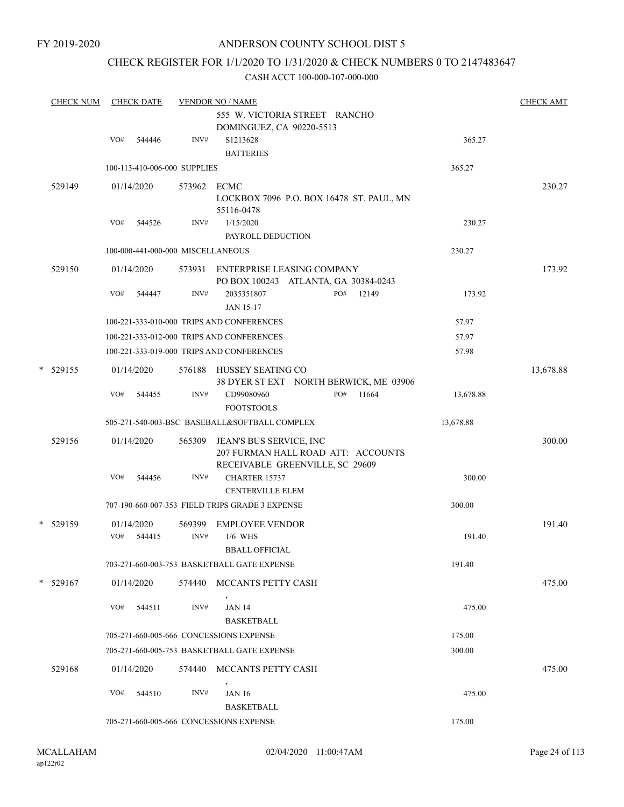## CHECK REGISTER FOR 1/1/2020 TO 1/31/2020 & CHECK NUMBERS 0 TO 2147483647

| <b>CHECK NUM</b> | <b>CHECK DATE</b> |            |                                   | <b>VENDOR NO / NAME</b>                                            |           |           |  |  |  |  |
|------------------|-------------------|------------|-----------------------------------|--------------------------------------------------------------------|-----------|-----------|--|--|--|--|
|                  |                   |            |                                   | 555 W. VICTORIA STREET RANCHO                                      |           |           |  |  |  |  |
|                  |                   |            |                                   | DOMINGUEZ, CA 90220-5513                                           |           |           |  |  |  |  |
|                  | VO#               | 544446     | INV#                              | S1213628                                                           | 365.27    |           |  |  |  |  |
|                  |                   |            |                                   | <b>BATTERIES</b>                                                   |           |           |  |  |  |  |
|                  |                   |            | 100-113-410-006-000 SUPPLIES      |                                                                    | 365.27    |           |  |  |  |  |
| 529149           |                   | 01/14/2020 | 573962 ECMC                       |                                                                    |           | 230.27    |  |  |  |  |
|                  |                   |            |                                   | LOCKBOX 7096 P.O. BOX 16478 ST. PAUL, MN                           |           |           |  |  |  |  |
|                  |                   |            |                                   | 55116-0478                                                         |           |           |  |  |  |  |
|                  | VO#               | 544526     | INV#                              | 1/15/2020<br>PAYROLL DEDUCTION                                     | 230.27    |           |  |  |  |  |
|                  |                   |            | 100-000-441-000-000 MISCELLANEOUS |                                                                    | 230.27    |           |  |  |  |  |
|                  |                   |            |                                   |                                                                    |           |           |  |  |  |  |
| 529150           |                   | 01/14/2020 |                                   | 573931 ENTERPRISE LEASING COMPANY                                  |           | 173.92    |  |  |  |  |
|                  | VO#               | 544447     | INV#                              | PO BOX 100243 ATLANTA, GA 30384-0243<br>2035351807<br>PO#<br>12149 | 173.92    |           |  |  |  |  |
|                  |                   |            |                                   | <b>JAN 15-17</b>                                                   |           |           |  |  |  |  |
|                  |                   |            |                                   | 100-221-333-010-000 TRIPS AND CONFERENCES                          | 57.97     |           |  |  |  |  |
|                  |                   |            |                                   | 100-221-333-012-000 TRIPS AND CONFERENCES                          | 57.97     |           |  |  |  |  |
|                  |                   |            |                                   | 100-221-333-019-000 TRIPS AND CONFERENCES                          | 57.98     |           |  |  |  |  |
|                  |                   |            |                                   |                                                                    |           |           |  |  |  |  |
| $* 529155$       |                   | 01/14/2020 |                                   | 576188 HUSSEY SEATING CO<br>38 DYER ST EXT NORTH BERWICK, ME 03906 |           | 13,678.88 |  |  |  |  |
|                  | VO#               | 544455     | INV#                              | PO#<br>11664<br>CD99080960                                         | 13,678.88 |           |  |  |  |  |
|                  |                   |            |                                   | <b>FOOTSTOOLS</b>                                                  |           |           |  |  |  |  |
|                  |                   |            |                                   | 505-271-540-003-BSC BASEBALL&SOFTBALL COMPLEX                      | 13,678.88 |           |  |  |  |  |
| 529156           |                   | 01/14/2020 | 565309                            | JEAN'S BUS SERVICE, INC                                            |           | 300.00    |  |  |  |  |
|                  |                   |            |                                   | 207 FURMAN HALL ROAD ATT: ACCOUNTS                                 |           |           |  |  |  |  |
|                  |                   |            |                                   | RECEIVABLE GREENVILLE, SC 29609                                    |           |           |  |  |  |  |
|                  | VO#               | 544456     | INV#                              | CHARTER 15737                                                      | 300.00    |           |  |  |  |  |
|                  |                   |            |                                   | <b>CENTERVILLE ELEM</b>                                            |           |           |  |  |  |  |
|                  |                   |            |                                   | 707-190-660-007-353 FIELD TRIPS GRADE 3 EXPENSE                    | 300.00    |           |  |  |  |  |
| * 529159         |                   | 01/14/2020 | 569399                            | <b>EMPLOYEE VENDOR</b>                                             |           | 191.40    |  |  |  |  |
|                  | VO#               | 544415     | INV#                              | $1/6$ WHS                                                          | 191.40    |           |  |  |  |  |
|                  |                   |            |                                   | <b>BBALL OFFICIAL</b>                                              |           |           |  |  |  |  |
|                  |                   |            |                                   | 703-271-660-003-753 BASKETBALL GATE EXPENSE                        | 191.40    |           |  |  |  |  |
| $*$ 529167       |                   | 01/14/2020 | 574440                            | MCCANTS PETTY CASH                                                 |           | 475.00    |  |  |  |  |
|                  |                   |            |                                   |                                                                    |           |           |  |  |  |  |
|                  | VO#               | 544511     | INV#                              | <b>JAN 14</b>                                                      | 475.00    |           |  |  |  |  |
|                  |                   |            |                                   | <b>BASKETBALL</b>                                                  |           |           |  |  |  |  |
|                  |                   |            |                                   | 705-271-660-005-666 CONCESSIONS EXPENSE                            | 175.00    |           |  |  |  |  |
|                  |                   |            |                                   | 705-271-660-005-753 BASKETBALL GATE EXPENSE                        | 300.00    |           |  |  |  |  |
| 529168           |                   | 01/14/2020 | 574440                            | MCCANTS PETTY CASH                                                 |           | 475.00    |  |  |  |  |
|                  | VO#               |            |                                   |                                                                    |           |           |  |  |  |  |
|                  |                   | 544510     | INV#                              | <b>JAN 16</b><br><b>BASKETBALL</b>                                 | 475.00    |           |  |  |  |  |
|                  |                   |            |                                   | 705-271-660-005-666 CONCESSIONS EXPENSE                            | 175.00    |           |  |  |  |  |
|                  |                   |            |                                   |                                                                    |           |           |  |  |  |  |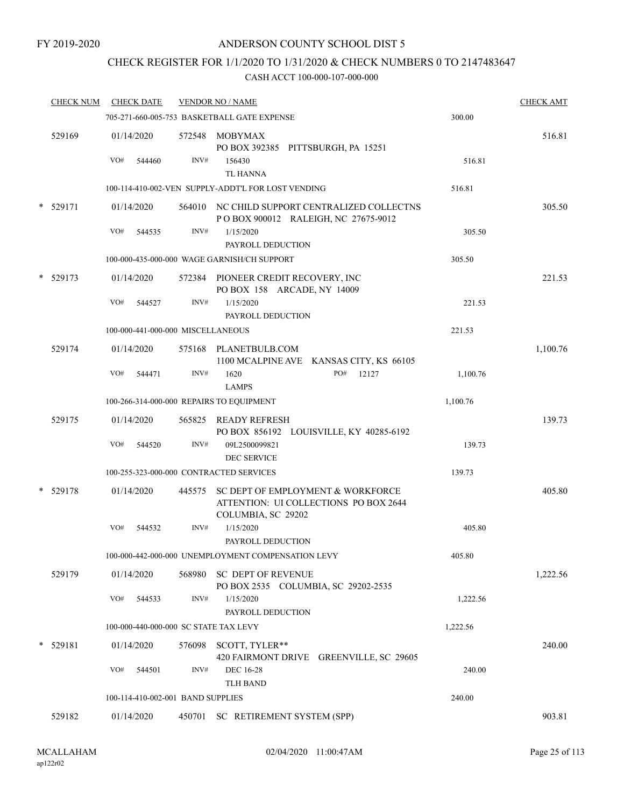## CHECK REGISTER FOR 1/1/2020 TO 1/31/2020 & CHECK NUMBERS 0 TO 2147483647

|        | <b>CHECK NUM</b> | <b>CHECK DATE</b>                        |        | <b>VENDOR NO / NAME</b>                                                                          |          | <b>CHECK AMT</b> |
|--------|------------------|------------------------------------------|--------|--------------------------------------------------------------------------------------------------|----------|------------------|
|        |                  |                                          |        | 705-271-660-005-753 BASKETBALL GATE EXPENSE                                                      | 300.00   |                  |
|        | 529169           | 01/14/2020<br>VO#<br>544460              | INV#   | 572548 MOBYMAX<br>PO BOX 392385 PITTSBURGH, PA 15251<br>156430                                   | 516.81   | 516.81           |
|        |                  |                                          |        | <b>TL HANNA</b>                                                                                  |          |                  |
|        |                  |                                          |        | 100-114-410-002-VEN SUPPLY-ADDT'L FOR LOST VENDING                                               | 516.81   |                  |
|        | * 529171         | 01/14/2020                               |        | 564010 NC CHILD SUPPORT CENTRALIZED COLLECTNS<br>POBOX 900012 RALEIGH, NC 27675-9012             |          | 305.50           |
|        |                  | VO#<br>544535                            | INV#   | 1/15/2020<br>PAYROLL DEDUCTION                                                                   | 305.50   |                  |
|        |                  |                                          |        | 100-000-435-000-000 WAGE GARNISH/CH SUPPORT                                                      | 305.50   |                  |
|        | $*$ 529173       | 01/14/2020                               |        | 572384 PIONEER CREDIT RECOVERY, INC<br>PO BOX 158 ARCADE, NY 14009                               |          | 221.53           |
|        |                  | VO#<br>544527                            | INV#   | 1/15/2020<br>PAYROLL DEDUCTION                                                                   | 221.53   |                  |
|        |                  | 100-000-441-000-000 MISCELLANEOUS        |        |                                                                                                  | 221.53   |                  |
|        | 529174           | 01/14/2020                               |        | 575168 PLANETBULB.COM<br>1100 MCALPINE AVE KANSAS CITY, KS 66105                                 |          | 1,100.76         |
|        |                  | VO#<br>544471                            | INV#   | PO#<br>1620<br>12127<br><b>LAMPS</b>                                                             | 1,100.76 |                  |
|        |                  | 100-266-314-000-000 REPAIRS TO EQUIPMENT |        |                                                                                                  | 1,100.76 |                  |
|        | 529175           | 01/14/2020                               | 565825 | READY REFRESH<br>PO BOX 856192 LOUISVILLE, KY 40285-6192                                         |          | 139.73           |
|        |                  | VO#<br>544520                            | INV#   | 09L2500099821<br><b>DEC SERVICE</b>                                                              | 139.73   |                  |
|        |                  | 100-255-323-000-000 CONTRACTED SERVICES  |        |                                                                                                  | 139.73   |                  |
|        | * 529178         | 01/14/2020                               | 445575 | SC DEPT OF EMPLOYMENT & WORKFORCE<br>ATTENTION: UI COLLECTIONS PO BOX 2644<br>COLUMBIA, SC 29202 |          | 405.80           |
|        |                  | VO#<br>544532                            | INV#   | 1/15/2020<br>PAYROLL DEDUCTION                                                                   | 405.80   |                  |
|        |                  |                                          |        | 100-000-442-000-000 UNEMPLOYMENT COMPENSATION LEVY                                               | 405.80   |                  |
|        | 529179           | 01/14/2020                               | 568980 | SC DEPT OF REVENUE<br>PO BOX 2535 COLUMBIA, SC 29202-2535                                        |          | 1,222.56         |
|        |                  | VO#<br>544533                            | INV#   | 1/15/2020<br>PAYROLL DEDUCTION                                                                   | 1,222.56 |                  |
|        |                  | 100-000-440-000-000 SC STATE TAX LEVY    |        |                                                                                                  | 1,222.56 |                  |
| $\ast$ | 529181           | 01/14/2020                               |        | 576098 SCOTT, TYLER**<br>420 FAIRMONT DRIVE GREENVILLE, SC 29605                                 |          | 240.00           |
|        |                  | VO#<br>544501                            | INV#   | <b>DEC 16-28</b><br><b>TLH BAND</b>                                                              | 240.00   |                  |
|        |                  | 100-114-410-002-001 BAND SUPPLIES        |        |                                                                                                  | 240.00   |                  |
|        | 529182           | 01/14/2020                               | 450701 | SC RETIREMENT SYSTEM (SPP)                                                                       |          | 903.81           |
|        |                  |                                          |        |                                                                                                  |          |                  |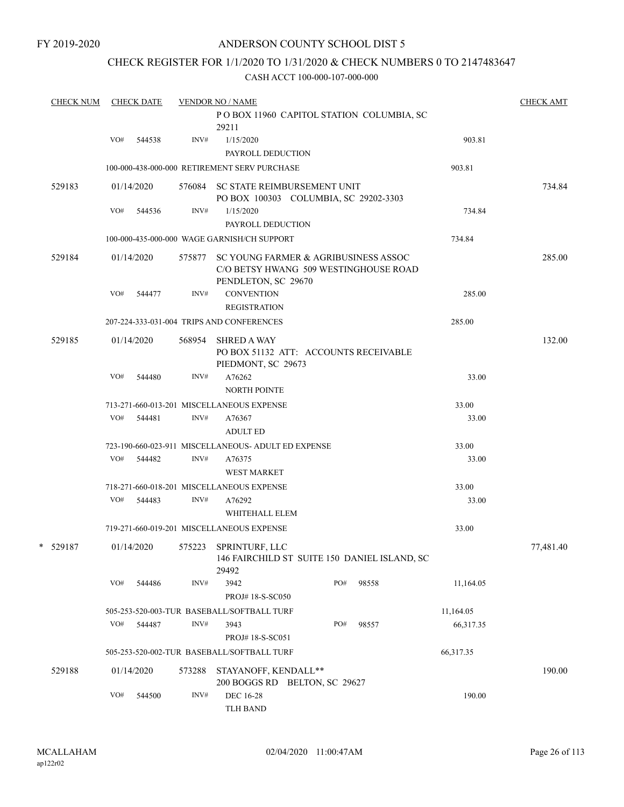## CHECK REGISTER FOR 1/1/2020 TO 1/31/2020 & CHECK NUMBERS 0 TO 2147483647

| <b>CHECK NUM</b> |     | <b>CHECK DATE</b> |                | <b>VENDOR NO / NAME</b>                                                                              |     |       |           | <b>CHECK AMT</b> |
|------------------|-----|-------------------|----------------|------------------------------------------------------------------------------------------------------|-----|-------|-----------|------------------|
|                  |     |                   |                | POBOX 11960 CAPITOL STATION COLUMBIA, SC<br>29211                                                    |     |       |           |                  |
|                  | VO# | 544538            | INV#           | 1/15/2020                                                                                            |     |       | 903.81    |                  |
|                  |     |                   |                | PAYROLL DEDUCTION                                                                                    |     |       |           |                  |
|                  |     |                   |                | 100-000-438-000-000 RETIREMENT SERV PURCHASE                                                         |     |       | 903.81    |                  |
| 529183           |     | 01/14/2020        |                | 576084 SC STATE REIMBURSEMENT UNIT<br>PO BOX 100303 COLUMBIA, SC 29202-3303                          |     |       |           | 734.84           |
|                  | VO# | 544536            | INV#           | 1/15/2020                                                                                            |     |       | 734.84    |                  |
|                  |     |                   |                | PAYROLL DEDUCTION                                                                                    |     |       |           |                  |
|                  |     |                   |                | 100-000-435-000-000 WAGE GARNISH/CH SUPPORT                                                          |     |       | 734.84    |                  |
| 529184           |     | 01/14/2020        | 575877         | SC YOUNG FARMER & AGRIBUSINESS ASSOC<br>C/O BETSY HWANG 509 WESTINGHOUSE ROAD<br>PENDLETON, SC 29670 |     |       |           | 285.00           |
|                  | VO# | 544477            | INV#           | <b>CONVENTION</b><br><b>REGISTRATION</b>                                                             |     |       | 285.00    |                  |
|                  |     |                   |                | 207-224-333-031-004 TRIPS AND CONFERENCES                                                            |     |       | 285.00    |                  |
| 529185           |     | 01/14/2020        |                | 568954 SHRED A WAY<br>PO BOX 51132 ATT: ACCOUNTS RECEIVABLE<br>PIEDMONT, SC 29673                    |     |       |           | 132.00           |
|                  | VO# | 544480            | INV#           | A76262<br><b>NORTH POINTE</b>                                                                        |     |       | 33.00     |                  |
|                  |     |                   |                | 713-271-660-013-201 MISCELLANEOUS EXPENSE                                                            |     |       | 33.00     |                  |
|                  | VO# | 544481            | INV#           | A76367                                                                                               |     |       | 33.00     |                  |
|                  |     |                   |                | <b>ADULT ED</b>                                                                                      |     |       |           |                  |
|                  |     |                   |                | 723-190-660-023-911 MISCELLANEOUS- ADULT ED EXPENSE                                                  |     |       | 33.00     |                  |
|                  | VO# | 544482            | INV#           | A76375<br><b>WEST MARKET</b>                                                                         |     |       | 33.00     |                  |
|                  |     |                   |                | 718-271-660-018-201 MISCELLANEOUS EXPENSE                                                            |     |       | 33.00     |                  |
|                  | VO# | 544483            | INV#           | A76292<br>WHITEHALL ELEM                                                                             |     |       | 33.00     |                  |
|                  |     |                   |                | 719-271-660-019-201 MISCELLANEOUS EXPENSE                                                            |     |       | 33.00     |                  |
| $*$ 529187       |     | 01/14/2020        | 575223         | SPRINTURF, LLC<br>146 FAIRCHILD ST SUITE 150 DANIEL ISLAND, SC<br>29492                              |     |       |           | 77,481.40        |
|                  | VO# | 544486            | INV#           | 3942                                                                                                 | PO# | 98558 | 11,164.05 |                  |
|                  |     |                   |                | PROJ#18-S-SC050                                                                                      |     |       |           |                  |
|                  |     |                   | INV#           | 505-253-520-003-TUR BASEBALL/SOFTBALL TURF                                                           |     |       | 11,164.05 |                  |
|                  | VO# | 544487            |                | 3943<br>PROJ# 18-S-SC051                                                                             | PO# | 98557 | 66,317.35 |                  |
|                  |     |                   |                | 505-253-520-002-TUR BASEBALL/SOFTBALL TURF                                                           |     |       | 66,317.35 |                  |
| 529188           |     | 01/14/2020        | 573288         | STAYANOFF, KENDALL**<br>200 BOGGS RD BELTON, SC 29627                                                |     |       |           | 190.00           |
|                  | VO# | 544500            | $\text{INV}\#$ | <b>DEC 16-28</b><br><b>TLH BAND</b>                                                                  |     |       | 190.00    |                  |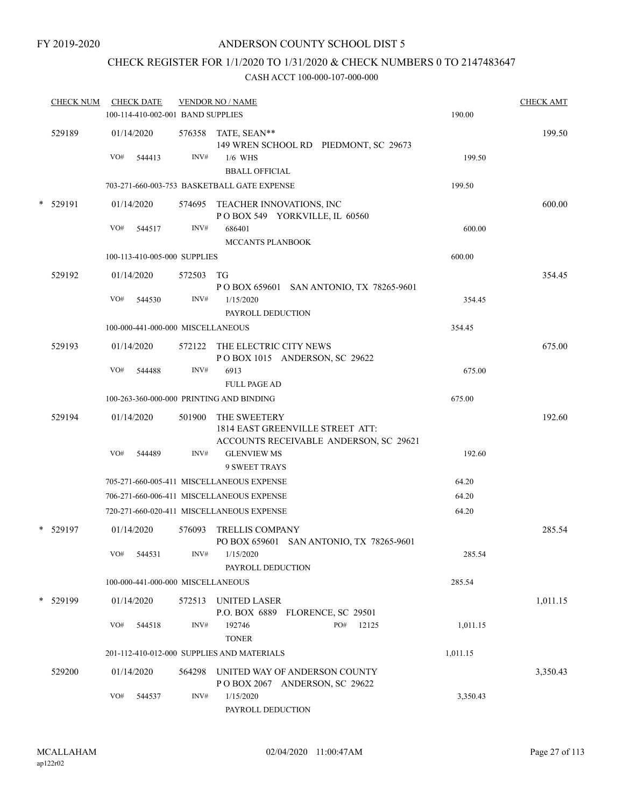FY 2019-2020

## ANDERSON COUNTY SCHOOL DIST 5

# CHECK REGISTER FOR 1/1/2020 TO 1/31/2020 & CHECK NUMBERS 0 TO 2147483647

|        | <b>CHECK NUM</b> | <b>CHECK DATE</b>                        |        | <b>VENDOR NO / NAME</b>                                                                           |          | <b>CHECK AMT</b> |
|--------|------------------|------------------------------------------|--------|---------------------------------------------------------------------------------------------------|----------|------------------|
|        |                  | 100-114-410-002-001 BAND SUPPLIES        |        |                                                                                                   | 190.00   |                  |
|        | 529189           | 01/14/2020                               |        | 576358 TATE, SEAN**<br>149 WREN SCHOOL RD PIEDMONT, SC 29673                                      |          | 199.50           |
|        |                  | VO#<br>544413                            | INV#   | $1/6$ WHS<br><b>BBALL OFFICIAL</b>                                                                | 199.50   |                  |
|        |                  |                                          |        | 703-271-660-003-753 BASKETBALL GATE EXPENSE                                                       | 199.50   |                  |
| $\ast$ | 529191           | 01/14/2020                               |        | 574695 TEACHER INNOVATIONS, INC<br>POBOX 549 YORKVILLE, IL 60560                                  |          | 600.00           |
|        |                  | VO#<br>544517                            | INV#   | 686401<br><b>MCCANTS PLANBOOK</b>                                                                 | 600.00   |                  |
|        |                  | 100-113-410-005-000 SUPPLIES             |        |                                                                                                   | 600.00   |                  |
|        | 529192           | 01/14/2020                               | 572503 | TG<br>P O BOX 659601 SAN ANTONIO, TX 78265-9601                                                   |          | 354.45           |
|        |                  | VO#<br>544530                            | INV#   | 1/15/2020<br>PAYROLL DEDUCTION                                                                    | 354.45   |                  |
|        |                  | 100-000-441-000-000 MISCELLANEOUS        |        |                                                                                                   | 354.45   |                  |
|        | 529193           | 01/14/2020                               |        | 572122 THE ELECTRIC CITY NEWS<br>POBOX 1015 ANDERSON, SC 29622                                    |          | 675.00           |
|        |                  | VO#<br>544488                            | INV#   | 6913<br><b>FULL PAGE AD</b>                                                                       | 675.00   |                  |
|        |                  | 100-263-360-000-000 PRINTING AND BINDING |        |                                                                                                   | 675.00   |                  |
|        | 529194           | 01/14/2020                               |        | 501900 THE SWEETERY<br>1814 EAST GREENVILLE STREET ATT:<br>ACCOUNTS RECEIVABLE ANDERSON, SC 29621 |          | 192.60           |
|        |                  | VO#<br>544489                            | INV#   | <b>GLENVIEW MS</b><br><b>9 SWEET TRAYS</b>                                                        | 192.60   |                  |
|        |                  |                                          |        | 705-271-660-005-411 MISCELLANEOUS EXPENSE                                                         | 64.20    |                  |
|        |                  |                                          |        | 706-271-660-006-411 MISCELLANEOUS EXPENSE                                                         | 64.20    |                  |
|        |                  |                                          |        | 720-271-660-020-411 MISCELLANEOUS EXPENSE                                                         | 64.20    |                  |
|        | $*$ 529197       | 01/14/2020                               | 576093 | <b>TRELLIS COMPANY</b><br>PO BOX 659601 SAN ANTONIO, TX 78265-9601                                |          | 285.54           |
|        |                  | VO# 544531                               | INV#   | 1/15/2020<br>PAYROLL DEDUCTION                                                                    | 285.54   |                  |
|        |                  | 100-000-441-000-000 MISCELLANEOUS        |        |                                                                                                   | 285.54   |                  |
|        | * 529199         | 01/14/2020                               | 572513 | UNITED LASER<br>P.O. BOX 6889 FLORENCE, SC 29501                                                  |          | 1,011.15         |
|        |                  | VO#<br>544518                            | INV#   | PO#<br>192746<br>12125<br><b>TONER</b>                                                            | 1,011.15 |                  |
|        |                  |                                          |        | 201-112-410-012-000 SUPPLIES AND MATERIALS                                                        | 1,011.15 |                  |
|        | 529200           | 01/14/2020                               | 564298 | UNITED WAY OF ANDERSON COUNTY<br>POBOX 2067 ANDERSON, SC 29622                                    |          | 3,350.43         |
|        |                  | VO#<br>544537                            | INV#   | 1/15/2020<br>PAYROLL DEDUCTION                                                                    | 3,350.43 |                  |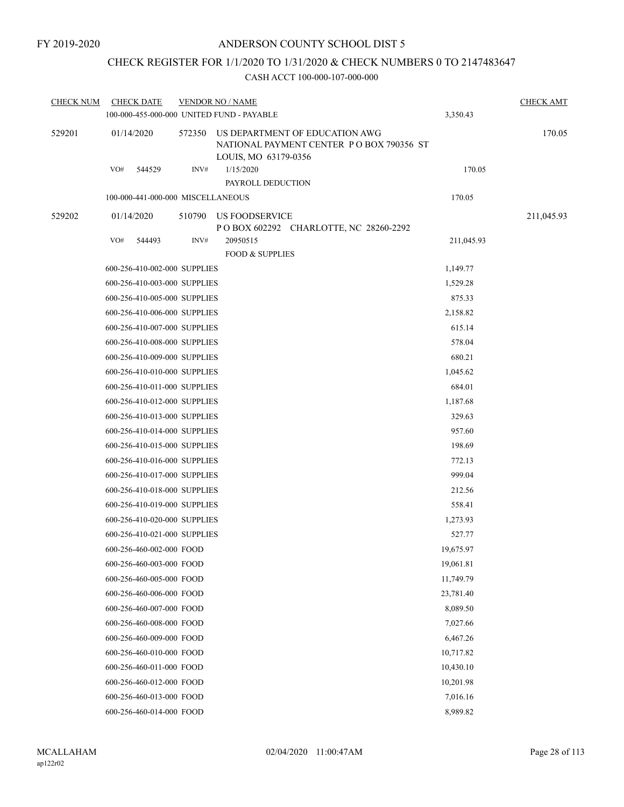## CHECK REGISTER FOR 1/1/2020 TO 1/31/2020 & CHECK NUMBERS 0 TO 2147483647

| <b>CHECK NUM</b> | <b>CHECK DATE</b>                 |        | <b>VENDOR NO / NAME</b><br>100-000-455-000-000 UNITED FUND - PAYABLE                               | 3,350.43   | <b>CHECK AMT</b> |
|------------------|-----------------------------------|--------|----------------------------------------------------------------------------------------------------|------------|------------------|
| 529201           | 01/14/2020                        | 572350 | US DEPARTMENT OF EDUCATION AWG<br>NATIONAL PAYMENT CENTER PO BOX 790356 ST<br>LOUIS, MO 63179-0356 |            | 170.05           |
|                  | VO#<br>544529                     | INV#   | 1/15/2020<br>PAYROLL DEDUCTION                                                                     | 170.05     |                  |
|                  | 100-000-441-000-000 MISCELLANEOUS |        |                                                                                                    | 170.05     |                  |
| 529202           | 01/14/2020                        | 510790 | US FOODSERVICE                                                                                     |            | 211,045.93       |
|                  | VO#<br>544493                     | INV#   | P O BOX 602292 CHARLOTTE, NC 28260-2292<br>20950515                                                | 211,045.93 |                  |
|                  |                                   |        | <b>FOOD &amp; SUPPLIES</b>                                                                         |            |                  |
|                  | 600-256-410-002-000 SUPPLIES      |        |                                                                                                    | 1,149.77   |                  |
|                  | 600-256-410-003-000 SUPPLIES      |        |                                                                                                    | 1,529.28   |                  |
|                  | 600-256-410-005-000 SUPPLIES      |        |                                                                                                    | 875.33     |                  |
|                  | 600-256-410-006-000 SUPPLIES      |        |                                                                                                    | 2,158.82   |                  |
|                  | 600-256-410-007-000 SUPPLIES      |        |                                                                                                    | 615.14     |                  |
|                  | 600-256-410-008-000 SUPPLIES      |        |                                                                                                    | 578.04     |                  |
|                  | 600-256-410-009-000 SUPPLIES      |        |                                                                                                    | 680.21     |                  |
|                  | 600-256-410-010-000 SUPPLIES      |        |                                                                                                    | 1,045.62   |                  |
|                  | 600-256-410-011-000 SUPPLIES      |        |                                                                                                    | 684.01     |                  |
|                  | 600-256-410-012-000 SUPPLIES      |        |                                                                                                    | 1,187.68   |                  |
|                  | 600-256-410-013-000 SUPPLIES      |        |                                                                                                    | 329.63     |                  |
|                  | 600-256-410-014-000 SUPPLIES      |        |                                                                                                    | 957.60     |                  |
|                  | 600-256-410-015-000 SUPPLIES      |        |                                                                                                    | 198.69     |                  |
|                  | 600-256-410-016-000 SUPPLIES      |        |                                                                                                    | 772.13     |                  |
|                  | 600-256-410-017-000 SUPPLIES      |        |                                                                                                    | 999.04     |                  |
|                  | 600-256-410-018-000 SUPPLIES      |        |                                                                                                    | 212.56     |                  |
|                  | 600-256-410-019-000 SUPPLIES      |        |                                                                                                    | 558.41     |                  |
|                  | 600-256-410-020-000 SUPPLIES      |        |                                                                                                    | 1,273.93   |                  |
|                  | 600-256-410-021-000 SUPPLIES      |        |                                                                                                    | 527.77     |                  |
|                  | 600-256-460-002-000 FOOD          |        |                                                                                                    | 19,675.97  |                  |
|                  | 600-256-460-003-000 FOOD          |        |                                                                                                    | 19,061.81  |                  |
|                  | 600-256-460-005-000 FOOD          |        |                                                                                                    | 11,749.79  |                  |
|                  | 600-256-460-006-000 FOOD          |        |                                                                                                    | 23,781.40  |                  |
|                  | 600-256-460-007-000 FOOD          |        |                                                                                                    | 8,089.50   |                  |
|                  | 600-256-460-008-000 FOOD          |        |                                                                                                    | 7,027.66   |                  |
|                  | 600-256-460-009-000 FOOD          |        |                                                                                                    | 6,467.26   |                  |
|                  | 600-256-460-010-000 FOOD          |        |                                                                                                    | 10,717.82  |                  |
|                  | 600-256-460-011-000 FOOD          |        |                                                                                                    | 10,430.10  |                  |
|                  | 600-256-460-012-000 FOOD          |        |                                                                                                    | 10,201.98  |                  |
|                  | 600-256-460-013-000 FOOD          |        |                                                                                                    | 7,016.16   |                  |
|                  | 600-256-460-014-000 FOOD          |        |                                                                                                    | 8,989.82   |                  |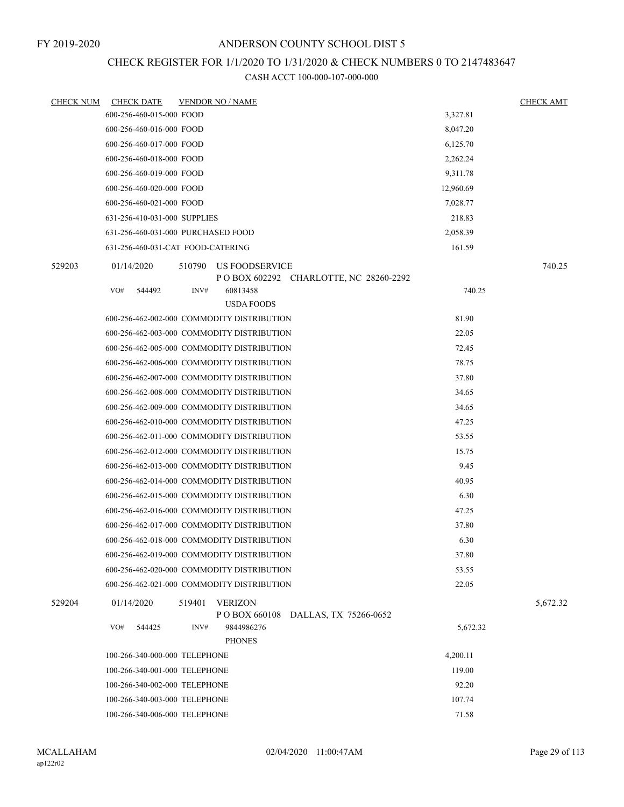#### FY 2019-2020

#### ANDERSON COUNTY SCHOOL DIST 5

## CHECK REGISTER FOR 1/1/2020 TO 1/31/2020 & CHECK NUMBERS 0 TO 2147483647

| 600-256-460-015-000 FOOD<br>3,327.81<br>600-256-460-016-000 FOOD<br>8,047.20<br>600-256-460-017-000 FOOD<br>6,125.70<br>600-256-460-018-000 FOOD<br>2,262.24<br>600-256-460-019-000 FOOD<br>9,311.78<br>600-256-460-020-000 FOOD<br>12,960.69<br>600-256-460-021-000 FOOD<br>7,028.77<br>631-256-410-031-000 SUPPLIES<br>218.83<br>631-256-460-031-000 PURCHASED FOOD<br>2,058.39<br>631-256-460-031-CAT FOOD-CATERING<br>161.59<br>529203<br>740.25<br>01/14/2020<br>510790<br>US FOODSERVICE<br>P O BOX 602292 CHARLOTTE, NC 28260-2292 |
|-------------------------------------------------------------------------------------------------------------------------------------------------------------------------------------------------------------------------------------------------------------------------------------------------------------------------------------------------------------------------------------------------------------------------------------------------------------------------------------------------------------------------------------------|
|                                                                                                                                                                                                                                                                                                                                                                                                                                                                                                                                           |
|                                                                                                                                                                                                                                                                                                                                                                                                                                                                                                                                           |
|                                                                                                                                                                                                                                                                                                                                                                                                                                                                                                                                           |
|                                                                                                                                                                                                                                                                                                                                                                                                                                                                                                                                           |
|                                                                                                                                                                                                                                                                                                                                                                                                                                                                                                                                           |
|                                                                                                                                                                                                                                                                                                                                                                                                                                                                                                                                           |
|                                                                                                                                                                                                                                                                                                                                                                                                                                                                                                                                           |
|                                                                                                                                                                                                                                                                                                                                                                                                                                                                                                                                           |
|                                                                                                                                                                                                                                                                                                                                                                                                                                                                                                                                           |
|                                                                                                                                                                                                                                                                                                                                                                                                                                                                                                                                           |
|                                                                                                                                                                                                                                                                                                                                                                                                                                                                                                                                           |
| INV#<br>VO#<br>740.25<br>544492<br>60813458                                                                                                                                                                                                                                                                                                                                                                                                                                                                                               |
| <b>USDA FOODS</b>                                                                                                                                                                                                                                                                                                                                                                                                                                                                                                                         |
| 81.90<br>600-256-462-002-000 COMMODITY DISTRIBUTION                                                                                                                                                                                                                                                                                                                                                                                                                                                                                       |
| 600-256-462-003-000 COMMODITY DISTRIBUTION<br>22.05                                                                                                                                                                                                                                                                                                                                                                                                                                                                                       |
| 600-256-462-005-000 COMMODITY DISTRIBUTION<br>72.45                                                                                                                                                                                                                                                                                                                                                                                                                                                                                       |
| 600-256-462-006-000 COMMODITY DISTRIBUTION<br>78.75                                                                                                                                                                                                                                                                                                                                                                                                                                                                                       |
| 600-256-462-007-000 COMMODITY DISTRIBUTION<br>37.80                                                                                                                                                                                                                                                                                                                                                                                                                                                                                       |
| 600-256-462-008-000 COMMODITY DISTRIBUTION<br>34.65                                                                                                                                                                                                                                                                                                                                                                                                                                                                                       |
| 600-256-462-009-000 COMMODITY DISTRIBUTION<br>34.65                                                                                                                                                                                                                                                                                                                                                                                                                                                                                       |
| 600-256-462-010-000 COMMODITY DISTRIBUTION<br>47.25                                                                                                                                                                                                                                                                                                                                                                                                                                                                                       |
| 600-256-462-011-000 COMMODITY DISTRIBUTION<br>53.55                                                                                                                                                                                                                                                                                                                                                                                                                                                                                       |
| 600-256-462-012-000 COMMODITY DISTRIBUTION<br>15.75                                                                                                                                                                                                                                                                                                                                                                                                                                                                                       |
| 600-256-462-013-000 COMMODITY DISTRIBUTION<br>9.45                                                                                                                                                                                                                                                                                                                                                                                                                                                                                        |
| 600-256-462-014-000 COMMODITY DISTRIBUTION<br>40.95                                                                                                                                                                                                                                                                                                                                                                                                                                                                                       |
| 600-256-462-015-000 COMMODITY DISTRIBUTION<br>6.30                                                                                                                                                                                                                                                                                                                                                                                                                                                                                        |
| 600-256-462-016-000 COMMODITY DISTRIBUTION<br>47.25                                                                                                                                                                                                                                                                                                                                                                                                                                                                                       |
| 600-256-462-017-000 COMMODITY DISTRIBUTION<br>37.80                                                                                                                                                                                                                                                                                                                                                                                                                                                                                       |
| 600-256-462-018-000 COMMODITY DISTRIBUTION<br>6.30                                                                                                                                                                                                                                                                                                                                                                                                                                                                                        |
| 600-256-462-019-000 COMMODITY DISTRIBUTION<br>37.80                                                                                                                                                                                                                                                                                                                                                                                                                                                                                       |
| 600-256-462-020-000 COMMODITY DISTRIBUTION<br>53.55                                                                                                                                                                                                                                                                                                                                                                                                                                                                                       |
| 22.05<br>600-256-462-021-000 COMMODITY DISTRIBUTION                                                                                                                                                                                                                                                                                                                                                                                                                                                                                       |
| <b>VERIZON</b><br>529204<br>01/14/2020<br>519401<br>5,672.32<br>P O BOX 660108<br>DALLAS, TX 75266-0652                                                                                                                                                                                                                                                                                                                                                                                                                                   |
| VO#<br>INV#<br>544425<br>9844986276<br>5,672.32<br><b>PHONES</b>                                                                                                                                                                                                                                                                                                                                                                                                                                                                          |
| 100-266-340-000-000 TELEPHONE<br>4,200.11                                                                                                                                                                                                                                                                                                                                                                                                                                                                                                 |
| 100-266-340-001-000 TELEPHONE<br>119.00                                                                                                                                                                                                                                                                                                                                                                                                                                                                                                   |
| 100-266-340-002-000 TELEPHONE<br>92.20                                                                                                                                                                                                                                                                                                                                                                                                                                                                                                    |
| 100-266-340-003-000 TELEPHONE<br>107.74                                                                                                                                                                                                                                                                                                                                                                                                                                                                                                   |
| 100-266-340-006-000 TELEPHONE<br>71.58                                                                                                                                                                                                                                                                                                                                                                                                                                                                                                    |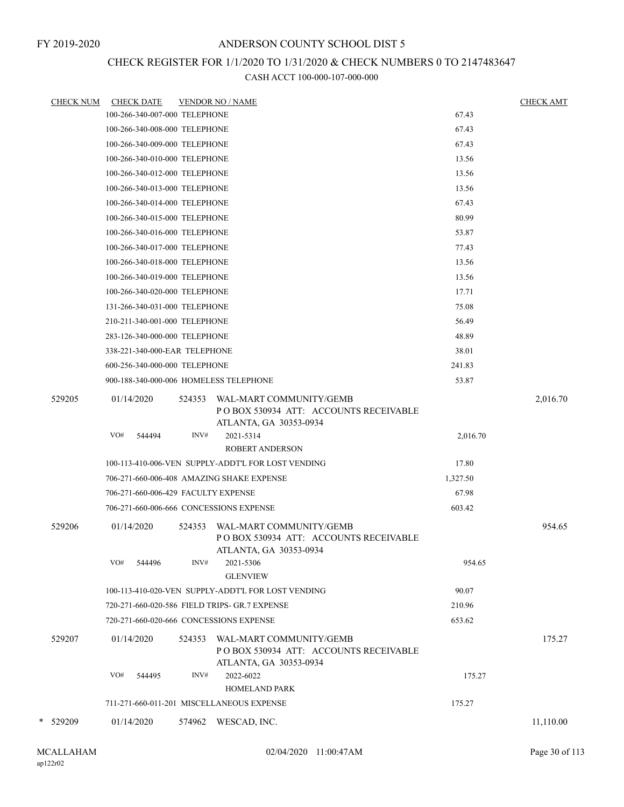# CHECK REGISTER FOR 1/1/2020 TO 1/31/2020 & CHECK NUMBERS 0 TO 2147483647

| <b>CHECK NUM</b> | <b>CHECK DATE</b>                   |        |        | <b>VENDOR NO / NAME</b>                                                                     |          | <b>CHECK AMT</b> |
|------------------|-------------------------------------|--------|--------|---------------------------------------------------------------------------------------------|----------|------------------|
|                  | 100-266-340-007-000 TELEPHONE       |        |        |                                                                                             | 67.43    |                  |
|                  | 100-266-340-008-000 TELEPHONE       |        |        |                                                                                             | 67.43    |                  |
|                  | 100-266-340-009-000 TELEPHONE       |        |        |                                                                                             | 67.43    |                  |
|                  | 100-266-340-010-000 TELEPHONE       |        |        |                                                                                             | 13.56    |                  |
|                  | 100-266-340-012-000 TELEPHONE       |        |        |                                                                                             | 13.56    |                  |
|                  | 100-266-340-013-000 TELEPHONE       |        |        |                                                                                             | 13.56    |                  |
|                  | 100-266-340-014-000 TELEPHONE       |        |        |                                                                                             | 67.43    |                  |
|                  | 100-266-340-015-000 TELEPHONE       |        |        |                                                                                             | 80.99    |                  |
|                  | 100-266-340-016-000 TELEPHONE       |        |        |                                                                                             | 53.87    |                  |
|                  | 100-266-340-017-000 TELEPHONE       |        |        |                                                                                             | 77.43    |                  |
|                  | 100-266-340-018-000 TELEPHONE       |        |        |                                                                                             | 13.56    |                  |
|                  | 100-266-340-019-000 TELEPHONE       |        |        |                                                                                             | 13.56    |                  |
|                  | 100-266-340-020-000 TELEPHONE       |        |        |                                                                                             | 17.71    |                  |
|                  | 131-266-340-031-000 TELEPHONE       |        |        |                                                                                             | 75.08    |                  |
|                  | 210-211-340-001-000 TELEPHONE       |        |        |                                                                                             | 56.49    |                  |
|                  | 283-126-340-000-000 TELEPHONE       |        |        |                                                                                             | 48.89    |                  |
|                  | 338-221-340-000-EAR TELEPHONE       |        |        |                                                                                             | 38.01    |                  |
|                  | 600-256-340-000-000 TELEPHONE       |        |        |                                                                                             | 241.83   |                  |
|                  |                                     |        |        | 900-188-340-000-006 HOMELESS TELEPHONE                                                      | 53.87    |                  |
| 529205           | 01/14/2020                          |        | 524353 | WAL-MART COMMUNITY/GEMB<br>PO BOX 530934 ATT: ACCOUNTS RECEIVABLE<br>ATLANTA, GA 30353-0934 |          | 2,016.70         |
|                  | VO#                                 | 544494 | INV#   | 2021-5314<br><b>ROBERT ANDERSON</b>                                                         | 2,016.70 |                  |
|                  |                                     |        |        | 100-113-410-006-VEN SUPPLY-ADDT'L FOR LOST VENDING                                          | 17.80    |                  |
|                  |                                     |        |        | 706-271-660-006-408 AMAZING SHAKE EXPENSE                                                   | 1,327.50 |                  |
|                  | 706-271-660-006-429 FACULTY EXPENSE |        |        |                                                                                             | 67.98    |                  |
|                  |                                     |        |        | 706-271-660-006-666 CONCESSIONS EXPENSE                                                     | 603.42   |                  |
| 529206           | 01/14/2020                          |        | 524353 | WAL-MART COMMUNITY/GEMB<br>POBOX 530934 ATT: ACCOUNTS RECEIVABLE                            |          | 954.65           |
|                  | VO#                                 | 544496 | INV#   | ATLANTA, GA 30353-0934<br>2021-5306<br><b>GLENVIEW</b>                                      | 954.65   |                  |
|                  |                                     |        |        | 100-113-410-020-VEN SUPPLY-ADDT'L FOR LOST VENDING                                          | 90.07    |                  |
|                  |                                     |        |        | 720-271-660-020-586 FIELD TRIPS- GR.7 EXPENSE                                               | 210.96   |                  |
|                  |                                     |        |        | 720-271-660-020-666 CONCESSIONS EXPENSE                                                     | 653.62   |                  |
| 529207           | 01/14/2020                          |        | 524353 | WAL-MART COMMUNITY/GEMB<br>PO BOX 530934 ATT: ACCOUNTS RECEIVABLE<br>ATLANTA, GA 30353-0934 |          | 175.27           |
|                  | VO#                                 | 544495 | INV#   | 2022-6022                                                                                   | 175.27   |                  |
|                  |                                     |        |        | <b>HOMELAND PARK</b>                                                                        |          |                  |
|                  |                                     |        |        | 711-271-660-011-201 MISCELLANEOUS EXPENSE                                                   | 175.27   |                  |
| * 529209         | 01/14/2020                          |        |        | 574962 WESCAD, INC.                                                                         |          | 11,110.00        |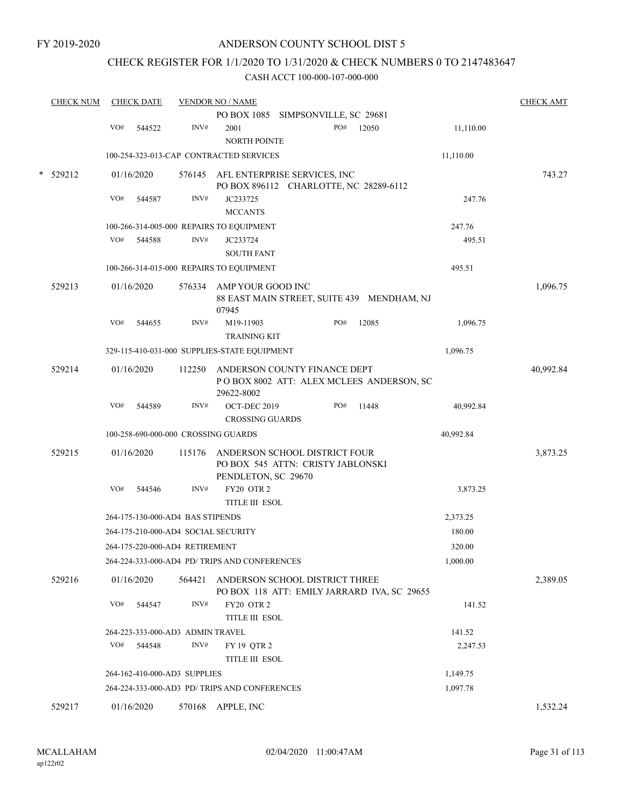## CHECK REGISTER FOR 1/1/2020 TO 1/31/2020 & CHECK NUMBERS 0 TO 2147483647

|   | <b>CHECK NUM</b> |     | <b>CHECK DATE</b> |                                  | <b>VENDOR NO / NAME</b>                                                                   |     |       |           | <b>CHECK AMT</b> |
|---|------------------|-----|-------------------|----------------------------------|-------------------------------------------------------------------------------------------|-----|-------|-----------|------------------|
|   |                  |     |                   |                                  | PO BOX 1085 SIMPSONVILLE, SC 29681                                                        |     |       |           |                  |
|   |                  | VO# | 544522            | INV#                             | 2001<br><b>NORTH POINTE</b>                                                               | PO# | 12050 | 11,110.00 |                  |
|   |                  |     |                   |                                  | 100-254-323-013-CAP CONTRACTED SERVICES                                                   |     |       | 11,110.00 |                  |
| * | 529212           |     | 01/16/2020        |                                  | 576145 AFL ENTERPRISE SERVICES, INC<br>PO BOX 896112 CHARLOTTE, NC 28289-6112             |     |       |           | 743.27           |
|   |                  | VO# | 544587            | INV#                             | JC233725<br><b>MCCANTS</b>                                                                |     |       | 247.76    |                  |
|   |                  |     |                   |                                  | 100-266-314-005-000 REPAIRS TO EQUIPMENT                                                  |     |       | 247.76    |                  |
|   |                  | VO# | 544588            | INV#                             | JC233724                                                                                  |     |       | 495.51    |                  |
|   |                  |     |                   |                                  | <b>SOUTH FANT</b>                                                                         |     |       |           |                  |
|   |                  |     |                   |                                  | 100-266-314-015-000 REPAIRS TO EQUIPMENT                                                  |     |       | 495.51    |                  |
|   | 529213           |     | 01/16/2020        |                                  | 576334 AMP YOUR GOOD INC<br>88 EAST MAIN STREET, SUITE 439 MENDHAM, NJ<br>07945           |     |       |           | 1,096.75         |
|   |                  | VO# | 544655            | INV#                             | M19-11903<br><b>TRAINING KIT</b>                                                          | PO# | 12085 | 1,096.75  |                  |
|   |                  |     |                   |                                  | 329-115-410-031-000 SUPPLIES-STATE EQUIPMENT                                              |     |       | 1,096.75  |                  |
|   | 529214           |     | 01/16/2020        | 112250                           | ANDERSON COUNTY FINANCE DEPT<br>POBOX 8002 ATT: ALEX MCLEES ANDERSON, SC<br>29622-8002    |     |       |           | 40,992.84        |
|   |                  | VO# | 544589            | INV#                             | OCT-DEC 2019<br><b>CROSSING GUARDS</b>                                                    | PO# | 11448 | 40,992.84 |                  |
|   |                  |     |                   |                                  | 100-258-690-000-000 CROSSING GUARDS                                                       |     |       | 40,992.84 |                  |
|   | 529215           |     | 01/16/2020        | 115176                           | ANDERSON SCHOOL DISTRICT FOUR<br>PO BOX 545 ATTN: CRISTY JABLONSKI<br>PENDLETON, SC 29670 |     |       |           | 3,873.25         |
|   |                  | VO# | 544546            | INV#                             | FY20 OTR 2<br>TITLE III ESOL                                                              |     |       | 3,873.25  |                  |
|   |                  |     |                   | 264-175-130-000-AD4 BAS STIPENDS |                                                                                           |     |       | 2,373.25  |                  |
|   |                  |     |                   |                                  | 264-175-210-000-AD4 SOCIAL SECURITY                                                       |     |       | 180.00    |                  |
|   |                  |     |                   | 264-175-220-000-AD4 RETIREMENT   |                                                                                           |     |       | 320.00    |                  |
|   |                  |     |                   |                                  | 264-224-333-000-AD4 PD/ TRIPS AND CONFERENCES                                             |     |       | 1,000.00  |                  |
|   | 529216           |     | 01/16/2020        | 564421                           | ANDERSON SCHOOL DISTRICT THREE<br>PO BOX 118 ATT: EMILY JARRARD IVA, SC 29655             |     |       |           | 2,389.05         |
|   |                  | VO# | 544547            | INV#                             | FY20 OTR 2<br>TITLE III ESOL                                                              |     |       | 141.52    |                  |
|   |                  |     |                   | 264-223-333-000-AD3 ADMIN TRAVEL |                                                                                           |     |       | 141.52    |                  |
|   |                  | VO# | 544548            | INV#                             | FY 19 QTR 2<br>TITLE III ESOL                                                             |     |       | 2,247.53  |                  |
|   |                  |     |                   | 264-162-410-000-AD3 SUPPLIES     |                                                                                           |     |       | 1,149.75  |                  |
|   |                  |     |                   |                                  | 264-224-333-000-AD3 PD/ TRIPS AND CONFERENCES                                             |     |       | 1,097.78  |                  |
|   | 529217           |     | 01/16/2020        |                                  | 570168 APPLE, INC                                                                         |     |       |           | 1,532.24         |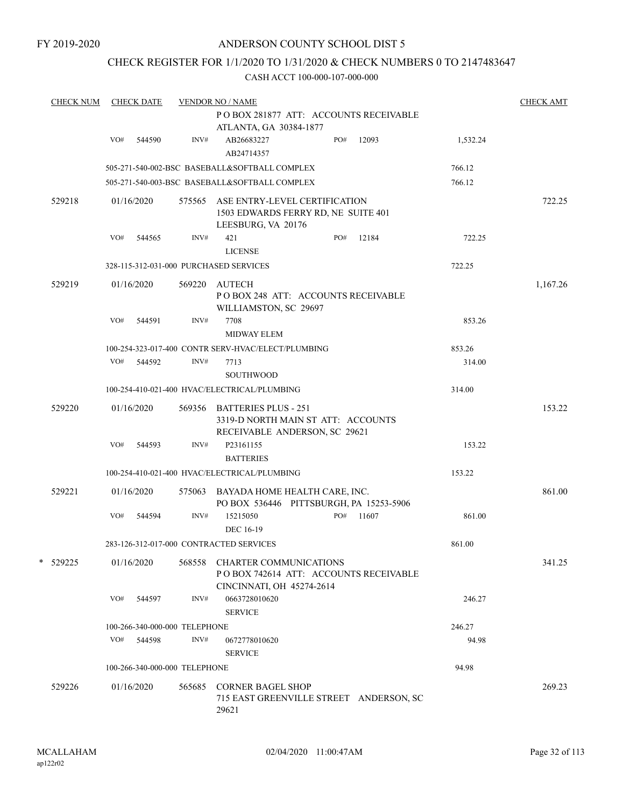## CHECK REGISTER FOR 1/1/2020 TO 1/31/2020 & CHECK NUMBERS 0 TO 2147483647

| <b>CHECK NUM</b> |     | <b>CHECK DATE</b> |                               | <b>VENDOR NO / NAME</b>                                                                            |     |                                         |          | <b>CHECK AMT</b> |
|------------------|-----|-------------------|-------------------------------|----------------------------------------------------------------------------------------------------|-----|-----------------------------------------|----------|------------------|
|                  |     |                   |                               |                                                                                                    |     | POBOX 281877 ATT: ACCOUNTS RECEIVABLE   |          |                  |
|                  |     |                   |                               | ATLANTA, GA 30384-1877                                                                             |     |                                         |          |                  |
|                  | VO# | 544590            | INV#                          | AB26683227                                                                                         | PO# | 12093                                   | 1,532.24 |                  |
|                  |     |                   |                               | AB24714357                                                                                         |     |                                         |          |                  |
|                  |     |                   |                               |                                                                                                    |     |                                         |          |                  |
|                  |     |                   |                               | 505-271-540-002-BSC BASEBALL&SOFTBALL COMPLEX                                                      |     |                                         | 766.12   |                  |
|                  |     |                   |                               | 505-271-540-003-BSC BASEBALL&SOFTBALL COMPLEX                                                      |     |                                         | 766.12   |                  |
| 529218           |     | 01/16/2020        |                               | 575565 ASE ENTRY-LEVEL CERTIFICATION<br>1503 EDWARDS FERRY RD, NE SUITE 401                        |     |                                         |          | 722.25           |
|                  |     |                   |                               | LEESBURG, VA 20176                                                                                 |     |                                         |          |                  |
|                  | VO# | 544565            | INV#                          | 421                                                                                                | PO# | 12184                                   | 722.25   |                  |
|                  |     |                   |                               | <b>LICENSE</b>                                                                                     |     |                                         |          |                  |
|                  |     |                   |                               | 328-115-312-031-000 PURCHASED SERVICES                                                             |     |                                         | 722.25   |                  |
| 529219           |     | 01/16/2020        | 569220                        | AUTECH                                                                                             |     |                                         |          | 1,167.26         |
|                  |     |                   |                               | POBOX 248 ATT: ACCOUNTS RECEIVABLE<br>WILLIAMSTON, SC 29697                                        |     |                                         |          |                  |
|                  | VO# | 544591            | INV#                          | 7708                                                                                               |     |                                         | 853.26   |                  |
|                  |     |                   |                               | <b>MIDWAY ELEM</b>                                                                                 |     |                                         |          |                  |
|                  |     |                   |                               | 100-254-323-017-400 CONTR SERV-HVAC/ELECT/PLUMBING                                                 |     |                                         | 853.26   |                  |
|                  |     | VO# 544592        | INV#                          | 7713                                                                                               |     |                                         | 314.00   |                  |
|                  |     |                   |                               | SOUTHWOOD                                                                                          |     |                                         |          |                  |
|                  |     |                   |                               |                                                                                                    |     |                                         |          |                  |
|                  |     |                   |                               | 100-254-410-021-400 HVAC/ELECTRICAL/PLUMBING                                                       |     |                                         | 314.00   |                  |
| 529220           |     | 01/16/2020        |                               | 569356 BATTERIES PLUS - 251<br>3319-D NORTH MAIN ST ATT: ACCOUNTS<br>RECEIVABLE ANDERSON, SC 29621 |     |                                         |          | 153.22           |
|                  | VO# | 544593            | INV#                          | P23161155                                                                                          |     |                                         | 153.22   |                  |
|                  |     |                   |                               | <b>BATTERIES</b>                                                                                   |     |                                         |          |                  |
|                  |     |                   |                               | 100-254-410-021-400 HVAC/ELECTRICAL/PLUMBING                                                       |     |                                         | 153.22   |                  |
|                  |     |                   |                               |                                                                                                    |     |                                         |          |                  |
| 529221           |     | 01/16/2020        |                               | 575063 BAYADA HOME HEALTH CARE, INC.<br>PO BOX 536446 PITTSBURGH, PA 15253-5906                    |     |                                         |          | 861.00           |
|                  | VO# | 544594            | INV#                          | 15215050<br>DEC 16-19                                                                              | PO# | 11607                                   | 861.00   |                  |
|                  |     |                   |                               | 283-126-312-017-000 CONTRACTED SERVICES                                                            |     |                                         | 861.00   |                  |
| *<br>529225      |     | 01/16/2020        | 568558                        | <b>CHARTER COMMUNICATIONS</b><br>CINCINNATI, OH 45274-2614                                         |     | PO BOX 742614 ATT: ACCOUNTS RECEIVABLE  |          | 341.25           |
|                  | VO# | 544597            | INV#                          | 0663728010620<br><b>SERVICE</b>                                                                    |     |                                         | 246.27   |                  |
|                  |     |                   | 100-266-340-000-000 TELEPHONE |                                                                                                    |     |                                         | 246.27   |                  |
|                  | VO# | 544598            | INV#                          | 0672778010620                                                                                      |     |                                         | 94.98    |                  |
|                  |     |                   |                               | <b>SERVICE</b>                                                                                     |     |                                         |          |                  |
|                  |     |                   |                               |                                                                                                    |     |                                         |          |                  |
|                  |     |                   | 100-266-340-000-000 TELEPHONE |                                                                                                    |     |                                         | 94.98    |                  |
| 529226           |     | 01/16/2020        | 565685                        | <b>CORNER BAGEL SHOP</b><br>29621                                                                  |     | 715 EAST GREENVILLE STREET ANDERSON, SC |          | 269.23           |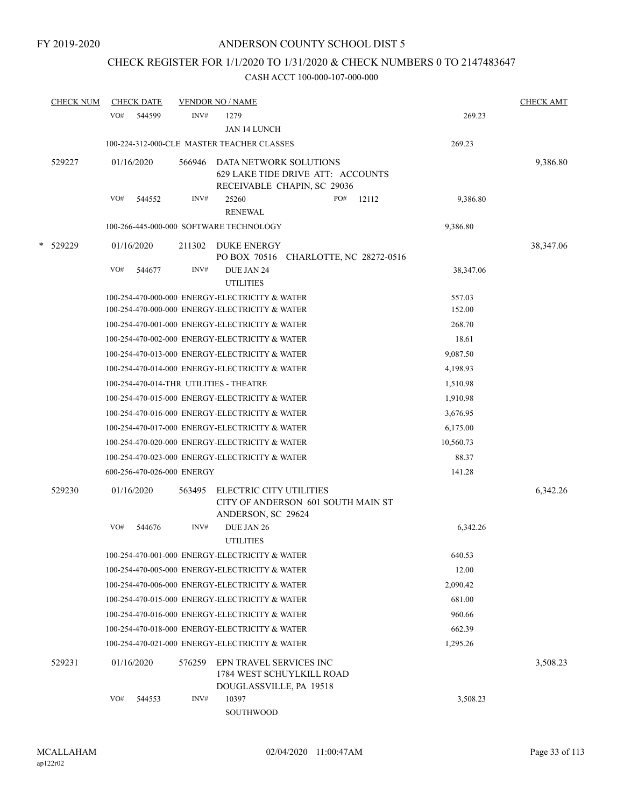# CHECK REGISTER FOR 1/1/2020 TO 1/31/2020 & CHECK NUMBERS 0 TO 2147483647

|   | <b>CHECK NUM</b> | <b>CHECK DATE</b>                       |        | <b>VENDOR NO / NAME</b>                                                                    |       |            | <b>CHECK AMT</b> |
|---|------------------|-----------------------------------------|--------|--------------------------------------------------------------------------------------------|-------|------------|------------------|
|   |                  | VO#<br>544599                           | INV#   | 1279<br>JAN 14 LUNCH                                                                       |       | 269.23     |                  |
|   |                  |                                         |        | 100-224-312-000-CLE MASTER TEACHER CLASSES                                                 |       | 269.23     |                  |
|   | 529227           | 01/16/2020                              | 566946 | DATA NETWORK SOLUTIONS<br>629 LAKE TIDE DRIVE ATT: ACCOUNTS<br>RECEIVABLE CHAPIN, SC 29036 |       |            | 9,386.80         |
|   |                  | VO#<br>544552                           | INV#   | 25260<br>PO#<br><b>RENEWAL</b>                                                             | 12112 | 9,386.80   |                  |
|   |                  |                                         |        | 100-266-445-000-000 SOFTWARE TECHNOLOGY                                                    |       | 9,386.80   |                  |
| * | 529229           | 01/16/2020                              | 211302 | <b>DUKE ENERGY</b><br>PO BOX 70516 CHARLOTTE, NC 28272-0516                                |       |            | 38,347.06        |
|   |                  | VO#<br>544677                           | INV#   | DUE JAN 24<br><b>UTILITIES</b>                                                             |       | 38, 347.06 |                  |
|   |                  |                                         |        | 100-254-470-000-000 ENERGY-ELECTRICITY & WATER                                             |       | 557.03     |                  |
|   |                  |                                         |        | 100-254-470-000-000 ENERGY-ELECTRICITY & WATER                                             |       | 152.00     |                  |
|   |                  |                                         |        | 100-254-470-001-000 ENERGY-ELECTRICITY & WATER                                             |       | 268.70     |                  |
|   |                  |                                         |        | 100-254-470-002-000 ENERGY-ELECTRICITY & WATER                                             |       | 18.61      |                  |
|   |                  |                                         |        | 100-254-470-013-000 ENERGY-ELECTRICITY & WATER                                             |       | 9,087.50   |                  |
|   |                  |                                         |        | 100-254-470-014-000 ENERGY-ELECTRICITY & WATER                                             |       | 4,198.93   |                  |
|   |                  | 100-254-470-014-THR UTILITIES - THEATRE |        |                                                                                            |       | 1,510.98   |                  |
|   |                  |                                         |        | 100-254-470-015-000 ENERGY-ELECTRICITY & WATER                                             |       | 1,910.98   |                  |
|   |                  |                                         |        | 100-254-470-016-000 ENERGY-ELECTRICITY & WATER                                             |       | 3,676.95   |                  |
|   |                  |                                         |        | 100-254-470-017-000 ENERGY-ELECTRICITY & WATER                                             |       | 6,175.00   |                  |
|   |                  |                                         |        | 100-254-470-020-000 ENERGY-ELECTRICITY & WATER                                             |       | 10,560.73  |                  |
|   |                  |                                         |        | 100-254-470-023-000 ENERGY-ELECTRICITY & WATER                                             |       | 88.37      |                  |
|   |                  | 600-256-470-026-000 ENERGY              |        |                                                                                            |       | 141.28     |                  |
|   | 529230           | 01/16/2020                              | 563495 | ELECTRIC CITY UTILITIES<br>CITY OF ANDERSON 601 SOUTH MAIN ST<br>ANDERSON, SC 29624        |       |            | 6,342.26         |
|   |                  | VO#<br>544676                           | INV#   | DUE JAN 26<br><b>UTILITIES</b>                                                             |       | 6,342.26   |                  |
|   |                  |                                         |        | 100-254-470-001-000 ENERGY-ELECTRICITY & WATER                                             |       | 640.53     |                  |
|   |                  |                                         |        | 100-254-470-005-000 ENERGY-ELECTRICITY & WATER                                             |       | 12.00      |                  |
|   |                  |                                         |        | 100-254-470-006-000 ENERGY-ELECTRICITY & WATER                                             |       | 2,090.42   |                  |
|   |                  |                                         |        | 100-254-470-015-000 ENERGY-ELECTRICITY & WATER                                             |       | 681.00     |                  |
|   |                  |                                         |        | 100-254-470-016-000 ENERGY-ELECTRICITY & WATER                                             |       | 960.66     |                  |
|   |                  |                                         |        | 100-254-470-018-000 ENERGY-ELECTRICITY & WATER                                             |       | 662.39     |                  |
|   |                  |                                         |        | 100-254-470-021-000 ENERGY-ELECTRICITY & WATER                                             |       | 1,295.26   |                  |
|   | 529231           | 01/16/2020                              | 576259 | EPN TRAVEL SERVICES INC<br>1784 WEST SCHUYLKILL ROAD<br>DOUGLASSVILLE, PA 19518            |       |            | 3,508.23         |
|   |                  | VO#<br>544553                           | INV#   | 10397<br>SOUTHWOOD                                                                         |       | 3,508.23   |                  |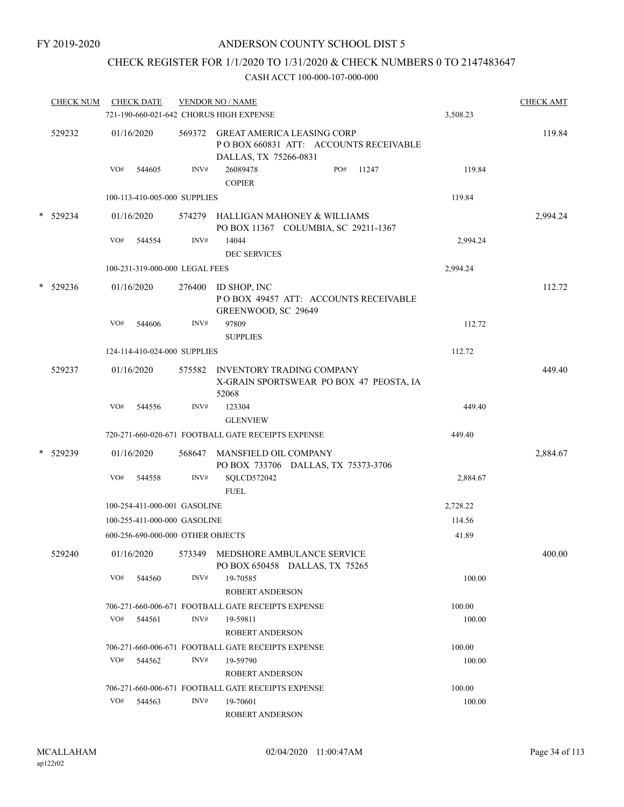## CHECK REGISTER FOR 1/1/2020 TO 1/31/2020 & CHECK NUMBERS 0 TO 2147483647

|   | <b>CHECK NUM</b> |     | <b>CHECK DATE</b>                 |        | <b>VENDOR NO / NAME</b><br>721-190-660-021-642 CHORUS HIGH EXPENSE                                  | 3,508.23 | <b>CHECK AMT</b> |
|---|------------------|-----|-----------------------------------|--------|-----------------------------------------------------------------------------------------------------|----------|------------------|
|   | 529232           |     | 01/16/2020                        |        | 569372 GREAT AMERICA LEASING CORP<br>POBOX 660831 ATT: ACCOUNTS RECEIVABLE<br>DALLAS, TX 75266-0831 |          | 119.84           |
|   |                  | VO# | 544605                            | INV#   | 26089478<br>PO#<br>11247<br><b>COPIER</b>                                                           | 119.84   |                  |
|   |                  |     | 100-113-410-005-000 SUPPLIES      |        |                                                                                                     | 119.84   |                  |
|   | * 529234         |     | 01/16/2020                        |        | 574279 HALLIGAN MAHONEY & WILLIAMS<br>PO BOX 11367 COLUMBIA, SC 29211-1367                          |          | 2,994.24         |
|   |                  | VO# | 544554                            | INV#   | 14044<br><b>DEC SERVICES</b>                                                                        | 2,994.24 |                  |
|   |                  |     | 100-231-319-000-000 LEGAL FEES    |        |                                                                                                     | 2,994.24 |                  |
|   | * 529236         |     | 01/16/2020                        | 276400 | ID SHOP, INC<br>POBOX 49457 ATT: ACCOUNTS RECEIVABLE<br>GREENWOOD, SC 29649                         |          | 112.72           |
|   |                  | VO# | 544606                            | INV#   | 97809<br><b>SUPPLIES</b>                                                                            | 112.72   |                  |
|   |                  |     | 124-114-410-024-000 SUPPLIES      |        |                                                                                                     | 112.72   |                  |
|   | 529237           |     | 01/16/2020                        |        | 575582 INVENTORY TRADING COMPANY<br>X-GRAIN SPORTSWEAR PO BOX 47 PEOSTA, IA<br>52068                |          | 449.40           |
|   |                  | VO# | 544556                            | INV#   | 123304<br><b>GLENVIEW</b>                                                                           | 449.40   |                  |
|   |                  |     |                                   |        | 720-271-660-020-671 FOOTBALL GATE RECEIPTS EXPENSE                                                  | 449.40   |                  |
| * | 529239           |     | 01/16/2020                        | 568647 | MANSFIELD OIL COMPANY<br>PO BOX 733706 DALLAS, TX 75373-3706                                        |          | 2,884.67         |
|   |                  | VO# | 544558                            | INV#   | SQLCD572042<br><b>FUEL</b>                                                                          | 2,884.67 |                  |
|   |                  |     | 100-254-411-000-001 GASOLINE      |        |                                                                                                     | 2,728.22 |                  |
|   |                  |     | 100-255-411-000-000 GASOLINE      |        |                                                                                                     | 114.56   |                  |
|   |                  |     | 600-256-690-000-000 OTHER OBJECTS |        |                                                                                                     | 41.89    |                  |
|   | 529240           |     |                                   |        | 01/16/2020 573349 MEDSHORE AMBULANCE SERVICE<br>PO BOX 650458 DALLAS, TX 75265                      |          | 400.00           |
|   |                  | VO# | 544560                            | INV#   | 19-70585<br>ROBERT ANDERSON                                                                         | 100.00   |                  |
|   |                  |     |                                   |        | 706-271-660-006-671 FOOTBALL GATE RECEIPTS EXPENSE                                                  | 100.00   |                  |
|   |                  | VO# | 544561                            | INV#   | 19-59811<br><b>ROBERT ANDERSON</b>                                                                  | 100.00   |                  |
|   |                  |     |                                   |        | 706-271-660-006-671 FOOTBALL GATE RECEIPTS EXPENSE                                                  | 100.00   |                  |
|   |                  | VO# | 544562                            | INV#   | 19-59790<br><b>ROBERT ANDERSON</b>                                                                  | 100.00   |                  |
|   |                  |     |                                   |        | 706-271-660-006-671 FOOTBALL GATE RECEIPTS EXPENSE                                                  | 100.00   |                  |
|   |                  | VO# | 544563                            | INV#   | 19-70601<br>ROBERT ANDERSON                                                                         | 100.00   |                  |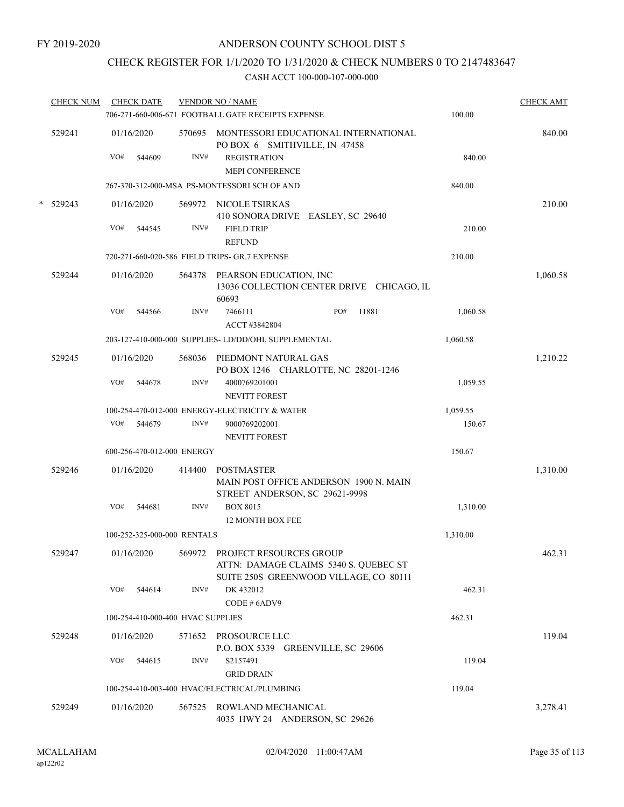## CHECK REGISTER FOR 1/1/2020 TO 1/31/2020 & CHECK NUMBERS 0 TO 2147483647

| <b>CHECK NUM</b> |     |        |                                                                                                                                             |                                                                                 |                                                                                                                                                                                                                                                                                                                                                                                                                                                                                                                                                                                                                                                                                                                                                                                                                                                             | <b>CHECK AMT</b>                                                                                |
|------------------|-----|--------|---------------------------------------------------------------------------------------------------------------------------------------------|---------------------------------------------------------------------------------|-------------------------------------------------------------------------------------------------------------------------------------------------------------------------------------------------------------------------------------------------------------------------------------------------------------------------------------------------------------------------------------------------------------------------------------------------------------------------------------------------------------------------------------------------------------------------------------------------------------------------------------------------------------------------------------------------------------------------------------------------------------------------------------------------------------------------------------------------------------|-------------------------------------------------------------------------------------------------|
| 529241           |     |        |                                                                                                                                             |                                                                                 |                                                                                                                                                                                                                                                                                                                                                                                                                                                                                                                                                                                                                                                                                                                                                                                                                                                             | 840.00                                                                                          |
|                  |     |        |                                                                                                                                             | PO BOX 6 SMITHVILLE, IN 47458                                                   |                                                                                                                                                                                                                                                                                                                                                                                                                                                                                                                                                                                                                                                                                                                                                                                                                                                             |                                                                                                 |
|                  | VO# | 544609 | INV#                                                                                                                                        | <b>REGISTRATION</b>                                                             | 840.00                                                                                                                                                                                                                                                                                                                                                                                                                                                                                                                                                                                                                                                                                                                                                                                                                                                      |                                                                                                 |
|                  |     |        |                                                                                                                                             | <b>MEPI CONFERENCE</b>                                                          |                                                                                                                                                                                                                                                                                                                                                                                                                                                                                                                                                                                                                                                                                                                                                                                                                                                             |                                                                                                 |
|                  |     |        |                                                                                                                                             |                                                                                 | 840.00                                                                                                                                                                                                                                                                                                                                                                                                                                                                                                                                                                                                                                                                                                                                                                                                                                                      |                                                                                                 |
| $*$ 529243       |     |        |                                                                                                                                             |                                                                                 |                                                                                                                                                                                                                                                                                                                                                                                                                                                                                                                                                                                                                                                                                                                                                                                                                                                             | 210.00                                                                                          |
|                  |     |        |                                                                                                                                             | 410 SONORA DRIVE EASLEY, SC 29640                                               |                                                                                                                                                                                                                                                                                                                                                                                                                                                                                                                                                                                                                                                                                                                                                                                                                                                             |                                                                                                 |
|                  | VO# | 544545 | INV#                                                                                                                                        | <b>FIELD TRIP</b>                                                               | 210.00                                                                                                                                                                                                                                                                                                                                                                                                                                                                                                                                                                                                                                                                                                                                                                                                                                                      |                                                                                                 |
|                  |     |        |                                                                                                                                             | <b>REFUND</b>                                                                   |                                                                                                                                                                                                                                                                                                                                                                                                                                                                                                                                                                                                                                                                                                                                                                                                                                                             |                                                                                                 |
|                  |     |        |                                                                                                                                             |                                                                                 | 210.00                                                                                                                                                                                                                                                                                                                                                                                                                                                                                                                                                                                                                                                                                                                                                                                                                                                      |                                                                                                 |
| 529244           |     |        |                                                                                                                                             | 60693                                                                           |                                                                                                                                                                                                                                                                                                                                                                                                                                                                                                                                                                                                                                                                                                                                                                                                                                                             | 1,060.58                                                                                        |
|                  | VO# | 544566 | INV#                                                                                                                                        | 7466111<br>PO#<br>11881<br>ACCT #3842804                                        | 1,060.58                                                                                                                                                                                                                                                                                                                                                                                                                                                                                                                                                                                                                                                                                                                                                                                                                                                    |                                                                                                 |
|                  |     |        |                                                                                                                                             |                                                                                 | 1,060.58                                                                                                                                                                                                                                                                                                                                                                                                                                                                                                                                                                                                                                                                                                                                                                                                                                                    |                                                                                                 |
| 529245           |     |        |                                                                                                                                             |                                                                                 |                                                                                                                                                                                                                                                                                                                                                                                                                                                                                                                                                                                                                                                                                                                                                                                                                                                             | 1,210.22                                                                                        |
|                  | VO# | 544678 | INV#                                                                                                                                        | 4000769201001                                                                   | 1,059.55                                                                                                                                                                                                                                                                                                                                                                                                                                                                                                                                                                                                                                                                                                                                                                                                                                                    |                                                                                                 |
|                  |     |        |                                                                                                                                             |                                                                                 |                                                                                                                                                                                                                                                                                                                                                                                                                                                                                                                                                                                                                                                                                                                                                                                                                                                             |                                                                                                 |
|                  |     |        |                                                                                                                                             |                                                                                 |                                                                                                                                                                                                                                                                                                                                                                                                                                                                                                                                                                                                                                                                                                                                                                                                                                                             |                                                                                                 |
|                  |     |        |                                                                                                                                             |                                                                                 |                                                                                                                                                                                                                                                                                                                                                                                                                                                                                                                                                                                                                                                                                                                                                                                                                                                             |                                                                                                 |
|                  |     |        |                                                                                                                                             |                                                                                 |                                                                                                                                                                                                                                                                                                                                                                                                                                                                                                                                                                                                                                                                                                                                                                                                                                                             |                                                                                                 |
|                  |     |        |                                                                                                                                             |                                                                                 |                                                                                                                                                                                                                                                                                                                                                                                                                                                                                                                                                                                                                                                                                                                                                                                                                                                             |                                                                                                 |
| 529246           |     |        | 414400                                                                                                                                      | POSTMASTER<br>MAIN POST OFFICE ANDERSON 1900 N. MAIN                            |                                                                                                                                                                                                                                                                                                                                                                                                                                                                                                                                                                                                                                                                                                                                                                                                                                                             | 1,310.00                                                                                        |
|                  | VO# | 544681 | INV#                                                                                                                                        | <b>BOX 8015</b>                                                                 |                                                                                                                                                                                                                                                                                                                                                                                                                                                                                                                                                                                                                                                                                                                                                                                                                                                             |                                                                                                 |
|                  |     |        |                                                                                                                                             | <b>12 MONTH BOX FEE</b>                                                         |                                                                                                                                                                                                                                                                                                                                                                                                                                                                                                                                                                                                                                                                                                                                                                                                                                                             |                                                                                                 |
|                  |     |        |                                                                                                                                             |                                                                                 | 1,310.00                                                                                                                                                                                                                                                                                                                                                                                                                                                                                                                                                                                                                                                                                                                                                                                                                                                    |                                                                                                 |
| 529247           |     |        |                                                                                                                                             | ATTN: DAMAGE CLAIMS 5340 S. QUEBEC ST<br>SUITE 250S GREENWOOD VILLAGE, CO 80111 |                                                                                                                                                                                                                                                                                                                                                                                                                                                                                                                                                                                                                                                                                                                                                                                                                                                             | 462.31                                                                                          |
|                  | VO# | 544614 | INV#                                                                                                                                        | DK 432012<br>CODE # 6ADV9                                                       | 462.31                                                                                                                                                                                                                                                                                                                                                                                                                                                                                                                                                                                                                                                                                                                                                                                                                                                      |                                                                                                 |
|                  |     |        |                                                                                                                                             |                                                                                 | 462.31                                                                                                                                                                                                                                                                                                                                                                                                                                                                                                                                                                                                                                                                                                                                                                                                                                                      |                                                                                                 |
| 529248           |     |        |                                                                                                                                             |                                                                                 |                                                                                                                                                                                                                                                                                                                                                                                                                                                                                                                                                                                                                                                                                                                                                                                                                                                             | 119.04                                                                                          |
|                  | VO# | 544615 | INV#                                                                                                                                        | S2157491                                                                        | 119.04                                                                                                                                                                                                                                                                                                                                                                                                                                                                                                                                                                                                                                                                                                                                                                                                                                                      |                                                                                                 |
|                  |     |        |                                                                                                                                             | <b>GRID DRAIN</b>                                                               |                                                                                                                                                                                                                                                                                                                                                                                                                                                                                                                                                                                                                                                                                                                                                                                                                                                             |                                                                                                 |
|                  |     |        |                                                                                                                                             |                                                                                 | 119.04                                                                                                                                                                                                                                                                                                                                                                                                                                                                                                                                                                                                                                                                                                                                                                                                                                                      |                                                                                                 |
| 529249           |     |        |                                                                                                                                             | 4035 HWY 24 ANDERSON, SC 29626                                                  |                                                                                                                                                                                                                                                                                                                                                                                                                                                                                                                                                                                                                                                                                                                                                                                                                                                             | 3,278.41                                                                                        |
|                  |     | VO#    | <b>CHECK DATE</b><br>01/16/2020<br>01/16/2020<br>01/16/2020<br>01/16/2020<br>544679<br>01/16/2020<br>01/16/2020<br>01/16/2020<br>01/16/2020 | INV#                                                                            | <b>VENDOR NO / NAME</b><br>706-271-660-006-671 FOOTBALL GATE RECEIPTS EXPENSE<br>570695 MONTESSORI EDUCATIONAL INTERNATIONAL<br>267-370-312-000-MSA PS-MONTESSORI SCH OF AND<br>569972 NICOLE TSIRKAS<br>720-271-660-020-586 FIELD TRIPS- GR.7 EXPENSE<br>564378 PEARSON EDUCATION, INC<br>203-127-410-000-000 SUPPLIES- LD/DD/OHI, SUPPLEMENTAL<br>568036 PIEDMONT NATURAL GAS<br>PO BOX 1246 CHARLOTTE, NC 28201-1246<br><b>NEVITT FOREST</b><br>100-254-470-012-000 ENERGY-ELECTRICITY & WATER<br>9000769202001<br><b>NEVITT FOREST</b><br>600-256-470-012-000 ENERGY<br>STREET ANDERSON, SC 29621-9998<br>100-252-325-000-000 RENTALS<br>569972 PROJECT RESOURCES GROUP<br>100-254-410-000-400 HVAC SUPPLIES<br>571652 PROSOURCE LLC<br>P.O. BOX 5339 GREENVILLE, SC 29606<br>100-254-410-003-400 HVAC/ELECTRICAL/PLUMBING<br>567525 ROWLAND MECHANICAL | 100.00<br>13036 COLLECTION CENTER DRIVE CHICAGO, IL<br>1,059.55<br>150.67<br>150.67<br>1,310.00 |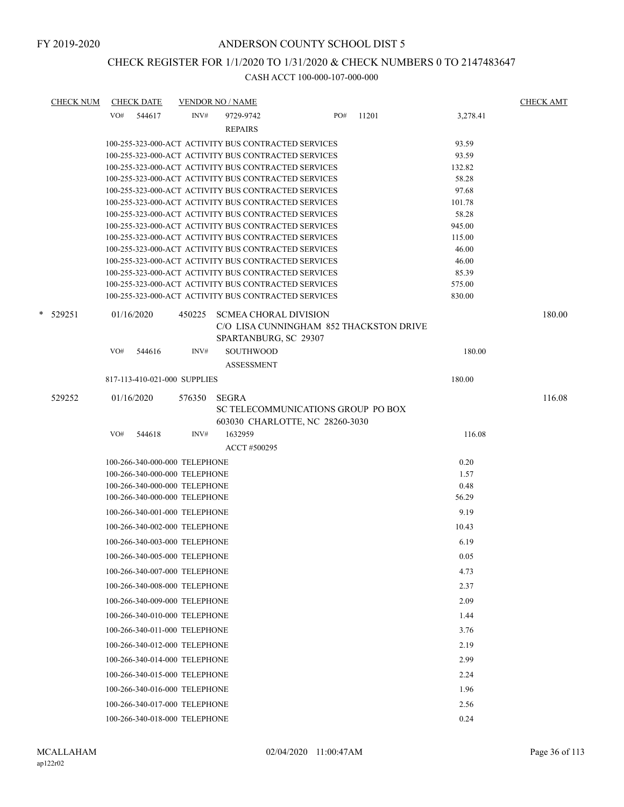# CHECK REGISTER FOR 1/1/2020 TO 1/31/2020 & CHECK NUMBERS 0 TO 2147483647

| <b>CHECK NUM</b> | <b>CHECK DATE</b><br><b>VENDOR NO / NAME</b>                                                                             |                  | <b>CHECK AMT</b> |
|------------------|--------------------------------------------------------------------------------------------------------------------------|------------------|------------------|
|                  | PO#<br>VO# 544617<br>INV#<br>9729-9742<br>11201                                                                          | 3,278.41         |                  |
|                  | <b>REPAIRS</b>                                                                                                           |                  |                  |
|                  | 100-255-323-000-ACT ACTIVITY BUS CONTRACTED SERVICES                                                                     | 93.59            |                  |
|                  | 100-255-323-000-ACT ACTIVITY BUS CONTRACTED SERVICES                                                                     | 93.59            |                  |
|                  | 100-255-323-000-ACT ACTIVITY BUS CONTRACTED SERVICES                                                                     | 132.82           |                  |
|                  | 100-255-323-000-ACT ACTIVITY BUS CONTRACTED SERVICES                                                                     | 58.28            |                  |
|                  | 100-255-323-000-ACT ACTIVITY BUS CONTRACTED SERVICES                                                                     | 97.68            |                  |
|                  | 100-255-323-000-ACT ACTIVITY BUS CONTRACTED SERVICES                                                                     | 101.78           |                  |
|                  | 100-255-323-000-ACT ACTIVITY BUS CONTRACTED SERVICES                                                                     | 58.28            |                  |
|                  | 100-255-323-000-ACT ACTIVITY BUS CONTRACTED SERVICES                                                                     | 945.00<br>115.00 |                  |
|                  | 100-255-323-000-ACT ACTIVITY BUS CONTRACTED SERVICES<br>100-255-323-000-ACT ACTIVITY BUS CONTRACTED SERVICES             | 46.00            |                  |
|                  | 100-255-323-000-ACT ACTIVITY BUS CONTRACTED SERVICES                                                                     | 46.00            |                  |
|                  | 100-255-323-000-ACT ACTIVITY BUS CONTRACTED SERVICES                                                                     | 85.39            |                  |
|                  | 100-255-323-000-ACT ACTIVITY BUS CONTRACTED SERVICES                                                                     | 575.00           |                  |
|                  | 100-255-323-000-ACT ACTIVITY BUS CONTRACTED SERVICES                                                                     | 830.00           |                  |
| * 529251         | 01/16/2020<br>450225<br><b>SCMEA CHORAL DIVISION</b><br>C/O LISA CUNNINGHAM 852 THACKSTON DRIVE<br>SPARTANBURG, SC 29307 |                  | 180.00           |
|                  | VO#<br>INV#<br><b>SOUTHWOOD</b><br>544616                                                                                | 180.00           |                  |
|                  | <b>ASSESSMENT</b>                                                                                                        |                  |                  |
|                  | 817-113-410-021-000 SUPPLIES                                                                                             | 180.00           |                  |
| 529252           | 01/16/2020<br>576350<br>SEGRA                                                                                            |                  | 116.08           |
|                  | SC TELECOMMUNICATIONS GROUP PO BOX<br>603030 CHARLOTTE, NC 28260-3030                                                    |                  |                  |
|                  | VO#<br>544618<br>INV#<br>1632959                                                                                         | 116.08           |                  |
|                  | ACCT #500295                                                                                                             |                  |                  |
|                  |                                                                                                                          | 0.20             |                  |
|                  | 100-266-340-000-000 TELEPHONE<br>100-266-340-000-000 TELEPHONE                                                           | 1.57             |                  |
|                  | 100-266-340-000-000 TELEPHONE                                                                                            | 0.48             |                  |
|                  | 100-266-340-000-000 TELEPHONE                                                                                            | 56.29            |                  |
|                  | 100-266-340-001-000 TELEPHONE                                                                                            | 9.19             |                  |
|                  | 100-266-340-002-000 TELEPHONE                                                                                            | 10.43            |                  |
|                  | 100-266-340-003-000 TELEPHONE                                                                                            | 6.19             |                  |
|                  | 100-266-340-005-000 TELEPHONE                                                                                            | 0.05             |                  |
|                  | 100-266-340-007-000 TELEPHONE                                                                                            | 4.73             |                  |
|                  | 100-266-340-008-000 TELEPHONE                                                                                            | 2.37             |                  |
|                  | 100-266-340-009-000 TELEPHONE                                                                                            | 2.09             |                  |
|                  | 100-266-340-010-000 TELEPHONE                                                                                            | 1.44             |                  |
|                  | 100-266-340-011-000 TELEPHONE                                                                                            | 3.76             |                  |
|                  | 100-266-340-012-000 TELEPHONE                                                                                            | 2.19             |                  |
|                  |                                                                                                                          |                  |                  |
|                  | 100-266-340-014-000 TELEPHONE                                                                                            | 2.99             |                  |
|                  | 100-266-340-015-000 TELEPHONE                                                                                            | 2.24             |                  |
|                  | 100-266-340-016-000 TELEPHONE                                                                                            | 1.96             |                  |
|                  | 100-266-340-017-000 TELEPHONE                                                                                            | 2.56             |                  |
|                  | 100-266-340-018-000 TELEPHONE                                                                                            | 0.24             |                  |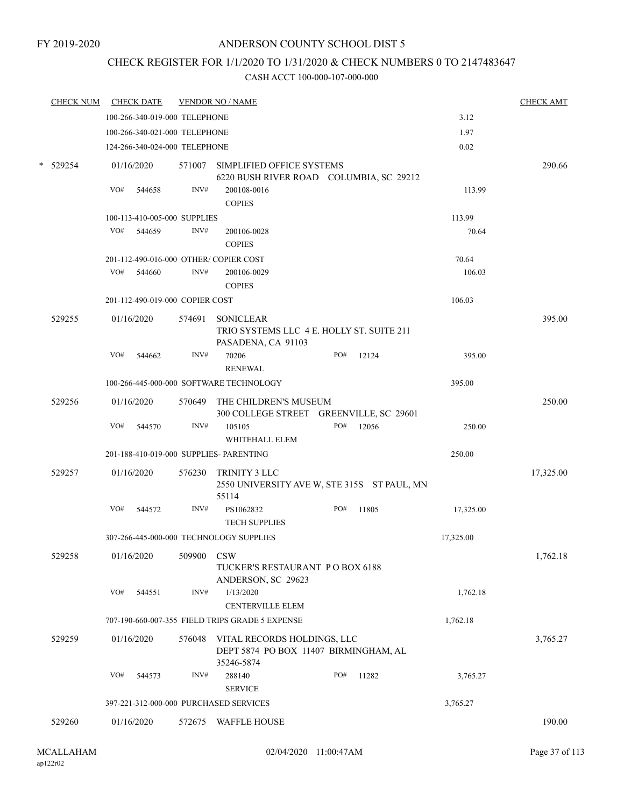# CHECK REGISTER FOR 1/1/2020 TO 1/31/2020 & CHECK NUMBERS 0 TO 2147483647

| <b>CHECK NUM</b> |     | <b>CHECK DATE</b>               |            | <b>VENDOR NO / NAME</b>                                                             |     |       |           | <b>CHECK AMT</b> |
|------------------|-----|---------------------------------|------------|-------------------------------------------------------------------------------------|-----|-------|-----------|------------------|
|                  |     | 100-266-340-019-000 TELEPHONE   |            |                                                                                     |     |       | 3.12      |                  |
|                  |     | 100-266-340-021-000 TELEPHONE   |            |                                                                                     |     |       | 1.97      |                  |
|                  |     | 124-266-340-024-000 TELEPHONE   |            |                                                                                     |     |       | 0.02      |                  |
| $*$ 529254       |     | 01/16/2020                      |            | 571007 SIMPLIFIED OFFICE SYSTEMS<br>6220 BUSH RIVER ROAD COLUMBIA, SC 29212         |     |       |           | 290.66           |
|                  | VO# | 544658                          | INV#       | 200108-0016                                                                         |     |       | 113.99    |                  |
|                  |     |                                 |            | <b>COPIES</b>                                                                       |     |       |           |                  |
|                  |     | 100-113-410-005-000 SUPPLIES    |            |                                                                                     |     |       | 113.99    |                  |
|                  | VO# | 544659                          | INV#       | 200106-0028                                                                         |     |       | 70.64     |                  |
|                  |     |                                 |            | <b>COPIES</b>                                                                       |     |       |           |                  |
|                  |     |                                 |            | 201-112-490-016-000 OTHER/COPIER COST                                               |     |       | 70.64     |                  |
|                  | VO# | 544660                          | INV#       | 200106-0029                                                                         |     |       | 106.03    |                  |
|                  |     |                                 |            | <b>COPIES</b>                                                                       |     |       |           |                  |
|                  |     | 201-112-490-019-000 COPIER COST |            |                                                                                     |     |       | 106.03    |                  |
| 529255           |     | 01/16/2020                      | 574691     | <b>SONICLEAR</b><br>TRIO SYSTEMS LLC 4 E. HOLLY ST. SUITE 211<br>PASADENA, CA 91103 |     |       |           | 395.00           |
|                  | VO# | 544662                          | INV#       | 70206                                                                               | PO# | 12124 | 395.00    |                  |
|                  |     |                                 |            | <b>RENEWAL</b>                                                                      |     |       |           |                  |
|                  |     |                                 |            | 100-266-445-000-000 SOFTWARE TECHNOLOGY                                             |     |       | 395.00    |                  |
| 529256           |     | 01/16/2020                      |            | 570649 THE CHILDREN'S MUSEUM<br>300 COLLEGE STREET GREENVILLE, SC 29601             |     |       |           | 250.00           |
|                  | VO# | 544570                          | INV#       | 105105<br>WHITEHALL ELEM                                                            | PO# | 12056 | 250.00    |                  |
|                  |     |                                 |            | 201-188-410-019-000 SUPPLIES- PARENTING                                             |     |       | 250.00    |                  |
| 529257           |     | 01/16/2020                      | 576230     | TRINITY 3 LLC<br>2550 UNIVERSITY AVE W, STE 315S ST PAUL, MN<br>55114               |     |       |           | 17,325.00        |
|                  | VO# | 544572                          | INV#       | PS1062832<br><b>TECH SUPPLIES</b>                                                   | PO# | 11805 | 17,325.00 |                  |
|                  |     |                                 |            | 307-266-445-000-000 TECHNOLOGY SUPPLIES                                             |     |       | 17,325.00 |                  |
| 529258           |     | 01/16/2020                      | 509900 CSW | TUCKER'S RESTAURANT PO BOX 6188                                                     |     |       |           | 1,762.18         |
|                  | VO# | 544551                          | INV#       | ANDERSON, SC 29623<br>1/13/2020<br><b>CENTERVILLE ELEM</b>                          |     |       | 1,762.18  |                  |
|                  |     |                                 |            | 707-190-660-007-355 FIELD TRIPS GRADE 5 EXPENSE                                     |     |       | 1,762.18  |                  |
|                  |     |                                 |            |                                                                                     |     |       |           |                  |
| 529259           |     | 01/16/2020                      | 576048     | VITAL RECORDS HOLDINGS, LLC<br>DEPT 5874 PO BOX 11407 BIRMINGHAM, AL<br>35246-5874  |     |       |           | 3,765.27         |
|                  | VO# | 544573                          | INV#       | 288140<br><b>SERVICE</b>                                                            | PO# | 11282 | 3,765.27  |                  |
|                  |     |                                 |            | 397-221-312-000-000 PURCHASED SERVICES                                              |     |       | 3,765.27  |                  |
| 529260           |     | 01/16/2020                      |            | 572675 WAFFLE HOUSE                                                                 |     |       |           | 190.00           |
|                  |     |                                 |            |                                                                                     |     |       |           |                  |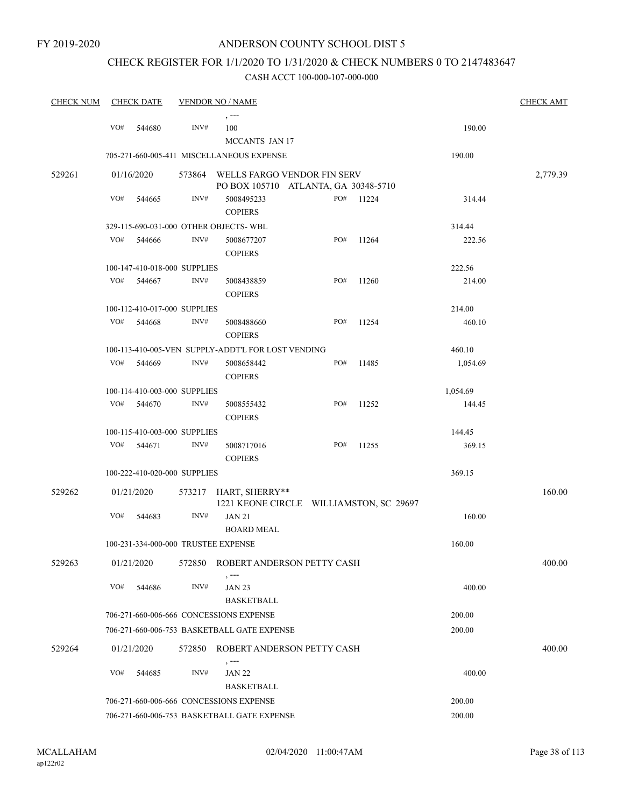## CHECK REGISTER FOR 1/1/2020 TO 1/31/2020 & CHECK NUMBERS 0 TO 2147483647

| <b>CHECK NUM</b> |                                             | <b>CHECK DATE</b>            |        | <b>VENDOR NO / NAME</b>                            |     |       |                  | <b>CHECK AMT</b> |
|------------------|---------------------------------------------|------------------------------|--------|----------------------------------------------------|-----|-------|------------------|------------------|
|                  |                                             |                              |        | $, --$                                             |     |       |                  |                  |
|                  | VO#                                         | 544680                       | INV#   | 100                                                |     |       | 190.00           |                  |
|                  |                                             |                              |        | MCCANTS JAN 17                                     |     |       |                  |                  |
|                  |                                             |                              |        | 705-271-660-005-411 MISCELLANEOUS EXPENSE          |     |       | 190.00           |                  |
| 529261           |                                             | 01/16/2020                   | 573864 | WELLS FARGO VENDOR FIN SERV                        |     |       |                  | 2,779.39         |
|                  | VO#                                         |                              | INV#   | PO BOX 105710 ATLANTA, GA 30348-5710               |     |       |                  |                  |
|                  |                                             | 544665                       |        | 5008495233                                         | PO# | 11224 | 314.44           |                  |
|                  |                                             |                              |        | <b>COPIERS</b>                                     |     |       |                  |                  |
|                  |                                             |                              |        | 329-115-690-031-000 OTHER OBJECTS-WBL              |     |       | 314.44           |                  |
|                  | VO#                                         | 544666                       | INV#   | 5008677207<br><b>COPIERS</b>                       | PO# | 11264 | 222.56           |                  |
|                  |                                             | 100-147-410-018-000 SUPPLIES |        |                                                    |     |       | 222.56           |                  |
|                  | VO#                                         | 544667                       | INV#   | 5008438859                                         | PO# | 11260 | 214.00           |                  |
|                  |                                             |                              |        | <b>COPIERS</b>                                     |     |       |                  |                  |
|                  |                                             | 100-112-410-017-000 SUPPLIES |        |                                                    |     |       | 214.00           |                  |
|                  | VO#                                         | 544668                       | INV#   | 5008488660                                         | PO# | 11254 | 460.10           |                  |
|                  |                                             |                              |        | <b>COPIERS</b>                                     |     |       |                  |                  |
|                  |                                             |                              |        | 100-113-410-005-VEN SUPPLY-ADDT'L FOR LOST VENDING |     |       | 460.10           |                  |
|                  | VO#                                         | 544669                       | INV#   | 5008658442                                         | PO# | 11485 | 1,054.69         |                  |
|                  |                                             |                              |        | <b>COPIERS</b>                                     |     |       |                  |                  |
|                  |                                             | 100-114-410-003-000 SUPPLIES |        |                                                    |     |       | 1,054.69         |                  |
|                  | VO#                                         | 544670                       | INV#   | 5008555432                                         | PO# | 11252 | 144.45           |                  |
|                  |                                             |                              |        | <b>COPIERS</b>                                     |     |       |                  |                  |
|                  |                                             | 100-115-410-003-000 SUPPLIES |        |                                                    |     |       | 144.45           |                  |
|                  | VO#                                         | 544671                       | INV#   | 5008717016                                         | PO# | 11255 | 369.15           |                  |
|                  |                                             |                              |        | <b>COPIERS</b>                                     |     |       |                  |                  |
|                  |                                             | 100-222-410-020-000 SUPPLIES |        |                                                    |     |       | 369.15           |                  |
| 529262           |                                             | 01/21/2020                   |        | 573217 HART, SHERRY**                              |     |       |                  | 160.00           |
|                  |                                             |                              |        | 1221 KEONE CIRCLE WILLIAMSTON, SC 29697            |     |       |                  |                  |
|                  | VO#                                         | 544683                       | INV#   | <b>JAN 21</b>                                      |     |       | 160.00           |                  |
|                  |                                             |                              |        | <b>BOARD MEAL</b>                                  |     |       |                  |                  |
|                  |                                             |                              |        | 100-231-334-000-000 TRUSTEE EXPENSE                |     |       | 160.00           |                  |
| 529263           |                                             | 01/21/2020                   | 572850 | ROBERT ANDERSON PETTY CASH                         |     |       |                  | 400.00           |
|                  | VO#                                         | 544686                       | INV#   | <b>JAN 23</b>                                      |     |       | 400.00           |                  |
|                  |                                             |                              |        | <b>BASKETBALL</b>                                  |     |       |                  |                  |
|                  |                                             |                              |        | 706-271-660-006-666 CONCESSIONS EXPENSE            |     |       | 200.00           |                  |
|                  |                                             |                              |        | 706-271-660-006-753 BASKETBALL GATE EXPENSE        |     |       | 200.00           |                  |
| 529264           |                                             | 01/21/2020                   | 572850 | ROBERT ANDERSON PETTY CASH                         |     |       |                  | 400.00           |
|                  |                                             |                              |        | $, --$                                             |     |       |                  |                  |
|                  | VO#                                         | 544685                       | INV#   | <b>JAN 22</b>                                      |     |       | 400.00           |                  |
|                  |                                             |                              |        | <b>BASKETBALL</b>                                  |     |       |                  |                  |
|                  |                                             |                              |        | 706-271-660-006-666 CONCESSIONS EXPENSE            |     |       | 200.00<br>200.00 |                  |
|                  | 706-271-660-006-753 BASKETBALL GATE EXPENSE |                              |        |                                                    |     |       |                  |                  |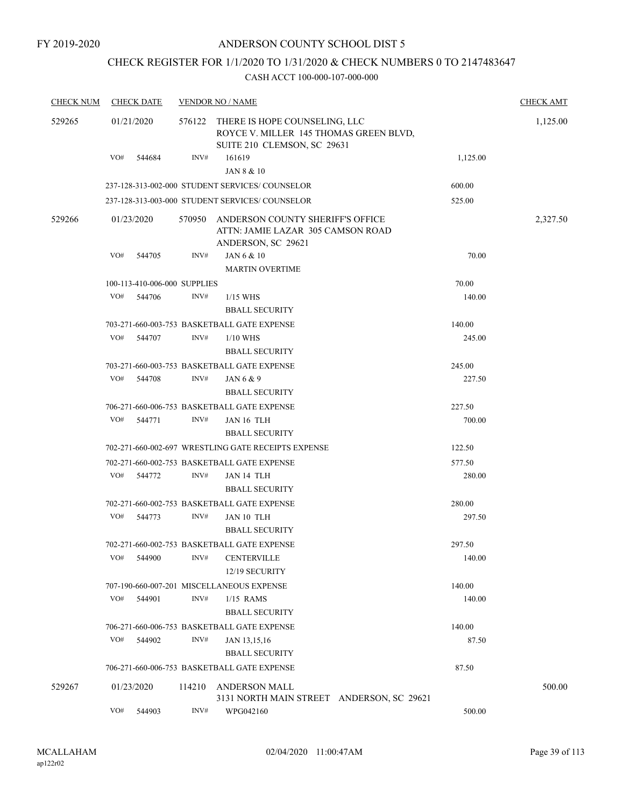## CHECK REGISTER FOR 1/1/2020 TO 1/31/2020 & CHECK NUMBERS 0 TO 2147483647

| <b>CHECK NUM</b> | <b>CHECK DATE</b> |                              | <b>VENDOR NO / NAME</b>                                                                                       |                  | <b>CHECK AMT</b> |
|------------------|-------------------|------------------------------|---------------------------------------------------------------------------------------------------------------|------------------|------------------|
| 529265           | 01/21/2020        |                              | 576122 THERE IS HOPE COUNSELING, LLC<br>ROYCE V. MILLER 145 THOMAS GREEN BLVD,<br>SUITE 210 CLEMSON, SC 29631 |                  | 1,125.00         |
|                  | VO#               | INV#<br>544684               | 161619                                                                                                        | 1,125.00         |                  |
|                  |                   |                              | JAN 8 & 10                                                                                                    |                  |                  |
|                  |                   |                              | 237-128-313-002-000 STUDENT SERVICES/COUNSELOR                                                                | 600.00           |                  |
|                  |                   |                              | 237-128-313-003-000 STUDENT SERVICES/COUNSELOR                                                                | 525.00           |                  |
| 529266           | 01/23/2020        | 570950                       | ANDERSON COUNTY SHERIFF'S OFFICE<br>ATTN: JAMIE LAZAR 305 CAMSON ROAD<br>ANDERSON, SC 29621                   |                  | 2,327.50         |
|                  | VO#               | INV#<br>544705               | JAN 6 & 10<br><b>MARTIN OVERTIME</b>                                                                          | 70.00            |                  |
|                  |                   | 100-113-410-006-000 SUPPLIES |                                                                                                               | 70.00            |                  |
|                  | VO#               | 544706<br>INV#               | $1/15$ WHS<br><b>BBALL SECURITY</b>                                                                           | 140.00           |                  |
|                  |                   |                              | 703-271-660-003-753 BASKETBALL GATE EXPENSE                                                                   | 140.00           |                  |
|                  | VO#               | 544707<br>INV#               | $1/10$ WHS                                                                                                    | 245.00           |                  |
|                  |                   |                              | <b>BBALL SECURITY</b>                                                                                         |                  |                  |
|                  |                   |                              | 703-271-660-003-753 BASKETBALL GATE EXPENSE                                                                   | 245.00           |                  |
|                  | VO#               | 544708<br>INV#               | JAN $6 & 9$                                                                                                   | 227.50           |                  |
|                  |                   |                              | <b>BBALL SECURITY</b>                                                                                         |                  |                  |
|                  |                   |                              | 706-271-660-006-753 BASKETBALL GATE EXPENSE                                                                   | 227.50           |                  |
|                  | VO#<br>544771     | INV#                         | JAN 16 TLH                                                                                                    | 700.00           |                  |
|                  |                   |                              | <b>BBALL SECURITY</b>                                                                                         |                  |                  |
|                  |                   |                              | 702-271-660-002-697 WRESTLING GATE RECEIPTS EXPENSE                                                           | 122.50           |                  |
|                  |                   |                              | 702-271-660-002-753 BASKETBALL GATE EXPENSE                                                                   | 577.50           |                  |
|                  | VO#               | 544772<br>INV#               | JAN 14 TLH<br><b>BBALL SECURITY</b>                                                                           | 280.00           |                  |
|                  |                   |                              | 702-271-660-002-753 BASKETBALL GATE EXPENSE                                                                   | 280.00           |                  |
|                  | VO#               | INV#<br>544773               | JAN 10 TLH<br><b>BBALL SECURITY</b>                                                                           | 297.50           |                  |
|                  |                   |                              | 702-271-660-002-753 BASKETBALL GATE EXPENSE                                                                   | 297.50           |                  |
|                  | VO#               | 544900<br>INV#               | <b>CENTERVILLE</b><br>12/19 SECURITY                                                                          | 140.00           |                  |
|                  |                   |                              |                                                                                                               |                  |                  |
|                  | VO#               | INV#<br>544901               | 707-190-660-007-201 MISCELLANEOUS EXPENSE<br>$1/15$ RAMS                                                      | 140.00<br>140.00 |                  |
|                  |                   |                              | <b>BBALL SECURITY</b>                                                                                         |                  |                  |
|                  |                   |                              | 706-271-660-006-753 BASKETBALL GATE EXPENSE                                                                   | 140.00           |                  |
|                  | VO#               | INV#<br>544902               | JAN 13,15,16<br><b>BBALL SECURITY</b>                                                                         | 87.50            |                  |
|                  |                   |                              | 706-271-660-006-753 BASKETBALL GATE EXPENSE                                                                   | 87.50            |                  |
| 529267           | 01/23/2020        | 114210                       | <b>ANDERSON MALL</b>                                                                                          |                  | 500.00           |
|                  |                   |                              | 3131 NORTH MAIN STREET ANDERSON, SC 29621                                                                     |                  |                  |
|                  | VO#               | $\text{INV}\#$<br>544903     | WPG042160                                                                                                     | 500.00           |                  |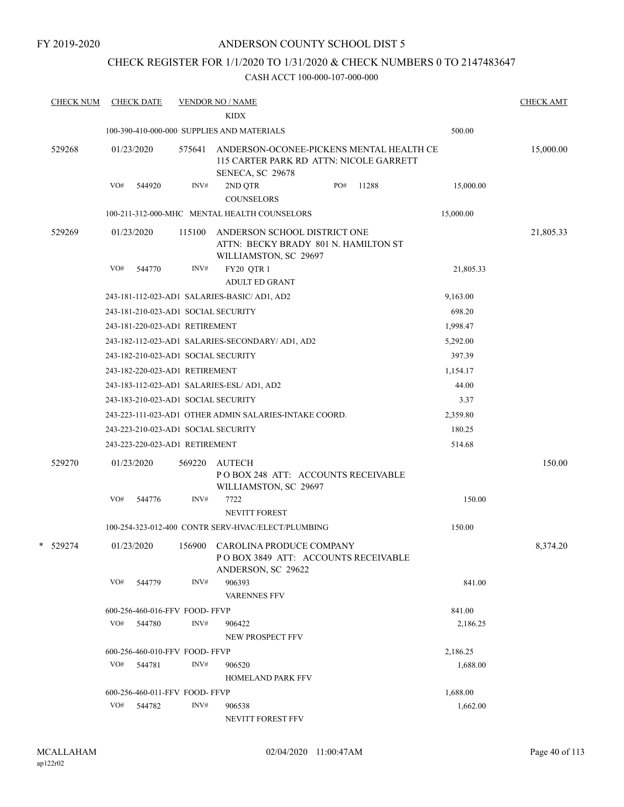FY 2019-2020

#### ANDERSON COUNTY SCHOOL DIST 5

## CHECK REGISTER FOR 1/1/2020 TO 1/31/2020 & CHECK NUMBERS 0 TO 2147483647

| <b>CHECK NUM</b> |     | <b>CHECK DATE</b> |                                | <b>VENDOR NO / NAME</b><br><b>KIDX</b>                                                                  |     |       |           | <b>CHECK AMT</b> |
|------------------|-----|-------------------|--------------------------------|---------------------------------------------------------------------------------------------------------|-----|-------|-----------|------------------|
|                  |     |                   |                                | 100-390-410-000-000 SUPPLIES AND MATERIALS                                                              |     |       | 500.00    |                  |
| 529268           |     | 01/23/2020        | 575641                         | ANDERSON-OCONEE-PICKENS MENTAL HEALTH CE<br>115 CARTER PARK RD ATTN: NICOLE GARRETT<br>SENECA, SC 29678 |     |       |           | 15,000.00        |
|                  | VO# | 544920            | INV#                           | 2ND QTR<br><b>COUNSELORS</b>                                                                            | PO# | 11288 | 15,000.00 |                  |
|                  |     |                   |                                | 100-211-312-000-MHC MENTAL HEALTH COUNSELORS                                                            |     |       | 15,000.00 |                  |
| 529269           |     | 01/23/2020        | 115100                         | ANDERSON SCHOOL DISTRICT ONE<br>ATTN: BECKY BRADY 801 N. HAMILTON ST<br>WILLIAMSTON, SC 29697           |     |       |           | 21,805.33        |
|                  | VO# | 544770            | INV#                           | FY20 QTR 1<br><b>ADULT ED GRANT</b>                                                                     |     |       | 21,805.33 |                  |
|                  |     |                   |                                | 243-181-112-023-AD1 SALARIES-BASIC/ AD1, AD2                                                            |     |       | 9,163.00  |                  |
|                  |     |                   |                                | 243-181-210-023-AD1 SOCIAL SECURITY                                                                     |     |       | 698.20    |                  |
|                  |     |                   | 243-181-220-023-AD1 RETIREMENT |                                                                                                         |     |       | 1,998.47  |                  |
|                  |     |                   |                                | 243-182-112-023-AD1 SALARIES-SECONDARY/ AD1, AD2                                                        |     |       | 5,292.00  |                  |
|                  |     |                   |                                | 243-182-210-023-AD1 SOCIAL SECURITY                                                                     |     |       | 397.39    |                  |
|                  |     |                   | 243-182-220-023-AD1 RETIREMENT |                                                                                                         |     |       | 1,154.17  |                  |
|                  |     |                   |                                | 243-183-112-023-AD1 SALARIES-ESL/AD1, AD2                                                               |     |       | 44.00     |                  |
|                  |     |                   |                                | 243-183-210-023-AD1 SOCIAL SECURITY                                                                     |     |       | 3.37      |                  |
|                  |     |                   |                                | 243-223-111-023-AD1 OTHER ADMIN SALARIES-INTAKE COORD.                                                  |     |       | 2,359.80  |                  |
|                  |     |                   |                                | 243-223-210-023-AD1 SOCIAL SECURITY                                                                     |     |       | 180.25    |                  |
|                  |     |                   | 243-223-220-023-AD1 RETIREMENT |                                                                                                         |     |       | 514.68    |                  |
| 529270           |     | 01/23/2020        | 569220                         | AUTECH<br>POBOX 248 ATT: ACCOUNTS RECEIVABLE<br>WILLIAMSTON, SC 29697                                   |     |       |           | 150.00           |
|                  | VO# | 544776            | INV#                           | 7722<br><b>NEVITT FOREST</b>                                                                            |     |       | 150.00    |                  |
|                  |     |                   |                                | 100-254-323-012-400 CONTR SERV-HVAC/ELECT/PLUMBING                                                      |     |       | 150.00    |                  |
| * 529274         |     | 01/23/2020        | 156900                         | CAROLINA PRODUCE COMPANY<br>POBOX 3849 ATT: ACCOUNTS RECEIVABLE<br>ANDERSON, SC 29622                   |     |       |           | 8,374.20         |
|                  | VO# | 544779            | $\text{INV}\#$                 | 906393<br><b>VARENNES FFV</b>                                                                           |     |       | 841.00    |                  |
|                  |     |                   | 600-256-460-016-FFV FOOD-FFVP  |                                                                                                         |     |       | 841.00    |                  |
|                  |     | VO# 544780        | INV#                           | 906422<br>NEW PROSPECT FFV                                                                              |     |       | 2,186.25  |                  |
|                  |     |                   | 600-256-460-010-FFV FOOD-FFVP  |                                                                                                         |     |       | 2,186.25  |                  |
|                  | VO# | 544781            | INV#                           | 906520<br><b>HOMELAND PARK FFV</b>                                                                      |     |       | 1,688.00  |                  |
|                  |     |                   | 600-256-460-011-FFV FOOD- FFVP |                                                                                                         |     |       | 1,688.00  |                  |
|                  | VO# | 544782            | INV#                           | 906538<br>NEVITT FOREST FFV                                                                             |     |       | 1,662.00  |                  |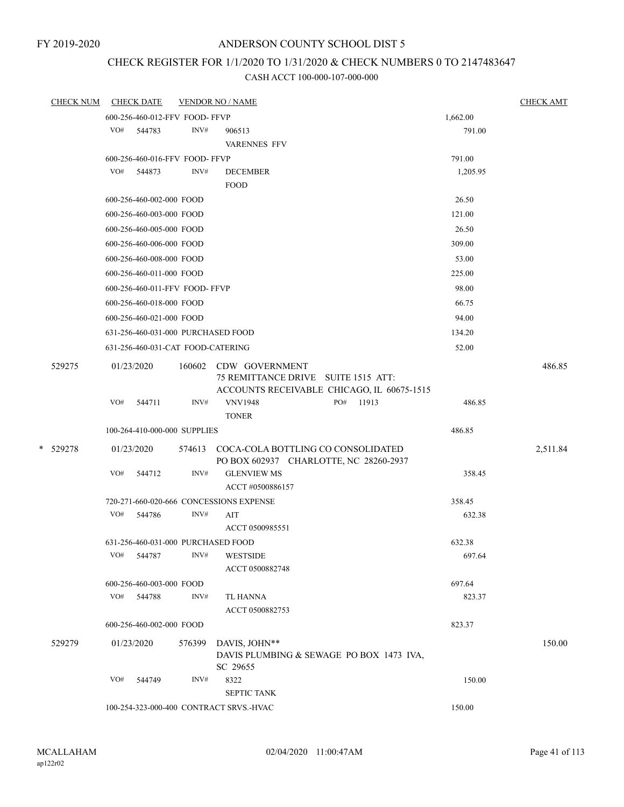## CHECK REGISTER FOR 1/1/2020 TO 1/31/2020 & CHECK NUMBERS 0 TO 2147483647

| <b>CHECK NUM</b> |     | CHECK DATE                         |        | <b>VENDOR NO / NAME</b>                                                                                    |          | <b>CHECK AMT</b> |
|------------------|-----|------------------------------------|--------|------------------------------------------------------------------------------------------------------------|----------|------------------|
|                  |     | 600-256-460-012-FFV FOOD-FFVP      |        |                                                                                                            | 1,662.00 |                  |
|                  |     | VO# 544783                         | INV#   | 906513                                                                                                     | 791.00   |                  |
|                  |     |                                    |        | <b>VARENNES FFV</b>                                                                                        |          |                  |
|                  |     | 600-256-460-016-FFV FOOD-FFVP      |        |                                                                                                            | 791.00   |                  |
|                  |     | VO# 544873                         | INV#   | <b>DECEMBER</b>                                                                                            | 1,205.95 |                  |
|                  |     |                                    |        | <b>FOOD</b>                                                                                                |          |                  |
|                  |     | 600-256-460-002-000 FOOD           |        |                                                                                                            | 26.50    |                  |
|                  |     | 600-256-460-003-000 FOOD           |        |                                                                                                            | 121.00   |                  |
|                  |     | 600-256-460-005-000 FOOD           |        |                                                                                                            | 26.50    |                  |
|                  |     | 600-256-460-006-000 FOOD           |        |                                                                                                            | 309.00   |                  |
|                  |     | 600-256-460-008-000 FOOD           |        |                                                                                                            | 53.00    |                  |
|                  |     | 600-256-460-011-000 FOOD           |        |                                                                                                            | 225.00   |                  |
|                  |     | 600-256-460-011-FFV FOOD- FFVP     |        |                                                                                                            | 98.00    |                  |
|                  |     | 600-256-460-018-000 FOOD           |        |                                                                                                            | 66.75    |                  |
|                  |     | 600-256-460-021-000 FOOD           |        |                                                                                                            | 94.00    |                  |
|                  |     | 631-256-460-031-000 PURCHASED FOOD |        |                                                                                                            | 134.20   |                  |
|                  |     | 631-256-460-031-CAT FOOD-CATERING  |        |                                                                                                            | 52.00    |                  |
| 529275           |     | 01/23/2020                         |        | 160602 CDW GOVERNMENT<br>75 REMITTANCE DRIVE SUITE 1515 ATT:<br>ACCOUNTS RECEIVABLE CHICAGO, IL 60675-1515 |          | 486.85           |
|                  | VO# | 544711                             | INV#   | <b>VNV1948</b><br>PO# 11913<br><b>TONER</b>                                                                | 486.85   |                  |
|                  |     | 100-264-410-000-000 SUPPLIES       |        |                                                                                                            | 486.85   |                  |
| * 529278         |     | 01/23/2020                         |        | 574613 COCA-COLA BOTTLING CO CONSOLIDATED<br>PO BOX 602937 CHARLOTTE, NC 28260-2937                        |          | 2,511.84         |
|                  | VO# | 544712                             | INV#   | <b>GLENVIEW MS</b><br>ACCT #0500886157                                                                     | 358.45   |                  |
|                  |     |                                    |        | 720-271-660-020-666 CONCESSIONS EXPENSE                                                                    | 358.45   |                  |
|                  | VO# | 544786                             | INV#   | AIT                                                                                                        | 632.38   |                  |
|                  |     |                                    |        | ACCT 0500985551                                                                                            |          |                  |
|                  |     | 631-256-460-031-000 PURCHASED FOOD |        |                                                                                                            | 632.38   |                  |
|                  |     | VO# 544787                         |        | INV# WESTSIDE                                                                                              | 697.64   |                  |
|                  |     |                                    |        | ACCT 0500882748                                                                                            |          |                  |
|                  |     | 600-256-460-003-000 FOOD           |        |                                                                                                            | 697.64   |                  |
|                  |     | VO# 544788                         | INV#   | <b>TL HANNA</b><br>ACCT 0500882753                                                                         | 823.37   |                  |
|                  |     | 600-256-460-002-000 FOOD           |        |                                                                                                            | 823.37   |                  |
| 529279           |     | 01/23/2020                         | 576399 | DAVIS, JOHN**<br>DAVIS PLUMBING & SEWAGE PO BOX 1473 IVA,<br>SC 29655                                      |          | 150.00           |
|                  | VO# | 544749                             | INV#   | 8322<br><b>SEPTIC TANK</b>                                                                                 | 150.00   |                  |
|                  |     |                                    |        | 100-254-323-000-400 CONTRACT SRVS.-HVAC                                                                    | 150.00   |                  |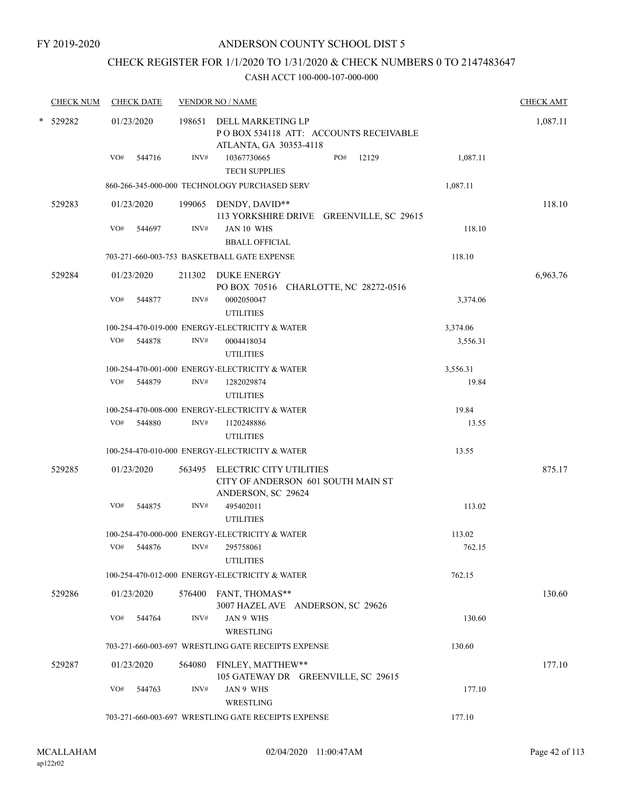## CHECK REGISTER FOR 1/1/2020 TO 1/31/2020 & CHECK NUMBERS 0 TO 2147483647

|  | <b>CHECK NUM</b> |     | <b>CHECK DATE</b> |        | <b>VENDOR NO / NAME</b>                                                                      |     |       |          | <b>CHECK AMT</b> |
|--|------------------|-----|-------------------|--------|----------------------------------------------------------------------------------------------|-----|-------|----------|------------------|
|  | * 529282         |     | 01/23/2020        |        | 198651 DELL MARKETING LP<br>PO BOX 534118 ATT: ACCOUNTS RECEIVABLE<br>ATLANTA, GA 30353-4118 |     |       |          | 1,087.11         |
|  |                  | VO# | 544716            | INV#   | 10367730665<br><b>TECH SUPPLIES</b>                                                          | PO# | 12129 | 1,087.11 |                  |
|  |                  |     |                   |        | 860-266-345-000-000 TECHNOLOGY PURCHASED SERV                                                |     |       | 1,087.11 |                  |
|  | 529283           |     | 01/23/2020        |        | 199065 DENDY, DAVID**<br>113 YORKSHIRE DRIVE GREENVILLE, SC 29615                            |     |       |          | 118.10           |
|  |                  | VO# | 544697            | INV#   | JAN 10 WHS<br><b>BBALL OFFICIAL</b>                                                          |     |       | 118.10   |                  |
|  |                  |     |                   |        | 703-271-660-003-753 BASKETBALL GATE EXPENSE                                                  |     |       | 118.10   |                  |
|  | 529284           |     | 01/23/2020        |        | 211302 DUKE ENERGY<br>PO BOX 70516 CHARLOTTE, NC 28272-0516                                  |     |       |          | 6,963.76         |
|  |                  | VO# | 544877            | INV#   | 0002050047<br><b>UTILITIES</b>                                                               |     |       | 3,374.06 |                  |
|  |                  |     |                   |        | 100-254-470-019-000 ENERGY-ELECTRICITY & WATER                                               |     |       | 3,374.06 |                  |
|  |                  | VO# | 544878            | INV#   | 0004418034<br><b>UTILITIES</b>                                                               |     |       | 3,556.31 |                  |
|  |                  |     |                   |        | 100-254-470-001-000 ENERGY-ELECTRICITY & WATER                                               |     |       | 3,556.31 |                  |
|  |                  | VO# | 544879            | INV#   | 1282029874<br><b>UTILITIES</b>                                                               |     |       | 19.84    |                  |
|  |                  |     |                   |        | 100-254-470-008-000 ENERGY-ELECTRICITY & WATER                                               |     |       | 19.84    |                  |
|  |                  | VO# | 544880            | INV#   | 1120248886<br><b>UTILITIES</b>                                                               |     |       | 13.55    |                  |
|  |                  |     |                   |        | 100-254-470-010-000 ENERGY-ELECTRICITY & WATER                                               |     |       | 13.55    |                  |
|  | 529285           |     | 01/23/2020        |        | 563495 ELECTRIC CITY UTILITIES<br>CITY OF ANDERSON 601 SOUTH MAIN ST<br>ANDERSON, SC 29624   |     |       |          | 875.17           |
|  |                  | VO# | 544875            | INV#   | 495402011<br><b>UTILITIES</b>                                                                |     |       | 113.02   |                  |
|  |                  |     |                   |        | 100-254-470-000-000 ENERGY-ELECTRICITY & WATER                                               |     |       | 113.02   |                  |
|  |                  | VO# | 544876            | INV#   | 295758061<br><b>UTILITIES</b>                                                                |     |       | 762.15   |                  |
|  |                  |     |                   |        | 100-254-470-012-000 ENERGY-ELECTRICITY & WATER                                               |     |       | 762.15   |                  |
|  | 529286           |     | 01/23/2020        |        | 576400 FANT, THOMAS**<br>3007 HAZEL AVE ANDERSON, SC 29626                                   |     |       |          | 130.60           |
|  |                  | VO# | 544764            | INV#   | JAN 9 WHS<br>WRESTLING                                                                       |     |       | 130.60   |                  |
|  |                  |     |                   |        | 703-271-660-003-697 WRESTLING GATE RECEIPTS EXPENSE                                          |     |       | 130.60   |                  |
|  | 529287           |     | 01/23/2020        | 564080 | FINLEY, MATTHEW**<br>105 GATEWAY DR GREENVILLE, SC 29615                                     |     |       |          | 177.10           |
|  |                  | VO# | 544763            | INV#   | JAN 9 WHS<br>WRESTLING                                                                       |     |       | 177.10   |                  |
|  |                  |     |                   |        | 703-271-660-003-697 WRESTLING GATE RECEIPTS EXPENSE                                          |     |       | 177.10   |                  |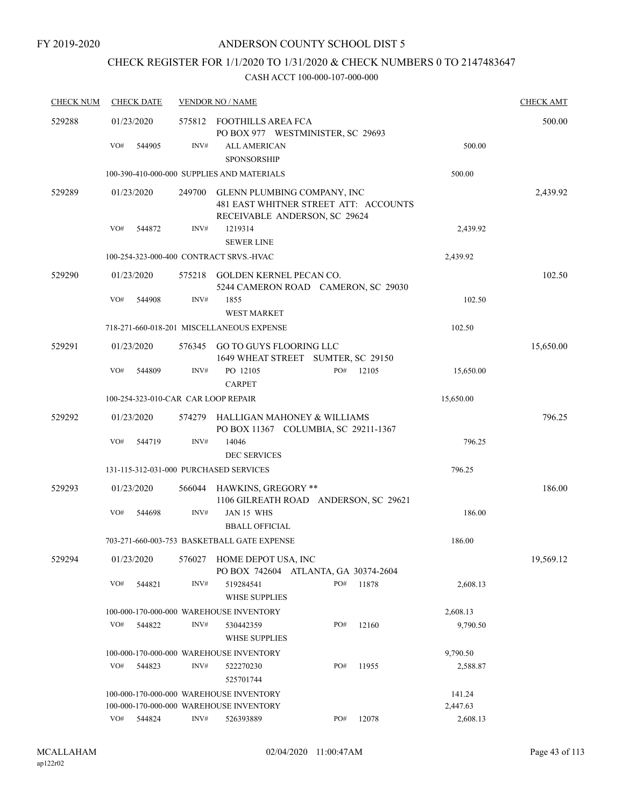## CHECK REGISTER FOR 1/1/2020 TO 1/31/2020 & CHECK NUMBERS 0 TO 2147483647

| <b>CHECK NUM</b> | <b>CHECK DATE</b><br><b>VENDOR NO / NAME</b> |        |                                                                                                       |     |        |           | <b>CHECK AMT</b> |
|------------------|----------------------------------------------|--------|-------------------------------------------------------------------------------------------------------|-----|--------|-----------|------------------|
| 529288           | 01/23/2020                                   |        | 575812 FOOTHILLS AREA FCA<br>PO BOX 977 WESTMINISTER, SC 29693                                        |     |        |           | 500.00           |
|                  | VO#<br>544905                                | INV#   | <b>ALL AMERICAN</b><br><b>SPONSORSHIP</b>                                                             |     |        | 500.00    |                  |
|                  |                                              |        | 100-390-410-000-000 SUPPLIES AND MATERIALS                                                            |     |        | 500.00    |                  |
| 529289           | 01/23/2020                                   | 249700 | GLENN PLUMBING COMPANY, INC<br>481 EAST WHITNER STREET ATT: ACCOUNTS<br>RECEIVABLE ANDERSON, SC 29624 |     |        |           | 2,439.92         |
|                  | VO#<br>544872                                | INV#   | 1219314<br><b>SEWER LINE</b>                                                                          |     |        | 2,439.92  |                  |
|                  | 100-254-323-000-400 CONTRACT SRVS.-HVAC      |        |                                                                                                       |     |        | 2,439.92  |                  |
| 529290           | 01/23/2020                                   |        | 575218 GOLDEN KERNEL PECAN CO.<br>5244 CAMERON ROAD CAMERON, SC 29030                                 |     |        |           | 102.50           |
|                  | VO#<br>544908                                | INV#   | 1855<br><b>WEST MARKET</b>                                                                            |     |        | 102.50    |                  |
|                  |                                              |        | 718-271-660-018-201 MISCELLANEOUS EXPENSE                                                             |     |        | 102.50    |                  |
| 529291           | 01/23/2020                                   |        | 576345 GO TO GUYS FLOORING LLC<br>1649 WHEAT STREET SUMTER, SC 29150                                  |     |        |           | 15,650.00        |
|                  | VO#<br>544809                                | INV#   | PO 12105<br><b>CARPET</b>                                                                             | PO# | 12105  | 15,650.00 |                  |
|                  | 100-254-323-010-CAR CAR LOOP REPAIR          |        |                                                                                                       |     |        | 15,650.00 |                  |
| 529292           | 01/23/2020                                   | 574279 | HALLIGAN MAHONEY & WILLIAMS<br>PO BOX 11367 COLUMBIA, SC 29211-1367                                   |     |        |           | 796.25           |
|                  | VO#<br>544719                                | INV#   | 14046<br><b>DEC SERVICES</b>                                                                          |     |        | 796.25    |                  |
|                  | 131-115-312-031-000 PURCHASED SERVICES       |        |                                                                                                       |     |        | 796.25    |                  |
| 529293           | 01/23/2020                                   |        | 566044 HAWKINS, GREGORY **<br>1106 GILREATH ROAD ANDERSON, SC 29621                                   |     |        |           | 186.00           |
|                  | VO#<br>544698                                | INV#   | JAN 15 WHS<br><b>BBALL OFFICIAL</b>                                                                   |     |        | 186.00    |                  |
|                  |                                              |        | 703-271-660-003-753 BASKETBALL GATE EXPENSE                                                           |     |        | 186.00    |                  |
| 529294           | 01/23/2020                                   | 576027 | HOME DEPOT USA, INC<br>PO BOX 742604 ATLANTA, GA 30374-2604                                           |     |        |           | 19,569.12        |
|                  | VO#<br>544821                                | INV#   | 519284541<br><b>WHSE SUPPLIES</b>                                                                     | PO# | 11878  | 2,608.13  |                  |
|                  |                                              |        | 100-000-170-000-000 WAREHOUSE INVENTORY                                                               |     |        | 2,608.13  |                  |
|                  | VO#<br>544822                                | INV#   | 530442359<br><b>WHSE SUPPLIES</b>                                                                     | PO# | 12160  | 9,790.50  |                  |
|                  |                                              |        | 100-000-170-000-000 WAREHOUSE INVENTORY                                                               |     |        | 9,790.50  |                  |
|                  | VO#<br>544823                                | INV#   | 522270230<br>525701744                                                                                | PO# | 11955  | 2,588.87  |                  |
|                  |                                              |        | 100-000-170-000-000 WAREHOUSE INVENTORY                                                               |     | 141.24 |           |                  |
|                  |                                              |        | 100-000-170-000-000 WAREHOUSE INVENTORY                                                               |     |        | 2,447.63  |                  |
|                  | VO#<br>544824                                | INV#   | 526393889                                                                                             | PO# | 12078  | 2,608.13  |                  |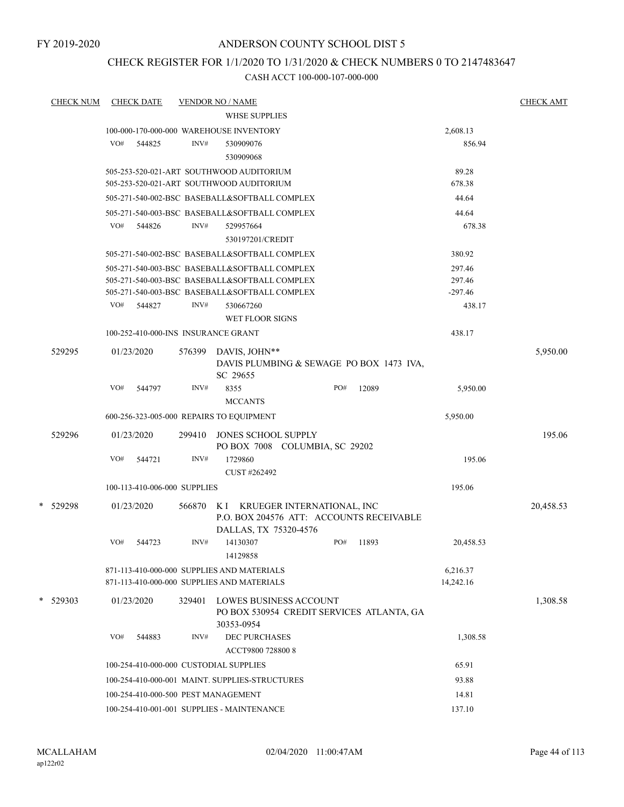## CHECK REGISTER FOR 1/1/2020 TO 1/31/2020 & CHECK NUMBERS 0 TO 2147483647

| <b>CHECK NUM</b> |     | <b>CHECK DATE</b>                   |        | <b>VENDOR NO / NAME</b>                                                                        |     |       |                       |           | <b>CHECK AMT</b> |
|------------------|-----|-------------------------------------|--------|------------------------------------------------------------------------------------------------|-----|-------|-----------------------|-----------|------------------|
|                  |     |                                     |        | <b>WHSE SUPPLIES</b>                                                                           |     |       |                       |           |                  |
|                  |     |                                     |        | 100-000-170-000-000 WAREHOUSE INVENTORY                                                        |     |       | 2,608.13              |           |                  |
|                  | VO# | 544825                              | INV#   | 530909076                                                                                      |     |       |                       | 856.94    |                  |
|                  |     |                                     |        | 530909068                                                                                      |     |       |                       |           |                  |
|                  |     |                                     |        | 505-253-520-021-ART SOUTHWOOD AUDITORIUM<br>505-253-520-021-ART SOUTHWOOD AUDITORIUM           |     |       | 89.28<br>678.38       |           |                  |
|                  |     |                                     |        | 505-271-540-002-BSC BASEBALL&SOFTBALL COMPLEX                                                  |     |       | 44.64                 |           |                  |
|                  |     |                                     |        |                                                                                                |     |       |                       |           |                  |
|                  | VO# | 544826                              | INV#   | 505-271-540-003-BSC BASEBALL&SOFTBALL COMPLEX<br>529957664                                     |     |       | 44.64                 | 678.38    |                  |
|                  |     |                                     |        | 530197201/CREDIT                                                                               |     |       |                       |           |                  |
|                  |     |                                     |        |                                                                                                |     |       |                       |           |                  |
|                  |     |                                     |        | 505-271-540-002-BSC BASEBALL&SOFTBALL COMPLEX                                                  |     |       | 380.92                |           |                  |
|                  |     |                                     |        | 505-271-540-003-BSC BASEBALL&SOFTBALL COMPLEX<br>505-271-540-003-BSC BASEBALL&SOFTBALL COMPLEX |     |       | 297.46<br>297.46      |           |                  |
|                  |     |                                     |        | 505-271-540-003-BSC BASEBALL&SOFTBALL COMPLEX                                                  |     |       | $-297.46$             |           |                  |
|                  | VO# | 544827                              | INV#   | 530667260                                                                                      |     |       |                       | 438.17    |                  |
|                  |     |                                     |        | WET FLOOR SIGNS                                                                                |     |       |                       |           |                  |
|                  |     | 100-252-410-000-INS INSURANCE GRANT |        |                                                                                                |     |       | 438.17                |           |                  |
|                  |     |                                     |        |                                                                                                |     |       |                       |           |                  |
| 529295           |     | 01/23/2020                          | 576399 | DAVIS, JOHN**<br>DAVIS PLUMBING & SEWAGE PO BOX 1473 IVA,                                      |     |       |                       |           | 5,950.00         |
|                  |     |                                     |        | SC 29655                                                                                       |     |       |                       |           |                  |
|                  | VO# | 544797                              | INV#   | 8355                                                                                           | PO# | 12089 |                       | 5,950.00  |                  |
|                  |     |                                     |        | <b>MCCANTS</b>                                                                                 |     |       |                       |           |                  |
|                  |     |                                     |        | 600-256-323-005-000 REPAIRS TO EQUIPMENT                                                       |     |       | 5,950.00              |           |                  |
| 529296           |     | 01/23/2020                          | 299410 | JONES SCHOOL SUPPLY                                                                            |     |       |                       |           | 195.06           |
|                  |     |                                     |        | PO BOX 7008 COLUMBIA, SC 29202                                                                 |     |       |                       |           |                  |
|                  | VO# | 544721                              | INV#   | 1729860                                                                                        |     |       |                       | 195.06    |                  |
|                  |     |                                     |        | CUST #262492                                                                                   |     |       |                       |           |                  |
|                  |     | 100-113-410-006-000 SUPPLIES        |        |                                                                                                |     |       | 195.06                |           |                  |
| * 529298         |     | 01/23/2020                          | 566870 | K I KRUEGER INTERNATIONAL, INC                                                                 |     |       |                       |           | 20,458.53        |
|                  |     |                                     |        | P.O. BOX 204576 ATT: ACCOUNTS RECEIVABLE                                                       |     |       |                       |           |                  |
|                  |     |                                     |        | DALLAS, TX 75320-4576                                                                          |     |       |                       |           |                  |
|                  | VO# | 544723                              | INV#   | 14130307<br>14129858                                                                           | PO# | 11893 |                       | 20,458.53 |                  |
|                  |     |                                     |        |                                                                                                |     |       |                       |           |                  |
|                  |     |                                     |        | 871-113-410-000-000 SUPPLIES AND MATERIALS<br>871-113-410-000-000 SUPPLIES AND MATERIALS       |     |       | 6,216.37<br>14,242.16 |           |                  |
|                  |     |                                     |        |                                                                                                |     |       |                       |           |                  |
| $*$ 529303       |     | 01/23/2020                          | 329401 | <b>LOWES BUSINESS ACCOUNT</b>                                                                  |     |       |                       |           | 1,308.58         |
|                  |     |                                     |        | PO BOX 530954 CREDIT SERVICES ATLANTA, GA<br>30353-0954                                        |     |       |                       |           |                  |
|                  | VO# | 544883                              | INV#   | <b>DEC PURCHASES</b>                                                                           |     |       |                       | 1,308.58  |                  |
|                  |     |                                     |        | ACCT9800 728800 8                                                                              |     |       |                       |           |                  |
|                  |     |                                     |        | 100-254-410-000-000 CUSTODIAL SUPPLIES                                                         |     |       | 65.91                 |           |                  |
|                  |     |                                     |        | 100-254-410-000-001 MAINT. SUPPLIES-STRUCTURES                                                 |     |       | 93.88                 |           |                  |
|                  |     |                                     |        |                                                                                                |     |       | 14.81                 |           |                  |
|                  |     |                                     |        | 100-254-410-000-500 PEST MANAGEMENT                                                            |     |       |                       |           |                  |
|                  |     |                                     |        | 100-254-410-001-001 SUPPLIES - MAINTENANCE                                                     |     |       | 137.10                |           |                  |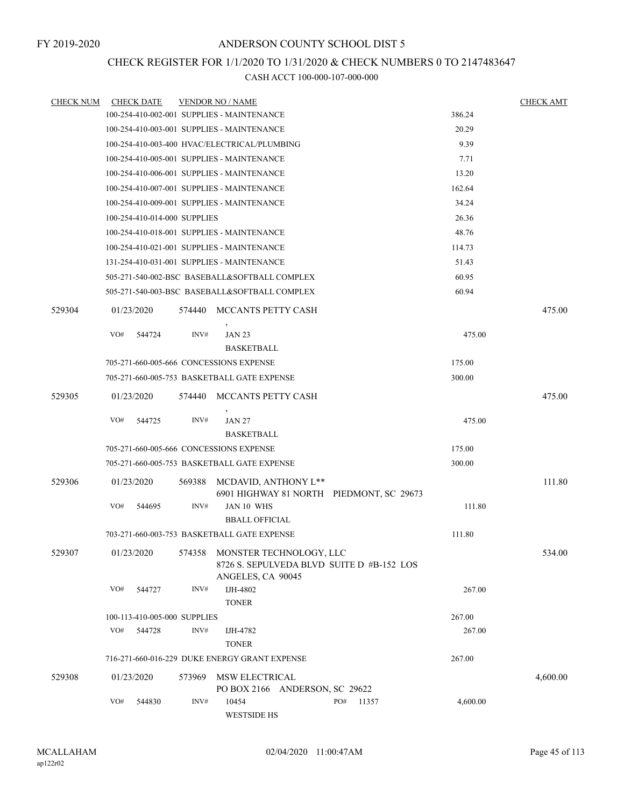## CHECK REGISTER FOR 1/1/2020 TO 1/31/2020 & CHECK NUMBERS 0 TO 2147483647

| <b>CHECK NUM</b> |     | <b>CHECK DATE</b>            |        | <b>VENDOR NO / NAME</b>                                                                                     |              |          | <b>CHECK AMT</b> |
|------------------|-----|------------------------------|--------|-------------------------------------------------------------------------------------------------------------|--------------|----------|------------------|
|                  |     |                              |        | 100-254-410-002-001 SUPPLIES - MAINTENANCE                                                                  |              | 386.24   |                  |
|                  |     |                              |        | 100-254-410-003-001 SUPPLIES - MAINTENANCE                                                                  |              | 20.29    |                  |
|                  |     |                              |        | 100-254-410-003-400 HVAC/ELECTRICAL/PLUMBING                                                                |              | 9.39     |                  |
|                  |     |                              |        | 100-254-410-005-001 SUPPLIES - MAINTENANCE                                                                  |              | 7.71     |                  |
|                  |     |                              |        | 100-254-410-006-001 SUPPLIES - MAINTENANCE                                                                  |              | 13.20    |                  |
|                  |     |                              |        | 100-254-410-007-001 SUPPLIES - MAINTENANCE                                                                  |              | 162.64   |                  |
|                  |     |                              |        | 100-254-410-009-001 SUPPLIES - MAINTENANCE                                                                  |              | 34.24    |                  |
|                  |     | 100-254-410-014-000 SUPPLIES |        |                                                                                                             |              | 26.36    |                  |
|                  |     |                              |        | 100-254-410-018-001 SUPPLIES - MAINTENANCE                                                                  |              | 48.76    |                  |
|                  |     |                              |        | 100-254-410-021-001 SUPPLIES - MAINTENANCE                                                                  |              | 114.73   |                  |
|                  |     |                              |        | 131-254-410-031-001 SUPPLIES - MAINTENANCE                                                                  |              | 51.43    |                  |
|                  |     |                              |        | 505-271-540-002-BSC BASEBALL&SOFTBALL COMPLEX                                                               |              | 60.95    |                  |
|                  |     |                              |        | 505-271-540-003-BSC BASEBALL&SOFTBALL COMPLEX                                                               |              | 60.94    |                  |
| 529304           |     | 01/23/2020                   |        | 574440 MCCANTS PETTY CASH                                                                                   |              |          | 475.00           |
|                  | VO# | 544724                       | INV#   | <b>JAN 23</b>                                                                                               |              | 475.00   |                  |
|                  |     |                              |        | <b>BASKETBALL</b>                                                                                           |              |          |                  |
|                  |     |                              |        | 705-271-660-005-666 CONCESSIONS EXPENSE                                                                     |              | 175.00   |                  |
|                  |     |                              |        | 705-271-660-005-753 BASKETBALL GATE EXPENSE                                                                 |              | 300.00   |                  |
| 529305           |     | 01/23/2020                   | 574440 | MCCANTS PETTY CASH                                                                                          |              |          | 475.00           |
|                  | VO# | 544725                       | INV#   | <b>JAN 27</b>                                                                                               |              | 475.00   |                  |
|                  |     |                              |        | <b>BASKETBALL</b>                                                                                           |              |          |                  |
|                  |     |                              |        | 705-271-660-005-666 CONCESSIONS EXPENSE                                                                     |              | 175.00   |                  |
|                  |     |                              |        | 705-271-660-005-753 BASKETBALL GATE EXPENSE                                                                 |              | 300.00   |                  |
| 529306           |     | 01/23/2020                   | 569388 | MCDAVID, ANTHONY L**<br>6901 HIGHWAY 81 NORTH PIEDMONT, SC 29673                                            |              |          | 111.80           |
|                  | VO# | 544695                       | INV#   | JAN 10 WHS<br><b>BBALL OFFICIAL</b>                                                                         |              | 111.80   |                  |
|                  |     |                              |        | 703-271-660-003-753 BASKETBALL GATE EXPENSE                                                                 |              | 111.80   |                  |
|                  |     |                              |        |                                                                                                             |              |          |                  |
| 529307           |     |                              |        | 01/23/2020 574358 MONSTER TECHNOLOGY, LLC<br>8726 S. SEPULVEDA BLVD SUITE D #B-152 LOS<br>ANGELES, CA 90045 |              |          | 534.00           |
|                  | VO# | 544727                       | INV#   | IJH-4802<br><b>TONER</b>                                                                                    |              | 267.00   |                  |
|                  |     | 100-113-410-005-000 SUPPLIES |        |                                                                                                             |              | 267.00   |                  |
|                  | VO# | 544728                       | INV#   | IJH-4782                                                                                                    |              | 267.00   |                  |
|                  |     |                              |        | <b>TONER</b>                                                                                                |              |          |                  |
|                  |     |                              |        | 716-271-660-016-229 DUKE ENERGY GRANT EXPENSE                                                               |              | 267.00   |                  |
| 529308           |     | 01/23/2020                   | 573969 | MSW ELECTRICAL<br>PO BOX 2166 ANDERSON, SC 29622                                                            |              |          | 4,600.00         |
|                  | VO# | 544830                       | INV#   | 10454<br><b>WESTSIDE HS</b>                                                                                 | PO#<br>11357 | 4,600.00 |                  |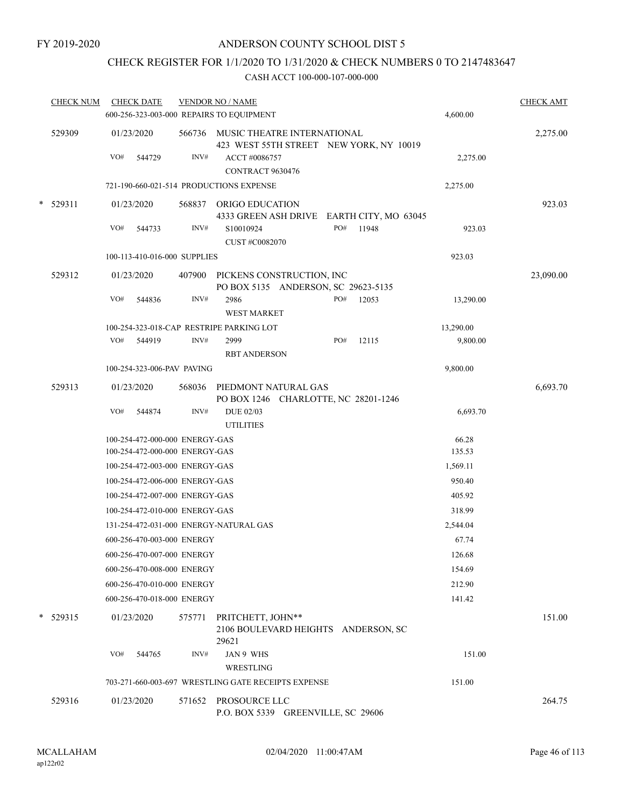## CHECK REGISTER FOR 1/1/2020 TO 1/31/2020 & CHECK NUMBERS 0 TO 2147483647

| <b>CHECK NUM</b> | <b>CHECK DATE</b> |                                                                  | <b>VENDOR NO / NAME</b><br>600-256-323-003-000 REPAIRS TO EQUIPMENT |     |                                           | 4,600.00        | <b>CHECK AMT</b> |
|------------------|-------------------|------------------------------------------------------------------|---------------------------------------------------------------------|-----|-------------------------------------------|-----------------|------------------|
| 529309           | 01/23/2020        |                                                                  | 566736 MUSIC THEATRE INTERNATIONAL                                  |     |                                           |                 | 2,275.00         |
|                  |                   |                                                                  |                                                                     |     | 423 WEST 55TH STREET NEW YORK, NY 10019   |                 |                  |
|                  | VO#<br>544729     | INV#                                                             | ACCT#0086757                                                        |     |                                           | 2,275.00        |                  |
|                  |                   |                                                                  | CONTRACT 9630476                                                    |     |                                           |                 |                  |
|                  |                   |                                                                  | 721-190-660-021-514 PRODUCTIONS EXPENSE                             |     |                                           | 2,275.00        |                  |
| $*$ 529311       | 01/23/2020        | 568837                                                           | ORIGO EDUCATION                                                     |     |                                           |                 | 923.03           |
|                  |                   |                                                                  |                                                                     |     | 4333 GREEN ASH DRIVE EARTH CITY, MO 63045 |                 |                  |
|                  | VO#<br>544733     | INV#                                                             | S10010924                                                           | PO# | 11948                                     | 923.03          |                  |
|                  |                   |                                                                  | <b>CUST #C0082070</b>                                               |     |                                           | 923.03          |                  |
|                  |                   | 100-113-410-016-000 SUPPLIES                                     |                                                                     |     |                                           |                 |                  |
| 529312           | 01/23/2020        |                                                                  | 407900 PICKENS CONSTRUCTION, INC                                    |     |                                           |                 | 23,090.00        |
|                  | VO#<br>544836     | INV#                                                             | PO BOX 5135 ANDERSON, SC 29623-5135<br>2986                         | PO# | 12053                                     | 13,290.00       |                  |
|                  |                   |                                                                  | <b>WEST MARKET</b>                                                  |     |                                           |                 |                  |
|                  |                   |                                                                  | 100-254-323-018-CAP RESTRIPE PARKING LOT                            |     |                                           | 13,290.00       |                  |
|                  | VO# 544919        | INV#                                                             | 2999                                                                | PO# | 12115                                     | 9,800.00        |                  |
|                  |                   |                                                                  | <b>RBT ANDERSON</b>                                                 |     |                                           |                 |                  |
|                  |                   | 100-254-323-006-PAV PAVING                                       |                                                                     |     |                                           | 9,800.00        |                  |
| 529313           | 01/23/2020        | 568036                                                           | PIEDMONT NATURAL GAS                                                |     |                                           |                 | 6,693.70         |
|                  |                   |                                                                  | PO BOX 1246 CHARLOTTE, NC 28201-1246                                |     |                                           |                 |                  |
|                  | VO#<br>544874     | INV#                                                             | <b>DUE 02/03</b>                                                    |     |                                           | 6,693.70        |                  |
|                  |                   |                                                                  | <b>UTILITIES</b>                                                    |     |                                           |                 |                  |
|                  |                   | 100-254-472-000-000 ENERGY-GAS<br>100-254-472-000-000 ENERGY-GAS |                                                                     |     |                                           | 66.28<br>135.53 |                  |
|                  |                   | 100-254-472-003-000 ENERGY-GAS                                   |                                                                     |     |                                           | 1,569.11        |                  |
|                  |                   | 100-254-472-006-000 ENERGY-GAS                                   |                                                                     |     |                                           | 950.40          |                  |
|                  |                   | 100-254-472-007-000 ENERGY-GAS                                   |                                                                     |     |                                           | 405.92          |                  |
|                  |                   | 100-254-472-010-000 ENERGY-GAS                                   |                                                                     |     |                                           | 318.99          |                  |
|                  |                   |                                                                  | 131-254-472-031-000 ENERGY-NATURAL GAS                              |     |                                           | 2,544.04        |                  |
|                  |                   | 600-256-470-003-000 ENERGY                                       |                                                                     |     |                                           | 67.74           |                  |
|                  |                   | 600-256-470-007-000 ENERGY                                       |                                                                     |     |                                           | 126.68          |                  |
|                  |                   | 600-256-470-008-000 ENERGY                                       |                                                                     |     |                                           | 154.69          |                  |
|                  |                   | 600-256-470-010-000 ENERGY                                       |                                                                     |     |                                           | 212.90          |                  |
|                  |                   | 600-256-470-018-000 ENERGY                                       |                                                                     |     |                                           | 141.42          |                  |
| $* 529315$       | 01/23/2020        | 575771                                                           | PRITCHETT, JOHN**<br>2106 BOULEVARD HEIGHTS ANDERSON, SC<br>29621   |     |                                           |                 | 151.00           |
|                  | VO#<br>544765     | INV#                                                             | JAN 9 WHS                                                           |     |                                           | 151.00          |                  |
|                  |                   |                                                                  | WRESTLING<br>703-271-660-003-697 WRESTLING GATE RECEIPTS EXPENSE    |     |                                           | 151.00          |                  |
|                  |                   |                                                                  |                                                                     |     |                                           |                 |                  |
| 529316           | 01/23/2020        | 571652                                                           | PROSOURCE LLC<br>P.O. BOX 5339 GREENVILLE, SC 29606                 |     |                                           |                 | 264.75           |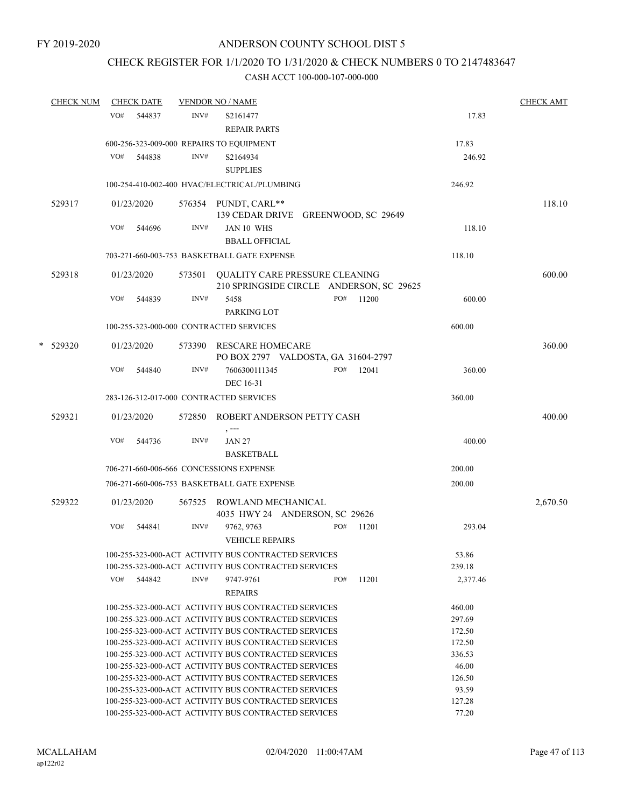## CHECK REGISTER FOR 1/1/2020 TO 1/31/2020 & CHECK NUMBERS 0 TO 2147483647

| CHECK NUM |     | <b>CHECK DATE</b> |        | <b>VENDOR NO / NAME</b>                                                           |     |       |                 | CHECK AMT |
|-----------|-----|-------------------|--------|-----------------------------------------------------------------------------------|-----|-------|-----------------|-----------|
|           | VO# | 544837            | INV#   | S2161477                                                                          |     |       | 17.83           |           |
|           |     |                   |        | <b>REPAIR PARTS</b>                                                               |     |       |                 |           |
|           |     |                   |        | 600-256-323-009-000 REPAIRS TO EQUIPMENT                                          |     |       | 17.83           |           |
|           | VO# | 544838            | INV#   | S2164934                                                                          |     |       | 246.92          |           |
|           |     |                   |        | <b>SUPPLIES</b>                                                                   |     |       |                 |           |
|           |     |                   |        | 100-254-410-002-400 HVAC/ELECTRICAL/PLUMBING                                      |     |       | 246.92          |           |
| 529317    |     | 01/23/2020        |        | 576354 PUNDT, CARL**                                                              |     |       |                 | 118.10    |
|           |     |                   |        | 139 CEDAR DRIVE GREENWOOD, SC 29649                                               |     |       |                 |           |
|           | VO# | 544696            | INV#   | <b>JAN 10 WHS</b>                                                                 |     |       | 118.10          |           |
|           |     |                   |        | <b>BBALL OFFICIAL</b>                                                             |     |       |                 |           |
|           |     |                   |        | 703-271-660-003-753 BASKETBALL GATE EXPENSE                                       |     |       | 118.10          |           |
|           |     |                   |        |                                                                                   |     |       |                 |           |
| 529318    |     | 01/23/2020        |        | 573501 QUALITY CARE PRESSURE CLEANING<br>210 SPRINGSIDE CIRCLE ANDERSON, SC 29625 |     |       |                 | 600.00    |
|           | VO# | 544839            | INV#   | 5458                                                                              | PO# | 11200 | 600.00          |           |
|           |     |                   |        | PARKING LOT                                                                       |     |       |                 |           |
|           |     |                   |        |                                                                                   |     |       |                 |           |
|           |     |                   |        | 100-255-323-000-000 CONTRACTED SERVICES                                           |     |       | 600.00          |           |
| * 529320  |     | 01/23/2020        |        | 573390 RESCARE HOMECARE                                                           |     |       |                 | 360.00    |
|           |     |                   |        | PO BOX 2797 VALDOSTA, GA 31604-2797                                               |     |       |                 |           |
|           | VO# | 544840            | INV#   | 7606300111345                                                                     | PO# | 12041 | 360.00          |           |
|           |     |                   |        | DEC 16-31                                                                         |     |       |                 |           |
|           |     |                   |        | 283-126-312-017-000 CONTRACTED SERVICES                                           |     |       | 360.00          |           |
| 529321    |     | 01/23/2020        | 572850 | ROBERT ANDERSON PETTY CASH                                                        |     |       |                 | 400.00    |
|           |     |                   |        | $, --$                                                                            |     |       |                 |           |
|           | VO# | 544736            | INV#   | <b>JAN 27</b>                                                                     |     |       | 400.00          |           |
|           |     |                   |        | <b>BASKETBALL</b>                                                                 |     |       |                 |           |
|           |     |                   |        | 706-271-660-006-666 CONCESSIONS EXPENSE                                           |     |       | 200.00          |           |
|           |     |                   |        | 706-271-660-006-753 BASKETBALL GATE EXPENSE                                       |     |       | 200.00          |           |
| 529322    |     | 01/23/2020        |        | 567525 ROWLAND MECHANICAL                                                         |     |       |                 | 2,670.50  |
|           |     |                   |        | 4035 HWY 24 ANDERSON, SC 29626                                                    |     |       |                 |           |
|           | VO# | 544841            | INV#   | 9762, 9763                                                                        | PO# | 11201 | 293.04          |           |
|           |     |                   |        | <b>VEHICLE REPAIRS</b>                                                            |     |       |                 |           |
|           |     |                   |        | 100-255-323-000-ACT ACTIVITY BUS CONTRACTED SERVICES                              |     |       |                 |           |
|           |     |                   |        | 100-255-323-000-ACT ACTIVITY BUS CONTRACTED SERVICES                              |     |       | 53.86<br>239.18 |           |
|           | VO# | 544842            | INV#   | 9747-9761                                                                         | PO# | 11201 | 2,377.46        |           |
|           |     |                   |        | <b>REPAIRS</b>                                                                    |     |       |                 |           |
|           |     |                   |        | 100-255-323-000-ACT ACTIVITY BUS CONTRACTED SERVICES                              |     |       | 460.00          |           |
|           |     |                   |        | 100-255-323-000-ACT ACTIVITY BUS CONTRACTED SERVICES                              |     |       | 297.69          |           |
|           |     |                   |        | 100-255-323-000-ACT ACTIVITY BUS CONTRACTED SERVICES                              |     |       | 172.50          |           |
|           |     |                   |        | 100-255-323-000-ACT ACTIVITY BUS CONTRACTED SERVICES                              |     |       | 172.50          |           |
|           |     |                   |        | 100-255-323-000-ACT ACTIVITY BUS CONTRACTED SERVICES                              |     |       | 336.53          |           |
|           |     |                   |        | 100-255-323-000-ACT ACTIVITY BUS CONTRACTED SERVICES                              |     |       | 46.00           |           |
|           |     |                   |        | 100-255-323-000-ACT ACTIVITY BUS CONTRACTED SERVICES                              |     |       | 126.50          |           |
|           |     |                   |        | 100-255-323-000-ACT ACTIVITY BUS CONTRACTED SERVICES                              |     |       | 93.59           |           |
|           |     |                   |        | 100-255-323-000-ACT ACTIVITY BUS CONTRACTED SERVICES                              |     |       | 127.28          |           |
|           |     |                   |        | 100-255-323-000-ACT ACTIVITY BUS CONTRACTED SERVICES                              |     |       | 77.20           |           |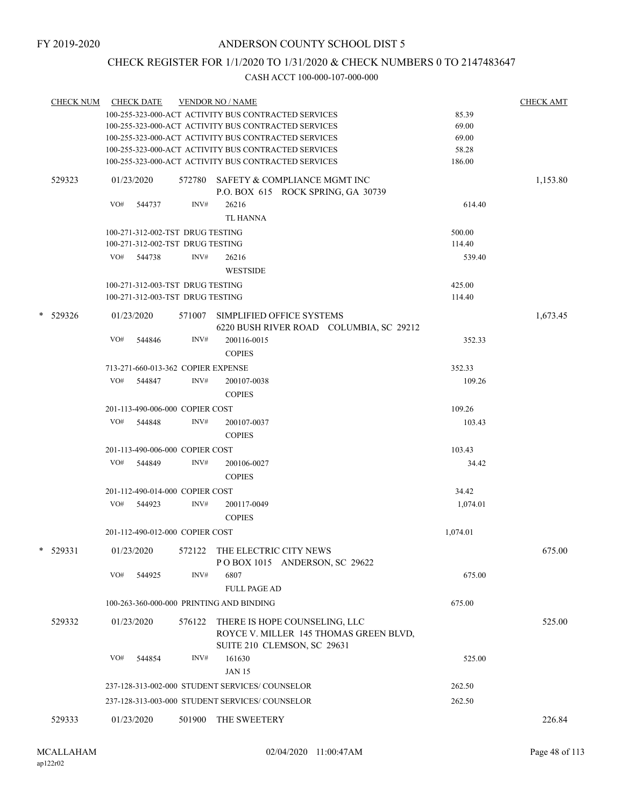## CHECK REGISTER FOR 1/1/2020 TO 1/31/2020 & CHECK NUMBERS 0 TO 2147483647

| <b>CHECK NUM</b> |     | <b>CHECK DATE</b>                                                    |                                                      | <b>VENDOR NO / NAME</b>                                                   |                  | <b>CHECK AMT</b> |  |
|------------------|-----|----------------------------------------------------------------------|------------------------------------------------------|---------------------------------------------------------------------------|------------------|------------------|--|
|                  |     |                                                                      | 100-255-323-000-ACT ACTIVITY BUS CONTRACTED SERVICES | 85.39                                                                     |                  |                  |  |
|                  |     |                                                                      |                                                      | 100-255-323-000-ACT ACTIVITY BUS CONTRACTED SERVICES                      | 69.00            |                  |  |
|                  |     |                                                                      |                                                      | 100-255-323-000-ACT ACTIVITY BUS CONTRACTED SERVICES                      | 69.00            |                  |  |
|                  |     |                                                                      |                                                      | 100-255-323-000-ACT ACTIVITY BUS CONTRACTED SERVICES                      | 58.28            |                  |  |
|                  |     |                                                                      |                                                      | 100-255-323-000-ACT ACTIVITY BUS CONTRACTED SERVICES                      | 186.00           |                  |  |
| 529323           |     | 01/23/2020                                                           |                                                      | 572780 SAFETY & COMPLIANCE MGMT INC<br>P.O. BOX 615 ROCK SPRING, GA 30739 |                  | 1,153.80         |  |
|                  | VO# | 544737                                                               | INV#                                                 | 26216<br><b>TL HANNA</b>                                                  | 614.40           |                  |  |
|                  |     |                                                                      |                                                      |                                                                           |                  |                  |  |
|                  |     | 100-271-312-002-TST DRUG TESTING<br>100-271-312-002-TST DRUG TESTING |                                                      |                                                                           | 500.00<br>114.40 |                  |  |
|                  | VO# | 544738                                                               | INV#                                                 | 26216                                                                     | 539.40           |                  |  |
|                  |     |                                                                      |                                                      | <b>WESTSIDE</b>                                                           |                  |                  |  |
|                  |     |                                                                      |                                                      |                                                                           |                  |                  |  |
|                  |     | 100-271-312-003-TST DRUG TESTING                                     |                                                      |                                                                           | 425.00           |                  |  |
|                  |     | 100-271-312-003-TST DRUG TESTING                                     |                                                      |                                                                           | 114.40           |                  |  |
| * 529326         |     | 01/23/2020                                                           | 571007                                               | SIMPLIFIED OFFICE SYSTEMS<br>6220 BUSH RIVER ROAD COLUMBIA, SC 29212      |                  | 1,673.45         |  |
|                  | VO# | 544846                                                               | INV#                                                 | 200116-0015                                                               | 352.33           |                  |  |
|                  |     |                                                                      |                                                      | <b>COPIES</b>                                                             |                  |                  |  |
|                  |     | 713-271-660-013-362 COPIER EXPENSE                                   |                                                      |                                                                           | 352.33           |                  |  |
|                  | VO# | 544847                                                               | INV#                                                 | 200107-0038                                                               | 109.26           |                  |  |
|                  |     |                                                                      |                                                      | <b>COPIES</b>                                                             |                  |                  |  |
|                  |     | 201-113-490-006-000 COPIER COST                                      |                                                      |                                                                           | 109.26           | 103.43<br>34.42  |  |
|                  | VO# | 544848                                                               | INV#                                                 | 200107-0037                                                               |                  |                  |  |
|                  |     |                                                                      |                                                      | <b>COPIES</b>                                                             |                  |                  |  |
|                  |     | 201-113-490-006-000 COPIER COST                                      |                                                      |                                                                           | 103.43           |                  |  |
|                  |     | VO# 544849                                                           | INV#                                                 | 200106-0027<br><b>COPIES</b>                                              |                  |                  |  |
|                  |     | 201-112-490-014-000 COPIER COST                                      |                                                      |                                                                           | 34.42            |                  |  |
|                  | VO# | 544923                                                               | INV#                                                 | 200117-0049                                                               | 1,074.01         |                  |  |
|                  |     |                                                                      |                                                      | <b>COPIES</b>                                                             |                  |                  |  |
|                  |     | 201-112-490-012-000 COPIER COST                                      |                                                      |                                                                           | 1,074.01         |                  |  |
| * 529331         |     | 01/23/2020                                                           |                                                      | 572122 THE ELECTRIC CITY NEWS<br>POBOX 1015 ANDERSON, SC 29622            |                  | 675.00           |  |
|                  | VO# | 544925                                                               | INV#                                                 | 6807<br><b>FULL PAGE AD</b>                                               | 675.00           |                  |  |
|                  |     |                                                                      |                                                      | 100-263-360-000-000 PRINTING AND BINDING                                  | 675.00           |                  |  |
|                  |     |                                                                      |                                                      |                                                                           |                  |                  |  |
| 529332           |     | 01/23/2020                                                           | 576122                                               | THERE IS HOPE COUNSELING, LLC<br>ROYCE V. MILLER 145 THOMAS GREEN BLVD,   |                  | 525.00           |  |
|                  |     |                                                                      |                                                      | SUITE 210 CLEMSON, SC 29631                                               |                  |                  |  |
|                  | VO# | 544854                                                               | INV#                                                 | 161630                                                                    | 525.00           |                  |  |
|                  |     |                                                                      |                                                      | <b>JAN 15</b>                                                             |                  |                  |  |
|                  |     |                                                                      |                                                      | 237-128-313-002-000 STUDENT SERVICES/ COUNSELOR                           | 262.50           |                  |  |
|                  |     |                                                                      |                                                      | 237-128-313-003-000 STUDENT SERVICES/COUNSELOR                            | 262.50           |                  |  |
| 529333           |     | 01/23/2020                                                           | 501900                                               | THE SWEETERY                                                              |                  | 226.84           |  |
|                  |     |                                                                      |                                                      |                                                                           |                  |                  |  |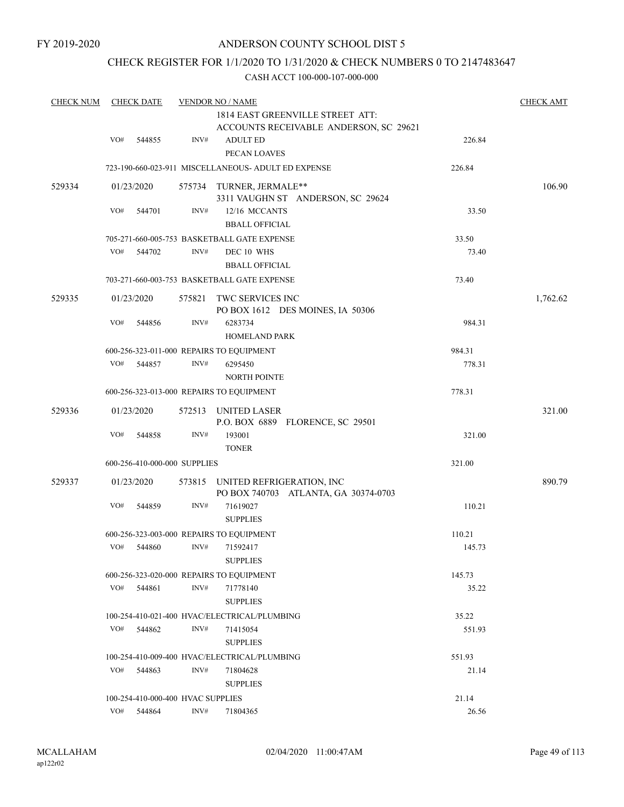## CHECK REGISTER FOR 1/1/2020 TO 1/31/2020 & CHECK NUMBERS 0 TO 2147483647

| <b>CHECK NUM</b> | <b>CHECK DATE</b> |                                   |                | <b>VENDOR NO / NAME</b>                                                    |        |          |  |  |  |
|------------------|-------------------|-----------------------------------|----------------|----------------------------------------------------------------------------|--------|----------|--|--|--|
|                  |                   |                                   |                | 1814 EAST GREENVILLE STREET ATT:<br>ACCOUNTS RECEIVABLE ANDERSON, SC 29621 |        |          |  |  |  |
|                  | VO#               | 544855                            | INV#           | <b>ADULT ED</b><br>PECAN LOAVES                                            | 226.84 |          |  |  |  |
|                  |                   |                                   |                | 723-190-660-023-911 MISCELLANEOUS- ADULT ED EXPENSE                        | 226.84 |          |  |  |  |
| 529334           |                   | 01/23/2020                        |                | 575734 TURNER, JERMALE**<br>3311 VAUGHN ST ANDERSON, SC 29624              |        | 106.90   |  |  |  |
|                  | VO#               | 544701                            | INV#           | 12/16 MCCANTS<br><b>BBALL OFFICIAL</b>                                     | 33.50  |          |  |  |  |
|                  |                   |                                   |                | 705-271-660-005-753 BASKETBALL GATE EXPENSE                                | 33.50  |          |  |  |  |
|                  | VO#               | 544702                            | INV#           | DEC 10 WHS<br><b>BBALL OFFICIAL</b>                                        | 73.40  |          |  |  |  |
|                  |                   |                                   |                | 703-271-660-003-753 BASKETBALL GATE EXPENSE                                | 73.40  |          |  |  |  |
| 529335           |                   | 01/23/2020                        | 575821         | TWC SERVICES INC<br>PO BOX 1612 DES MOINES, IA 50306                       |        | 1,762.62 |  |  |  |
|                  | VO#               | 544856                            | INV#           | 6283734<br><b>HOMELAND PARK</b>                                            | 984.31 |          |  |  |  |
|                  |                   |                                   |                | 600-256-323-011-000 REPAIRS TO EQUIPMENT                                   | 984.31 |          |  |  |  |
|                  | VO#               | 544857                            | INV#           | 6295450<br><b>NORTH POINTE</b>                                             | 778.31 |          |  |  |  |
|                  |                   |                                   |                | 600-256-323-013-000 REPAIRS TO EQUIPMENT                                   | 778.31 |          |  |  |  |
| 529336           |                   | 01/23/2020                        |                | 572513 UNITED LASER<br>P.O. BOX 6889 FLORENCE, SC 29501                    |        | 321.00   |  |  |  |
|                  | VO#               | 544858                            | INV#           | 193001<br><b>TONER</b>                                                     | 321.00 |          |  |  |  |
|                  |                   | 600-256-410-000-000 SUPPLIES      |                |                                                                            | 321.00 |          |  |  |  |
| 529337           |                   | 01/23/2020                        |                | 573815 UNITED REFRIGERATION, INC<br>PO BOX 740703 ATLANTA, GA 30374-0703   |        | 890.79   |  |  |  |
|                  | VO#               | 544859                            | INV#           | 71619027<br><b>SUPPLIES</b>                                                | 110.21 |          |  |  |  |
|                  |                   |                                   |                | 600-256-323-003-000 REPAIRS TO EQUIPMENT                                   | 110.21 |          |  |  |  |
|                  | VO#               | 544860                            | $\text{INV}\#$ | 71592417<br><b>SUPPLIES</b>                                                | 145.73 |          |  |  |  |
|                  |                   |                                   |                | 600-256-323-020-000 REPAIRS TO EQUIPMENT                                   | 145.73 |          |  |  |  |
|                  | VO#               | 544861                            | INV#           | 71778140<br><b>SUPPLIES</b>                                                | 35.22  |          |  |  |  |
|                  |                   |                                   |                | 100-254-410-021-400 HVAC/ELECTRICAL/PLUMBING                               | 35.22  |          |  |  |  |
|                  | VO#               | 544862                            | INV#           | 71415054<br><b>SUPPLIES</b>                                                | 551.93 |          |  |  |  |
|                  |                   |                                   |                | 100-254-410-009-400 HVAC/ELECTRICAL/PLUMBING                               | 551.93 |          |  |  |  |
|                  | VO#               | 544863                            | INV#           | 71804628<br><b>SUPPLIES</b>                                                | 21.14  |          |  |  |  |
|                  |                   | 100-254-410-000-400 HVAC SUPPLIES |                |                                                                            | 21.14  |          |  |  |  |
|                  | VO#               | 544864                            | INV#           | 71804365                                                                   | 26.56  |          |  |  |  |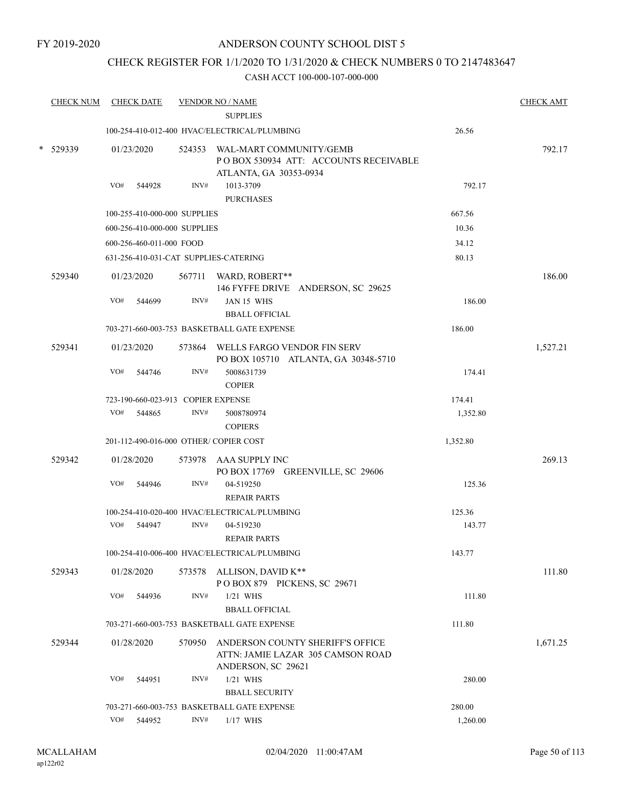## CHECK REGISTER FOR 1/1/2020 TO 1/31/2020 & CHECK NUMBERS 0 TO 2147483647

| <b>CHECK NUM</b> |                      | <b>CHECK DATE</b>        |                                    | <b>VENDOR NO / NAME</b><br><b>SUPPLIES</b>                                                         |          | <b>CHECK AMT</b> |
|------------------|----------------------|--------------------------|------------------------------------|----------------------------------------------------------------------------------------------------|----------|------------------|
|                  |                      |                          |                                    | 100-254-410-012-400 HVAC/ELECTRICAL/PLUMBING                                                       | 26.56    |                  |
| $*$ 529339       |                      | 01/23/2020               |                                    | 524353 WAL-MART COMMUNITY/GEMB<br>PO BOX 530934 ATT: ACCOUNTS RECEIVABLE<br>ATLANTA, GA 30353-0934 |          | 792.17           |
|                  | VO#                  | 544928                   | INV#                               | 1013-3709<br><b>PURCHASES</b>                                                                      | 792.17   |                  |
|                  |                      |                          | 100-255-410-000-000 SUPPLIES       |                                                                                                    | 667.56   |                  |
|                  |                      |                          | 600-256-410-000-000 SUPPLIES       |                                                                                                    | 10.36    |                  |
|                  |                      | 600-256-460-011-000 FOOD |                                    |                                                                                                    | 34.12    |                  |
|                  |                      |                          |                                    | 631-256-410-031-CAT SUPPLIES-CATERING                                                              | 80.13    |                  |
| 529340           |                      | 01/23/2020               |                                    | 567711 WARD, ROBERT**<br>146 FYFFE DRIVE ANDERSON, SC 29625                                        |          | 186.00           |
|                  | VO#                  | 544699                   | INV#                               | JAN 15 WHS<br><b>BBALL OFFICIAL</b>                                                                | 186.00   |                  |
|                  |                      |                          |                                    | 703-271-660-003-753 BASKETBALL GATE EXPENSE                                                        | 186.00   |                  |
| 529341           |                      | 01/23/2020               |                                    | 573864 WELLS FARGO VENDOR FIN SERV<br>PO BOX 105710 ATLANTA, GA 30348-5710                         |          | 1,527.21         |
|                  | VO#                  | 544746                   | INV#                               | 5008631739<br><b>COPIER</b>                                                                        | 174.41   |                  |
|                  |                      |                          | 723-190-660-023-913 COPIER EXPENSE |                                                                                                    | 174.41   |                  |
|                  |                      | VO# 544865               | INV#                               | 5008780974<br><b>COPIERS</b>                                                                       | 1,352.80 |                  |
|                  |                      |                          |                                    | 201-112-490-016-000 OTHER/ COPIER COST                                                             | 1,352.80 |                  |
| 529342           |                      | 01/28/2020               |                                    | 573978 AAA SUPPLY INC<br>PO BOX 17769 GREENVILLE, SC 29606                                         |          | 269.13           |
|                  | VO#                  | 544946                   | INV#                               | 04-519250<br><b>REPAIR PARTS</b>                                                                   | 125.36   |                  |
|                  |                      |                          |                                    | 100-254-410-020-400 HVAC/ELECTRICAL/PLUMBING                                                       | 125.36   |                  |
|                  |                      | VO# 544947               | INV#                               | 04-519230<br><b>REPAIR PARTS</b>                                                                   | 143.77   |                  |
|                  |                      |                          |                                    | 100-254-410-006-400 HVAC/ELECTRICAL/PLUMBING                                                       | 143.77   |                  |
| 529343           |                      | 01/28/2020               |                                    | 573578 ALLISON, DAVID K**<br>POBOX 879 PICKENS, SC 29671                                           |          | 111.80           |
|                  | VO#                  | 544936                   | INV#                               | $1/21$ WHS<br><b>BBALL OFFICIAL</b>                                                                | 111.80   |                  |
|                  |                      |                          |                                    | 703-271-660-003-753 BASKETBALL GATE EXPENSE                                                        | 111.80   |                  |
| 529344           | 01/28/2020<br>570950 |                          |                                    | ANDERSON COUNTY SHERIFF'S OFFICE<br>ATTN: JAMIE LAZAR 305 CAMSON ROAD<br>ANDERSON, SC 29621        |          | 1,671.25         |
|                  | VO#                  | 544951                   | INV#                               | $1/21$ WHS<br><b>BBALL SECURITY</b>                                                                | 280.00   |                  |
|                  |                      |                          |                                    | 703-271-660-003-753 BASKETBALL GATE EXPENSE                                                        | 280.00   |                  |
|                  | VO#                  | 544952                   | INV#                               | $1/17$ WHS                                                                                         | 1,260.00 |                  |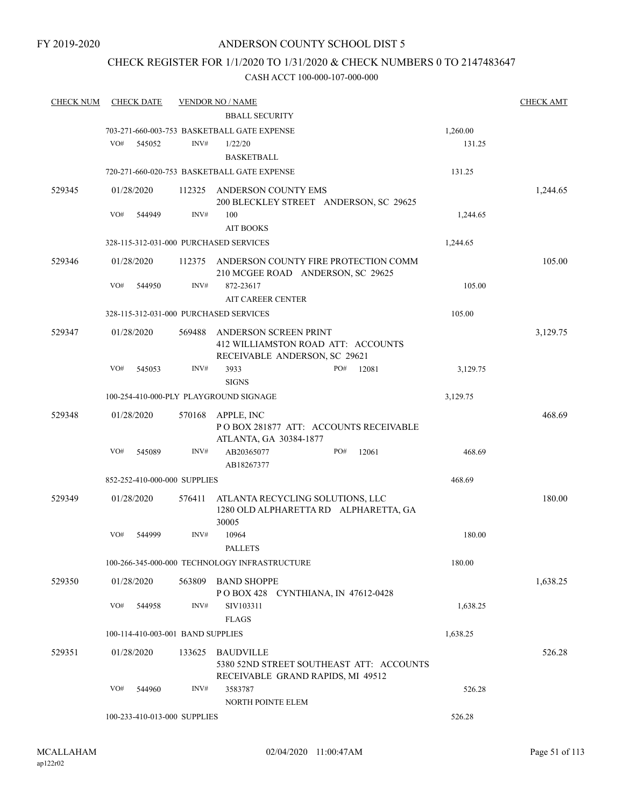### CHECK REGISTER FOR 1/1/2020 TO 1/31/2020 & CHECK NUMBERS 0 TO 2147483647

| <b>CHECK NUM</b> |            | <b>CHECK DATE</b> |                                   | <b>VENDOR NO / NAME</b>                                                                      |     |       |          | <b>CHECK AMT</b> |
|------------------|------------|-------------------|-----------------------------------|----------------------------------------------------------------------------------------------|-----|-------|----------|------------------|
|                  |            |                   |                                   | <b>BBALL SECURITY</b>                                                                        |     |       |          |                  |
|                  |            |                   |                                   | 703-271-660-003-753 BASKETBALL GATE EXPENSE                                                  |     |       | 1,260.00 |                  |
|                  | VO#        | 545052            | INV#                              | 1/22/20                                                                                      |     |       | 131.25   |                  |
|                  |            |                   |                                   | <b>BASKETBALL</b>                                                                            |     |       |          |                  |
|                  |            |                   |                                   | 720-271-660-020-753 BASKETBALL GATE EXPENSE                                                  |     |       | 131.25   |                  |
| 529345           | 01/28/2020 |                   |                                   | 112325 ANDERSON COUNTY EMS                                                                   |     |       |          | 1,244.65         |
|                  |            |                   |                                   | 200 BLECKLEY STREET ANDERSON, SC 29625                                                       |     |       |          |                  |
|                  | VO#        | 544949            | INV#                              | 100                                                                                          |     |       | 1,244.65 |                  |
|                  |            |                   |                                   | <b>AIT BOOKS</b>                                                                             |     |       |          |                  |
|                  |            |                   |                                   | 328-115-312-031-000 PURCHASED SERVICES                                                       |     |       | 1,244.65 |                  |
| 529346           | 01/28/2020 |                   | 112375                            | ANDERSON COUNTY FIRE PROTECTION COMM<br>210 MCGEE ROAD ANDERSON, SC 29625                    |     |       |          | 105.00           |
|                  | VO#        | 544950            | INV#                              | 872-23617                                                                                    |     |       | 105.00   |                  |
|                  |            |                   |                                   | <b>AIT CAREER CENTER</b>                                                                     |     |       |          |                  |
|                  |            |                   |                                   | 328-115-312-031-000 PURCHASED SERVICES                                                       |     |       | 105.00   |                  |
| 529347           | 01/28/2020 |                   | 569488                            | ANDERSON SCREEN PRINT<br>412 WILLIAMSTON ROAD ATT: ACCOUNTS<br>RECEIVABLE ANDERSON, SC 29621 |     |       |          | 3,129.75         |
|                  | VO#        | 545053            | INV#                              | 3933<br><b>SIGNS</b>                                                                         | PO# | 12081 | 3,129.75 |                  |
|                  |            |                   |                                   | 100-254-410-000-PLY PLAYGROUND SIGNAGE                                                       |     |       | 3,129.75 |                  |
| 529348           | 01/28/2020 |                   | 570168                            | APPLE, INC                                                                                   |     |       |          | 468.69           |
|                  |            |                   |                                   | POBOX 281877 ATT: ACCOUNTS RECEIVABLE<br>ATLANTA, GA 30384-1877                              |     |       |          |                  |
|                  | VO#        | 545089            | INV#                              | AB20365077                                                                                   | PO# | 12061 | 468.69   |                  |
|                  |            |                   |                                   | AB18267377                                                                                   |     |       |          |                  |
|                  |            |                   | 852-252-410-000-000 SUPPLIES      |                                                                                              |     |       | 468.69   |                  |
| 529349           | 01/28/2020 |                   | 576411                            | ATLANTA RECYCLING SOLUTIONS, LLC<br>1280 OLD ALPHARETTA RD ALPHARETTA, GA<br>30005           |     |       |          | 180.00           |
|                  | VO#        | 544999            | INV#                              | 10964<br><b>PALLETS</b>                                                                      |     |       | 180.00   |                  |
|                  |            |                   |                                   | 100-266-345-000-000 TECHNOLOGY INFRASTRUCTURE                                                |     |       | 180.00   |                  |
| 529350           | 01/28/2020 |                   | 563809                            | <b>BAND SHOPPE</b><br>P O BOX 428 CYNTHIANA, IN 47612-0428                                   |     |       |          | 1,638.25         |
|                  | VO#        | 544958            | INV#                              | SIV103311<br><b>FLAGS</b>                                                                    |     |       | 1,638.25 |                  |
|                  |            |                   | 100-114-410-003-001 BAND SUPPLIES |                                                                                              |     |       | 1,638.25 |                  |
| 529351           | 01/28/2020 |                   | 133625                            | <b>BAUDVILLE</b>                                                                             |     |       |          | 526.28           |
|                  |            |                   |                                   | 5380 52ND STREET SOUTHEAST ATT: ACCOUNTS<br>RECEIVABLE GRAND RAPIDS, MI 49512                |     |       |          |                  |
|                  | VO#        | 544960            | INV#                              | 3583787<br>NORTH POINTE ELEM                                                                 |     |       | 526.28   |                  |
|                  |            |                   | 100-233-410-013-000 SUPPLIES      |                                                                                              |     |       | 526.28   |                  |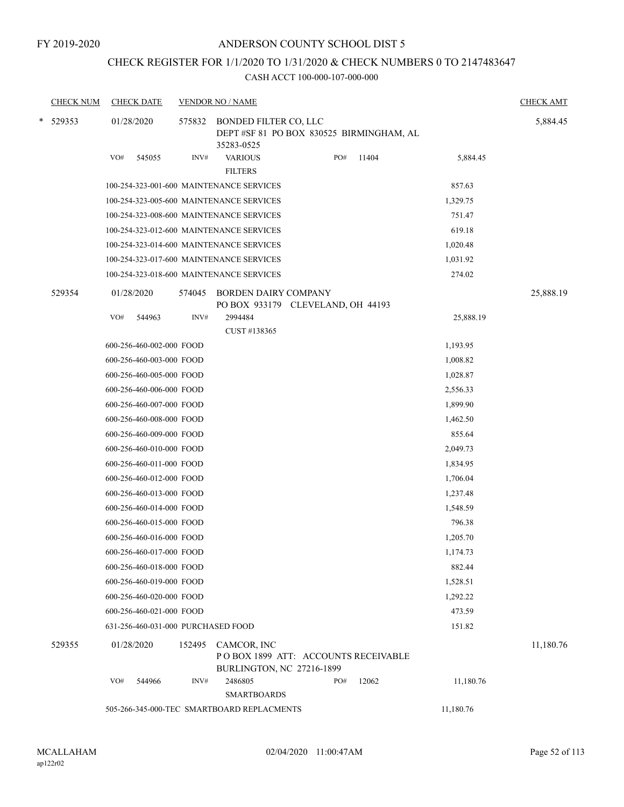## CHECK REGISTER FOR 1/1/2020 TO 1/31/2020 & CHECK NUMBERS 0 TO 2147483647

|        | <b>CHECK NUM</b> |     | <b>CHECK DATE</b>                  |        | <b>VENDOR NO / NAME</b>                                                                |     |       |           | <b>CHECK AMT</b> |
|--------|------------------|-----|------------------------------------|--------|----------------------------------------------------------------------------------------|-----|-------|-----------|------------------|
| $\ast$ | 529353           |     | 01/28/2020                         | 575832 | BONDED FILTER CO, LLC<br>DEPT #SF 81 PO BOX 830525 BIRMINGHAM, AL<br>35283-0525        |     |       |           | 5,884.45         |
|        |                  | VO# | 545055                             | INV#   | <b>VARIOUS</b><br><b>FILTERS</b>                                                       | PO# | 11404 | 5,884.45  |                  |
|        |                  |     |                                    |        | 100-254-323-001-600 MAINTENANCE SERVICES                                               |     |       | 857.63    |                  |
|        |                  |     |                                    |        | 100-254-323-005-600 MAINTENANCE SERVICES                                               |     |       | 1,329.75  |                  |
|        |                  |     |                                    |        | 100-254-323-008-600 MAINTENANCE SERVICES                                               |     |       | 751.47    |                  |
|        |                  |     |                                    |        | 100-254-323-012-600 MAINTENANCE SERVICES                                               |     |       | 619.18    |                  |
|        |                  |     |                                    |        | 100-254-323-014-600 MAINTENANCE SERVICES                                               |     |       | 1,020.48  |                  |
|        |                  |     |                                    |        | 100-254-323-017-600 MAINTENANCE SERVICES                                               |     |       | 1,031.92  |                  |
|        |                  |     |                                    |        | 100-254-323-018-600 MAINTENANCE SERVICES                                               |     |       | 274.02    |                  |
|        | 529354           |     | 01/28/2020                         | 574045 | <b>BORDEN DAIRY COMPANY</b><br>PO BOX 933179 CLEVELAND, OH 44193                       |     |       |           | 25,888.19        |
|        |                  | VO# | 544963                             | INV#   | 2994484                                                                                |     |       | 25,888.19 |                  |
|        |                  |     |                                    |        | CUST #138365                                                                           |     |       |           |                  |
|        |                  |     | 600-256-460-002-000 FOOD           |        |                                                                                        |     |       | 1,193.95  |                  |
|        |                  |     | 600-256-460-003-000 FOOD           |        |                                                                                        |     |       | 1,008.82  |                  |
|        |                  |     | 600-256-460-005-000 FOOD           |        |                                                                                        |     |       | 1,028.87  |                  |
|        |                  |     | 600-256-460-006-000 FOOD           |        |                                                                                        |     |       | 2,556.33  |                  |
|        |                  |     | 600-256-460-007-000 FOOD           |        |                                                                                        |     |       | 1,899.90  |                  |
|        |                  |     | 600-256-460-008-000 FOOD           |        |                                                                                        |     |       | 1,462.50  |                  |
|        |                  |     | 600-256-460-009-000 FOOD           |        |                                                                                        |     |       | 855.64    |                  |
|        |                  |     | 600-256-460-010-000 FOOD           |        |                                                                                        |     |       | 2,049.73  |                  |
|        |                  |     | 600-256-460-011-000 FOOD           |        |                                                                                        |     |       | 1,834.95  |                  |
|        |                  |     | 600-256-460-012-000 FOOD           |        |                                                                                        |     |       | 1,706.04  |                  |
|        |                  |     | 600-256-460-013-000 FOOD           |        |                                                                                        |     |       | 1,237.48  |                  |
|        |                  |     | 600-256-460-014-000 FOOD           |        |                                                                                        |     |       | 1,548.59  |                  |
|        |                  |     | 600-256-460-015-000 FOOD           |        |                                                                                        |     |       | 796.38    |                  |
|        |                  |     | 600-256-460-016-000 FOOD           |        |                                                                                        |     |       | 1,205.70  |                  |
|        |                  |     | 600-256-460-017-000 FOOD           |        |                                                                                        |     |       | 1,174.73  |                  |
|        |                  |     | 600-256-460-018-000 FOOD           |        |                                                                                        |     |       | 882.44    |                  |
|        |                  |     | 600-256-460-019-000 FOOD           |        |                                                                                        |     |       | 1,528.51  |                  |
|        |                  |     | 600-256-460-020-000 FOOD           |        |                                                                                        |     |       | 1,292.22  |                  |
|        |                  |     | 600-256-460-021-000 FOOD           |        |                                                                                        |     |       | 473.59    |                  |
|        |                  |     | 631-256-460-031-000 PURCHASED FOOD |        |                                                                                        |     |       | 151.82    |                  |
|        | 529355           |     | 01/28/2020                         | 152495 | CAMCOR, INC<br>POBOX 1899 ATT: ACCOUNTS RECEIVABLE<br><b>BURLINGTON, NC 27216-1899</b> |     |       |           | 11,180.76        |
|        |                  | VO# | 544966                             | INV#   | 2486805<br><b>SMARTBOARDS</b>                                                          | PO# | 12062 | 11,180.76 |                  |
|        |                  |     |                                    |        | 505-266-345-000-TEC SMARTBOARD REPLACMENTS                                             |     |       | 11,180.76 |                  |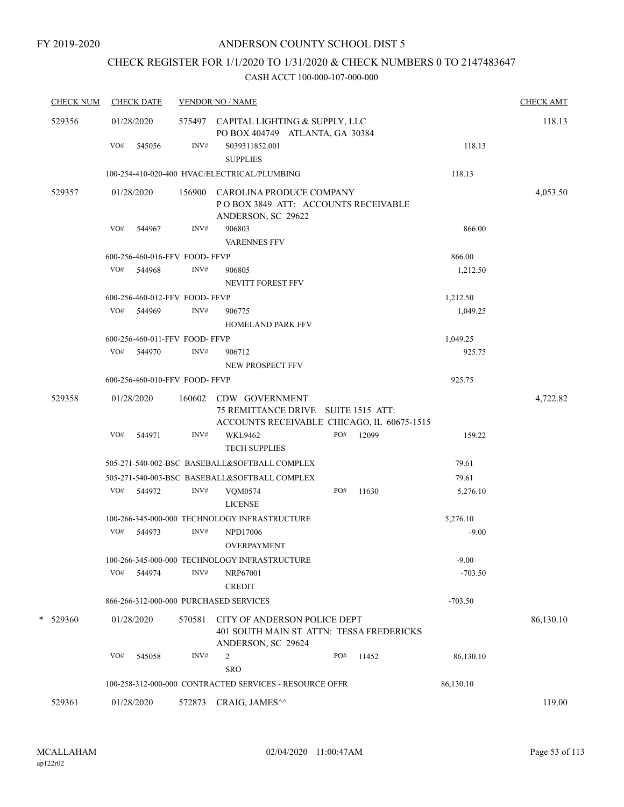## CHECK REGISTER FOR 1/1/2020 TO 1/31/2020 & CHECK NUMBERS 0 TO 2147483647

| <b>CHECK NUM</b> | <b>CHECK DATE</b>                      |        | <b>VENDOR NO / NAME</b>                                                                                    |     |       |           | <b>CHECK AMT</b> |
|------------------|----------------------------------------|--------|------------------------------------------------------------------------------------------------------------|-----|-------|-----------|------------------|
| 529356           | 01/28/2020                             |        | 575497 CAPITAL LIGHTING & SUPPLY, LLC<br>PO BOX 404749 ATLANTA, GA 30384                                   |     |       |           | 118.13           |
|                  | VO#<br>545056                          | INV#   | S039311852.001<br><b>SUPPLIES</b>                                                                          |     |       | 118.13    |                  |
|                  |                                        |        | 100-254-410-020-400 HVAC/ELECTRICAL/PLUMBING                                                               |     |       | 118.13    |                  |
| 529357           | 01/28/2020                             | 156900 | CAROLINA PRODUCE COMPANY                                                                                   |     |       |           | 4,053.50         |
|                  |                                        |        | POBOX 3849 ATT: ACCOUNTS RECEIVABLE<br>ANDERSON, SC 29622                                                  |     |       |           |                  |
|                  | VO#<br>544967                          | INV#   | 906803<br><b>VARENNES FFV</b>                                                                              |     |       | 866.00    |                  |
|                  | 600-256-460-016-FFV FOOD-FFVP          |        |                                                                                                            |     |       | 866.00    |                  |
|                  | VO#<br>544968                          | INV#   | 906805<br>NEVITT FOREST FFV                                                                                |     |       | 1,212.50  |                  |
|                  | 600-256-460-012-FFV FOOD- FFVP         |        |                                                                                                            |     |       | 1,212.50  |                  |
|                  | VO# 544969                             | INV#   | 906775                                                                                                     |     |       | 1,049.25  |                  |
|                  |                                        |        | <b>HOMELAND PARK FFV</b>                                                                                   |     |       |           |                  |
|                  | 600-256-460-011-FFV FOOD- FFVP         |        |                                                                                                            |     |       | 1,049.25  |                  |
|                  | VO# 544970                             | INV#   | 906712                                                                                                     |     |       | 925.75    |                  |
|                  |                                        |        | NEW PROSPECT FFV                                                                                           |     |       |           |                  |
|                  | 600-256-460-010-FFV FOOD- FFVP         |        |                                                                                                            |     |       | 925.75    |                  |
| 529358           | 01/28/2020                             |        | 160602 CDW GOVERNMENT<br>75 REMITTANCE DRIVE SUITE 1515 ATT:<br>ACCOUNTS RECEIVABLE CHICAGO, IL 60675-1515 |     |       |           | 4,722.82         |
|                  | VO#<br>544971                          | INV#   | <b>WKL9462</b>                                                                                             | PO# | 12099 | 159.22    |                  |
|                  |                                        |        | <b>TECH SUPPLIES</b>                                                                                       |     |       |           |                  |
|                  |                                        |        | 505-271-540-002-BSC BASEBALL&SOFTBALL COMPLEX                                                              |     |       | 79.61     |                  |
|                  |                                        |        | 505-271-540-003-BSC BASEBALL&SOFTBALL COMPLEX                                                              |     |       | 79.61     |                  |
|                  | VO#<br>544972                          | INV#   | <b>VQM0574</b>                                                                                             | PO# | 11630 | 5,276.10  |                  |
|                  |                                        |        | <b>LICENSE</b>                                                                                             |     |       |           |                  |
|                  |                                        |        | 100-266-345-000-000 TECHNOLOGY INFRASTRUCTURE                                                              |     |       | 5,276.10  |                  |
|                  | VO#<br>544973                          | INV#   | <b>NPD17006</b>                                                                                            |     |       | $-9.00$   |                  |
|                  |                                        |        | OVERPAYMENT                                                                                                |     |       |           |                  |
|                  |                                        |        | 100-266-345-000-000 TECHNOLOGY INFRASTRUCTURE                                                              |     |       | $-9.00$   |                  |
|                  | VO#<br>544974                          | INV#   | NRP67001<br><b>CREDIT</b>                                                                                  |     |       | $-703.50$ |                  |
|                  | 866-266-312-000-000 PURCHASED SERVICES |        |                                                                                                            |     |       | $-703.50$ |                  |
| *<br>529360      | 01/28/2020                             | 570581 | CITY OF ANDERSON POLICE DEPT<br>401 SOUTH MAIN ST ATTN: TESSA FREDERICKS<br>ANDERSON, SC 29624             |     |       |           | 86,130.10        |
|                  | VO#<br>545058                          | INV#   | 2<br><b>SRO</b>                                                                                            | PO# | 11452 | 86,130.10 |                  |
|                  |                                        |        | 100-258-312-000-000 CONTRACTED SERVICES - RESOURCE OFFR                                                    |     |       | 86,130.10 |                  |
| 529361           | 01/28/2020                             | 572873 | CRAIG, JAMES <sup>^^</sup>                                                                                 |     |       |           | 119.00           |
|                  |                                        |        |                                                                                                            |     |       |           |                  |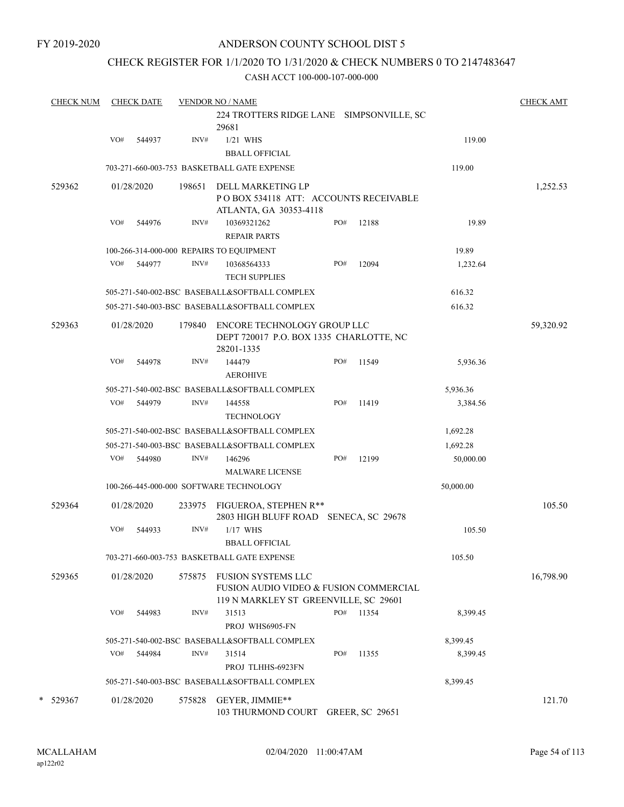## CHECK REGISTER FOR 1/1/2020 TO 1/31/2020 & CHECK NUMBERS 0 TO 2147483647

| <b>CHECK NUM</b> |     | <b>CHECK DATE</b> |        | <b>VENDOR NO / NAME</b>                                                                               |     |                        |           | <b>CHECK AMT</b> |
|------------------|-----|-------------------|--------|-------------------------------------------------------------------------------------------------------|-----|------------------------|-----------|------------------|
|                  |     |                   |        | 224 TROTTERS RIDGE LANE SIMPSONVILLE, SC<br>29681                                                     |     |                        |           |                  |
|                  | VO# | 544937            | INV#   | $1/21$ WHS                                                                                            |     |                        | 119.00    |                  |
|                  |     |                   |        | <b>BBALL OFFICIAL</b>                                                                                 |     |                        |           |                  |
|                  |     |                   |        | 703-271-660-003-753 BASKETBALL GATE EXPENSE                                                           |     |                        | 119.00    |                  |
| 529362           |     | 01/28/2020        | 198651 | DELL MARKETING LP<br>PO BOX 534118 ATT: ACCOUNTS RECEIVABLE<br>ATLANTA, GA 30353-4118                 |     |                        |           | 1,252.53         |
|                  | VO# | 544976            | INV#   | 10369321262<br><b>REPAIR PARTS</b>                                                                    | PO# | 12188                  | 19.89     |                  |
|                  |     |                   |        | 100-266-314-000-000 REPAIRS TO EQUIPMENT                                                              |     |                        | 19.89     |                  |
|                  | VO# | 544977            | INV#   | 10368564333<br><b>TECH SUPPLIES</b>                                                                   | PO# | 12094                  | 1,232.64  |                  |
|                  |     |                   |        | 505-271-540-002-BSC BASEBALL&SOFTBALL COMPLEX                                                         |     |                        | 616.32    |                  |
|                  |     |                   |        | 505-271-540-003-BSC BASEBALL&SOFTBALL COMPLEX                                                         |     |                        | 616.32    |                  |
| 529363           |     | 01/28/2020        | 179840 | ENCORE TECHNOLOGY GROUP LLC<br>DEPT 720017 P.O. BOX 1335 CHARLOTTE, NC<br>28201-1335                  |     |                        |           | 59,320.92        |
|                  | VO# | 544978            | INV#   | 144479<br><b>AEROHIVE</b>                                                                             | PO# | 11549                  | 5,936.36  |                  |
|                  |     |                   |        | 505-271-540-002-BSC BASEBALL&SOFTBALL COMPLEX                                                         |     |                        | 5,936.36  |                  |
|                  | VO# | 544979            | INV#   | 144558<br><b>TECHNOLOGY</b>                                                                           | PO# | 11419                  | 3,384.56  |                  |
|                  |     |                   |        | 505-271-540-002-BSC BASEBALL&SOFTBALL COMPLEX                                                         |     |                        | 1,692.28  |                  |
|                  |     |                   |        | 505-271-540-003-BSC BASEBALL&SOFTBALL COMPLEX                                                         |     |                        | 1,692.28  |                  |
|                  | VO# | 544980            | INV#   | 146296                                                                                                | PO# | 12199                  | 50,000.00 |                  |
|                  |     |                   |        | <b>MALWARE LICENSE</b>                                                                                |     |                        |           |                  |
|                  |     |                   |        | 100-266-445-000-000 SOFTWARE TECHNOLOGY                                                               |     |                        | 50,000.00 |                  |
| 529364           |     | 01/28/2020        | 233975 | FIGUEROA, STEPHEN R**<br>2803 HIGH BLUFF ROAD SENECA, SC 29678                                        |     |                        |           | 105.50           |
|                  | VO# | 544933            | INV#   | $1/17$ WHS<br><b>BBALL OFFICIAL</b>                                                                   |     |                        | 105.50    |                  |
|                  |     |                   |        | 703-271-660-003-753  BASKETBALL GATE EXPENSE                                                          |     |                        | 105.50    |                  |
| 529365           |     | 01/28/2020        | 575875 | FUSION SYSTEMS LLC<br>FUSION AUDIO VIDEO & FUSION COMMERCIAL<br>119 N MARKLEY ST GREENVILLE, SC 29601 |     |                        |           | 16,798.90        |
|                  | VO# | 544983            | INV#   | 31513<br>PROJ WHS6905-FN                                                                              | PO# | 11354                  | 8,399.45  |                  |
|                  |     |                   |        | 505-271-540-002-BSC BASEBALL&SOFTBALL COMPLEX                                                         |     |                        | 8,399.45  |                  |
|                  | VO# | 544984            | INV#   | 31514<br>PROJ TLHHS-6923FN                                                                            | PO# | 11355                  | 8,399.45  |                  |
|                  |     |                   |        | 505-271-540-003-BSC BASEBALL&SOFTBALL COMPLEX                                                         |     |                        | 8,399.45  |                  |
| * 529367         |     | 01/28/2020        | 575828 | GEYER, JIMMIE**<br>103 THURMOND COURT                                                                 |     | <b>GREER, SC 29651</b> |           | 121.70           |
|                  |     |                   |        |                                                                                                       |     |                        |           |                  |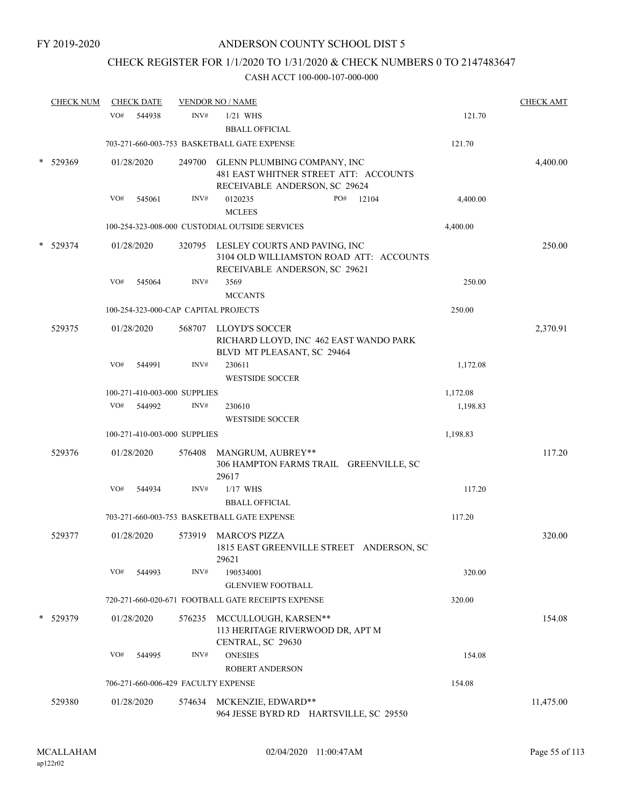## CHECK REGISTER FOR 1/1/2020 TO 1/31/2020 & CHECK NUMBERS 0 TO 2147483647

| <b>CHECK NUM</b><br><b>CHECK DATE</b> |     | <b>VENDOR NO / NAME</b> |                              |                                                                                                                  | <b>CHECK AMT</b> |          |           |
|---------------------------------------|-----|-------------------------|------------------------------|------------------------------------------------------------------------------------------------------------------|------------------|----------|-----------|
|                                       | VO# | 544938                  | INV#                         | $1/21$ WHS<br><b>BBALL OFFICIAL</b>                                                                              |                  | 121.70   |           |
|                                       |     |                         |                              | 703-271-660-003-753 BASKETBALL GATE EXPENSE                                                                      |                  | 121.70   |           |
| 529369                                |     | 01/28/2020              |                              | 249700 GLENN PLUMBING COMPANY, INC<br>481 EAST WHITNER STREET ATT: ACCOUNTS<br>RECEIVABLE ANDERSON, SC 29624     |                  |          | 4,400.00  |
|                                       | VO# | 545061                  | INV#                         | 0120235<br><b>MCLEES</b>                                                                                         | PO#<br>12104     | 4,400.00 |           |
|                                       |     |                         |                              | 100-254-323-008-000 CUSTODIAL OUTSIDE SERVICES                                                                   |                  | 4,400.00 |           |
| 529374                                |     | 01/28/2020              |                              | 320795 LESLEY COURTS AND PAVING, INC<br>3104 OLD WILLIAMSTON ROAD ATT: ACCOUNTS<br>RECEIVABLE ANDERSON, SC 29621 |                  |          | 250.00    |
|                                       | VO# | 545064                  | INV#                         | 3569<br><b>MCCANTS</b>                                                                                           |                  | 250.00   |           |
|                                       |     |                         |                              | 100-254-323-000-CAP CAPITAL PROJECTS                                                                             |                  | 250.00   |           |
| 529375                                |     | 01/28/2020              |                              | 568707 LLOYD'S SOCCER<br>RICHARD LLOYD, INC 462 EAST WANDO PARK<br>BLVD MT PLEASANT, SC 29464                    |                  |          | 2,370.91  |
|                                       | VO# | 544991                  | INV#                         | 230611<br><b>WESTSIDE SOCCER</b>                                                                                 |                  | 1,172.08 |           |
|                                       |     |                         | 100-271-410-003-000 SUPPLIES |                                                                                                                  |                  | 1,172.08 |           |
|                                       | VO# | 544992                  | INV#                         | 230610<br><b>WESTSIDE SOCCER</b>                                                                                 |                  | 1,198.83 |           |
|                                       |     |                         | 100-271-410-003-000 SUPPLIES |                                                                                                                  |                  | 1,198.83 |           |
| 529376                                |     | 01/28/2020              | 576408                       | MANGRUM, AUBREY**<br>306 HAMPTON FARMS TRAIL GREENVILLE, SC<br>29617                                             |                  |          | 117.20    |
|                                       | VO# | 544934                  | INV#                         | $1/17$ WHS<br><b>BBALL OFFICIAL</b>                                                                              |                  | 117.20   |           |
|                                       |     |                         |                              | 703-271-660-003-753 BASKETBALL GATE EXPENSE                                                                      |                  | 117.20   |           |
| 529377                                |     | 01/28/2020              | 573919                       | MARCO'S PIZZA<br>1815 EAST GREENVILLE STREET ANDERSON, SC<br>29621                                               |                  |          | 320.00    |
|                                       | VO# | 544993                  | INV#                         | 190534001<br><b>GLENVIEW FOOTBALL</b>                                                                            |                  | 320.00   |           |
|                                       |     |                         |                              | 720-271-660-020-671 FOOTBALL GATE RECEIPTS EXPENSE                                                               |                  | 320.00   |           |
| 529379                                |     | 01/28/2020              |                              | 576235 MCCULLOUGH, KARSEN**<br>113 HERITAGE RIVERWOOD DR, APT M<br>CENTRAL, SC 29630                             |                  |          | 154.08    |
|                                       | VO# | 544995                  | INV#                         | <b>ONESIES</b>                                                                                                   |                  | 154.08   |           |
|                                       |     |                         |                              | <b>ROBERT ANDERSON</b>                                                                                           |                  |          |           |
|                                       |     |                         |                              | 706-271-660-006-429 FACULTY EXPENSE                                                                              |                  | 154.08   |           |
| 529380                                |     | 01/28/2020              | 574634                       | MCKENZIE, EDWARD**<br>964 JESSE BYRD RD HARTSVILLE, SC 29550                                                     |                  |          | 11,475.00 |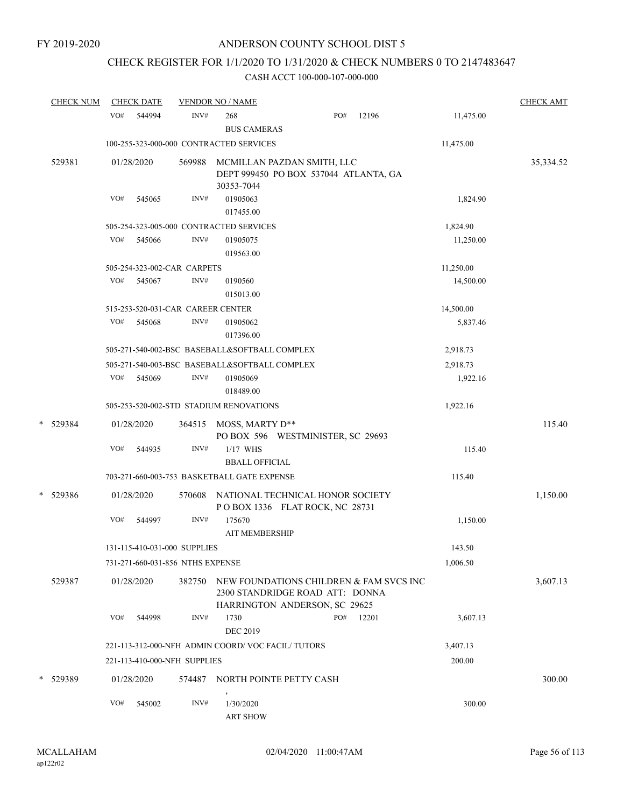## CHECK REGISTER FOR 1/1/2020 TO 1/31/2020 & CHECK NUMBERS 0 TO 2147483647

| <b>CHECK NUM</b> |     | <b>CHECK DATE</b> |                                   | <b>VENDOR NO / NAME</b>                          |                                                                  |       |           | <b>CHECK AMT</b> |
|------------------|-----|-------------------|-----------------------------------|--------------------------------------------------|------------------------------------------------------------------|-------|-----------|------------------|
|                  | VO# | 544994            | INV#                              | 268<br><b>BUS CAMERAS</b>                        | PO#                                                              | 12196 | 11,475.00 |                  |
|                  |     |                   |                                   | 100-255-323-000-000 CONTRACTED SERVICES          |                                                                  |       | 11,475.00 |                  |
| 529381           |     | 01/28/2020        | 569988                            | MCMILLAN PAZDAN SMITH, LLC<br>30353-7044         | DEPT 999450 PO BOX 537044 ATLANTA, GA                            |       |           | 35,334.52        |
|                  | VO# | 545065            | INV#                              | 01905063<br>017455.00                            |                                                                  |       | 1,824.90  |                  |
|                  |     |                   |                                   | 505-254-323-005-000 CONTRACTED SERVICES          |                                                                  |       | 1,824.90  |                  |
|                  | VO# | 545066            | INV#                              | 01905075<br>019563.00                            |                                                                  |       | 11,250.00 |                  |
|                  |     |                   | 505-254-323-002-CAR CARPETS       |                                                  |                                                                  |       | 11,250.00 |                  |
|                  | VO# | 545067            | INV#                              | 0190560<br>015013.00                             |                                                                  |       | 14,500.00 |                  |
|                  |     |                   | 515-253-520-031-CAR CAREER CENTER |                                                  |                                                                  |       | 14,500.00 |                  |
|                  | VO# | 545068            | INV#                              | 01905062<br>017396.00                            |                                                                  |       | 5,837.46  |                  |
|                  |     |                   |                                   | 505-271-540-002-BSC BASEBALL&SOFTBALL COMPLEX    |                                                                  |       | 2,918.73  |                  |
|                  |     |                   |                                   | 505-271-540-003-BSC BASEBALL&SOFTBALL COMPLEX    |                                                                  |       | 2,918.73  |                  |
|                  | VO# | 545069            | INV#                              | 01905069<br>018489.00                            |                                                                  |       | 1,922.16  |                  |
|                  |     |                   |                                   | 505-253-520-002-STD STADIUM RENOVATIONS          |                                                                  |       | 1,922.16  |                  |
| * 529384         |     | 01/28/2020        | 364515                            | MOSS, MARTY D**                                  | PO BOX 596 WESTMINISTER, SC 29693                                |       |           | 115.40           |
|                  | VO# | 544935            | INV#                              | $1/17$ WHS<br><b>BBALL OFFICIAL</b>              |                                                                  |       | 115.40    |                  |
|                  |     |                   |                                   | 703-271-660-003-753 BASKETBALL GATE EXPENSE      |                                                                  |       | 115.40    |                  |
| * 529386         |     | 01/28/2020        | 570608                            | NATIONAL TECHNICAL HONOR SOCIETY                 | POBOX 1336 FLAT ROCK, NC 28731                                   |       |           | 1,150.00         |
|                  | VO# | 544997            | INV#                              | 175670<br><b>AIT MEMBERSHIP</b>                  |                                                                  |       | 1,150.00  |                  |
|                  |     |                   | 131-115-410-031-000 SUPPLIES      |                                                  |                                                                  |       | 143.50    |                  |
|                  |     |                   | 731-271-660-031-856 NTHS EXPENSE  |                                                  |                                                                  |       | 1,006.50  |                  |
| 529387           |     | 01/28/2020        | 382750                            | NEW FOUNDATIONS CHILDREN & FAM SVCS INC          | 2300 STANDRIDGE ROAD ATT: DONNA<br>HARRINGTON ANDERSON, SC 29625 |       |           | 3,607.13         |
|                  | VO# | 544998            | INV#                              | 1730<br><b>DEC 2019</b>                          | PO#                                                              | 12201 | 3,607.13  |                  |
|                  |     |                   |                                   | 221-113-312-000-NFH ADMIN COORD/VOC FACIL/TUTORS |                                                                  |       | 3,407.13  |                  |
|                  |     |                   | 221-113-410-000-NFH SUPPLIES      |                                                  |                                                                  |       | 200.00    |                  |
| * 529389         |     | 01/28/2020        | 574487                            | NORTH POINTE PETTY CASH                          |                                                                  |       |           | 300.00           |
|                  | VO# | 545002            | INV#                              | $\,$<br>1/30/2020<br><b>ART SHOW</b>             |                                                                  |       | 300.00    |                  |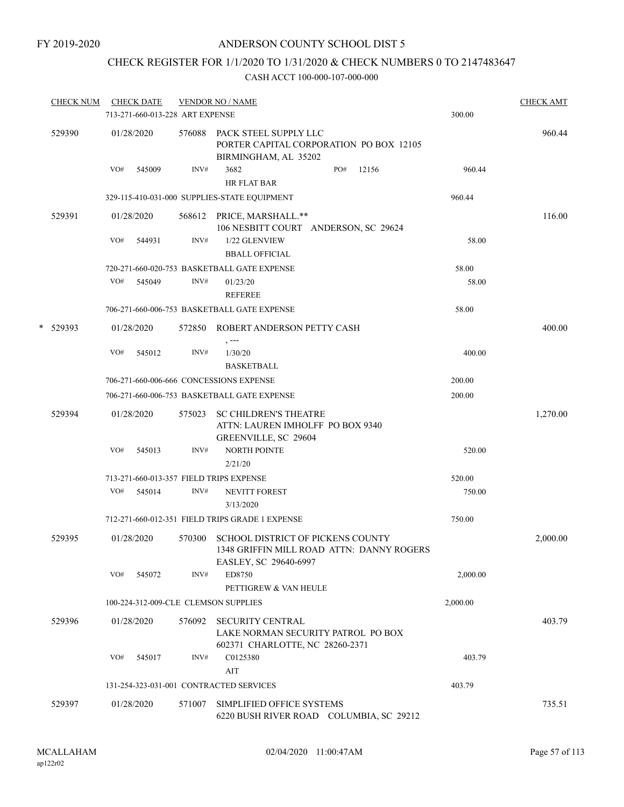## CHECK REGISTER FOR 1/1/2020 TO 1/31/2020 & CHECK NUMBERS 0 TO 2147483647

| <b>CHECK NUM</b> |     | <b>CHECK DATE</b><br>713-271-660-013-228 ART EXPENSE |        | <b>VENDOR NO / NAME</b>                                                                                 | 300.00   | <b>CHECK AMT</b> |
|------------------|-----|------------------------------------------------------|--------|---------------------------------------------------------------------------------------------------------|----------|------------------|
| 529390           |     | 01/28/2020                                           | 576088 | PACK STEEL SUPPLY LLC<br>PORTER CAPITAL CORPORATION PO BOX 12105<br>BIRMINGHAM, AL 35202                |          | 960.44           |
|                  | VO# | 545009                                               | INV#   | 3682<br>PO#<br>12156<br><b>HR FLAT BAR</b>                                                              | 960.44   |                  |
|                  |     |                                                      |        | 329-115-410-031-000 SUPPLIES-STATE EQUIPMENT                                                            | 960.44   |                  |
| 529391           |     | 01/28/2020                                           |        | 568612 PRICE, MARSHALL.**<br>106 NESBITT COURT ANDERSON, SC 29624                                       |          | 116.00           |
|                  | VO# | 544931                                               | INV#   | 1/22 GLENVIEW<br><b>BBALL OFFICIAL</b>                                                                  | 58.00    |                  |
|                  |     |                                                      |        | 720-271-660-020-753 BASKETBALL GATE EXPENSE                                                             | 58.00    |                  |
|                  | VO# | 545049                                               | INV#   | 01/23/20<br><b>REFEREE</b>                                                                              | 58.00    |                  |
|                  |     |                                                      |        | 706-271-660-006-753 BASKETBALL GATE EXPENSE                                                             | 58.00    |                  |
| * 529393         |     | 01/28/2020                                           |        | 572850 ROBERT ANDERSON PETTY CASH<br>, ---                                                              |          | 400.00           |
|                  | VO# | 545012                                               | INV#   | 1/30/20<br><b>BASKETBALL</b>                                                                            | 400.00   |                  |
|                  |     |                                                      |        | 706-271-660-006-666 CONCESSIONS EXPENSE                                                                 | 200.00   |                  |
|                  |     |                                                      |        | 706-271-660-006-753 BASKETBALL GATE EXPENSE                                                             | 200.00   |                  |
| 529394           |     | 01/28/2020                                           | 575023 | <b>SC CHILDREN'S THEATRE</b><br>ATTN: LAUREN IMHOLFF PO BOX 9340<br>GREENVILLE, SC 29604                |          | 1,270.00         |
|                  | VO# | 545013                                               | INV#   | <b>NORTH POINTE</b><br>2/21/20                                                                          | 520.00   |                  |
|                  |     |                                                      |        | 713-271-660-013-357 FIELD TRIPS EXPENSE                                                                 | 520.00   |                  |
|                  | VO# | 545014                                               | INV#   | <b>NEVITT FOREST</b><br>3/13/2020                                                                       | 750.00   |                  |
|                  |     |                                                      |        | 712-271-660-012-351 FIELD TRIPS GRADE 1 EXPENSE                                                         | 750.00   |                  |
| 529395           |     | 01/28/2020                                           | 570300 | SCHOOL DISTRICT OF PICKENS COUNTY<br>1348 GRIFFIN MILL ROAD ATTN: DANNY ROGERS<br>EASLEY, SC 29640-6997 |          | 2,000.00         |
|                  | VO# | 545072                                               | INV#   | ED8750<br>PETTIGREW & VAN HEULE                                                                         | 2,000.00 |                  |
|                  |     |                                                      |        | 100-224-312-009-CLE CLEMSON SUPPLIES                                                                    | 2,000.00 |                  |
| 529396           |     | 01/28/2020                                           | 576092 | <b>SECURITY CENTRAL</b><br>LAKE NORMAN SECURITY PATROL PO BOX<br>602371 CHARLOTTE, NC 28260-2371        |          | 403.79           |
|                  | VO# | 545017                                               | INV#   | C0125380<br>AIT                                                                                         | 403.79   |                  |
|                  |     |                                                      |        | 131-254-323-031-001 CONTRACTED SERVICES                                                                 | 403.79   |                  |
| 529397           |     | 01/28/2020                                           | 571007 | SIMPLIFIED OFFICE SYSTEMS<br>6220 BUSH RIVER ROAD COLUMBIA, SC 29212                                    |          | 735.51           |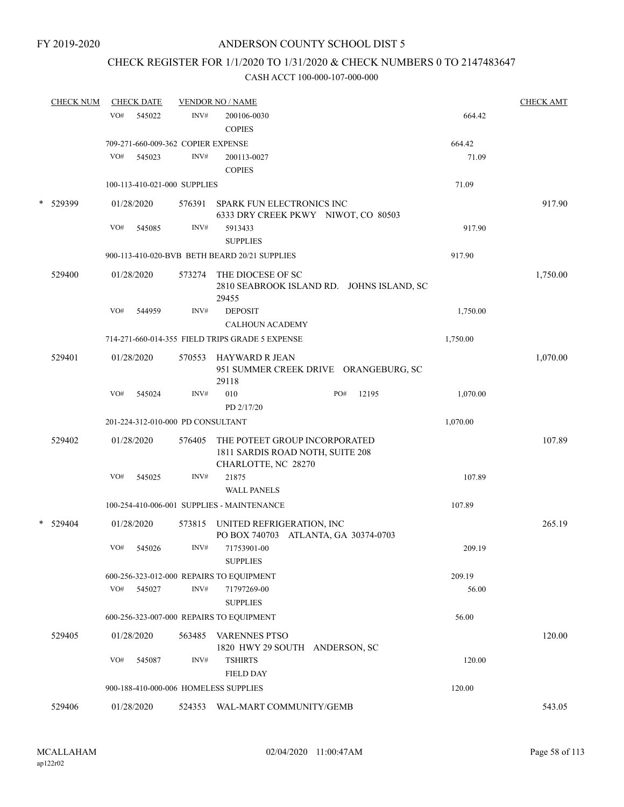## CHECK REGISTER FOR 1/1/2020 TO 1/31/2020 & CHECK NUMBERS 0 TO 2147483647

|   | <b>CHECK NUM</b> | <b>CHECK DATE</b> |            |                                    | <b>VENDOR NO / NAME</b>                                                                  |     |       |          | <b>CHECK AMT</b> |
|---|------------------|-------------------|------------|------------------------------------|------------------------------------------------------------------------------------------|-----|-------|----------|------------------|
|   |                  | VO#               | 545022     | INV#                               | 200106-0030<br><b>COPIES</b>                                                             |     |       | 664.42   |                  |
|   |                  |                   |            | 709-271-660-009-362 COPIER EXPENSE |                                                                                          |     |       | 664.42   |                  |
|   |                  | VO#               | 545023     | INV#                               | 200113-0027<br><b>COPIES</b>                                                             |     |       | 71.09    |                  |
|   |                  |                   |            | 100-113-410-021-000 SUPPLIES       |                                                                                          |     |       | 71.09    |                  |
| * | 529399           |                   | 01/28/2020 | 576391                             | <b>SPARK FUN ELECTRONICS INC</b><br>6333 DRY CREEK PKWY NIWOT, CO 80503                  |     |       |          | 917.90           |
|   |                  | VO#               | 545085     | INV#                               | 5913433<br><b>SUPPLIES</b>                                                               |     |       | 917.90   |                  |
|   |                  |                   |            |                                    | 900-113-410-020-BVB BETH BEARD 20/21 SUPPLIES                                            |     |       | 917.90   |                  |
|   | 529400           |                   | 01/28/2020 | 573274                             | THE DIOCESE OF SC<br>2810 SEABROOK ISLAND RD. JOHNS ISLAND, SC<br>29455                  |     |       |          | 1,750.00         |
|   |                  | VO#               | 544959     | INV#                               | <b>DEPOSIT</b><br><b>CALHOUN ACADEMY</b>                                                 |     |       | 1,750.00 |                  |
|   |                  |                   |            |                                    | 714-271-660-014-355 FIELD TRIPS GRADE 5 EXPENSE                                          |     |       | 1,750.00 |                  |
|   | 529401           |                   | 01/28/2020 | 570553                             | HAYWARD R JEAN<br>951 SUMMER CREEK DRIVE ORANGEBURG, SC<br>29118                         |     |       |          | 1,070.00         |
|   |                  | VO#               | 545024     | INV#                               | 010<br>PD 2/17/20                                                                        | PO# | 12195 | 1,070.00 |                  |
|   |                  |                   |            | 201-224-312-010-000 PD CONSULTANT  |                                                                                          |     |       | 1,070.00 |                  |
|   | 529402           |                   | 01/28/2020 | 576405                             | THE POTEET GROUP INCORPORATED<br>1811 SARDIS ROAD NOTH, SUITE 208<br>CHARLOTTE, NC 28270 |     |       |          | 107.89           |
|   |                  | VO#               | 545025     | INV#                               | 21875<br><b>WALL PANELS</b>                                                              |     |       | 107.89   |                  |
|   |                  |                   |            |                                    | 100-254-410-006-001 SUPPLIES - MAINTENANCE                                               |     |       | 107.89   |                  |
| * | 529404           |                   | 01/28/2020 |                                    | 573815 UNITED REFRIGERATION, INC<br>PO BOX 740703 ATLANTA, GA 30374-0703                 |     |       |          | 265.19           |
|   |                  | VO#               | 545026     | INV#                               | 71753901-00<br><b>SUPPLIES</b>                                                           |     |       | 209.19   |                  |
|   |                  |                   |            |                                    | 600-256-323-012-000 REPAIRS TO EQUIPMENT                                                 |     |       | 209.19   |                  |
|   |                  | VO#               | 545027     | INV#                               | 71797269-00<br><b>SUPPLIES</b>                                                           |     |       | 56.00    |                  |
|   |                  |                   |            |                                    | 600-256-323-007-000 REPAIRS TO EQUIPMENT                                                 |     |       | 56.00    |                  |
|   | 529405           |                   | 01/28/2020 |                                    | 563485 VARENNES PTSO<br>1820 HWY 29 SOUTH ANDERSON, SC                                   |     |       |          | 120.00           |
|   |                  | VO#               | 545087     | INV#                               | <b>TSHIRTS</b><br><b>FIELD DAY</b>                                                       |     |       | 120.00   |                  |
|   |                  |                   |            |                                    | 900-188-410-000-006 HOMELESS SUPPLIES                                                    |     |       | 120.00   |                  |
|   | 529406           |                   | 01/28/2020 |                                    | 524353 WAL-MART COMMUNITY/GEMB                                                           |     |       |          | 543.05           |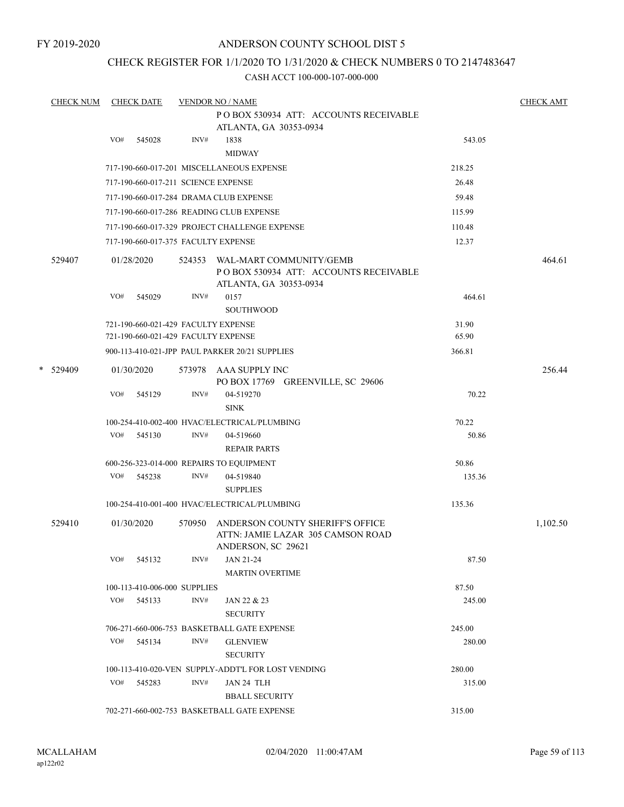FY 2019-2020

## ANDERSON COUNTY SCHOOL DIST 5

### CHECK REGISTER FOR 1/1/2020 TO 1/31/2020 & CHECK NUMBERS 0 TO 2147483647

|   | <b>CHECK NUM</b> |     | <b>CHECK DATE</b> |                              | <b>VENDOR NO / NAME</b>                                                                     |        | <b>CHECK AMT</b> |
|---|------------------|-----|-------------------|------------------------------|---------------------------------------------------------------------------------------------|--------|------------------|
|   |                  |     |                   |                              | PO BOX 530934 ATT: ACCOUNTS RECEIVABLE<br>ATLANTA, GA 30353-0934                            |        |                  |
|   |                  | VO# | 545028            | INV#                         | 1838                                                                                        | 543.05 |                  |
|   |                  |     |                   |                              | <b>MIDWAY</b>                                                                               |        |                  |
|   |                  |     |                   |                              | 717-190-660-017-201 MISCELLANEOUS EXPENSE                                                   | 218.25 |                  |
|   |                  |     |                   |                              | 717-190-660-017-211 SCIENCE EXPENSE                                                         | 26.48  |                  |
|   |                  |     |                   |                              | 717-190-660-017-284 DRAMA CLUB EXPENSE                                                      | 59.48  |                  |
|   |                  |     |                   |                              | 717-190-660-017-286 READING CLUB EXPENSE                                                    | 115.99 |                  |
|   |                  |     |                   |                              | 717-190-660-017-329 PROJECT CHALLENGE EXPENSE                                               | 110.48 |                  |
|   |                  |     |                   |                              | 717-190-660-017-375 FACULTY EXPENSE                                                         |        |                  |
|   |                  |     |                   |                              |                                                                                             | 12.37  |                  |
|   | 529407           |     | 01/28/2020        | 524353                       | WAL-MART COMMUNITY/GEMB<br>PO BOX 530934 ATT: ACCOUNTS RECEIVABLE<br>ATLANTA, GA 30353-0934 |        | 464.61           |
|   |                  | VO# | 545029            | INV#                         | 0157<br><b>SOUTHWOOD</b>                                                                    | 464.61 |                  |
|   |                  |     |                   |                              | 721-190-660-021-429 FACULTY EXPENSE                                                         | 31.90  |                  |
|   |                  |     |                   |                              | 721-190-660-021-429 FACULTY EXPENSE                                                         | 65.90  |                  |
|   |                  |     |                   |                              | 900-113-410-021-JPP PAUL PARKER 20/21 SUPPLIES                                              | 366.81 |                  |
| * | 529409           |     | 01/30/2020        |                              | 573978 AAA SUPPLY INC                                                                       |        | 256.44           |
|   |                  |     |                   |                              | PO BOX 17769 GREENVILLE, SC 29606                                                           |        |                  |
|   |                  | VO# | 545129            | INV#                         | 04-519270                                                                                   | 70.22  |                  |
|   |                  |     |                   |                              | <b>SINK</b>                                                                                 |        |                  |
|   |                  |     |                   |                              | 100-254-410-002-400 HVAC/ELECTRICAL/PLUMBING                                                | 70.22  |                  |
|   |                  | VO# | 545130            | INV#                         | 04-519660                                                                                   | 50.86  |                  |
|   |                  |     |                   |                              | <b>REPAIR PARTS</b>                                                                         |        |                  |
|   |                  |     |                   |                              | 600-256-323-014-000 REPAIRS TO EQUIPMENT                                                    | 50.86  |                  |
|   |                  | VO# | 545238            | INV#                         | 04-519840                                                                                   | 135.36 |                  |
|   |                  |     |                   |                              | <b>SUPPLIES</b>                                                                             |        |                  |
|   |                  |     |                   |                              | 100-254-410-001-400 HVAC/ELECTRICAL/PLUMBING                                                | 135.36 |                  |
|   | 529410           |     | 01/30/2020        | 570950                       | ANDERSON COUNTY SHERIFF'S OFFICE<br>ATTN: JAMIE LAZAR 305 CAMSON ROAD<br>ANDERSON, SC 29621 |        | 1,102.50         |
|   |                  | VO# | 545132            | INV#                         | JAN 21-24                                                                                   | 87.50  |                  |
|   |                  |     |                   |                              | <b>MARTIN OVERTIME</b>                                                                      |        |                  |
|   |                  |     |                   | 100-113-410-006-000 SUPPLIES |                                                                                             | 87.50  |                  |
|   |                  |     | VO# 545133        | INV#                         | JAN 22 & 23                                                                                 | 245.00 |                  |
|   |                  |     |                   |                              | <b>SECURITY</b>                                                                             |        |                  |
|   |                  |     |                   |                              | 706-271-660-006-753 BASKETBALL GATE EXPENSE                                                 | 245.00 |                  |
|   |                  | VO# | 545134            | INV#                         | <b>GLENVIEW</b>                                                                             | 280.00 |                  |
|   |                  |     |                   |                              | <b>SECURITY</b>                                                                             |        |                  |
|   |                  |     |                   |                              | 100-113-410-020-VEN SUPPLY-ADDT'L FOR LOST VENDING                                          | 280.00 |                  |
|   |                  |     | VO# 545283        | INV#                         | JAN 24 TLH                                                                                  | 315.00 |                  |
|   |                  |     |                   |                              | <b>BBALL SECURITY</b>                                                                       |        |                  |
|   |                  |     |                   |                              | 702-271-660-002-753 BASKETBALL GATE EXPENSE                                                 | 315.00 |                  |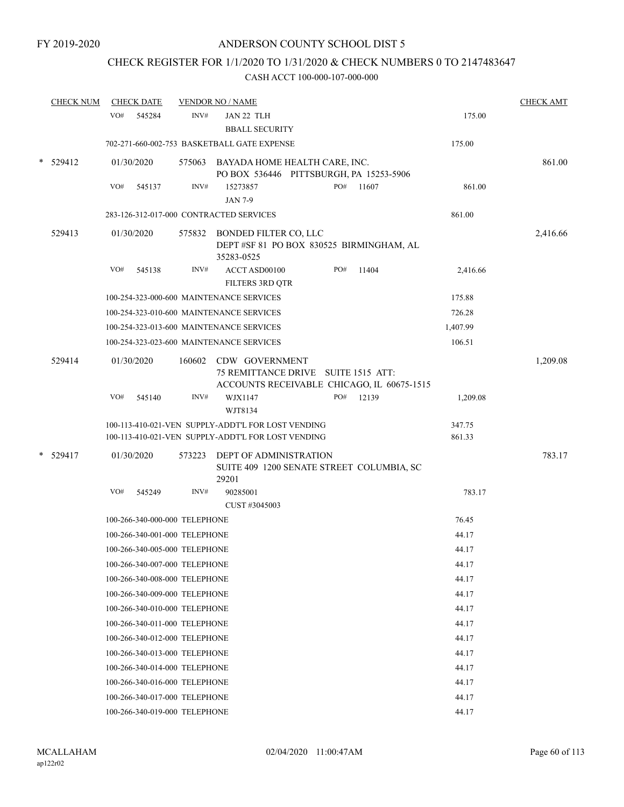## CHECK REGISTER FOR 1/1/2020 TO 1/31/2020 & CHECK NUMBERS 0 TO 2147483647

| <b>CHECK NUM</b> |     | <b>CHECK DATE</b>             |        | <b>VENDOR NO / NAME</b>                                                                                  |     |       |                  | <b>CHECK AMT</b> |
|------------------|-----|-------------------------------|--------|----------------------------------------------------------------------------------------------------------|-----|-------|------------------|------------------|
|                  | VO# | 545284                        | INV#   | JAN 22 TLH<br><b>BBALL SECURITY</b>                                                                      |     |       | 175.00           |                  |
|                  |     |                               |        | 702-271-660-002-753 BASKETBALL GATE EXPENSE                                                              |     |       | 175.00           |                  |
| $*$ 529412       |     | 01/30/2020                    |        | 575063 BAYADA HOME HEALTH CARE, INC.<br>PO BOX 536446 PITTSBURGH, PA 15253-5906                          |     |       |                  | 861.00           |
|                  | VO# | 545137                        | INV#   | 15273857<br><b>JAN 7-9</b>                                                                               | PO# | 11607 | 861.00           |                  |
|                  |     |                               |        | 283-126-312-017-000 CONTRACTED SERVICES                                                                  |     |       | 861.00           |                  |
| 529413           |     | 01/30/2020                    |        | 575832 BONDED FILTER CO, LLC<br>DEPT #SF 81 PO BOX 830525 BIRMINGHAM, AL<br>35283-0525                   |     |       |                  | 2,416.66         |
|                  | VO# | 545138                        | INV#   | ACCT ASD00100<br>FILTERS 3RD QTR                                                                         | PO# | 11404 | 2,416.66         |                  |
|                  |     |                               |        | 100-254-323-000-600 MAINTENANCE SERVICES                                                                 |     |       | 175.88           |                  |
|                  |     |                               |        | 100-254-323-010-600 MAINTENANCE SERVICES                                                                 |     |       | 726.28           |                  |
|                  |     |                               |        | 100-254-323-013-600 MAINTENANCE SERVICES                                                                 |     |       | 1,407.99         |                  |
|                  |     |                               |        | 100-254-323-023-600 MAINTENANCE SERVICES                                                                 |     |       | 106.51           |                  |
| 529414           |     | 01/30/2020                    | 160602 | CDW GOVERNMENT<br>75 REMITTANCE DRIVE SUITE 1515 ATT:<br>ACCOUNTS RECEIVABLE CHICAGO, IL 60675-1515      |     |       |                  | 1,209.08         |
|                  | VO# | 545140                        | INV#   | WJX1147<br>WJT8134                                                                                       | PO# | 12139 | 1,209.08         |                  |
|                  |     |                               |        | 100-113-410-021-VEN SUPPLY-ADDT'L FOR LOST VENDING<br>100-113-410-021-VEN SUPPLY-ADDT'L FOR LOST VENDING |     |       | 347.75<br>861.33 |                  |
| $*$ 529417       |     | 01/30/2020                    | 573223 | DEPT OF ADMINISTRATION<br>SUITE 409 1200 SENATE STREET COLUMBIA, SC<br>29201                             |     |       |                  | 783.17           |
|                  | VO# | 545249                        | INV#   | 90285001<br>CUST #3045003                                                                                |     |       | 783.17           |                  |
|                  |     | 100-266-340-000-000 TELEPHONE |        |                                                                                                          |     |       | 76.45            |                  |
|                  |     | 100-266-340-001-000 TELEPHONE |        |                                                                                                          |     |       | 44.17            |                  |
|                  |     | 100-266-340-005-000 TELEPHONE |        |                                                                                                          |     |       | 44.17            |                  |
|                  |     | 100-266-340-007-000 TELEPHONE |        |                                                                                                          |     |       | 44.17            |                  |
|                  |     | 100-266-340-008-000 TELEPHONE |        |                                                                                                          |     |       | 44.17            |                  |
|                  |     | 100-266-340-009-000 TELEPHONE |        |                                                                                                          |     |       | 44.17            |                  |
|                  |     | 100-266-340-010-000 TELEPHONE |        |                                                                                                          |     |       | 44.17            |                  |
|                  |     | 100-266-340-011-000 TELEPHONE |        |                                                                                                          |     |       | 44.17            |                  |
|                  |     | 100-266-340-012-000 TELEPHONE |        |                                                                                                          |     |       | 44.17            |                  |
|                  |     | 100-266-340-013-000 TELEPHONE |        |                                                                                                          |     |       | 44.17            |                  |
|                  |     | 100-266-340-014-000 TELEPHONE |        |                                                                                                          |     |       | 44.17            |                  |
|                  |     | 100-266-340-016-000 TELEPHONE |        |                                                                                                          |     |       | 44.17            |                  |
|                  |     | 100-266-340-017-000 TELEPHONE |        |                                                                                                          |     |       | 44.17            |                  |
|                  |     | 100-266-340-019-000 TELEPHONE |        |                                                                                                          |     |       | 44.17            |                  |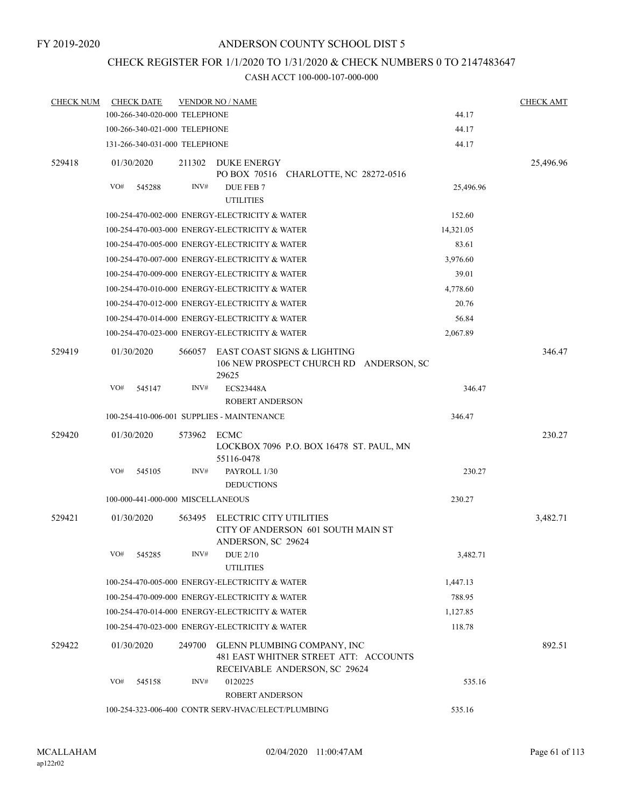## CHECK REGISTER FOR 1/1/2020 TO 1/31/2020 & CHECK NUMBERS 0 TO 2147483647

| <b>CHECK NUM</b> |     | <b>CHECK DATE</b>                 |        | <b>VENDOR NO / NAME</b>                                                                               |           | <b>CHECK AMT</b> |
|------------------|-----|-----------------------------------|--------|-------------------------------------------------------------------------------------------------------|-----------|------------------|
|                  |     | 100-266-340-020-000 TELEPHONE     |        |                                                                                                       | 44.17     |                  |
|                  |     | 100-266-340-021-000 TELEPHONE     |        |                                                                                                       | 44.17     |                  |
|                  |     | 131-266-340-031-000 TELEPHONE     |        |                                                                                                       | 44.17     |                  |
| 529418           |     | 01/30/2020                        |        | 211302 DUKE ENERGY<br>PO BOX 70516 CHARLOTTE, NC 28272-0516                                           |           | 25,496.96        |
|                  | VO# | 545288                            | INV#   | DUE FEB 7<br><b>UTILITIES</b>                                                                         | 25,496.96 |                  |
|                  |     |                                   |        | 100-254-470-002-000 ENERGY-ELECTRICITY & WATER                                                        | 152.60    |                  |
|                  |     |                                   |        | 100-254-470-003-000 ENERGY-ELECTRICITY & WATER                                                        | 14,321.05 |                  |
|                  |     |                                   |        | 100-254-470-005-000 ENERGY-ELECTRICITY & WATER                                                        | 83.61     |                  |
|                  |     |                                   |        | 100-254-470-007-000 ENERGY-ELECTRICITY & WATER                                                        | 3,976.60  |                  |
|                  |     |                                   |        | 100-254-470-009-000 ENERGY-ELECTRICITY & WATER                                                        | 39.01     |                  |
|                  |     |                                   |        | 100-254-470-010-000 ENERGY-ELECTRICITY & WATER                                                        | 4,778.60  |                  |
|                  |     |                                   |        | 100-254-470-012-000 ENERGY-ELECTRICITY & WATER                                                        | 20.76     |                  |
|                  |     |                                   |        | 100-254-470-014-000 ENERGY-ELECTRICITY & WATER                                                        | 56.84     |                  |
|                  |     |                                   |        | 100-254-470-023-000 ENERGY-ELECTRICITY & WATER                                                        | 2,067.89  |                  |
| 529419           |     | 01/30/2020                        | 566057 | EAST COAST SIGNS & LIGHTING<br>106 NEW PROSPECT CHURCH RD ANDERSON, SC<br>29625                       |           | 346.47           |
|                  | VO# | 545147                            | INV#   | <b>ECS23448A</b><br><b>ROBERT ANDERSON</b>                                                            | 346.47    |                  |
|                  |     |                                   |        | 100-254-410-006-001 SUPPLIES - MAINTENANCE                                                            | 346.47    |                  |
| 529420           |     | 01/30/2020                        | 573962 | ECMC<br>LOCKBOX 7096 P.O. BOX 16478 ST. PAUL, MN<br>55116-0478                                        |           | 230.27           |
|                  | VO# | 545105                            | INV#   | PAYROLL 1/30<br><b>DEDUCTIONS</b>                                                                     | 230.27    |                  |
|                  |     | 100-000-441-000-000 MISCELLANEOUS |        |                                                                                                       | 230.27    |                  |
| 529421           |     | 01/30/2020                        | 563495 | <b>ELECTRIC CITY UTILITIES</b><br>CITY OF ANDERSON 601 SOUTH MAIN ST<br>ANDERSON, SC 29624            |           | 3,482.71         |
|                  |     | VO# 545285                        |        | $INV#$ DUE $2/10$<br><b>UTILITIES</b>                                                                 | 3,482.71  |                  |
|                  |     |                                   |        | 100-254-470-005-000 ENERGY-ELECTRICITY & WATER                                                        | 1,447.13  |                  |
|                  |     |                                   |        | 100-254-470-009-000 ENERGY-ELECTRICITY & WATER                                                        | 788.95    |                  |
|                  |     |                                   |        | 100-254-470-014-000 ENERGY-ELECTRICITY & WATER                                                        | 1,127.85  |                  |
|                  |     |                                   |        | 100-254-470-023-000 ENERGY-ELECTRICITY & WATER                                                        | 118.78    |                  |
| 529422           |     | 01/30/2020                        | 249700 | GLENN PLUMBING COMPANY, INC<br>481 EAST WHITNER STREET ATT: ACCOUNTS<br>RECEIVABLE ANDERSON, SC 29624 |           | 892.51           |
|                  | VO# | 545158                            | INV#   | 0120225<br>ROBERT ANDERSON                                                                            | 535.16    |                  |
|                  |     |                                   |        | 100-254-323-006-400 CONTR SERV-HVAC/ELECT/PLUMBING                                                    | 535.16    |                  |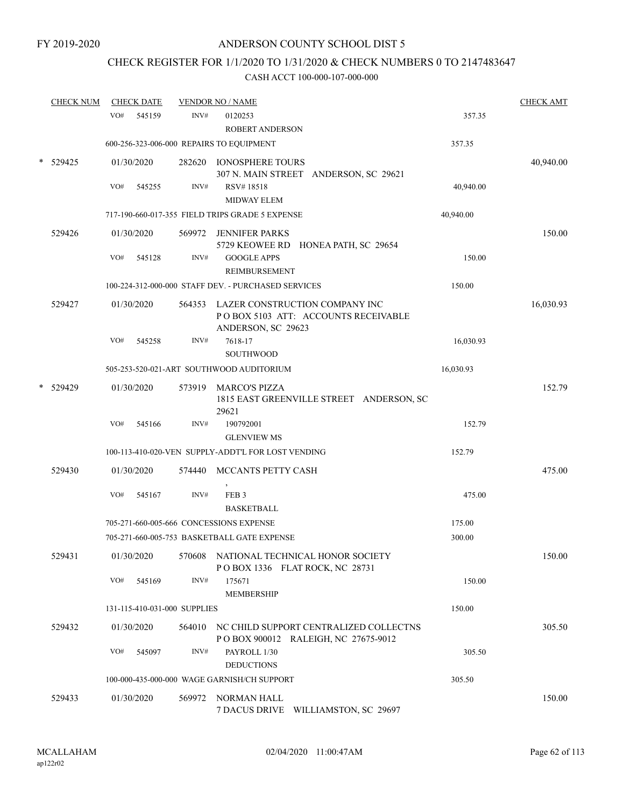## CHECK REGISTER FOR 1/1/2020 TO 1/31/2020 & CHECK NUMBERS 0 TO 2147483647

| <b>CHECK NUM</b> |     | <b>CHECK DATE</b> |                              | <b>VENDOR NO / NAME</b>                                                                            |           | <b>CHECK AMT</b> |
|------------------|-----|-------------------|------------------------------|----------------------------------------------------------------------------------------------------|-----------|------------------|
|                  | VO# | 545159            | INV#                         | 0120253<br><b>ROBERT ANDERSON</b>                                                                  | 357.35    |                  |
|                  |     |                   |                              | 600-256-323-006-000 REPAIRS TO EQUIPMENT                                                           | 357.35    |                  |
| 529425           |     | 01/30/2020        |                              | 282620 IONOSPHERE TOURS<br>307 N. MAIN STREET ANDERSON, SC 29621                                   |           | 40,940.00        |
|                  | VO# | 545255            | INV#                         | RSV#18518<br><b>MIDWAY ELEM</b>                                                                    | 40,940.00 |                  |
|                  |     |                   |                              | 717-190-660-017-355 FIELD TRIPS GRADE 5 EXPENSE                                                    | 40,940.00 |                  |
| 529426           |     | 01/30/2020        |                              | 569972 JENNIFER PARKS<br>5729 KEOWEE RD HONEA PATH, SC 29654                                       |           | 150.00           |
|                  | VO# | 545128            | INV#                         | <b>GOOGLE APPS</b><br><b>REIMBURSEMENT</b>                                                         | 150.00    |                  |
|                  |     |                   |                              | 100-224-312-000-000 STAFF DEV. - PURCHASED SERVICES                                                | 150.00    |                  |
| 529427           |     | 01/30/2020        |                              | 564353 LAZER CONSTRUCTION COMPANY INC<br>POBOX 5103 ATT: ACCOUNTS RECEIVABLE<br>ANDERSON, SC 29623 |           | 16,030.93        |
|                  | VO# | 545258            | INV#                         | 7618-17<br><b>SOUTHWOOD</b>                                                                        | 16,030.93 |                  |
|                  |     |                   |                              | 505-253-520-021-ART SOUTHWOOD AUDITORIUM                                                           | 16,030.93 |                  |
| 529429           |     | 01/30/2020        |                              | 573919 MARCO'S PIZZA<br>1815 EAST GREENVILLE STREET ANDERSON, SC<br>29621                          |           | 152.79           |
|                  | VO# | 545166            | INV#                         | 190792001<br><b>GLENVIEW MS</b>                                                                    | 152.79    |                  |
|                  |     |                   |                              | 100-113-410-020-VEN SUPPLY-ADDT'L FOR LOST VENDING                                                 | 152.79    |                  |
| 529430           |     | 01/30/2020        | 574440                       | MCCANTS PETTY CASH                                                                                 |           | 475.00           |
|                  | VO# | 545167            | INV#                         | FEB <sub>3</sub><br><b>BASKETBALL</b>                                                              | 475.00    |                  |
|                  |     |                   |                              | 705-271-660-005-666 CONCESSIONS EXPENSE                                                            | 175.00    |                  |
|                  |     |                   |                              | 705-271-660-005-753 BASKETBALL GATE EXPENSE                                                        | 300.00    |                  |
| 529431           |     | 01/30/2020        | 570608                       | NATIONAL TECHNICAL HONOR SOCIETY<br>POBOX 1336 FLAT ROCK, NC 28731                                 |           | 150.00           |
|                  | VO# | 545169            | INV#                         | 175671<br><b>MEMBERSHIP</b>                                                                        | 150.00    |                  |
|                  |     |                   | 131-115-410-031-000 SUPPLIES |                                                                                                    | 150.00    |                  |
| 529432           |     | 01/30/2020        | 564010                       | NC CHILD SUPPORT CENTRALIZED COLLECTNS<br>POBOX 900012 RALEIGH, NC 27675-9012                      |           | 305.50           |
|                  | VO# | 545097            | INV#                         | PAYROLL 1/30<br><b>DEDUCTIONS</b>                                                                  | 305.50    |                  |
|                  |     |                   |                              | 100-000-435-000-000 WAGE GARNISH/CH SUPPORT                                                        | 305.50    |                  |
| 529433           |     | 01/30/2020        | 569972                       | NORMAN HALL<br>7 DACUS DRIVE WILLIAMSTON, SC 29697                                                 |           | 150.00           |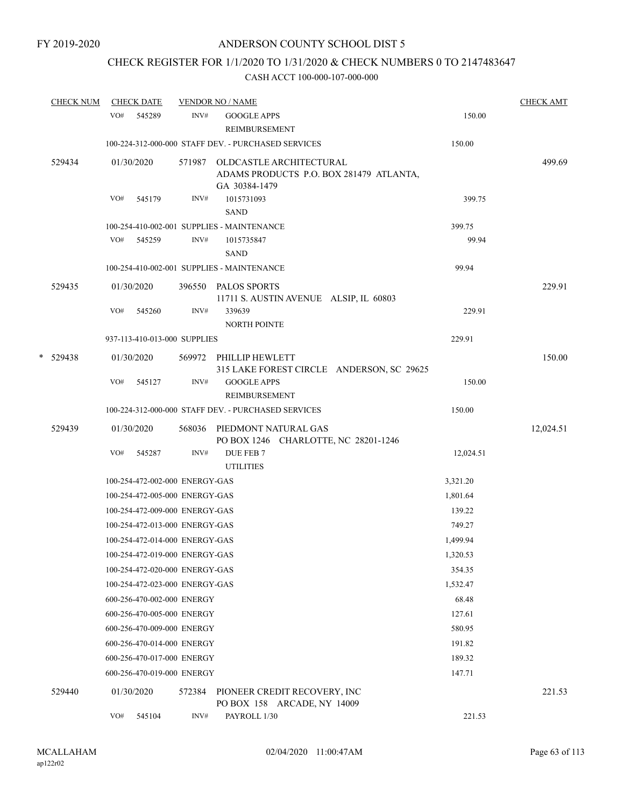## CHECK REGISTER FOR 1/1/2020 TO 1/31/2020 & CHECK NUMBERS 0 TO 2147483647

|   | <b>CHECK NUM</b> |     | <b>CHECK DATE</b>              |        | <b>VENDOR NO / NAME</b>                                                                    |           | <b>CHECK AMT</b> |
|---|------------------|-----|--------------------------------|--------|--------------------------------------------------------------------------------------------|-----------|------------------|
|   |                  |     | VO# 545289                     | INV#   | <b>GOOGLE APPS</b><br>REIMBURSEMENT                                                        | 150.00    |                  |
|   |                  |     |                                |        | 100-224-312-000-000 STAFF DEV. - PURCHASED SERVICES                                        | 150.00    |                  |
|   | 529434           |     | 01/30/2020                     |        | 571987 OLDCASTLE ARCHITECTURAL<br>ADAMS PRODUCTS P.O. BOX 281479 ATLANTA,<br>GA 30384-1479 |           | 499.69           |
|   |                  | VO# | 545179                         | INV#   | 1015731093<br><b>SAND</b>                                                                  | 399.75    |                  |
|   |                  |     |                                |        | 100-254-410-002-001 SUPPLIES - MAINTENANCE                                                 | 399.75    |                  |
|   |                  | VO# | 545259                         | INV#   | 1015735847<br><b>SAND</b>                                                                  | 99.94     |                  |
|   |                  |     |                                |        | 100-254-410-002-001 SUPPLIES - MAINTENANCE                                                 | 99.94     |                  |
|   | 529435           |     | 01/30/2020                     |        | 396550 PALOS SPORTS<br>11711 S. AUSTIN AVENUE ALSIP, IL 60803                              |           | 229.91           |
|   |                  | VO# | 545260                         | INV#   | 339639<br>NORTH POINTE                                                                     | 229.91    |                  |
|   |                  |     | 937-113-410-013-000 SUPPLIES   |        |                                                                                            | 229.91    |                  |
| * | 529438           |     | 01/30/2020                     |        | 569972 PHILLIP HEWLETT<br>315 LAKE FOREST CIRCLE ANDERSON, SC 29625                        |           | 150.00           |
|   |                  | VO# | 545127                         | INV#   | <b>GOOGLE APPS</b><br>REIMBURSEMENT                                                        | 150.00    |                  |
|   |                  |     |                                |        | 100-224-312-000-000 STAFF DEV. - PURCHASED SERVICES                                        | 150.00    |                  |
|   | 529439           |     | 01/30/2020                     |        | 568036 PIEDMONT NATURAL GAS<br>PO BOX 1246 CHARLOTTE, NC 28201-1246                        |           | 12,024.51        |
|   |                  | VO# | 545287                         | INV#   | DUE FEB 7<br><b>UTILITIES</b>                                                              | 12,024.51 |                  |
|   |                  |     | 100-254-472-002-000 ENERGY-GAS |        |                                                                                            | 3,321.20  |                  |
|   |                  |     | 100-254-472-005-000 ENERGY-GAS |        |                                                                                            | 1,801.64  |                  |
|   |                  |     | 100-254-472-009-000 ENERGY-GAS |        |                                                                                            | 139.22    |                  |
|   |                  |     | 100-254-472-013-000 ENERGY-GAS |        |                                                                                            | 749.27    |                  |
|   |                  |     | 100-254-472-014-000 ENERGY-GAS |        |                                                                                            | 1,499.94  |                  |
|   |                  |     | 100-254-472-019-000 ENERGY-GAS |        |                                                                                            | 1,320.53  |                  |
|   |                  |     | 100-254-472-020-000 ENERGY-GAS |        |                                                                                            | 354.35    |                  |
|   |                  |     | 100-254-472-023-000 ENERGY-GAS |        |                                                                                            | 1,532.47  |                  |
|   |                  |     | 600-256-470-002-000 ENERGY     |        |                                                                                            | 68.48     |                  |
|   |                  |     | 600-256-470-005-000 ENERGY     |        |                                                                                            | 127.61    |                  |
|   |                  |     | 600-256-470-009-000 ENERGY     |        |                                                                                            | 580.95    |                  |
|   |                  |     | 600-256-470-014-000 ENERGY     |        |                                                                                            | 191.82    |                  |
|   |                  |     | 600-256-470-017-000 ENERGY     |        |                                                                                            | 189.32    |                  |
|   |                  |     | 600-256-470-019-000 ENERGY     |        |                                                                                            | 147.71    |                  |
|   | 529440           |     | 01/30/2020                     | 572384 | PIONEER CREDIT RECOVERY, INC<br>PO BOX 158 ARCADE, NY 14009                                |           | 221.53           |
|   |                  | VO# | 545104                         | INV#   | PAYROLL 1/30                                                                               | 221.53    |                  |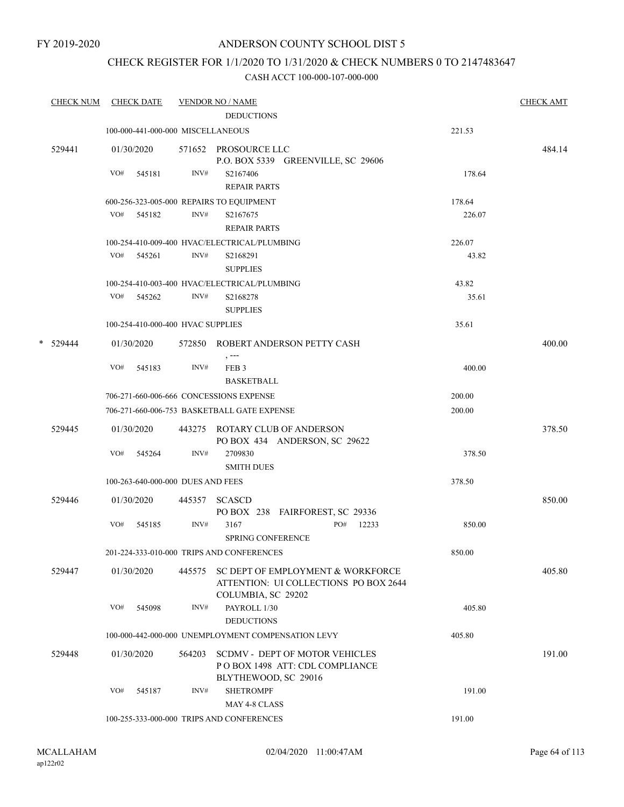## CHECK REGISTER FOR 1/1/2020 TO 1/31/2020 & CHECK NUMBERS 0 TO 2147483647

|   | <b>CHECK NUM</b> |     | <b>CHECK DATE</b>                 |        | <b>VENDOR NO / NAME</b>                                                                          |                 | <b>CHECK AMT</b> |
|---|------------------|-----|-----------------------------------|--------|--------------------------------------------------------------------------------------------------|-----------------|------------------|
|   |                  |     |                                   |        | <b>DEDUCTIONS</b>                                                                                |                 |                  |
|   |                  |     | 100-000-441-000-000 MISCELLANEOUS |        |                                                                                                  | 221.53          |                  |
|   | 529441           |     | 01/30/2020                        |        | 571652 PROSOURCE LLC<br>P.O. BOX 5339 GREENVILLE, SC 29606                                       |                 | 484.14           |
|   |                  | VO# | 545181                            | INV#   | S2167406                                                                                         | 178.64          |                  |
|   |                  |     |                                   |        | <b>REPAIR PARTS</b>                                                                              |                 |                  |
|   |                  |     |                                   |        | 600-256-323-005-000 REPAIRS TO EQUIPMENT                                                         | 178.64          |                  |
|   |                  |     | VO# 545182                        | INV#   | S2167675                                                                                         | 226.07          |                  |
|   |                  |     |                                   |        | <b>REPAIR PARTS</b>                                                                              |                 |                  |
|   |                  |     |                                   |        | 100-254-410-009-400 HVAC/ELECTRICAL/PLUMBING                                                     | 226.07          |                  |
|   |                  | VO# | 545261                            | INV#   | S2168291<br><b>SUPPLIES</b>                                                                      | 43.82           |                  |
|   |                  |     |                                   |        | 100-254-410-003-400 HVAC/ELECTRICAL/PLUMBING                                                     | 43.82           |                  |
|   |                  |     | VO# 545262                        | INV#   | S2168278<br><b>SUPPLIES</b>                                                                      | 35.61           |                  |
|   |                  |     | 100-254-410-000-400 HVAC SUPPLIES |        |                                                                                                  | 35.61           |                  |
| * | 529444           |     | 01/30/2020                        |        | 572850 ROBERT ANDERSON PETTY CASH                                                                |                 | 400.00           |
|   |                  | VO# | 545183                            | INV#   | FEB <sub>3</sub><br><b>BASKETBALL</b>                                                            | 400.00          |                  |
|   |                  |     |                                   |        | 706-271-660-006-666 CONCESSIONS EXPENSE                                                          | 200.00          |                  |
|   |                  |     |                                   |        | 706-271-660-006-753 BASKETBALL GATE EXPENSE                                                      | 200.00          |                  |
|   | 529445           |     | 01/30/2020                        |        | 443275 ROTARY CLUB OF ANDERSON<br>PO BOX 434 ANDERSON, SC 29622                                  |                 | 378.50           |
|   |                  | VO# | 545264                            | INV#   | 2709830<br><b>SMITH DUES</b>                                                                     | 378.50          |                  |
|   |                  |     | 100-263-640-000-000 DUES AND FEES |        |                                                                                                  | 378.50          |                  |
|   | 529446           |     | 01/30/2020                        |        | 445357 SCASCD<br>PO BOX 238 FAIRFOREST, SC 29336                                                 |                 | 850.00           |
|   |                  | VO# | 545185                            | INV#   | 3167<br>PO#<br>SPRING CONFERENCE                                                                 | 12233<br>850.00 |                  |
|   |                  |     |                                   |        | 201-224-333-010-000 TRIPS AND CONFERENCES                                                        | 850.00          |                  |
|   | 529447           |     | 01/30/2020                        | 445575 | SC DEPT OF EMPLOYMENT & WORKFORCE<br>ATTENTION: UI COLLECTIONS PO BOX 2644<br>COLUMBIA, SC 29202 |                 | 405.80           |
|   |                  | VO# | 545098                            | INV#   | PAYROLL 1/30<br><b>DEDUCTIONS</b>                                                                | 405.80          |                  |
|   |                  |     |                                   |        | 100-000-442-000-000 UNEMPLOYMENT COMPENSATION LEVY                                               | 405.80          |                  |
|   | 529448           |     | 01/30/2020                        | 564203 | <b>SCDMV - DEPT OF MOTOR VEHICLES</b><br>POBOX 1498 ATT: CDL COMPLIANCE<br>BLYTHEWOOD, SC 29016  |                 | 191.00           |
|   |                  | VO# | 545187                            | INV#   | <b>SHETROMPF</b><br>MAY 4-8 CLASS                                                                | 191.00          |                  |
|   |                  |     |                                   |        | 100-255-333-000-000 TRIPS AND CONFERENCES                                                        | 191.00          |                  |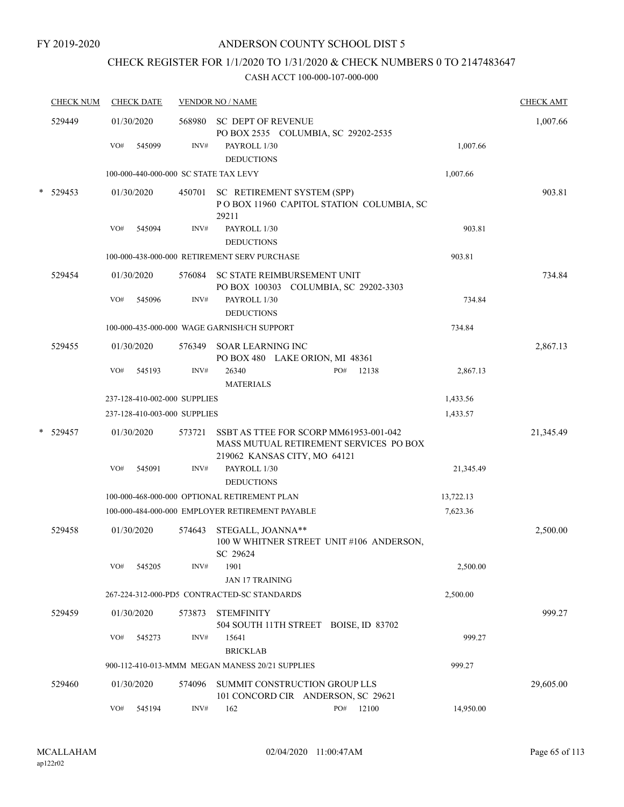## CHECK REGISTER FOR 1/1/2020 TO 1/31/2020 & CHECK NUMBERS 0 TO 2147483647

|   | <b>CHECK NUM</b> | <b>CHECK DATE</b>                     |        | <b>VENDOR NO / NAME</b>                                                                                          |           | <b>CHECK AMT</b> |
|---|------------------|---------------------------------------|--------|------------------------------------------------------------------------------------------------------------------|-----------|------------------|
|   | 529449           | 01/30/2020                            | 568980 | <b>SC DEPT OF REVENUE</b><br>PO BOX 2535 COLUMBIA, SC 29202-2535                                                 |           | 1,007.66         |
|   |                  | VO#<br>545099                         | INV#   | PAYROLL 1/30<br><b>DEDUCTIONS</b>                                                                                | 1,007.66  |                  |
|   |                  | 100-000-440-000-000 SC STATE TAX LEVY |        |                                                                                                                  | 1,007.66  |                  |
| * | 529453           | 01/30/2020                            | 450701 | SC RETIREMENT SYSTEM (SPP)<br>POBOX 11960 CAPITOL STATION COLUMBIA, SC<br>29211                                  |           | 903.81           |
|   |                  | VO#<br>545094                         | INV#   | PAYROLL 1/30<br><b>DEDUCTIONS</b>                                                                                | 903.81    |                  |
|   |                  |                                       |        | 100-000-438-000-000 RETIREMENT SERV PURCHASE                                                                     | 903.81    |                  |
|   | 529454           | 01/30/2020                            |        | 576084 SC STATE REIMBURSEMENT UNIT<br>PO BOX 100303 COLUMBIA, SC 29202-3303                                      |           | 734.84           |
|   |                  | VO#<br>545096                         | INV#   | PAYROLL 1/30<br><b>DEDUCTIONS</b>                                                                                | 734.84    |                  |
|   |                  |                                       |        | 100-000-435-000-000 WAGE GARNISH/CH SUPPORT                                                                      | 734.84    |                  |
|   | 529455           | 01/30/2020                            | 576349 | <b>SOAR LEARNING INC</b><br>PO BOX 480 LAKE ORION, MI 48361                                                      |           | 2,867.13         |
|   |                  | VO#<br>545193                         | INV#   | 26340<br>PO#<br>12138<br><b>MATERIALS</b>                                                                        | 2,867.13  |                  |
|   |                  | 237-128-410-002-000 SUPPLIES          |        |                                                                                                                  | 1,433.56  |                  |
|   |                  | 237-128-410-003-000 SUPPLIES          |        |                                                                                                                  | 1,433.57  |                  |
| * | 529457           | 01/30/2020                            | 573721 | SSBT AS TTEE FOR SCORP MM61953-001-042<br>MASS MUTUAL RETIREMENT SERVICES PO BOX<br>219062 KANSAS CITY, MO 64121 |           | 21,345.49        |
|   |                  | VO#<br>545091                         | INV#   | PAYROLL 1/30<br><b>DEDUCTIONS</b>                                                                                | 21,345.49 |                  |
|   |                  |                                       |        | 100-000-468-000-000 OPTIONAL RETIREMENT PLAN                                                                     | 13,722.13 |                  |
|   |                  |                                       |        | 100-000-484-000-000 EMPLOYER RETIREMENT PAYABLE                                                                  | 7,623.36  |                  |
|   | 529458           | 01/30/2020                            | 574643 | STEGALL, JOANNA**<br>100 W WHITNER STREET UNIT #106 ANDERSON,<br>SC 29624                                        |           | 2,500.00         |
|   |                  | VO#<br>545205                         | INV#   | 1901<br><b>JAN 17 TRAINING</b>                                                                                   | 2,500.00  |                  |
|   |                  |                                       |        | 267-224-312-000-PD5 CONTRACTED-SC STANDARDS                                                                      | 2,500.00  |                  |
|   | 529459           | 01/30/2020                            | 573873 | <b>STEMFINITY</b><br>504 SOUTH 11TH STREET BOISE, ID 83702                                                       |           | 999.27           |
|   |                  | VO#<br>545273                         | INV#   | 15641<br><b>BRICKLAB</b>                                                                                         | 999.27    |                  |
|   |                  |                                       |        | 900-112-410-013-MMM MEGAN MANESS 20/21 SUPPLIES                                                                  | 999.27    |                  |
|   | 529460           | 01/30/2020                            | 574096 | SUMMIT CONSTRUCTION GROUP LLS<br>101 CONCORD CIR ANDERSON, SC 29621                                              |           | 29,605.00        |
|   |                  | VO#<br>545194                         | INV#   | PO# 12100<br>162                                                                                                 | 14,950.00 |                  |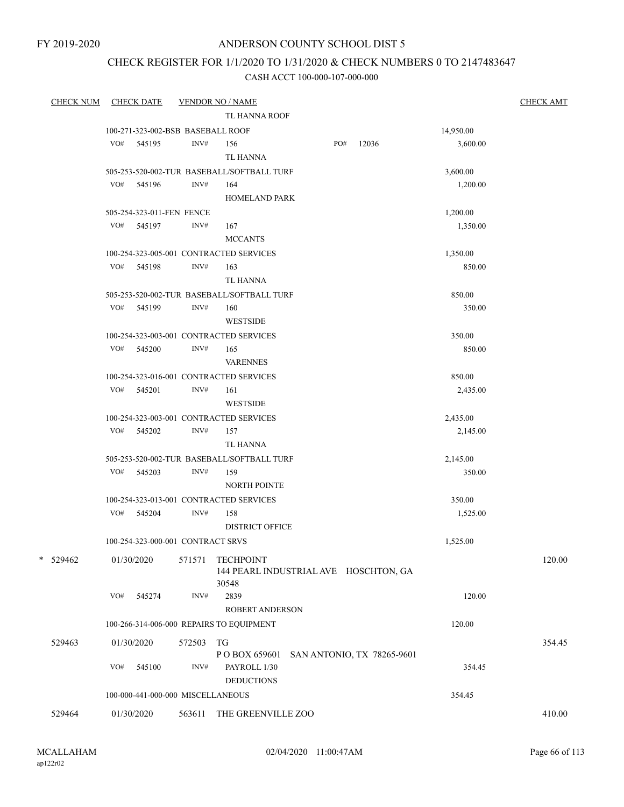FY 2019-2020

## ANDERSON COUNTY SCHOOL DIST 5

# CHECK REGISTER FOR 1/1/2020 TO 1/31/2020 & CHECK NUMBERS 0 TO 2147483647

| <b>CHECK NUM</b> |     | <b>CHECK DATE</b>                 |        | <b>VENDOR NO / NAME</b>                     |           | <b>CHECK AMT</b> |
|------------------|-----|-----------------------------------|--------|---------------------------------------------|-----------|------------------|
|                  |     |                                   |        | TL HANNA ROOF                               |           |                  |
|                  |     | 100-271-323-002-BSB BASEBALL ROOF |        |                                             | 14,950.00 |                  |
|                  | VO# | 545195                            | INV#   | PO#<br>12036<br>156                         | 3,600.00  |                  |
|                  |     |                                   |        | <b>TL HANNA</b>                             |           |                  |
|                  |     |                                   |        | 505-253-520-002-TUR BASEBALL/SOFTBALL TURF  | 3,600.00  |                  |
|                  | VO# | 545196                            | INV#   | 164                                         | 1,200.00  |                  |
|                  |     |                                   |        | <b>HOMELAND PARK</b>                        |           |                  |
|                  |     | 505-254-323-011-FEN FENCE         |        |                                             | 1,200.00  |                  |
|                  |     | VO# 545197                        | INV#   | 167                                         | 1,350.00  |                  |
|                  |     |                                   |        | <b>MCCANTS</b>                              |           |                  |
|                  |     |                                   |        | 100-254-323-005-001 CONTRACTED SERVICES     | 1,350.00  |                  |
|                  | VO# | 545198                            | INV#   | 163                                         | 850.00    |                  |
|                  |     |                                   |        | TL HANNA                                    |           |                  |
|                  |     |                                   |        | 505-253-520-002-TUR BASEBALL/SOFTBALL TURF  | 850.00    |                  |
|                  | VO# | 545199                            | INV#   | 160                                         | 350.00    |                  |
|                  |     |                                   |        | <b>WESTSIDE</b>                             |           |                  |
|                  |     |                                   |        | 100-254-323-003-001 CONTRACTED SERVICES     | 350.00    |                  |
|                  | VO# | 545200                            | INV#   | 165                                         | 850.00    |                  |
|                  |     |                                   |        | <b>VARENNES</b>                             |           |                  |
|                  |     |                                   |        | 100-254-323-016-001 CONTRACTED SERVICES     | 850.00    |                  |
|                  | VO# | 545201                            | INV#   | 161                                         | 2,435.00  |                  |
|                  |     |                                   |        | <b>WESTSIDE</b>                             |           |                  |
|                  |     |                                   |        | 100-254-323-003-001 CONTRACTED SERVICES     | 2,435.00  |                  |
|                  |     | VO# 545202                        | INV#   | 157                                         | 2,145.00  |                  |
|                  |     |                                   |        | <b>TL HANNA</b>                             |           |                  |
|                  |     |                                   |        | 505-253-520-002-TUR BASEBALL/SOFTBALL TURF  | 2,145.00  |                  |
|                  | VO# | 545203                            | INV#   | 159                                         | 350.00    |                  |
|                  |     |                                   |        | <b>NORTH POINTE</b>                         |           |                  |
|                  |     |                                   |        | 100-254-323-013-001 CONTRACTED SERVICES     | 350.00    |                  |
|                  | VO# | 545204                            | INV#   | 158                                         | 1,525.00  |                  |
|                  |     |                                   |        | <b>DISTRICT OFFICE</b>                      |           |                  |
|                  |     | 100-254-323-000-001 CONTRACT SRVS |        |                                             | 1,525.00  |                  |
| *<br>529462      |     | 01/30/2020                        | 571571 | <b>TECHPOINT</b>                            |           | 120.00           |
|                  |     |                                   |        | 144 PEARL INDUSTRIAL AVE HOSCHTON, GA       |           |                  |
|                  | VO# | 545274                            | INV#   | 30548<br>2839                               | 120.00    |                  |
|                  |     |                                   |        | ROBERT ANDERSON                             |           |                  |
|                  |     |                                   |        |                                             |           |                  |
|                  |     |                                   |        | 100-266-314-006-000 REPAIRS TO EQUIPMENT    | 120.00    |                  |
| 529463           |     | 01/30/2020                        | 572503 | TG                                          |           | 354.45           |
|                  |     |                                   |        | PO BOX 659601<br>SAN ANTONIO, TX 78265-9601 |           |                  |
|                  | VO# | 545100                            | INV#   | PAYROLL 1/30                                | 354.45    |                  |
|                  |     |                                   |        | <b>DEDUCTIONS</b>                           |           |                  |
|                  |     | 100-000-441-000-000 MISCELLANEOUS |        |                                             | 354.45    |                  |
| 529464           |     | 01/30/2020                        | 563611 | THE GREENVILLE ZOO                          |           | 410.00           |
|                  |     |                                   |        |                                             |           |                  |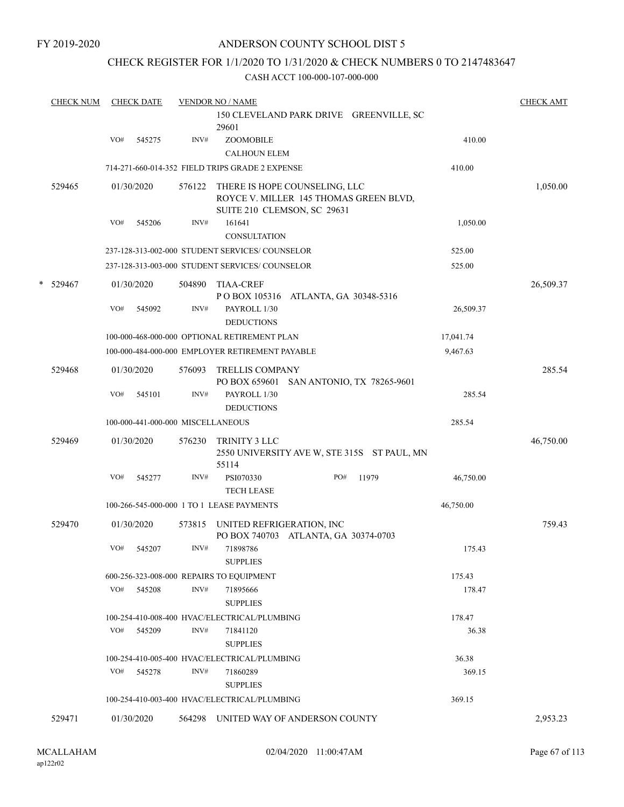FY 2019-2020

## ANDERSON COUNTY SCHOOL DIST 5

### CHECK REGISTER FOR 1/1/2020 TO 1/31/2020 & CHECK NUMBERS 0 TO 2147483647

|   | <b>CHECK NUM</b> |     | <b>CHECK DATE</b> |                                   | <b>VENDOR NO / NAME</b>                                                                                |     |                                             |           | <b>CHECK AMT</b> |
|---|------------------|-----|-------------------|-----------------------------------|--------------------------------------------------------------------------------------------------------|-----|---------------------------------------------|-----------|------------------|
|   |                  |     |                   |                                   | 29601                                                                                                  |     | 150 CLEVELAND PARK DRIVE GREENVILLE, SC     |           |                  |
|   |                  | VO# | 545275            | $\text{INV}\#$                    | ZOOMOBILE                                                                                              |     |                                             | 410.00    |                  |
|   |                  |     |                   |                                   | <b>CALHOUN ELEM</b>                                                                                    |     |                                             |           |                  |
|   |                  |     |                   |                                   | 714-271-660-014-352 FIELD TRIPS GRADE 2 EXPENSE                                                        |     |                                             | 410.00    |                  |
|   | 529465           |     | 01/30/2020        | 576122                            | THERE IS HOPE COUNSELING, LLC<br>ROYCE V. MILLER 145 THOMAS GREEN BLVD,<br>SUITE 210 CLEMSON, SC 29631 |     |                                             |           | 1,050.00         |
|   |                  | VO# | 545206            | INV#                              | 161641<br><b>CONSULTATION</b>                                                                          |     |                                             | 1,050.00  |                  |
|   |                  |     |                   |                                   | 237-128-313-002-000 STUDENT SERVICES/ COUNSELOR                                                        |     |                                             | 525.00    |                  |
|   |                  |     |                   |                                   | 237-128-313-003-000 STUDENT SERVICES/ COUNSELOR                                                        |     |                                             | 525.00    |                  |
| * | 529467           |     | 01/30/2020        | 504890                            | <b>TIAA-CREF</b><br>POBOX 105316 ATLANTA, GA 30348-5316                                                |     |                                             |           | 26,509.37        |
|   |                  | VO# | 545092            | INV#                              | PAYROLL 1/30<br><b>DEDUCTIONS</b>                                                                      |     |                                             | 26,509.37 |                  |
|   |                  |     |                   |                                   | 100-000-468-000-000 OPTIONAL RETIREMENT PLAN                                                           |     |                                             | 17,041.74 |                  |
|   |                  |     |                   |                                   | 100-000-484-000-000 EMPLOYER RETIREMENT PAYABLE                                                        |     |                                             | 9,467.63  |                  |
|   | 529468           |     | 01/30/2020        | 576093                            | TRELLIS COMPANY<br>PO BOX 659601                                                                       |     | SAN ANTONIO, TX 78265-9601                  |           | 285.54           |
|   |                  | VO# | 545101            | INV#                              | PAYROLL 1/30<br><b>DEDUCTIONS</b>                                                                      |     |                                             | 285.54    |                  |
|   |                  |     |                   | 100-000-441-000-000 MISCELLANEOUS |                                                                                                        |     |                                             | 285.54    |                  |
|   | 529469           |     | 01/30/2020        | 576230                            | TRINITY 3 LLC<br>55114                                                                                 |     | 2550 UNIVERSITY AVE W, STE 315S ST PAUL, MN |           | 46,750.00        |
|   |                  | VO# | 545277            | INV#                              | PSI070330<br><b>TECH LEASE</b>                                                                         | PO# | 11979                                       | 46,750.00 |                  |
|   |                  |     |                   |                                   | 100-266-545-000-000 1 TO 1 LEASE PAYMENTS                                                              |     |                                             | 46,750.00 |                  |
|   | 529470           |     | 01/30/2020        | 573815                            | UNITED REFRIGERATION, INC<br>PO BOX 740703 ATLANTA, GA 30374-0703                                      |     |                                             |           | 759.43           |
|   |                  | VO# | 545207            | INV#                              | 71898786<br><b>SUPPLIES</b>                                                                            |     |                                             | 175.43    |                  |
|   |                  |     |                   |                                   | 600-256-323-008-000 REPAIRS TO EQUIPMENT                                                               |     |                                             | 175.43    |                  |
|   |                  | VO# | 545208            | INV#                              | 71895666<br><b>SUPPLIES</b>                                                                            |     |                                             | 178.47    |                  |
|   |                  |     |                   |                                   | 100-254-410-008-400 HVAC/ELECTRICAL/PLUMBING                                                           |     |                                             | 178.47    |                  |
|   |                  | VO# | 545209            | INV#                              | 71841120<br><b>SUPPLIES</b>                                                                            |     |                                             | 36.38     |                  |
|   |                  |     |                   |                                   | 100-254-410-005-400 HVAC/ELECTRICAL/PLUMBING                                                           |     |                                             | 36.38     |                  |
|   |                  | VO# | 545278            | INV#                              | 71860289<br><b>SUPPLIES</b>                                                                            |     |                                             | 369.15    |                  |
|   |                  |     |                   |                                   | 100-254-410-003-400 HVAC/ELECTRICAL/PLUMBING                                                           |     |                                             | 369.15    |                  |
|   | 529471           |     | 01/30/2020        |                                   | 564298 UNITED WAY OF ANDERSON COUNTY                                                                   |     |                                             |           | 2,953.23         |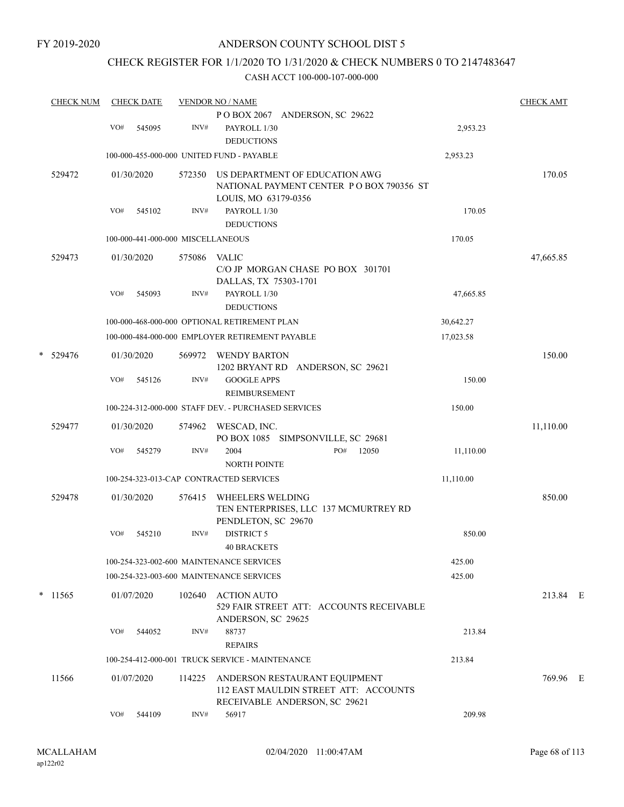# CHECK REGISTER FOR 1/1/2020 TO 1/31/2020 & CHECK NUMBERS 0 TO 2147483647

|   | <b>CHECK NUM</b> |     | <b>CHECK DATE</b> |                                   | <b>VENDOR NO / NAME</b>                                                                                 |           | <b>CHECK AMT</b> |  |
|---|------------------|-----|-------------------|-----------------------------------|---------------------------------------------------------------------------------------------------------|-----------|------------------|--|
|   |                  |     |                   |                                   | POBOX 2067 ANDERSON, SC 29622                                                                           |           |                  |  |
|   |                  | VO# | 545095            | INV#                              | PAYROLL 1/30<br><b>DEDUCTIONS</b>                                                                       | 2,953.23  |                  |  |
|   |                  |     |                   |                                   | 100-000-455-000-000 UNITED FUND - PAYABLE                                                               | 2,953.23  |                  |  |
|   | 529472           |     | 01/30/2020        | 572350                            | US DEPARTMENT OF EDUCATION AWG<br>NATIONAL PAYMENT CENTER PO BOX 790356 ST<br>LOUIS, MO 63179-0356      |           | 170.05           |  |
|   |                  | VO# | 545102            | INV#                              | PAYROLL 1/30<br><b>DEDUCTIONS</b>                                                                       | 170.05    |                  |  |
|   |                  |     |                   | 100-000-441-000-000 MISCELLANEOUS |                                                                                                         | 170.05    |                  |  |
|   | 529473           |     | 01/30/2020        | 575086                            | <b>VALIC</b><br>C/O JP MORGAN CHASE PO BOX 301701<br>DALLAS, TX 75303-1701                              |           | 47,665.85        |  |
|   |                  | VO# | 545093            | INV#                              | PAYROLL 1/30<br><b>DEDUCTIONS</b>                                                                       | 47,665.85 |                  |  |
|   |                  |     |                   |                                   | 100-000-468-000-000 OPTIONAL RETIREMENT PLAN                                                            | 30,642.27 |                  |  |
|   |                  |     |                   |                                   | 100-000-484-000-000 EMPLOYER RETIREMENT PAYABLE                                                         | 17,023.58 |                  |  |
| * | 529476           |     | 01/30/2020        | 569972                            | <b>WENDY BARTON</b><br>1202 BRYANT RD ANDERSON, SC 29621                                                |           | 150.00           |  |
|   |                  | VO# | 545126            | INV#                              | <b>GOOGLE APPS</b><br>REIMBURSEMENT                                                                     | 150.00    |                  |  |
|   |                  |     |                   |                                   | 100-224-312-000-000 STAFF DEV. - PURCHASED SERVICES                                                     | 150.00    |                  |  |
|   | 529477           |     | 01/30/2020        | 574962                            | WESCAD, INC.<br>PO BOX 1085 SIMPSONVILLE, SC 29681                                                      |           | 11,110.00        |  |
|   |                  | VO# | 545279            | INV#                              | 2004<br>PO#<br>12050<br><b>NORTH POINTE</b>                                                             | 11,110.00 |                  |  |
|   |                  |     |                   |                                   | 100-254-323-013-CAP CONTRACTED SERVICES                                                                 | 11,110.00 |                  |  |
|   | 529478           |     | 01/30/2020        | 576415                            | <b>WHEELERS WELDING</b><br>TEN ENTERPRISES, LLC 137 MCMURTREY RD<br>PENDLETON, SC 29670                 |           | 850.00           |  |
|   |                  | VO# | 545210            | INV#                              | <b>DISTRICT 5</b><br><b>40 BRACKETS</b>                                                                 | 850.00    |                  |  |
|   |                  |     |                   |                                   | 100-254-323-002-600 MAINTENANCE SERVICES                                                                | 425.00    |                  |  |
|   |                  |     |                   |                                   | 100-254-323-003-600 MAINTENANCE SERVICES                                                                | 425.00    |                  |  |
|   | $*$ 11565        |     | 01/07/2020        | 102640                            | <b>ACTION AUTO</b><br>529 FAIR STREET ATT: ACCOUNTS RECEIVABLE<br>ANDERSON, SC 29625                    |           | 213.84 E         |  |
|   |                  | VO# | 544052            | INV#                              | 88737<br><b>REPAIRS</b>                                                                                 | 213.84    |                  |  |
|   |                  |     |                   |                                   | 100-254-412-000-001 TRUCK SERVICE - MAINTENANCE                                                         | 213.84    |                  |  |
|   | 11566            |     | 01/07/2020        | 114225                            | ANDERSON RESTAURANT EQUIPMENT<br>112 EAST MAULDIN STREET ATT: ACCOUNTS<br>RECEIVABLE ANDERSON, SC 29621 |           | 769.96 E         |  |
|   |                  | VO# | 544109            | INV#                              | 56917                                                                                                   | 209.98    |                  |  |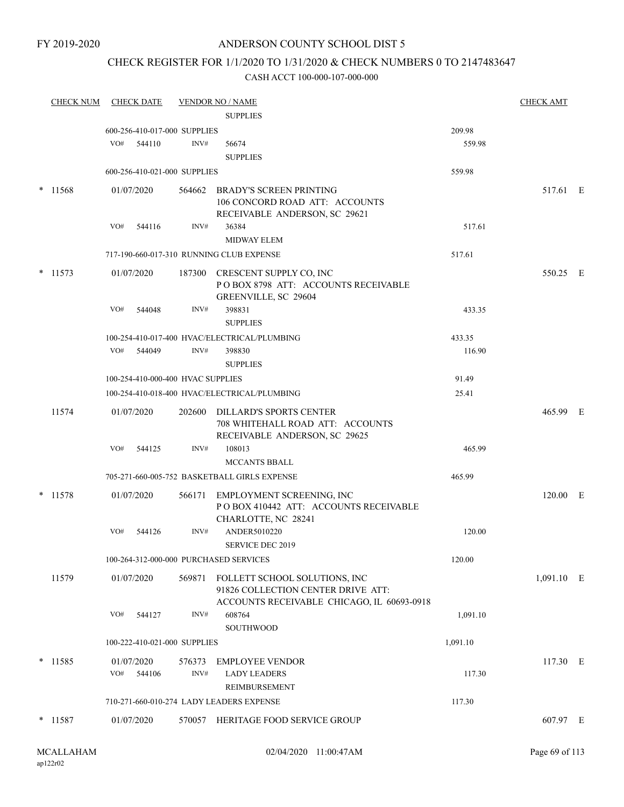#### FY 2019-2020

## ANDERSON COUNTY SCHOOL DIST 5

## CHECK REGISTER FOR 1/1/2020 TO 1/31/2020 & CHECK NUMBERS 0 TO 2147483647

| <b>CHECK NUM</b> | <b>CHECK DATE</b>                 |        | <b>VENDOR NO / NAME</b>                                                                                                  |          | <b>CHECK AMT</b> |  |
|------------------|-----------------------------------|--------|--------------------------------------------------------------------------------------------------------------------------|----------|------------------|--|
|                  |                                   |        | <b>SUPPLIES</b>                                                                                                          |          |                  |  |
|                  | 600-256-410-017-000 SUPPLIES      |        |                                                                                                                          | 209.98   |                  |  |
|                  | VO#<br>544110                     | INV#   | 56674<br><b>SUPPLIES</b>                                                                                                 | 559.98   |                  |  |
|                  | 600-256-410-021-000 SUPPLIES      |        |                                                                                                                          | 559.98   |                  |  |
| 11568            | 01/07/2020                        |        | 564662 BRADY'S SCREEN PRINTING<br>106 CONCORD ROAD ATT: ACCOUNTS<br>RECEIVABLE ANDERSON, SC 29621                        |          | 517.61 E         |  |
|                  | VO#<br>544116                     | INV#   | 36384<br><b>MIDWAY ELEM</b>                                                                                              | 517.61   |                  |  |
|                  |                                   |        | 717-190-660-017-310 RUNNING CLUB EXPENSE                                                                                 | 517.61   |                  |  |
| $*$ 11573        | 01/07/2020                        |        | 187300 CRESCENT SUPPLY CO, INC<br>POBOX 8798 ATT: ACCOUNTS RECEIVABLE<br>GREENVILLE, SC 29604                            |          | 550.25 E         |  |
|                  | VO#<br>544048                     | INV#   | 398831<br><b>SUPPLIES</b>                                                                                                | 433.35   |                  |  |
|                  |                                   |        | 100-254-410-017-400 HVAC/ELECTRICAL/PLUMBING                                                                             | 433.35   |                  |  |
|                  | VO# 544049                        | INV#   | 398830<br><b>SUPPLIES</b>                                                                                                | 116.90   |                  |  |
|                  | 100-254-410-000-400 HVAC SUPPLIES |        |                                                                                                                          | 91.49    |                  |  |
|                  |                                   |        | 100-254-410-018-400 HVAC/ELECTRICAL/PLUMBING                                                                             | 25.41    |                  |  |
| 11574            | 01/07/2020                        |        | 202600 DILLARD'S SPORTS CENTER<br>708 WHITEHALL ROAD ATT: ACCOUNTS<br>RECEIVABLE ANDERSON, SC 29625                      |          | 465.99 E         |  |
|                  | VO#<br>544125                     | INV#   | 108013                                                                                                                   | 465.99   |                  |  |
|                  |                                   |        | <b>MCCANTS BBALL</b>                                                                                                     |          |                  |  |
|                  |                                   |        | 705-271-660-005-752 BASKETBALL GIRLS EXPENSE                                                                             | 465.99   |                  |  |
| $*$ 11578        | 01/07/2020                        |        | 566171 EMPLOYMENT SCREENING, INC<br>PO BOX 410442 ATT: ACCOUNTS RECEIVABLE<br>CHARLOTTE, NC 28241                        |          | 120.00 E         |  |
|                  | VO#<br>544126                     | INV#   | ANDER5010220                                                                                                             | 120.00   |                  |  |
|                  |                                   |        | <b>SERVICE DEC 2019</b>                                                                                                  |          |                  |  |
|                  |                                   |        | 100-264-312-000-000 PURCHASED SERVICES                                                                                   | 120.00   |                  |  |
| 11579            | 01/07/2020                        |        | 569871 FOLLETT SCHOOL SOLUTIONS, INC<br>91826 COLLECTION CENTER DRIVE ATT:<br>ACCOUNTS RECEIVABLE CHICAGO, IL 60693-0918 |          | $1,091.10$ E     |  |
|                  | VO#<br>544127                     | INV#   | 608764<br>SOUTHWOOD                                                                                                      | 1,091.10 |                  |  |
|                  | 100-222-410-021-000 SUPPLIES      |        |                                                                                                                          | 1,091.10 |                  |  |
| $*$ 11585        | 01/07/2020                        | 576373 | <b>EMPLOYEE VENDOR</b>                                                                                                   |          | 117.30 E         |  |
|                  | VO#<br>544106                     | INV#   | <b>LADY LEADERS</b><br>REIMBURSEMENT                                                                                     | 117.30   |                  |  |
|                  |                                   |        | 710-271-660-010-274 LADY LEADERS EXPENSE                                                                                 | 117.30   |                  |  |
| $*$ 11587        | 01/07/2020                        |        | 570057 HERITAGE FOOD SERVICE GROUP                                                                                       |          | 607.97 E         |  |
|                  |                                   |        |                                                                                                                          |          |                  |  |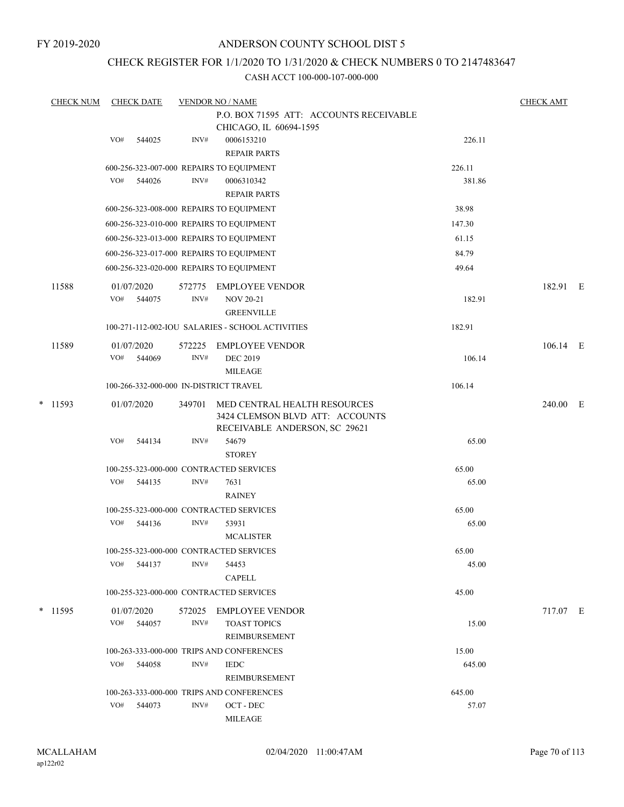FY 2019-2020

## ANDERSON COUNTY SCHOOL DIST 5

## CHECK REGISTER FOR 1/1/2020 TO 1/31/2020 & CHECK NUMBERS 0 TO 2147483647

|   | <b>CHECK NUM</b> |     | <b>CHECK DATE</b>    |                | <b>VENDOR NO / NAME</b>                                                                          |        | <b>CHECK AMT</b> |  |
|---|------------------|-----|----------------------|----------------|--------------------------------------------------------------------------------------------------|--------|------------------|--|
|   |                  |     |                      |                | P.O. BOX 71595 ATT: ACCOUNTS RECEIVABLE<br>CHICAGO, IL 60694-1595                                |        |                  |  |
|   |                  | VO# | 544025               | INV#           | 0006153210                                                                                       | 226.11 |                  |  |
|   |                  |     |                      |                | <b>REPAIR PARTS</b>                                                                              |        |                  |  |
|   |                  |     |                      |                | 600-256-323-007-000 REPAIRS TO EQUIPMENT                                                         | 226.11 |                  |  |
|   |                  | VO# | 544026               | INV#           | 0006310342                                                                                       | 381.86 |                  |  |
|   |                  |     |                      |                | <b>REPAIR PARTS</b>                                                                              |        |                  |  |
|   |                  |     |                      |                | 600-256-323-008-000 REPAIRS TO EQUIPMENT                                                         | 38.98  |                  |  |
|   |                  |     |                      |                | 600-256-323-010-000 REPAIRS TO EQUIPMENT                                                         | 147.30 |                  |  |
|   |                  |     |                      |                | 600-256-323-013-000 REPAIRS TO EQUIPMENT                                                         | 61.15  |                  |  |
|   |                  |     |                      |                | 600-256-323-017-000 REPAIRS TO EQUIPMENT                                                         | 84.79  |                  |  |
|   |                  |     |                      |                | 600-256-323-020-000 REPAIRS TO EQUIPMENT                                                         | 49.64  |                  |  |
|   | 11588            |     | 01/07/2020           | 572775         | <b>EMPLOYEE VENDOR</b>                                                                           |        | 182.91 E         |  |
|   |                  | VO# | 544075               | INV#           | <b>NOV 20-21</b>                                                                                 | 182.91 |                  |  |
|   |                  |     |                      |                | <b>GREENVILLE</b>                                                                                |        |                  |  |
|   |                  |     |                      |                | 100-271-112-002-IOU SALARIES - SCHOOL ACTIVITIES                                                 | 182.91 |                  |  |
|   |                  |     |                      |                |                                                                                                  |        |                  |  |
|   | 11589            | VO# | 01/07/2020<br>544069 | 572225<br>INV# | <b>EMPLOYEE VENDOR</b><br><b>DEC 2019</b>                                                        | 106.14 | 106.14 E         |  |
|   |                  |     |                      |                | <b>MILEAGE</b>                                                                                   |        |                  |  |
|   |                  |     |                      |                | 100-266-332-000-000 IN-DISTRICT TRAVEL                                                           | 106.14 |                  |  |
|   |                  |     |                      |                |                                                                                                  |        |                  |  |
| * | 11593            |     | 01/07/2020           | 349701         | MED CENTRAL HEALTH RESOURCES<br>3424 CLEMSON BLVD ATT: ACCOUNTS<br>RECEIVABLE ANDERSON, SC 29621 |        | 240.00 E         |  |
|   |                  | VO# | 544134               | INV#           | 54679                                                                                            | 65.00  |                  |  |
|   |                  |     |                      |                | <b>STOREY</b>                                                                                    |        |                  |  |
|   |                  |     |                      |                | 100-255-323-000-000 CONTRACTED SERVICES                                                          | 65.00  |                  |  |
|   |                  | VO# | 544135               | INV#           | 7631                                                                                             | 65.00  |                  |  |
|   |                  |     |                      |                | <b>RAINEY</b>                                                                                    |        |                  |  |
|   |                  |     |                      |                | 100-255-323-000-000 CONTRACTED SERVICES                                                          | 65.00  |                  |  |
|   |                  | VO# | 544136               | INV#           | 53931                                                                                            | 65.00  |                  |  |
|   |                  |     |                      |                | <b>MCALISTER</b>                                                                                 |        |                  |  |
|   |                  |     |                      |                | 100-255-323-000-000 CONTRACTED SERVICES                                                          | 65.00  |                  |  |
|   |                  | VO# | 544137               | INV#           | 54453                                                                                            | 45.00  |                  |  |
|   |                  |     |                      |                | <b>CAPELL</b>                                                                                    |        |                  |  |
|   |                  |     |                      |                | 100-255-323-000-000 CONTRACTED SERVICES                                                          | 45.00  |                  |  |
|   | * 11595          |     | 01/07/2020           | 572025         | EMPLOYEE VENDOR                                                                                  |        | 717.07 E         |  |
|   |                  | VO# | 544057               | INV#           | <b>TOAST TOPICS</b>                                                                              | 15.00  |                  |  |
|   |                  |     |                      |                | REIMBURSEMENT                                                                                    |        |                  |  |
|   |                  |     |                      |                | 100-263-333-000-000 TRIPS AND CONFERENCES                                                        | 15.00  |                  |  |
|   |                  | VO# | 544058               | INV#           | <b>IEDC</b>                                                                                      | 645.00 |                  |  |
|   |                  |     |                      |                | REIMBURSEMENT                                                                                    |        |                  |  |
|   |                  |     |                      |                | 100-263-333-000-000 TRIPS AND CONFERENCES                                                        | 645.00 |                  |  |
|   |                  | VO# | 544073               | INV#           | $\mathrm{OCT}$ - $\mathrm{DEC}$                                                                  | 57.07  |                  |  |
|   |                  |     |                      |                | MILEAGE                                                                                          |        |                  |  |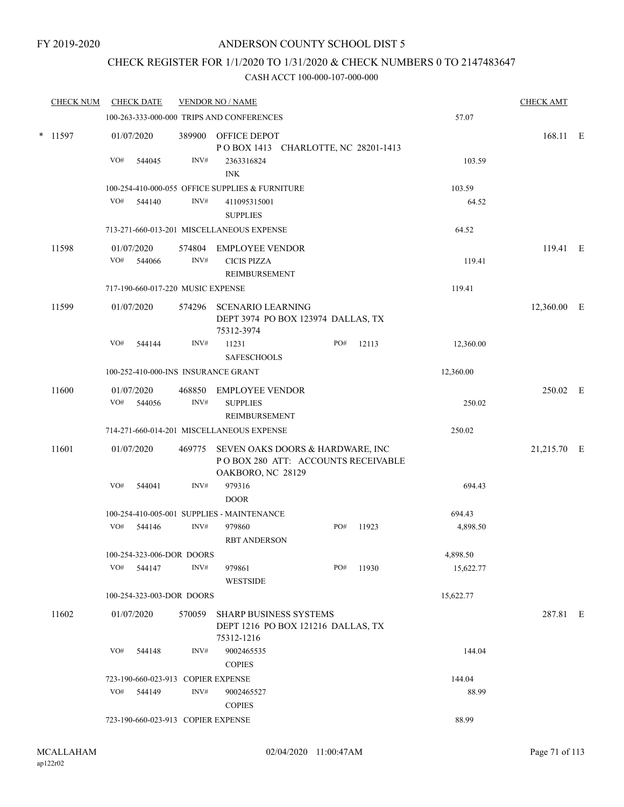## CHECK REGISTER FOR 1/1/2020 TO 1/31/2020 & CHECK NUMBERS 0 TO 2147483647

| <b>CHECK NUM</b> | <b>CHECK DATE</b>                  |        |                | <b>VENDOR NO / NAME</b>                                                                            |     |       |           | <b>CHECK AMT</b> |  |
|------------------|------------------------------------|--------|----------------|----------------------------------------------------------------------------------------------------|-----|-------|-----------|------------------|--|
|                  |                                    |        |                | 100-263-333-000-000 TRIPS AND CONFERENCES                                                          |     |       | 57.07     |                  |  |
| * 11597          | 01/07/2020                         |        |                | 389900 OFFICE DEPOT<br>POBOX 1413 CHARLOTTE, NC 28201-1413                                         |     |       |           | 168.11 E         |  |
|                  | VO#                                | 544045 | INV#           | 2363316824<br><b>INK</b>                                                                           |     |       | 103.59    |                  |  |
|                  |                                    |        |                | 100-254-410-000-055 OFFICE SUPPLIES & FURNITURE                                                    |     |       | 103.59    |                  |  |
|                  | VO#                                | 544140 | INV#           | 411095315001<br><b>SUPPLIES</b>                                                                    |     |       | 64.52     |                  |  |
|                  |                                    |        |                | 713-271-660-013-201 MISCELLANEOUS EXPENSE                                                          |     |       | 64.52     |                  |  |
| 11598            | 01/07/2020<br>VO#                  | 544066 | 574804<br>INV# | EMPLOYEE VENDOR<br><b>CICIS PIZZA</b><br>REIMBURSEMENT                                             |     |       | 119.41    | 119.41 E         |  |
|                  | 717-190-660-017-220 MUSIC EXPENSE  |        |                |                                                                                                    |     |       | 119.41    |                  |  |
| 11599            | 01/07/2020                         |        |                | 574296 SCENARIO LEARNING<br>DEPT 3974 PO BOX 123974 DALLAS, TX<br>75312-3974                       |     |       |           | 12,360.00 E      |  |
|                  | VO#                                | 544144 | INV#           | 11231<br><b>SAFESCHOOLS</b>                                                                        | PO# | 12113 | 12,360.00 |                  |  |
|                  |                                    |        |                | 100-252-410-000-INS INSURANCE GRANT                                                                |     |       | 12,360.00 |                  |  |
| 11600            | 01/07/2020                         |        | 468850         | <b>EMPLOYEE VENDOR</b>                                                                             |     |       |           | 250.02 E         |  |
|                  | VO#                                | 544056 | INV#           | <b>SUPPLIES</b><br>REIMBURSEMENT                                                                   |     |       | 250.02    |                  |  |
|                  |                                    |        |                | 714-271-660-014-201 MISCELLANEOUS EXPENSE                                                          |     |       | 250.02    |                  |  |
| 11601            | 01/07/2020                         |        |                | 469775 SEVEN OAKS DOORS & HARDWARE, INC<br>POBOX 280 ATT: ACCOUNTS RECEIVABLE<br>OAKBORO, NC 28129 |     |       |           | 21,215.70 E      |  |
|                  | VO#                                | 544041 | INV#           | 979316<br><b>DOOR</b>                                                                              |     |       | 694.43    |                  |  |
|                  |                                    |        |                | 100-254-410-005-001 SUPPLIES - MAINTENANCE                                                         |     |       | 694.43    |                  |  |
|                  | VO# 544146                         |        | INV#           | 979860<br><b>RBT ANDERSON</b>                                                                      | PO# | 11923 | 4,898.50  |                  |  |
|                  | 100-254-323-006-DOR DOORS          |        |                |                                                                                                    |     |       | 4,898.50  |                  |  |
|                  | VO#                                | 544147 | INV#           | 979861<br><b>WESTSIDE</b>                                                                          | PO# | 11930 | 15,622.77 |                  |  |
|                  | 100-254-323-003-DOR DOORS          |        |                |                                                                                                    |     |       | 15,622.77 |                  |  |
| 11602            | 01/07/2020                         |        | 570059         | <b>SHARP BUSINESS SYSTEMS</b><br>DEPT 1216 PO BOX 121216 DALLAS, TX<br>75312-1216                  |     |       |           | 287.81 E         |  |
|                  | VO#                                | 544148 | INV#           | 9002465535<br><b>COPIES</b>                                                                        |     |       | 144.04    |                  |  |
|                  | 723-190-660-023-913 COPIER EXPENSE |        |                |                                                                                                    |     |       | 144.04    |                  |  |
|                  | VO# 544149                         |        | INV#           | 9002465527<br><b>COPIES</b>                                                                        |     |       | 88.99     |                  |  |
|                  | 723-190-660-023-913 COPIER EXPENSE |        |                |                                                                                                    |     |       | 88.99     |                  |  |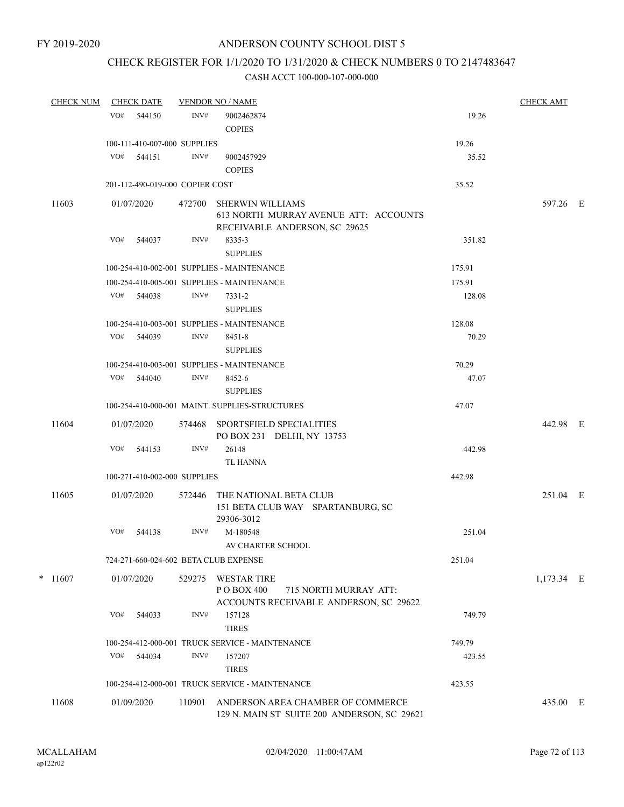## CHECK REGISTER FOR 1/1/2020 TO 1/31/2020 & CHECK NUMBERS 0 TO 2147483647

| <b>CHECK NUM</b> | <b>CHECK DATE</b>               |        |        | <b>VENDOR NO / NAME</b>                                                                             |        | <b>CHECK AMT</b> |  |
|------------------|---------------------------------|--------|--------|-----------------------------------------------------------------------------------------------------|--------|------------------|--|
|                  | VO#                             | 544150 | INV#   | 9002462874                                                                                          | 19.26  |                  |  |
|                  |                                 |        |        | <b>COPIES</b>                                                                                       |        |                  |  |
|                  | 100-111-410-007-000 SUPPLIES    |        |        |                                                                                                     | 19.26  |                  |  |
|                  | VO# 544151                      |        | INV#   | 9002457929                                                                                          | 35.52  |                  |  |
|                  |                                 |        |        | <b>COPIES</b>                                                                                       |        |                  |  |
|                  | 201-112-490-019-000 COPIER COST |        |        |                                                                                                     | 35.52  |                  |  |
| 11603            | 01/07/2020                      |        | 472700 | <b>SHERWIN WILLIAMS</b><br>613 NORTH MURRAY AVENUE ATT: ACCOUNTS<br>RECEIVABLE ANDERSON, SC 29625   |        | 597.26 E         |  |
|                  | VO#                             | 544037 | INV#   | 8335-3                                                                                              | 351.82 |                  |  |
|                  |                                 |        |        | <b>SUPPLIES</b>                                                                                     |        |                  |  |
|                  |                                 |        |        | 100-254-410-002-001 SUPPLIES - MAINTENANCE                                                          | 175.91 |                  |  |
|                  |                                 |        |        | 100-254-410-005-001 SUPPLIES - MAINTENANCE                                                          | 175.91 |                  |  |
|                  | VO# 544038                      |        | INV#   | 7331-2                                                                                              | 128.08 |                  |  |
|                  |                                 |        |        | <b>SUPPLIES</b>                                                                                     |        |                  |  |
|                  |                                 |        |        | 100-254-410-003-001 SUPPLIES - MAINTENANCE                                                          | 128.08 |                  |  |
|                  | VO# 544039                      |        | INV#   | 8451-8                                                                                              | 70.29  |                  |  |
|                  |                                 |        |        | <b>SUPPLIES</b>                                                                                     |        |                  |  |
|                  |                                 |        |        | 100-254-410-003-001 SUPPLIES - MAINTENANCE                                                          | 70.29  |                  |  |
|                  | VO#                             | 544040 | INV#   | 8452-6                                                                                              | 47.07  |                  |  |
|                  |                                 |        |        | <b>SUPPLIES</b>                                                                                     |        |                  |  |
|                  |                                 |        |        | 100-254-410-000-001 MAINT. SUPPLIES-STRUCTURES                                                      | 47.07  |                  |  |
| 11604            | 01/07/2020                      |        | 574468 | SPORTSFIELD SPECIALITIES<br>PO BOX 231 DELHI, NY 13753                                              |        | 442.98 E         |  |
|                  | VO#                             | 544153 | INV#   | 26148<br><b>TL HANNA</b>                                                                            | 442.98 |                  |  |
|                  | 100-271-410-002-000 SUPPLIES    |        |        |                                                                                                     | 442.98 |                  |  |
| 11605            | 01/07/2020                      |        | 572446 | THE NATIONAL BETA CLUB<br>151 BETA CLUB WAY SPARTANBURG, SC                                         |        | 251.04 E         |  |
|                  |                                 |        |        | 29306-3012                                                                                          |        |                  |  |
|                  | VO#                             | 544138 | INV#   | M-180548<br>AV CHARTER SCHOOL                                                                       | 251.04 |                  |  |
|                  |                                 |        |        | 724-271-660-024-602 BETA CLUB EXPENSE                                                               | 251.04 |                  |  |
| $*$ 11607        | 01/07/2020                      |        | 529275 | <b>WESTAR TIRE</b><br>PO BOX 400<br>715 NORTH MURRAY ATT:<br>ACCOUNTS RECEIVABLE ANDERSON, SC 29622 |        | 1,173.34 E       |  |
|                  | VO#                             | 544033 | INV#   | 157128<br><b>TIRES</b>                                                                              | 749.79 |                  |  |
|                  |                                 |        |        | 100-254-412-000-001 TRUCK SERVICE - MAINTENANCE                                                     | 749.79 |                  |  |
|                  | VO#                             | 544034 | INV#   | 157207<br><b>TIRES</b>                                                                              | 423.55 |                  |  |
|                  |                                 |        |        | 100-254-412-000-001 TRUCK SERVICE - MAINTENANCE                                                     | 423.55 |                  |  |
| 11608            | 01/09/2020                      |        | 110901 | ANDERSON AREA CHAMBER OF COMMERCE<br>129 N. MAIN ST SUITE 200 ANDERSON, SC 29621                    |        | 435.00 E         |  |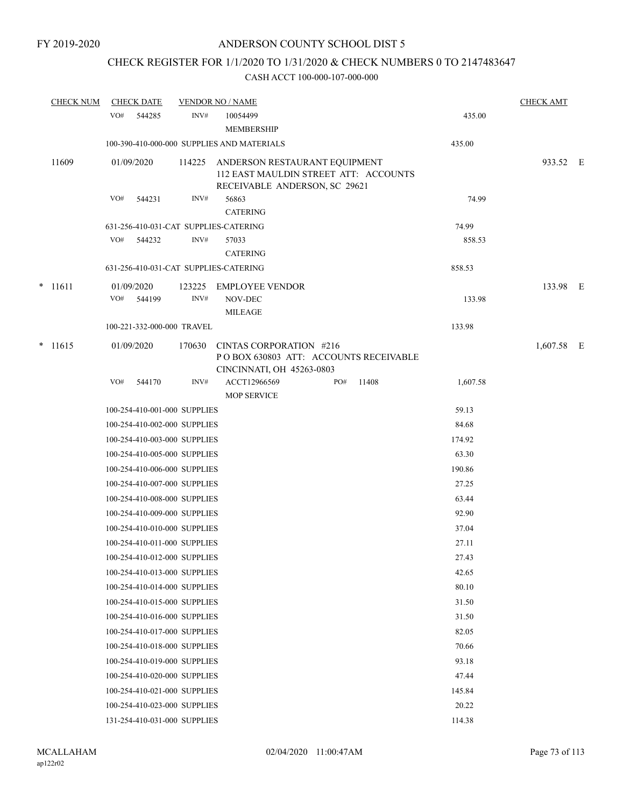# CHECK REGISTER FOR 1/1/2020 TO 1/31/2020 & CHECK NUMBERS 0 TO 2147483647

|  | <b>CHECK NUM</b> | <b>CHECK DATE</b>                     |        | <b>VENDOR NO / NAME</b>                                                                                 |          | <b>CHECK AMT</b> |  |  |
|--|------------------|---------------------------------------|--------|---------------------------------------------------------------------------------------------------------|----------|------------------|--|--|
|  |                  | VO#<br>544285                         | INV#   | 10054499<br><b>MEMBERSHIP</b>                                                                           | 435.00   |                  |  |  |
|  |                  |                                       |        | 100-390-410-000-000 SUPPLIES AND MATERIALS                                                              | 435.00   |                  |  |  |
|  | 11609            | 01/09/2020                            | 114225 | ANDERSON RESTAURANT EQUIPMENT<br>112 EAST MAULDIN STREET ATT: ACCOUNTS<br>RECEIVABLE ANDERSON, SC 29621 |          | 933.52 E         |  |  |
|  |                  | VO#<br>544231                         | INV#   | 56863<br><b>CATERING</b>                                                                                | 74.99    |                  |  |  |
|  |                  | 631-256-410-031-CAT SUPPLIES-CATERING |        |                                                                                                         | 74.99    |                  |  |  |
|  |                  | VO#<br>544232                         | INV#   | 57033                                                                                                   | 858.53   |                  |  |  |
|  |                  |                                       |        | <b>CATERING</b>                                                                                         |          |                  |  |  |
|  |                  | 631-256-410-031-CAT SUPPLIES-CATERING |        |                                                                                                         | 858.53   |                  |  |  |
|  | $*$ 11611        | 01/09/2020                            | 123225 | <b>EMPLOYEE VENDOR</b>                                                                                  |          | 133.98 E         |  |  |
|  |                  | VO#<br>544199                         | INV#   | NOV-DEC                                                                                                 | 133.98   |                  |  |  |
|  |                  |                                       |        | <b>MILEAGE</b>                                                                                          |          |                  |  |  |
|  |                  | 100-221-332-000-000 TRAVEL            |        |                                                                                                         | 133.98   |                  |  |  |
|  | $* 11615$        | 01/09/2020                            | 170630 | CINTAS CORPORATION #216<br>POBOX 630803 ATT: ACCOUNTS RECEIVABLE<br>CINCINNATI, OH 45263-0803           |          | $1,607.58$ E     |  |  |
|  |                  | VO#<br>544170                         | INV#   | ACCT12966569<br>PO#<br>11408<br><b>MOP SERVICE</b>                                                      | 1,607.58 |                  |  |  |
|  |                  | 100-254-410-001-000 SUPPLIES          |        |                                                                                                         | 59.13    |                  |  |  |
|  |                  | 100-254-410-002-000 SUPPLIES          |        |                                                                                                         | 84.68    |                  |  |  |
|  |                  | 100-254-410-003-000 SUPPLIES          |        |                                                                                                         | 174.92   |                  |  |  |
|  |                  | 100-254-410-005-000 SUPPLIES          |        |                                                                                                         | 63.30    |                  |  |  |
|  |                  | 100-254-410-006-000 SUPPLIES          |        |                                                                                                         | 190.86   |                  |  |  |
|  |                  | 100-254-410-007-000 SUPPLIES          |        |                                                                                                         | 27.25    |                  |  |  |
|  |                  | 100-254-410-008-000 SUPPLIES          |        |                                                                                                         | 63.44    |                  |  |  |
|  |                  | 100-254-410-009-000 SUPPLIES          |        |                                                                                                         | 92.90    |                  |  |  |
|  |                  | 100-254-410-010-000 SUPPLIES          |        |                                                                                                         | 37.04    |                  |  |  |
|  |                  | 100-254-410-011-000 SUPPLIES          |        |                                                                                                         | 27.11    |                  |  |  |
|  |                  | 100-254-410-012-000 SUPPLIES          |        |                                                                                                         | 27.43    |                  |  |  |
|  |                  | 100-254-410-013-000 SUPPLIES          |        |                                                                                                         | 42.65    |                  |  |  |
|  |                  | 100-254-410-014-000 SUPPLIES          |        |                                                                                                         | 80.10    |                  |  |  |
|  |                  | 100-254-410-015-000 SUPPLIES          |        |                                                                                                         | 31.50    |                  |  |  |
|  |                  | 100-254-410-016-000 SUPPLIES          |        |                                                                                                         | 31.50    |                  |  |  |
|  |                  | 100-254-410-017-000 SUPPLIES          |        |                                                                                                         | 82.05    |                  |  |  |
|  |                  | 100-254-410-018-000 SUPPLIES          |        |                                                                                                         | 70.66    |                  |  |  |
|  |                  | 100-254-410-019-000 SUPPLIES          |        |                                                                                                         | 93.18    |                  |  |  |
|  |                  | 100-254-410-020-000 SUPPLIES          |        |                                                                                                         | 47.44    |                  |  |  |
|  |                  | 100-254-410-021-000 SUPPLIES          |        |                                                                                                         | 145.84   |                  |  |  |
|  |                  | 100-254-410-023-000 SUPPLIES          |        |                                                                                                         | 20.22    |                  |  |  |
|  |                  | 131-254-410-031-000 SUPPLIES          |        |                                                                                                         | 114.38   |                  |  |  |
|  |                  |                                       |        |                                                                                                         |          |                  |  |  |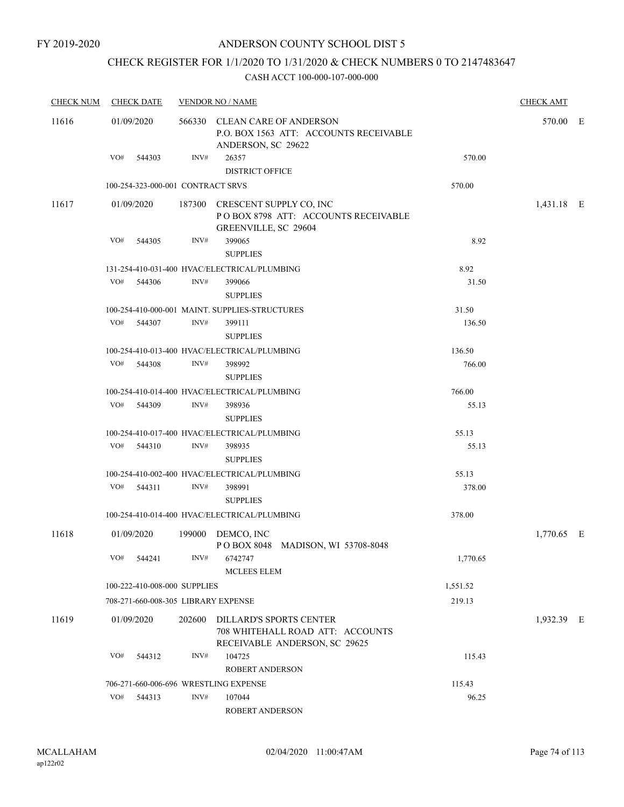## CHECK REGISTER FOR 1/1/2020 TO 1/31/2020 & CHECK NUMBERS 0 TO 2147483647

| <b>CHECK NUM</b> | <b>CHECK DATE</b>                     |        |        | <b>VENDOR NO / NAME</b>                                                                              |                 | <b>CHECK AMT</b> |  |
|------------------|---------------------------------------|--------|--------|------------------------------------------------------------------------------------------------------|-----------------|------------------|--|
| 11616            | 01/09/2020                            |        |        | 566330 CLEAN CARE OF ANDERSON<br>P.O. BOX 1563 ATT: ACCOUNTS RECEIVABLE<br>ANDERSON, SC 29622        |                 | 570.00 E         |  |
|                  | VO# 544303                            |        | INV#   | 26357<br><b>DISTRICT OFFICE</b>                                                                      | 570.00          |                  |  |
|                  | 100-254-323-000-001 CONTRACT SRVS     |        |        |                                                                                                      | 570.00          |                  |  |
| 11617            | 01/09/2020                            |        |        | 187300 CRESCENT SUPPLY CO, INC<br>POBOX 8798 ATT: ACCOUNTS RECEIVABLE<br><b>GREENVILLE, SC 29604</b> |                 | 1,431.18 E       |  |
|                  | VO#<br>544305                         |        | INV#   | 399065<br><b>SUPPLIES</b>                                                                            | 8.92            |                  |  |
|                  |                                       |        |        | 131-254-410-031-400 HVAC/ELECTRICAL/PLUMBING                                                         | 8.92            |                  |  |
|                  | VO#<br>544306                         |        | INV#   | 399066<br><b>SUPPLIES</b>                                                                            | 31.50           |                  |  |
|                  |                                       |        |        | 100-254-410-000-001 MAINT. SUPPLIES-STRUCTURES                                                       | 31.50           |                  |  |
|                  | VO# 544307                            |        | INV#   | 399111<br><b>SUPPLIES</b>                                                                            | 136.50          |                  |  |
|                  |                                       |        |        | 100-254-410-013-400 HVAC/ELECTRICAL/PLUMBING                                                         | 136.50          |                  |  |
|                  | VO#<br>544308                         |        | INV#   | 398992<br><b>SUPPLIES</b>                                                                            | 766.00          |                  |  |
|                  |                                       |        |        | 100-254-410-014-400 HVAC/ELECTRICAL/PLUMBING                                                         | 766.00          |                  |  |
|                  | VO# 544309                            |        | INV#   | 398936<br><b>SUPPLIES</b>                                                                            | 55.13           |                  |  |
|                  |                                       |        |        | 100-254-410-017-400 HVAC/ELECTRICAL/PLUMBING                                                         | 55.13           |                  |  |
|                  | VO# 544310                            |        | INV#   | 398935<br><b>SUPPLIES</b>                                                                            | 55.13           |                  |  |
|                  |                                       |        |        | 100-254-410-002-400 HVAC/ELECTRICAL/PLUMBING                                                         | 55.13           |                  |  |
|                  | VO# 544311                            |        | INV#   | 398991<br><b>SUPPLIES</b>                                                                            | 378.00          |                  |  |
|                  |                                       |        |        | 100-254-410-014-400 HVAC/ELECTRICAL/PLUMBING                                                         | 378.00          |                  |  |
| 11618            | 01/09/2020                            |        |        | 199000 DEMCO, INC<br>POBOX 8048 MADISON, WI 53708-8048                                               |                 | 1,770.65 E       |  |
|                  | VO#                                   | 544241 | INV#   | 6742747<br><b>MCLEES ELEM</b>                                                                        | 1,770.65        |                  |  |
|                  | 100-222-410-008-000 SUPPLIES          |        |        |                                                                                                      | 1,551.52        |                  |  |
|                  | 708-271-660-008-305 LIBRARY EXPENSE   |        |        |                                                                                                      | 219.13          |                  |  |
| 11619            | 01/09/2020                            |        | 202600 | DILLARD'S SPORTS CENTER<br>708 WHITEHALL ROAD ATT: ACCOUNTS<br>RECEIVABLE ANDERSON, SC 29625         |                 | 1,932.39 E       |  |
|                  | VO#                                   | 544312 | INV#   | 104725<br><b>ROBERT ANDERSON</b>                                                                     | 115.43          |                  |  |
|                  | 706-271-660-006-696 WRESTLING EXPENSE |        |        |                                                                                                      |                 |                  |  |
|                  | VO#                                   | 544313 | INV#   | 107044                                                                                               | 115.43<br>96.25 |                  |  |
|                  |                                       |        |        | ROBERT ANDERSON                                                                                      |                 |                  |  |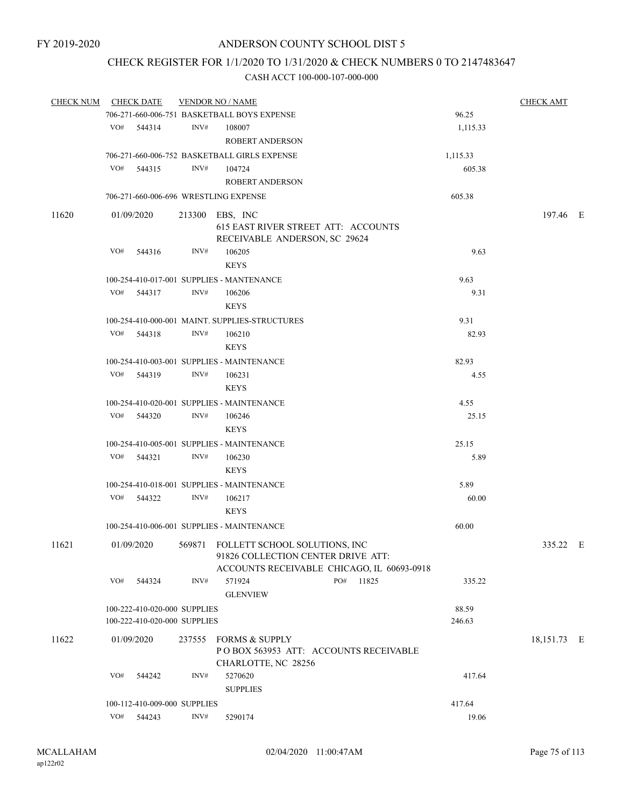## CHECK REGISTER FOR 1/1/2020 TO 1/31/2020 & CHECK NUMBERS 0 TO 2147483647

| <b>CHECK NUM</b> | <b>CHECK DATE</b>            | <b>VENDOR NO / NAME</b>                        |                                                                                  | <b>CHECK AMT</b> |
|------------------|------------------------------|------------------------------------------------|----------------------------------------------------------------------------------|------------------|
|                  |                              | 706-271-660-006-751 BASKETBALL BOYS EXPENSE    |                                                                                  | 96.25            |
|                  | VO# 544314                   | INV#<br>108007                                 |                                                                                  | 1,115.33         |
|                  |                              | ROBERT ANDERSON                                |                                                                                  |                  |
|                  |                              | 706-271-660-006-752 BASKETBALL GIRLS EXPENSE   | 1,115.33                                                                         |                  |
|                  | VO#<br>544315                | INV#<br>104724                                 |                                                                                  | 605.38           |
|                  |                              | <b>ROBERT ANDERSON</b>                         |                                                                                  |                  |
|                  |                              | 706-271-660-006-696 WRESTLING EXPENSE          | 605.38                                                                           |                  |
|                  |                              |                                                |                                                                                  |                  |
| 11620            | 01/09/2020                   | 213300 EBS, INC                                | 615 EAST RIVER STREET ATT: ACCOUNTS<br>RECEIVABLE ANDERSON, SC 29624             | 197.46 E         |
|                  | VO#<br>544316                | INV#<br>106205<br><b>KEYS</b>                  |                                                                                  | 9.63             |
|                  |                              | 100-254-410-017-001 SUPPLIES - MANTENANCE      |                                                                                  | 9.63             |
|                  | VO# 544317                   | INV#<br>106206                                 |                                                                                  | 9.31             |
|                  |                              | <b>KEYS</b>                                    |                                                                                  |                  |
|                  |                              | 100-254-410-000-001 MAINT, SUPPLIES-STRUCTURES |                                                                                  | 9.31             |
|                  | VO# 544318                   | INV#<br>106210<br><b>KEYS</b>                  |                                                                                  | 82.93            |
|                  |                              |                                                |                                                                                  |                  |
|                  |                              | 100-254-410-003-001 SUPPLIES - MAINTENANCE     |                                                                                  | 82.93            |
|                  | VO#<br>544319                | INV#<br>106231<br><b>KEYS</b>                  |                                                                                  | 4.55             |
|                  |                              | 100-254-410-020-001 SUPPLIES - MAINTENANCE     |                                                                                  | 4.55             |
|                  | VO# 544320                   | INV#<br>106246                                 |                                                                                  | 25.15            |
|                  |                              | <b>KEYS</b>                                    |                                                                                  |                  |
|                  |                              | 100-254-410-005-001 SUPPLIES - MAINTENANCE     |                                                                                  | 25.15            |
|                  | VO# 544321                   | INV#<br>106230                                 |                                                                                  | 5.89             |
|                  |                              |                                                |                                                                                  |                  |
|                  |                              | <b>KEYS</b>                                    |                                                                                  |                  |
|                  |                              | 100-254-410-018-001 SUPPLIES - MAINTENANCE     |                                                                                  | 5.89             |
|                  | VO# 544322                   | INV#<br>106217                                 |                                                                                  | 60.00            |
|                  |                              | <b>KEYS</b>                                    |                                                                                  |                  |
|                  |                              | 100-254-410-006-001 SUPPLIES - MAINTENANCE     |                                                                                  | 60.00            |
| 11621            | 01/09/2020                   | 569871 FOLLETT SCHOOL SOLUTIONS, INC           | 91826 COLLECTION CENTER DRIVE ATT:<br>ACCOUNTS RECEIVABLE CHICAGO, IL 60693-0918 | 335.22 E         |
|                  | VO#<br>544324                | INV#<br>571924                                 | PO#<br>11825                                                                     | 335.22           |
|                  |                              | <b>GLENVIEW</b>                                |                                                                                  |                  |
|                  | 100-222-410-020-000 SUPPLIES |                                                |                                                                                  | 88.59            |
|                  | 100-222-410-020-000 SUPPLIES |                                                | 246.63                                                                           |                  |
| 11622            | 01/09/2020                   | 237555 FORMS & SUPPLY<br>CHARLOTTE, NC 28256   | PO BOX 563953 ATT: ACCOUNTS RECEIVABLE                                           | 18,151.73 E      |
|                  | VO#<br>544242                | INV#<br>5270620<br><b>SUPPLIES</b>             |                                                                                  | 417.64           |
|                  | 100-112-410-009-000 SUPPLIES |                                                | 417.64                                                                           |                  |
|                  | VO# 544243                   | INV#<br>5290174                                |                                                                                  | 19.06            |
|                  |                              |                                                |                                                                                  |                  |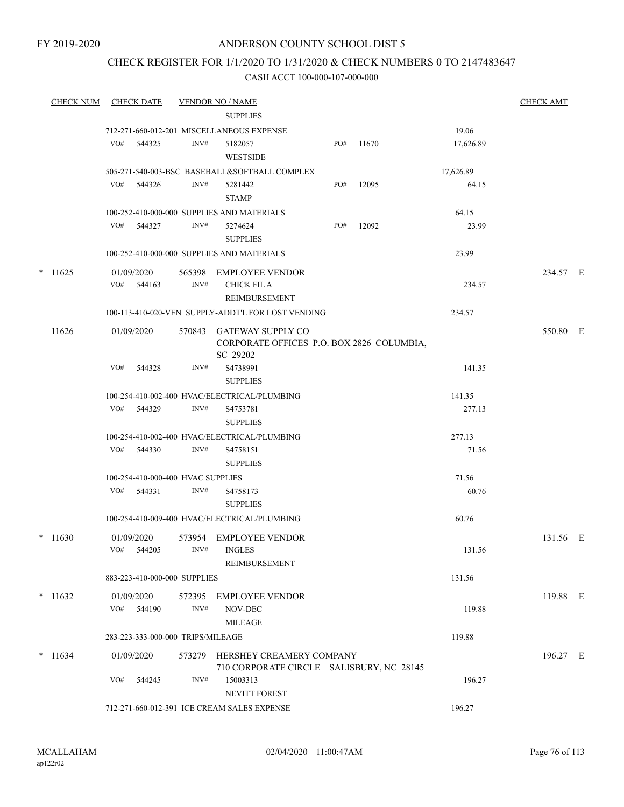# CHECK REGISTER FOR 1/1/2020 TO 1/31/2020 & CHECK NUMBERS 0 TO 2147483647

|        | <b>CHECK NUM</b> |     | <b>CHECK DATE</b>        |                                   | <b>VENDOR NO / NAME</b>                                                           |     |       |           | <b>CHECK AMT</b> |  |
|--------|------------------|-----|--------------------------|-----------------------------------|-----------------------------------------------------------------------------------|-----|-------|-----------|------------------|--|
|        |                  |     |                          |                                   | <b>SUPPLIES</b>                                                                   |     |       |           |                  |  |
|        |                  |     |                          |                                   | 712-271-660-012-201 MISCELLANEOUS EXPENSE                                         |     |       | 19.06     |                  |  |
|        |                  | VO# | 544325                   | INV#                              | 5182057<br><b>WESTSIDE</b>                                                        | PO# | 11670 | 17,626.89 |                  |  |
|        |                  |     |                          |                                   | 505-271-540-003-BSC BASEBALL&SOFTBALL COMPLEX                                     |     |       | 17,626.89 |                  |  |
|        |                  | VO# | 544326                   | INV#                              | 5281442<br><b>STAMP</b>                                                           | PO# | 12095 | 64.15     |                  |  |
|        |                  |     |                          |                                   | 100-252-410-000-000 SUPPLIES AND MATERIALS                                        |     |       | 64.15     |                  |  |
|        |                  |     | VO# 544327               | INV#                              | 5274624<br><b>SUPPLIES</b>                                                        | PO# | 12092 | 23.99     |                  |  |
|        |                  |     |                          |                                   | 100-252-410-000-000 SUPPLIES AND MATERIALS                                        |     |       | 23.99     |                  |  |
| $\ast$ | 11625            |     | 01/09/2020<br>VO# 544163 | INV#                              | 565398 EMPLOYEE VENDOR<br><b>CHICK FIL A</b>                                      |     |       | 234.57    | 234.57 E         |  |
|        |                  |     |                          |                                   | REIMBURSEMENT                                                                     |     |       |           |                  |  |
|        |                  |     |                          |                                   | 100-113-410-020-VEN SUPPLY-ADDT'L FOR LOST VENDING                                |     |       | 234.57    |                  |  |
|        | 11626            |     | 01/09/2020               |                                   | 570843 GATEWAY SUPPLY CO<br>CORPORATE OFFICES P.O. BOX 2826 COLUMBIA,<br>SC 29202 |     |       |           | 550.80 E         |  |
|        |                  | VO# | 544328                   | INV#                              | S4738991<br><b>SUPPLIES</b>                                                       |     |       | 141.35    |                  |  |
|        |                  |     |                          |                                   | 100-254-410-002-400 HVAC/ELECTRICAL/PLUMBING                                      |     |       | 141.35    |                  |  |
|        |                  |     | VO# 544329               | INV#                              | S4753781<br><b>SUPPLIES</b>                                                       |     |       | 277.13    |                  |  |
|        |                  |     |                          |                                   | 100-254-410-002-400 HVAC/ELECTRICAL/PLUMBING                                      |     |       | 277.13    |                  |  |
|        |                  | VO# | 544330                   | INV#                              | S <sub>4758151</sub><br><b>SUPPLIES</b>                                           |     |       | 71.56     |                  |  |
|        |                  |     |                          | 100-254-410-000-400 HVAC SUPPLIES |                                                                                   |     |       | 71.56     |                  |  |
|        |                  |     | VO# 544331               | INV#                              | S4758173<br><b>SUPPLIES</b>                                                       |     |       | 60.76     |                  |  |
|        |                  |     |                          |                                   | 100-254-410-009-400 HVAC/ELECTRICAL/PLUMBING                                      |     |       | 60.76     |                  |  |
|        | $*11630$         |     | 01/09/2020<br>VO# 544205 | 573954<br>INV#                    | EMPLOYEE VENDOR<br><b>INGLES</b>                                                  |     |       | 131.56    | 131.56 E         |  |
|        |                  |     |                          |                                   | REIMBURSEMENT                                                                     |     |       |           |                  |  |
|        |                  |     |                          | 883-223-410-000-000 SUPPLIES      |                                                                                   |     |       | 131.56    |                  |  |
|        | $*$ 11632        |     | 01/09/2020<br>VO# 544190 | INV#                              | 572395 EMPLOYEE VENDOR<br>NOV-DEC                                                 |     |       | 119.88    | 119.88 E         |  |
|        |                  |     |                          |                                   | <b>MILEAGE</b>                                                                    |     |       |           |                  |  |
|        |                  |     |                          | 283-223-333-000-000 TRIPS/MILEAGE |                                                                                   |     |       | 119.88    |                  |  |
|        | $* 11634$        |     | 01/09/2020               |                                   | 573279 HERSHEY CREAMERY COMPANY<br>710 CORPORATE CIRCLE SALISBURY, NC 28145       |     |       |           | 196.27 E         |  |
|        |                  | VO# | 544245                   | INV#                              | 15003313<br>NEVITT FOREST                                                         |     |       | 196.27    |                  |  |
|        |                  |     |                          |                                   | 712-271-660-012-391 ICE CREAM SALES EXPENSE                                       |     |       | 196.27    |                  |  |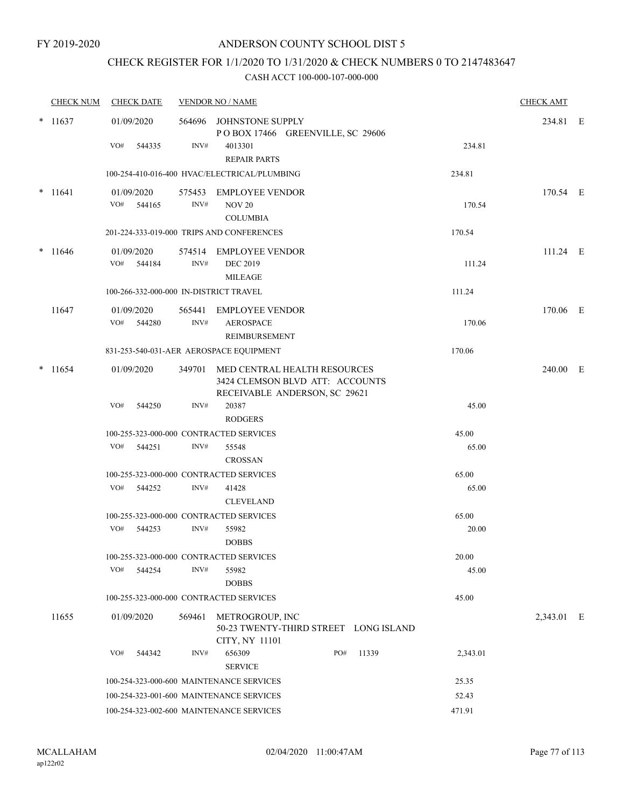## CHECK REGISTER FOR 1/1/2020 TO 1/31/2020 & CHECK NUMBERS 0 TO 2147483647

|        | <b>CHECK NUM</b> | <b>CHECK DATE</b>                       |                | <b>VENDOR NO / NAME</b>                                                                          |          | <b>CHECK AMT</b> |  |
|--------|------------------|-----------------------------------------|----------------|--------------------------------------------------------------------------------------------------|----------|------------------|--|
|        | $* 11637$        | 01/09/2020                              | 564696         | JOHNSTONE SUPPLY<br>POBOX 17466 GREENVILLE, SC 29606                                             |          | 234.81 E         |  |
|        |                  | VO#<br>544335                           | INV#           | 4013301<br><b>REPAIR PARTS</b>                                                                   | 234.81   |                  |  |
|        |                  |                                         |                | 100-254-410-016-400 HVAC/ELECTRICAL/PLUMBING                                                     | 234.81   |                  |  |
| $\ast$ | 11641            | 01/09/2020                              |                | 575453 EMPLOYEE VENDOR                                                                           |          | 170.54 E         |  |
|        |                  | VO#<br>544165                           | INV#           | <b>NOV 20</b><br><b>COLUMBIA</b>                                                                 | 170.54   |                  |  |
|        |                  |                                         |                | 201-224-333-019-000 TRIPS AND CONFERENCES                                                        | 170.54   |                  |  |
| $\ast$ | 11646            | 01/09/2020<br>VO#<br>544184             | INV#           | 574514 EMPLOYEE VENDOR<br><b>DEC 2019</b>                                                        | 111.24   | 111.24 E         |  |
|        |                  |                                         |                | <b>MILEAGE</b>                                                                                   |          |                  |  |
|        |                  | 100-266-332-000-000 IN-DISTRICT TRAVEL  |                |                                                                                                  | 111.24   |                  |  |
|        | 11647            | 01/09/2020<br>VO#<br>544280             | 565441<br>INV# | <b>EMPLOYEE VENDOR</b><br><b>AEROSPACE</b><br><b>REIMBURSEMENT</b>                               | 170.06   | 170.06 E         |  |
|        |                  |                                         |                | 831-253-540-031-AER AEROSPACE EQUIPMENT                                                          | 170.06   |                  |  |
|        | $*$ 11654        | 01/09/2020                              | 349701         | MED CENTRAL HEALTH RESOURCES<br>3424 CLEMSON BLVD ATT: ACCOUNTS<br>RECEIVABLE ANDERSON, SC 29621 |          | 240.00 E         |  |
|        |                  | VO#<br>544250                           | INV#           | 20387                                                                                            | 45.00    |                  |  |
|        |                  |                                         |                | <b>RODGERS</b>                                                                                   |          |                  |  |
|        |                  | 100-255-323-000-000 CONTRACTED SERVICES |                |                                                                                                  | 45.00    |                  |  |
|        |                  | VO#<br>544251                           | INV#           | 55548<br><b>CROSSAN</b>                                                                          | 65.00    |                  |  |
|        |                  | 100-255-323-000-000 CONTRACTED SERVICES |                |                                                                                                  | 65.00    |                  |  |
|        |                  | VO#<br>544252                           | INV#           | 41428<br><b>CLEVELAND</b>                                                                        | 65.00    |                  |  |
|        |                  | 100-255-323-000-000 CONTRACTED SERVICES |                |                                                                                                  | 65.00    |                  |  |
|        |                  | VO#<br>544253                           | INV#           | 55982<br><b>DOBBS</b>                                                                            | 20.00    |                  |  |
|        |                  | 100-255-323-000-000 CONTRACTED SERVICES |                |                                                                                                  | 20.00    |                  |  |
|        |                  | VO#<br>544254                           | INV#           | 55982<br><b>DOBBS</b>                                                                            | 45.00    |                  |  |
|        |                  | 100-255-323-000-000 CONTRACTED SERVICES |                |                                                                                                  | 45.00    |                  |  |
|        | 11655            | 01/09/2020                              | 569461         | METROGROUP, INC<br>50-23 TWENTY-THIRD STREET LONG ISLAND<br>CITY, NY 11101                       |          | 2,343.01 E       |  |
|        |                  | VO#<br>544342                           | INV#           | 656309<br>PO#<br>11339<br><b>SERVICE</b>                                                         | 2,343.01 |                  |  |
|        |                  |                                         |                | 100-254-323-000-600 MAINTENANCE SERVICES                                                         | 25.35    |                  |  |
|        |                  |                                         |                | 100-254-323-001-600 MAINTENANCE SERVICES                                                         | 52.43    |                  |  |
|        |                  |                                         |                | 100-254-323-002-600 MAINTENANCE SERVICES                                                         | 471.91   |                  |  |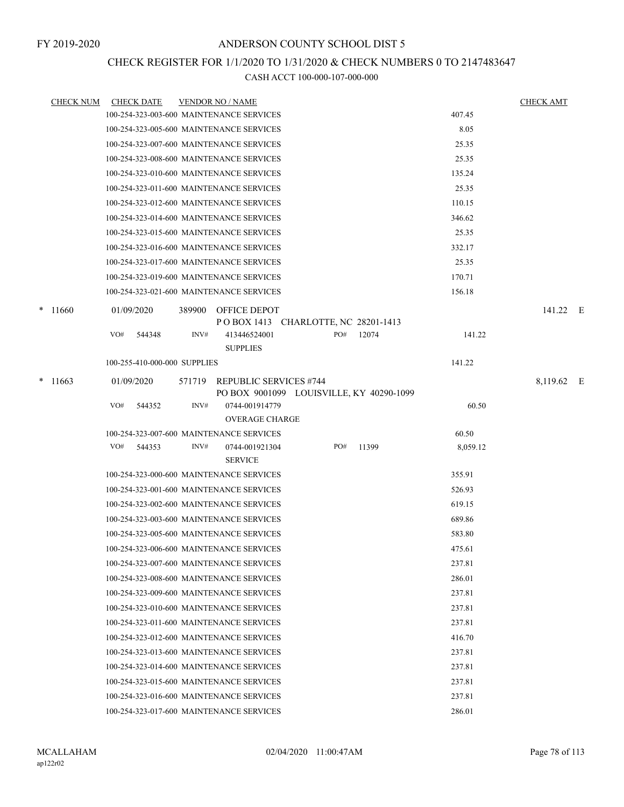## CHECK REGISTER FOR 1/1/2020 TO 1/31/2020 & CHECK NUMBERS 0 TO 2147483647

|   | <b>CHECK NUM</b> | <b>CHECK DATE</b>                        |        | <b>VENDOR NO / NAME</b>                                    |     |                                          |          | <b>CHECK AMT</b> |  |
|---|------------------|------------------------------------------|--------|------------------------------------------------------------|-----|------------------------------------------|----------|------------------|--|
|   |                  | 100-254-323-003-600 MAINTENANCE SERVICES |        |                                                            |     |                                          | 407.45   |                  |  |
|   |                  | 100-254-323-005-600 MAINTENANCE SERVICES |        |                                                            |     |                                          | 8.05     |                  |  |
|   |                  | 100-254-323-007-600 MAINTENANCE SERVICES |        |                                                            |     |                                          | 25.35    |                  |  |
|   |                  | 100-254-323-008-600 MAINTENANCE SERVICES |        |                                                            |     |                                          | 25.35    |                  |  |
|   |                  | 100-254-323-010-600 MAINTENANCE SERVICES |        |                                                            |     |                                          | 135.24   |                  |  |
|   |                  | 100-254-323-011-600 MAINTENANCE SERVICES |        |                                                            |     |                                          | 25.35    |                  |  |
|   |                  | 100-254-323-012-600 MAINTENANCE SERVICES |        |                                                            |     |                                          | 110.15   |                  |  |
|   |                  | 100-254-323-014-600 MAINTENANCE SERVICES |        |                                                            |     |                                          | 346.62   |                  |  |
|   |                  | 100-254-323-015-600 MAINTENANCE SERVICES |        |                                                            |     |                                          | 25.35    |                  |  |
|   |                  | 100-254-323-016-600 MAINTENANCE SERVICES |        |                                                            |     |                                          | 332.17   |                  |  |
|   |                  | 100-254-323-017-600 MAINTENANCE SERVICES |        |                                                            |     |                                          | 25.35    |                  |  |
|   |                  | 100-254-323-019-600 MAINTENANCE SERVICES |        |                                                            |     |                                          | 170.71   |                  |  |
|   |                  | 100-254-323-021-600 MAINTENANCE SERVICES |        |                                                            |     |                                          | 156.18   |                  |  |
|   | $*11660$         | 01/09/2020                               |        | 389900 OFFICE DEPOT<br>POBOX 1413 CHARLOTTE, NC 28201-1413 |     |                                          |          | 141.22 E         |  |
|   |                  | VO#<br>544348                            | INV#   | 413446524001                                               | PO# | 12074                                    | 141.22   |                  |  |
|   |                  |                                          |        | <b>SUPPLIES</b>                                            |     |                                          |          |                  |  |
|   |                  | 100-255-410-000-000 SUPPLIES             |        |                                                            |     |                                          | 141.22   |                  |  |
| * | 11663            | 01/09/2020                               | 571719 | <b>REPUBLIC SERVICES #744</b>                              |     |                                          |          | 8,119.62 E       |  |
|   |                  |                                          |        |                                                            |     | PO BOX 9001099 LOUISVILLE, KY 40290-1099 |          |                  |  |
|   |                  | VO#<br>544352                            | INV#   | 0744-001914779                                             |     |                                          | 60.50    |                  |  |
|   |                  |                                          |        | <b>OVERAGE CHARGE</b>                                      |     |                                          |          |                  |  |
|   |                  | 100-254-323-007-600 MAINTENANCE SERVICES |        |                                                            |     |                                          | 60.50    |                  |  |
|   |                  | VO#<br>544353                            | INV#   | 0744-001921304                                             | PO# | 11399                                    | 8,059.12 |                  |  |
|   |                  |                                          |        | <b>SERVICE</b>                                             |     |                                          |          |                  |  |
|   |                  | 100-254-323-000-600 MAINTENANCE SERVICES |        |                                                            |     |                                          | 355.91   |                  |  |
|   |                  | 100-254-323-001-600 MAINTENANCE SERVICES |        |                                                            |     |                                          | 526.93   |                  |  |
|   |                  | 100-254-323-002-600 MAINTENANCE SERVICES |        |                                                            |     |                                          | 619.15   |                  |  |
|   |                  | 100-254-323-003-600 MAINTENANCE SERVICES |        |                                                            |     |                                          | 689.86   |                  |  |
|   |                  | 100-254-323-005-600 MAINTENANCE SERVICES |        |                                                            |     |                                          | 583.80   |                  |  |
|   |                  | 100-254-323-006-600 MAINTENANCE SERVICES |        |                                                            |     |                                          | 475.61   |                  |  |
|   |                  | 100-254-323-007-600 MAINTENANCE SERVICES |        |                                                            |     |                                          | 237.81   |                  |  |
|   |                  | 100-254-323-008-600 MAINTENANCE SERVICES |        |                                                            |     |                                          | 286.01   |                  |  |
|   |                  | 100-254-323-009-600 MAINTENANCE SERVICES |        |                                                            |     |                                          | 237.81   |                  |  |
|   |                  | 100-254-323-010-600 MAINTENANCE SERVICES |        |                                                            |     |                                          | 237.81   |                  |  |
|   |                  | 100-254-323-011-600 MAINTENANCE SERVICES |        |                                                            |     |                                          | 237.81   |                  |  |
|   |                  | 100-254-323-012-600 MAINTENANCE SERVICES |        |                                                            |     |                                          | 416.70   |                  |  |
|   |                  | 100-254-323-013-600 MAINTENANCE SERVICES |        |                                                            |     |                                          | 237.81   |                  |  |
|   |                  | 100-254-323-014-600 MAINTENANCE SERVICES |        |                                                            |     |                                          | 237.81   |                  |  |
|   |                  | 100-254-323-015-600 MAINTENANCE SERVICES |        |                                                            |     |                                          | 237.81   |                  |  |
|   |                  | 100-254-323-016-600 MAINTENANCE SERVICES |        |                                                            |     |                                          | 237.81   |                  |  |
|   |                  | 100-254-323-017-600 MAINTENANCE SERVICES |        |                                                            |     |                                          | 286.01   |                  |  |
|   |                  |                                          |        |                                                            |     |                                          |          |                  |  |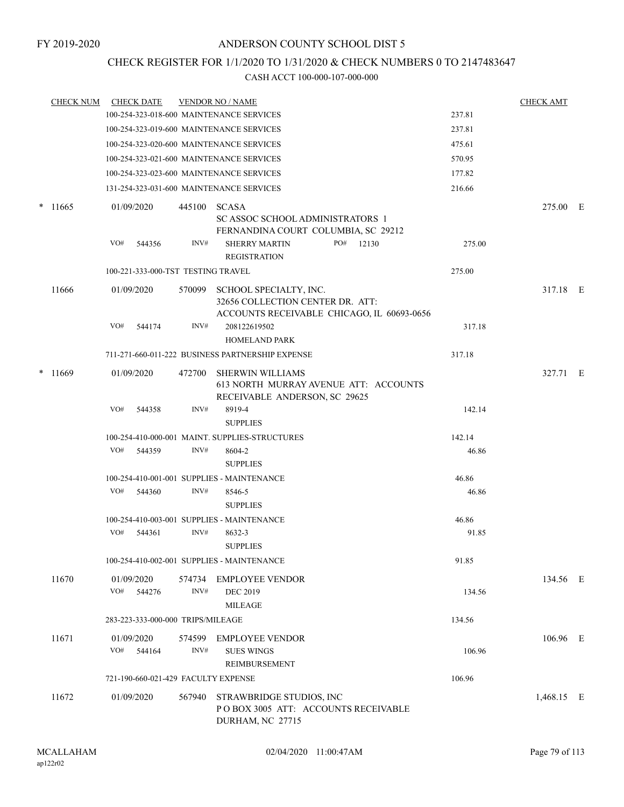## CHECK REGISTER FOR 1/1/2020 TO 1/31/2020 & CHECK NUMBERS 0 TO 2147483647

| <b>CHECK NUM</b> | <b>CHECK DATE</b>                   |                | <b>VENDOR NO / NAME</b>                                                                                  |        | <b>CHECK AMT</b> |  |
|------------------|-------------------------------------|----------------|----------------------------------------------------------------------------------------------------------|--------|------------------|--|
|                  |                                     |                | 100-254-323-018-600 MAINTENANCE SERVICES                                                                 | 237.81 |                  |  |
|                  |                                     |                | 100-254-323-019-600 MAINTENANCE SERVICES                                                                 | 237.81 |                  |  |
|                  |                                     |                | 100-254-323-020-600 MAINTENANCE SERVICES                                                                 | 475.61 |                  |  |
|                  |                                     |                | 100-254-323-021-600 MAINTENANCE SERVICES                                                                 | 570.95 |                  |  |
|                  |                                     |                | 100-254-323-023-600 MAINTENANCE SERVICES                                                                 | 177.82 |                  |  |
|                  |                                     |                | 131-254-323-031-600 MAINTENANCE SERVICES                                                                 | 216.66 |                  |  |
| $*11665$         | 01/09/2020                          | 445100         | <b>SCASA</b><br>SC ASSOC SCHOOL ADMINISTRATORS 1<br>FERNANDINA COURT COLUMBIA, SC 29212                  |        | 275.00 E         |  |
|                  | VO#<br>544356                       | INV#           | <b>SHERRY MARTIN</b><br>PO#<br>12130<br><b>REGISTRATION</b>                                              | 275.00 |                  |  |
|                  | 100-221-333-000-TST TESTING TRAVEL  |                |                                                                                                          | 275.00 |                  |  |
| 11666            | 01/09/2020                          | 570099         | SCHOOL SPECIALTY, INC.<br>32656 COLLECTION CENTER DR. ATT:<br>ACCOUNTS RECEIVABLE CHICAGO, IL 60693-0656 |        | 317.18 E         |  |
|                  | VO#<br>544174                       | INV#           | 208122619502<br><b>HOMELAND PARK</b>                                                                     | 317.18 |                  |  |
|                  |                                     |                | 711-271-660-011-222 BUSINESS PARTNERSHIP EXPENSE                                                         | 317.18 |                  |  |
| $*11669$         | 01/09/2020                          | 472700         | <b>SHERWIN WILLIAMS</b><br>613 NORTH MURRAY AVENUE ATT: ACCOUNTS<br>RECEIVABLE ANDERSON, SC 29625        |        | 327.71 E         |  |
|                  | VO#<br>544358                       | INV#           | 8919-4<br><b>SUPPLIES</b>                                                                                | 142.14 |                  |  |
|                  |                                     |                | 100-254-410-000-001 MAINT. SUPPLIES-STRUCTURES                                                           | 142.14 |                  |  |
|                  | VO#<br>544359                       | INV#           | 8604-2<br><b>SUPPLIES</b>                                                                                | 46.86  |                  |  |
|                  |                                     |                | 100-254-410-001-001 SUPPLIES - MAINTENANCE                                                               | 46.86  |                  |  |
|                  | VO# 544360                          | INV#           | 8546-5<br><b>SUPPLIES</b>                                                                                | 46.86  |                  |  |
|                  |                                     |                | 100-254-410-003-001 SUPPLIES - MAINTENANCE                                                               | 46.86  |                  |  |
|                  | VO#<br>544361                       | INV#           | 8632-3<br><b>SUPPLIES</b>                                                                                | 91.85  |                  |  |
|                  |                                     |                | 100-254-410-002-001 SUPPLIES - MAINTENANCE                                                               | 91.85  |                  |  |
| 11670            | 01/09/2020<br>VO#<br>544276         | 574734<br>INV# | <b>EMPLOYEE VENDOR</b><br><b>DEC 2019</b><br><b>MILEAGE</b>                                              | 134.56 | 134.56 E         |  |
|                  | 283-223-333-000-000 TRIPS/MILEAGE   |                |                                                                                                          | 134.56 |                  |  |
|                  |                                     |                |                                                                                                          |        |                  |  |
| 11671            | 01/09/2020<br>VO#<br>544164         | 574599<br>INV# | <b>EMPLOYEE VENDOR</b><br><b>SUES WINGS</b><br>REIMBURSEMENT                                             | 106.96 | 106.96 E         |  |
|                  | 721-190-660-021-429 FACULTY EXPENSE |                |                                                                                                          | 106.96 |                  |  |
| 11672            | 01/09/2020                          | 567940         | STRAWBRIDGE STUDIOS, INC<br>POBOX 3005 ATT: ACCOUNTS RECEIVABLE<br>DURHAM, NC 27715                      |        | 1,468.15 E       |  |
|                  |                                     |                |                                                                                                          |        |                  |  |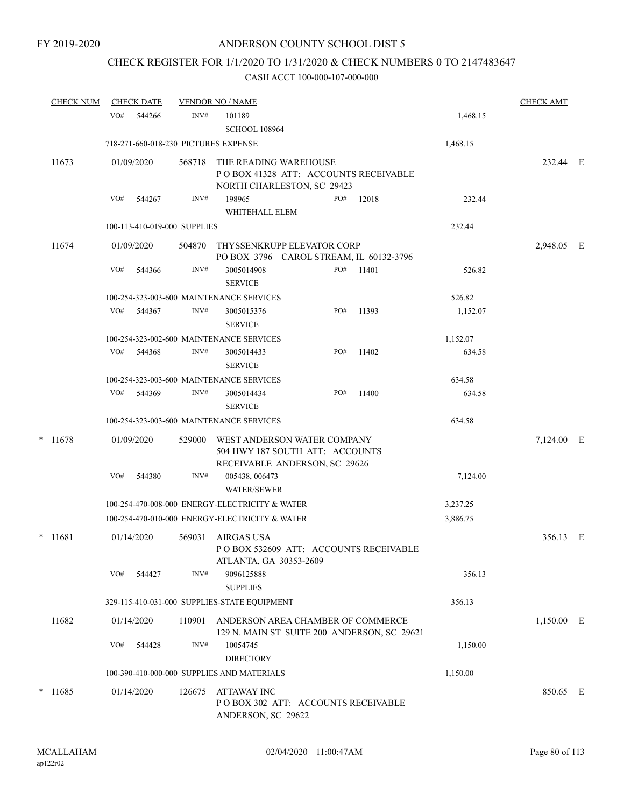# CHECK REGISTER FOR 1/1/2020 TO 1/31/2020 & CHECK NUMBERS 0 TO 2147483647

|        | <b>CHECK NUM</b> |     | <b>CHECK DATE</b> |                              | <b>VENDOR NO / NAME</b>                                                                         |     | <b>CHECK AMT</b>                            |          |              |  |
|--------|------------------|-----|-------------------|------------------------------|-------------------------------------------------------------------------------------------------|-----|---------------------------------------------|----------|--------------|--|
|        |                  | VO# | 544266            | INV#                         | 101189<br><b>SCHOOL 108964</b>                                                                  |     |                                             | 1,468.15 |              |  |
|        |                  |     |                   |                              | 718-271-660-018-230 PICTURES EXPENSE                                                            |     |                                             | 1,468.15 |              |  |
|        | 11673            |     | 01/09/2020        | 568718                       | THE READING WAREHOUSE<br>NORTH CHARLESTON, SC 29423                                             |     | POBOX 41328 ATT: ACCOUNTS RECEIVABLE        |          | 232.44 E     |  |
|        |                  | VO# | 544267            | INV#                         | 198965<br>WHITEHALL ELEM                                                                        | PO# | 12018                                       | 232.44   |              |  |
|        |                  |     |                   | 100-113-410-019-000 SUPPLIES |                                                                                                 |     |                                             | 232.44   |              |  |
|        | 11674            |     | 01/09/2020        | 504870                       | THYSSENKRUPP ELEVATOR CORP<br>PO BOX 3796 CAROL STREAM, IL 60132-3796                           |     |                                             |          | 2,948.05 E   |  |
|        |                  | VO# | 544366            | INV#                         | 3005014908<br><b>SERVICE</b>                                                                    | PO# | 11401                                       | 526.82   |              |  |
|        |                  |     |                   |                              | 100-254-323-003-600 MAINTENANCE SERVICES                                                        |     |                                             | 526.82   |              |  |
|        |                  | VO# | 544367            | INV#                         | 3005015376<br><b>SERVICE</b>                                                                    | PO# | 11393                                       | 1,152.07 |              |  |
|        |                  |     |                   |                              | 100-254-323-002-600 MAINTENANCE SERVICES                                                        |     |                                             | 1,152.07 |              |  |
|        |                  | VO# | 544368            | INV#                         | 3005014433<br><b>SERVICE</b>                                                                    | PO# | 11402                                       | 634.58   |              |  |
|        |                  |     |                   |                              | 100-254-323-003-600 MAINTENANCE SERVICES                                                        |     |                                             | 634.58   |              |  |
|        |                  | VO# | 544369            | INV#                         | 3005014434<br><b>SERVICE</b>                                                                    | PO# | 11400                                       | 634.58   |              |  |
|        |                  |     |                   |                              | 100-254-323-003-600 MAINTENANCE SERVICES                                                        |     |                                             | 634.58   |              |  |
|        | $*$ 11678        |     | 01/09/2020        | 529000                       | WEST ANDERSON WATER COMPANY<br>504 HWY 187 SOUTH ATT: ACCOUNTS<br>RECEIVABLE ANDERSON, SC 29626 |     |                                             |          | 7,124.00 E   |  |
|        |                  | VO# | 544380            | INV#                         | 005438, 006473<br><b>WATER/SEWER</b>                                                            |     |                                             | 7,124.00 |              |  |
|        |                  |     |                   |                              | 100-254-470-008-000 ENERGY-ELECTRICITY & WATER                                                  |     |                                             | 3,237.25 |              |  |
|        |                  |     |                   |                              | 100-254-470-010-000 ENERGY-ELECTRICITY & WATER                                                  |     |                                             | 3,886.75 |              |  |
|        | $*$ 11681        |     | 01/14/2020        | 569031                       | AIRGAS USA<br>ATLANTA, GA 30353-2609                                                            |     | PO BOX 532609 ATT: ACCOUNTS RECEIVABLE      |          | 356.13 E     |  |
|        |                  | VO# | 544427            | INV#                         | 9096125888<br><b>SUPPLIES</b>                                                                   |     |                                             | 356.13   |              |  |
|        |                  |     |                   |                              | 329-115-410-031-000 SUPPLIES-STATE EQUIPMENT                                                    |     |                                             | 356.13   |              |  |
|        | 11682            |     | 01/14/2020        | 110901                       | ANDERSON AREA CHAMBER OF COMMERCE                                                               |     | 129 N. MAIN ST SUITE 200 ANDERSON, SC 29621 |          | $1,150.00$ E |  |
|        |                  | VO# | 544428            | INV#                         | 10054745<br><b>DIRECTORY</b>                                                                    |     |                                             | 1,150.00 |              |  |
|        |                  |     |                   |                              | 100-390-410-000-000 SUPPLIES AND MATERIALS                                                      |     |                                             | 1,150.00 |              |  |
| $\ast$ | 11685            |     | 01/14/2020        | 126675                       | <b>ATTAWAY INC</b><br>PO BOX 302 ATT: ACCOUNTS RECEIVABLE<br>ANDERSON, SC 29622                 |     |                                             |          | 850.65 E     |  |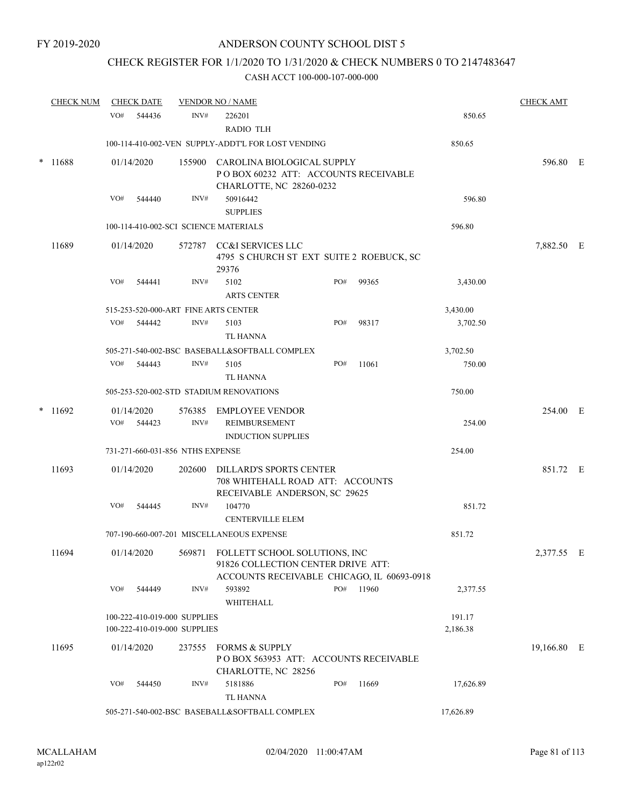# CHECK REGISTER FOR 1/1/2020 TO 1/31/2020 & CHECK NUMBERS 0 TO 2147483647

|        | <b>CHECK NUM</b> |     | <b>CHECK DATE</b>                                  |                                                              | <b>VENDOR NO / NAME</b>                                                                               |     |           |                    | <b>CHECK AMT</b> |  |
|--------|------------------|-----|----------------------------------------------------|--------------------------------------------------------------|-------------------------------------------------------------------------------------------------------|-----|-----------|--------------------|------------------|--|
|        |                  | VO# | 544436                                             | INV#                                                         | 226201<br><b>RADIO TLH</b>                                                                            |     |           | 850.65             |                  |  |
|        |                  |     | 100-114-410-002-VEN SUPPLY-ADDT'L FOR LOST VENDING | 850.65                                                       |                                                                                                       |     |           |                    |                  |  |
| $\ast$ | 11688            |     | 01/14/2020                                         |                                                              | 155900 CAROLINA BIOLOGICAL SUPPLY<br>POBOX 60232 ATT: ACCOUNTS RECEIVABLE<br>CHARLOTTE, NC 28260-0232 |     |           |                    | 596.80 E         |  |
|        |                  | VO# | 544440                                             | INV#                                                         | 50916442<br><b>SUPPLIES</b>                                                                           |     |           | 596.80             |                  |  |
|        |                  |     |                                                    |                                                              | 100-114-410-002-SCI SCIENCE MATERIALS                                                                 |     |           | 596.80             |                  |  |
|        | 11689            |     | 01/14/2020                                         |                                                              | 572787 CC&I SERVICES LLC<br>4795 S CHURCH ST EXT SUITE 2 ROEBUCK, SC<br>29376                         |     |           |                    | 7,882.50 E       |  |
|        |                  | VO# | 544441                                             | INV#                                                         | 5102<br><b>ARTS CENTER</b>                                                                            | PO# | 99365     | 3,430.00           |                  |  |
|        |                  |     |                                                    |                                                              | 515-253-520-000-ART FINE ARTS CENTER                                                                  |     |           | 3,430.00           |                  |  |
|        |                  | VO# | 544442                                             | INV#                                                         | 5103<br><b>TL HANNA</b>                                                                               | PO# | 98317     | 3,702.50           |                  |  |
|        |                  |     |                                                    |                                                              | 505-271-540-002-BSC BASEBALL&SOFTBALL COMPLEX                                                         |     |           | 3,702.50           |                  |  |
|        |                  | VO# | 544443                                             | INV#                                                         | 5105<br><b>TL HANNA</b>                                                                               | PO# | 11061     | 750.00             |                  |  |
|        |                  |     |                                                    |                                                              | 505-253-520-002-STD STADIUM RENOVATIONS                                                               |     |           | 750.00             |                  |  |
| $\ast$ | 11692            | VO# | 01/14/2020<br>544423                               | INV#                                                         | 576385 EMPLOYEE VENDOR<br>REIMBURSEMENT                                                               |     |           | 254.00             | 254.00 E         |  |
|        |                  |     |                                                    |                                                              | <b>INDUCTION SUPPLIES</b>                                                                             |     |           |                    |                  |  |
|        |                  |     |                                                    | 731-271-660-031-856 NTHS EXPENSE                             |                                                                                                       |     |           | 254.00             |                  |  |
|        | 11693            |     | 01/14/2020                                         | 202600                                                       | <b>DILLARD'S SPORTS CENTER</b><br>708 WHITEHALL ROAD ATT: ACCOUNTS<br>RECEIVABLE ANDERSON, SC 29625   |     |           |                    | 851.72 E         |  |
|        |                  | VO# | 544445                                             | INV#                                                         | 104770<br><b>CENTERVILLE ELEM</b>                                                                     |     |           | 851.72             |                  |  |
|        |                  |     |                                                    |                                                              | 707-190-660-007-201 MISCELLANEOUS EXPENSE                                                             |     |           | 851.72             |                  |  |
|        | 11694            |     | 01/14/2020                                         |                                                              | 569871 FOLLETT SCHOOL SOLUTIONS, INC<br>91826 COLLECTION CENTER DRIVE ATT:                            |     |           |                    | 2,377.55 E       |  |
|        |                  | VO# | 544449                                             | INV#                                                         | ACCOUNTS RECEIVABLE CHICAGO, IL 60693-0918<br>593892<br>WHITEHALL                                     |     | PO# 11960 | 2,377.55           |                  |  |
|        |                  |     |                                                    | 100-222-410-019-000 SUPPLIES<br>100-222-410-019-000 SUPPLIES |                                                                                                       |     |           | 191.17<br>2,186.38 |                  |  |
|        | 11695            |     | 01/14/2020                                         |                                                              | 237555 FORMS & SUPPLY<br>POBOX 563953 ATT: ACCOUNTS RECEIVABLE<br>CHARLOTTE, NC 28256                 |     |           |                    | 19,166.80 E      |  |
|        |                  | VO# | 544450                                             | INV#                                                         | 5181886<br><b>TL HANNA</b>                                                                            | PO# | 11669     | 17,626.89          |                  |  |
|        |                  |     |                                                    |                                                              | 505-271-540-002-BSC BASEBALL&SOFTBALL COMPLEX                                                         |     |           | 17,626.89          |                  |  |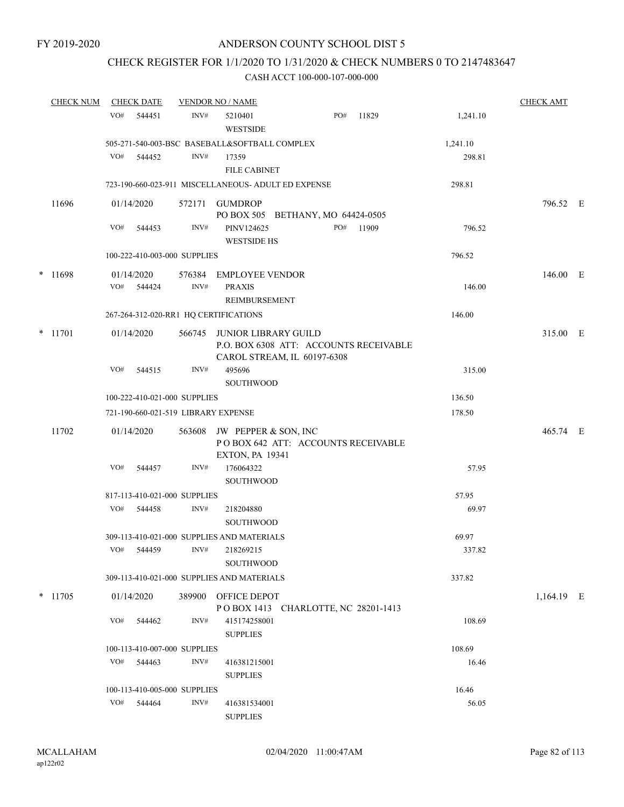## CHECK REGISTER FOR 1/1/2020 TO 1/31/2020 & CHECK NUMBERS 0 TO 2147483647

| <b>CHECK NUM</b> | <b>CHECK DATE</b>                                   |                | <b>VENDOR NO / NAME</b>                                                                       |     |       |          | <b>CHECK AMT</b> |  |
|------------------|-----------------------------------------------------|----------------|-----------------------------------------------------------------------------------------------|-----|-------|----------|------------------|--|
|                  | VO#<br>544451                                       | INV#           | 5210401<br>WESTSIDE                                                                           | PO# | 11829 | 1,241.10 |                  |  |
|                  | 505-271-540-003-BSC BASEBALL&SOFTBALL COMPLEX       |                |                                                                                               |     |       | 1,241.10 |                  |  |
|                  | VO#<br>544452                                       | INV#           | 17359<br><b>FILE CABINET</b>                                                                  |     |       | 298.81   |                  |  |
|                  | 723-190-660-023-911 MISCELLANEOUS- ADULT ED EXPENSE |                |                                                                                               |     |       | 298.81   |                  |  |
| 11696            | 01/14/2020                                          | 572171         | <b>GUMDROP</b><br>PO BOX 505 BETHANY, MO 64424-0505                                           |     |       |          | 796.52 E         |  |
|                  | VO#<br>544453                                       | INV#           | PINV124625<br><b>WESTSIDE HS</b>                                                              | PO# | 11909 | 796.52   |                  |  |
|                  | 100-222-410-003-000 SUPPLIES                        |                |                                                                                               |     |       | 796.52   |                  |  |
| * 11698          | 01/14/2020<br>VO#<br>544424                         | 576384<br>INV# | EMPLOYEE VENDOR<br><b>PRAXIS</b><br><b>REIMBURSEMENT</b>                                      |     |       | 146.00   | 146.00 E         |  |
|                  | 267-264-312-020-RR1 HQ CERTIFICATIONS               |                |                                                                                               |     |       | 146.00   |                  |  |
| $*$ 11701        | 01/14/2020                                          | 566745         | JUNIOR LIBRARY GUILD<br>P.O. BOX 6308 ATT: ACCOUNTS RECEIVABLE<br>CAROL STREAM, IL 60197-6308 |     |       |          | 315.00 E         |  |
|                  | VO#<br>544515                                       | INV#           | 495696<br>SOUTHWOOD                                                                           |     |       | 315.00   |                  |  |
|                  | 100-222-410-021-000 SUPPLIES                        |                |                                                                                               |     |       | 136.50   |                  |  |
|                  | 721-190-660-021-519 LIBRARY EXPENSE                 |                |                                                                                               |     |       | 178.50   |                  |  |
| 11702            | 01/14/2020                                          | 563608         | JW PEPPER & SON, INC<br>POBOX 642 ATT: ACCOUNTS RECEIVABLE<br><b>EXTON, PA 19341</b>          |     |       |          | 465.74 E         |  |
|                  | VO#<br>544457                                       | INV#           | 176064322<br><b>SOUTHWOOD</b>                                                                 |     |       | 57.95    |                  |  |
|                  | 817-113-410-021-000 SUPPLIES                        |                |                                                                                               |     |       | 57.95    |                  |  |
|                  | VO#<br>544458                                       | INV#           | 218204880<br><b>SOUTHWOOD</b>                                                                 |     |       | 69.97    |                  |  |
|                  | 309-113-410-021-000 SUPPLIES AND MATERIALS          |                |                                                                                               |     |       | 69.97    |                  |  |
|                  | VO#<br>544459                                       | INV#           | 218269215<br>SOUTHWOOD                                                                        |     |       | 337.82   |                  |  |
|                  | 309-113-410-021-000 SUPPLIES AND MATERIALS          |                |                                                                                               |     |       | 337.82   |                  |  |
| $*$ 11705        | 01/14/2020                                          |                | 389900 OFFICE DEPOT<br>POBOX 1413 CHARLOTTE, NC 28201-1413                                    |     |       |          | 1,164.19 E       |  |
|                  | VO#<br>544462                                       | INV#           | 415174258001<br><b>SUPPLIES</b>                                                               |     |       | 108.69   |                  |  |
|                  | 100-113-410-007-000 SUPPLIES                        |                |                                                                                               |     |       | 108.69   |                  |  |
|                  | VO#<br>544463                                       | INV#           | 416381215001<br><b>SUPPLIES</b>                                                               |     |       | 16.46    |                  |  |
|                  | 100-113-410-005-000 SUPPLIES                        |                |                                                                                               |     |       | 16.46    |                  |  |
|                  | VO#<br>544464                                       | INV#           | 416381534001<br><b>SUPPLIES</b>                                                               |     |       | 56.05    |                  |  |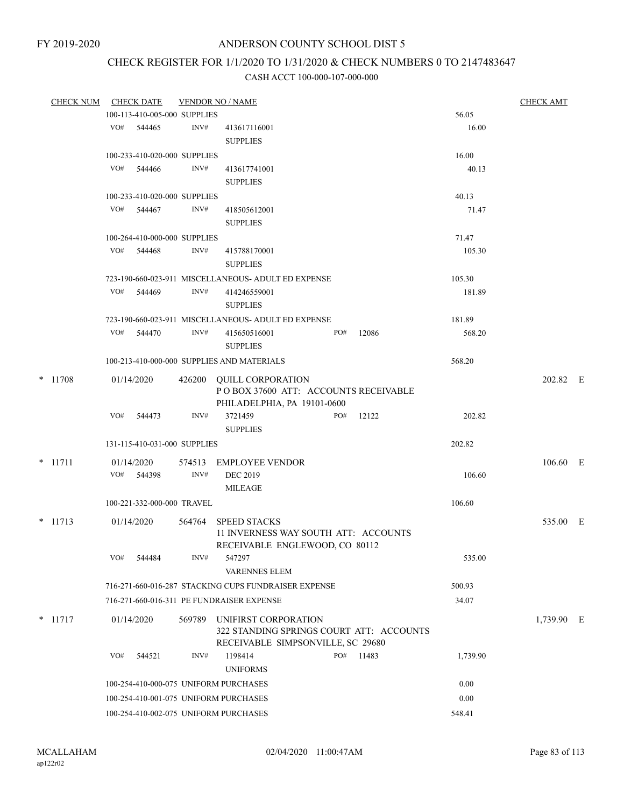# CHECK REGISTER FOR 1/1/2020 TO 1/31/2020 & CHECK NUMBERS 0 TO 2147483647

| <b>CHECK NUM</b> |     | <b>CHECK DATE</b>            |        | <b>VENDOR NO / NAME</b>                                                |     |       |          | <b>CHECK AMT</b> |  |
|------------------|-----|------------------------------|--------|------------------------------------------------------------------------|-----|-------|----------|------------------|--|
|                  |     | 100-113-410-005-000 SUPPLIES |        |                                                                        |     |       | 56.05    |                  |  |
|                  |     | VO# 544465                   | INV#   | 413617116001                                                           |     |       | 16.00    |                  |  |
|                  |     |                              |        | <b>SUPPLIES</b>                                                        |     |       |          |                  |  |
|                  |     | 100-233-410-020-000 SUPPLIES |        |                                                                        |     |       | 16.00    |                  |  |
|                  | VO# | 544466                       | INV#   | 413617741001                                                           |     |       | 40.13    |                  |  |
|                  |     |                              |        | <b>SUPPLIES</b>                                                        |     |       |          |                  |  |
|                  |     | 100-233-410-020-000 SUPPLIES |        |                                                                        |     |       | 40.13    |                  |  |
|                  |     | VO# 544467                   | INV#   | 418505612001                                                           |     |       | 71.47    |                  |  |
|                  |     |                              |        | <b>SUPPLIES</b>                                                        |     |       |          |                  |  |
|                  |     | 100-264-410-000-000 SUPPLIES |        |                                                                        |     |       | 71.47    |                  |  |
|                  |     | VO# 544468                   | INV#   | 415788170001                                                           |     |       | 105.30   |                  |  |
|                  |     |                              |        | <b>SUPPLIES</b>                                                        |     |       |          |                  |  |
|                  |     |                              |        | 723-190-660-023-911 MISCELLANEOUS- ADULT ED EXPENSE                    |     |       | 105.30   |                  |  |
|                  | VO# | 544469                       | INV#   | 414246559001                                                           |     |       | 181.89   |                  |  |
|                  |     |                              |        | <b>SUPPLIES</b>                                                        |     |       |          |                  |  |
|                  |     |                              |        | 723-190-660-023-911 MISCELLANEOUS- ADULT ED EXPENSE                    |     |       | 181.89   |                  |  |
|                  |     | VO# 544470                   | INV#   | 415650516001                                                           | PO# | 12086 | 568.20   |                  |  |
|                  |     |                              |        | <b>SUPPLIES</b>                                                        |     |       |          |                  |  |
|                  |     |                              |        | 100-213-410-000-000 SUPPLIES AND MATERIALS                             |     |       | 568.20   |                  |  |
| * 11708          |     | 01/14/2020                   |        | 426200 QUILL CORPORATION                                               |     |       |          | 202.82 E         |  |
|                  |     |                              |        | POBOX 37600 ATT: ACCOUNTS RECEIVABLE                                   |     |       |          |                  |  |
|                  |     |                              |        | PHILADELPHIA, PA 19101-0600                                            |     |       |          |                  |  |
|                  | VO# | 544473                       | INV#   | 3721459                                                                | PO# | 12122 | 202.82   |                  |  |
|                  |     |                              |        | <b>SUPPLIES</b>                                                        |     |       |          |                  |  |
|                  |     | 131-115-410-031-000 SUPPLIES |        |                                                                        |     |       | 202.82   |                  |  |
| $*$ 11711        |     | 01/14/2020                   | 574513 | EMPLOYEE VENDOR                                                        |     |       |          | $106.60$ E       |  |
|                  |     | VO# 544398                   | INV#   | <b>DEC 2019</b>                                                        |     |       | 106.60   |                  |  |
|                  |     |                              |        | MILEAGE                                                                |     |       |          |                  |  |
|                  |     | 100-221-332-000-000 TRAVEL   |        |                                                                        |     |       | 106.60   |                  |  |
|                  |     |                              |        |                                                                        |     |       |          |                  |  |
| $*$ 11713        |     | 01/14/2020                   | 564764 | <b>SPEED STACKS</b>                                                    |     |       |          | 535.00 E         |  |
|                  |     |                              |        | 11 INVERNESS WAY SOUTH ATT: ACCOUNTS<br>RECEIVABLE ENGLEWOOD, CO 80112 |     |       |          |                  |  |
|                  | VO# | 544484                       | INV#   | 547297                                                                 |     |       | 535.00   |                  |  |
|                  |     |                              |        | <b>VARENNES ELEM</b>                                                   |     |       |          |                  |  |
|                  |     |                              |        | 716-271-660-016-287 STACKING CUPS FUNDRAISER EXPENSE                   |     |       |          |                  |  |
|                  |     |                              |        |                                                                        |     |       | 500.93   |                  |  |
|                  |     |                              |        | 716-271-660-016-311 PE FUNDRAISER EXPENSE                              |     |       | 34.07    |                  |  |
| $*$ 11717        |     | 01/14/2020                   | 569789 | UNIFIRST CORPORATION                                                   |     |       |          | 1,739.90 E       |  |
|                  |     |                              |        | 322 STANDING SPRINGS COURT ATT: ACCOUNTS                               |     |       |          |                  |  |
|                  |     |                              |        | RECEIVABLE SIMPSONVILLE, SC 29680                                      |     |       |          |                  |  |
|                  | VO# | 544521                       | INV#   | 1198414                                                                | PO# | 11483 | 1,739.90 |                  |  |
|                  |     |                              |        | <b>UNIFORMS</b>                                                        |     |       |          |                  |  |
|                  |     |                              |        | 100-254-410-000-075 UNIFORM PURCHASES                                  |     |       | 0.00     |                  |  |
|                  |     |                              |        | 100-254-410-001-075 UNIFORM PURCHASES                                  |     |       | 0.00     |                  |  |
|                  |     |                              |        | 100-254-410-002-075 UNIFORM PURCHASES                                  |     |       | 548.41   |                  |  |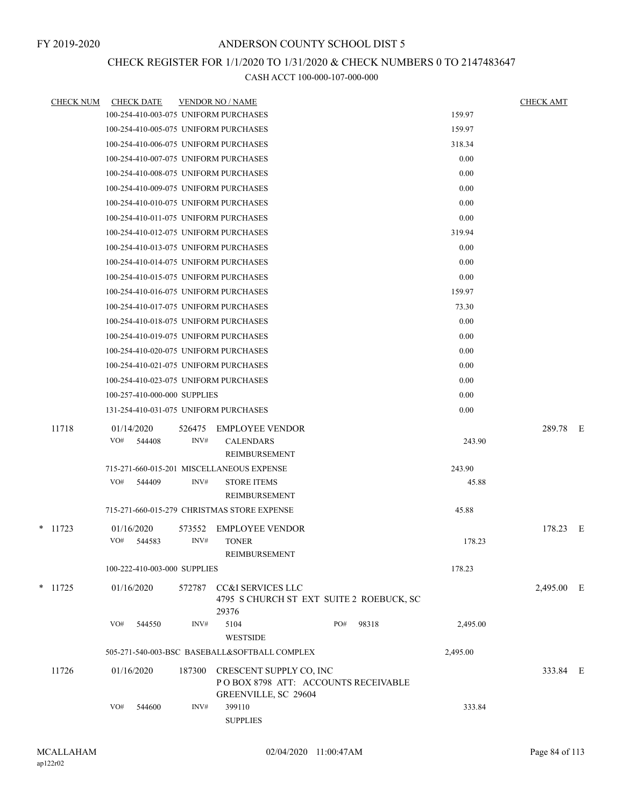# CHECK REGISTER FOR 1/1/2020 TO 1/31/2020 & CHECK NUMBERS 0 TO 2147483647

| <b>CHECK NUM</b> | <b>CHECK DATE</b>                         |        | <b>VENDOR NO / NAME</b>                                        |     |       |          | <b>CHECK AMT</b> |     |
|------------------|-------------------------------------------|--------|----------------------------------------------------------------|-----|-------|----------|------------------|-----|
|                  | 100-254-410-003-075 UNIFORM PURCHASES     |        |                                                                |     |       | 159.97   |                  |     |
|                  | 100-254-410-005-075 UNIFORM PURCHASES     |        |                                                                |     |       | 159.97   |                  |     |
|                  | 100-254-410-006-075 UNIFORM PURCHASES     |        |                                                                |     |       | 318.34   |                  |     |
|                  | 100-254-410-007-075 UNIFORM PURCHASES     |        |                                                                |     |       | 0.00     |                  |     |
|                  | 100-254-410-008-075 UNIFORM PURCHASES     |        |                                                                |     |       | 0.00     |                  |     |
|                  | 100-254-410-009-075 UNIFORM PURCHASES     |        |                                                                |     |       | 0.00     |                  |     |
|                  | 100-254-410-010-075 UNIFORM PURCHASES     |        |                                                                |     |       | 0.00     |                  |     |
|                  | 100-254-410-011-075 UNIFORM PURCHASES     |        |                                                                |     |       | 0.00     |                  |     |
|                  | 100-254-410-012-075 UNIFORM PURCHASES     |        |                                                                |     |       | 319.94   |                  |     |
|                  | 100-254-410-013-075 UNIFORM PURCHASES     |        |                                                                |     |       | 0.00     |                  |     |
|                  | 100-254-410-014-075 UNIFORM PURCHASES     |        |                                                                |     |       | 0.00     |                  |     |
|                  | 100-254-410-015-075 UNIFORM PURCHASES     |        |                                                                |     |       | 0.00     |                  |     |
|                  | 100-254-410-016-075 UNIFORM PURCHASES     |        |                                                                |     |       | 159.97   |                  |     |
|                  | 100-254-410-017-075 UNIFORM PURCHASES     |        |                                                                |     |       | 73.30    |                  |     |
|                  | 100-254-410-018-075 UNIFORM PURCHASES     |        |                                                                |     |       | 0.00     |                  |     |
|                  | 100-254-410-019-075 UNIFORM PURCHASES     |        |                                                                |     |       | 0.00     |                  |     |
|                  | 100-254-410-020-075 UNIFORM PURCHASES     |        |                                                                |     |       | 0.00     |                  |     |
|                  | 100-254-410-021-075 UNIFORM PURCHASES     |        |                                                                |     |       | 0.00     |                  |     |
|                  | 100-254-410-023-075 UNIFORM PURCHASES     |        |                                                                |     |       | 0.00     |                  |     |
|                  | 100-257-410-000-000 SUPPLIES              |        |                                                                |     |       | 0.00     |                  |     |
|                  | 131-254-410-031-075 UNIFORM PURCHASES     |        |                                                                |     |       | 0.00     |                  |     |
| 11718            | 01/14/2020                                | 526475 | <b>EMPLOYEE VENDOR</b>                                         |     |       |          | 289.78           | – E |
|                  | VO#<br>544408                             | INV#   | <b>CALENDARS</b>                                               |     |       | 243.90   |                  |     |
|                  |                                           |        | REIMBURSEMENT                                                  |     |       |          |                  |     |
|                  | 715-271-660-015-201 MISCELLANEOUS EXPENSE |        |                                                                |     |       | 243.90   |                  |     |
|                  | VO#<br>544409                             | INV#   | <b>STORE ITEMS</b>                                             |     |       | 45.88    |                  |     |
|                  |                                           |        | REIMBURSEMENT                                                  |     |       |          |                  |     |
|                  |                                           |        | 715-271-660-015-279 CHRISTMAS STORE EXPENSE                    |     |       | 45.88    |                  |     |
| $*$ 11723        | 01/16/2020                                | 573552 | <b>EMPLOYEE VENDOR</b>                                         |     |       |          | 178.23 E         |     |
|                  | VO#<br>544583                             | INV#   | <b>TONER</b>                                                   |     |       | 178.23   |                  |     |
|                  |                                           |        | REIMBURSEMENT                                                  |     |       |          |                  |     |
|                  | 100-222-410-003-000 SUPPLIES              |        |                                                                |     |       | 178.23   |                  |     |
| $*$ 11725        | 01/16/2020                                | 572787 | CC&I SERVICES LLC                                              |     |       |          | 2,495.00 E       |     |
|                  |                                           |        | 4795 S CHURCH ST EXT SUITE 2 ROEBUCK, SC                       |     |       |          |                  |     |
|                  | VO#                                       | INV#   | 29376<br>5104                                                  | PO# |       |          |                  |     |
|                  | 544550                                    |        | <b>WESTSIDE</b>                                                |     | 98318 | 2,495.00 |                  |     |
|                  |                                           |        | 505-271-540-003-BSC BASEBALL&SOFTBALL COMPLEX                  |     |       | 2,495.00 |                  |     |
|                  |                                           |        |                                                                |     |       |          |                  |     |
| 11726            | 01/16/2020                                | 187300 | CRESCENT SUPPLY CO, INC<br>POBOX 8798 ATT: ACCOUNTS RECEIVABLE |     |       |          | 333.84 E         |     |
|                  |                                           |        | GREENVILLE, SC 29604                                           |     |       |          |                  |     |
|                  | VO#<br>544600                             | INV#   | 399110                                                         |     |       | 333.84   |                  |     |
|                  |                                           |        | <b>SUPPLIES</b>                                                |     |       |          |                  |     |
|                  |                                           |        |                                                                |     |       |          |                  |     |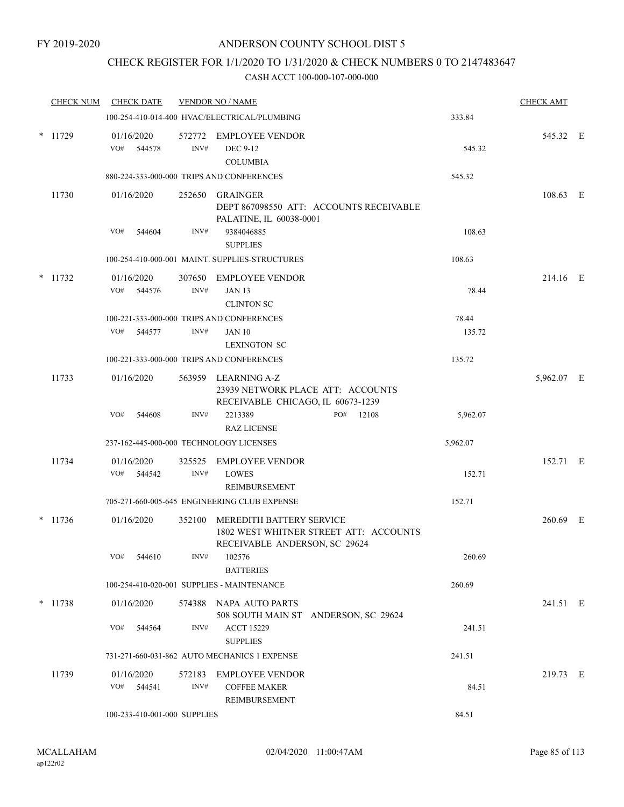## CHECK REGISTER FOR 1/1/2020 TO 1/31/2020 & CHECK NUMBERS 0 TO 2147483647

|   | <b>CHECK NUM</b> | <b>CHECK DATE</b>            |                | <b>VENDOR NO / NAME</b>                                                                       |                                         |                 | <b>CHECK AMT</b> |  |
|---|------------------|------------------------------|----------------|-----------------------------------------------------------------------------------------------|-----------------------------------------|-----------------|------------------|--|
|   |                  |                              |                | 100-254-410-014-400 HVAC/ELECTRICAL/PLUMBING                                                  |                                         | 333.84          |                  |  |
|   | $*$ 11729        | 01/16/2020<br>VO#<br>544578  | INV#           | 572772 EMPLOYEE VENDOR<br><b>DEC 9-12</b><br><b>COLUMBIA</b>                                  |                                         | 545.32          | 545.32 E         |  |
|   |                  |                              |                | 880-224-333-000-000 TRIPS AND CONFERENCES                                                     |                                         | 545.32          |                  |  |
|   | 11730            | 01/16/2020                   | 252650         | GRAINGER<br>PALATINE, IL 60038-0001                                                           | DEPT 867098550 ATT: ACCOUNTS RECEIVABLE |                 | 108.63 E         |  |
|   |                  | VO#<br>544604                | INV#           | 9384046885<br><b>SUPPLIES</b>                                                                 |                                         | 108.63          |                  |  |
|   |                  |                              |                | 100-254-410-000-001 MAINT. SUPPLIES-STRUCTURES                                                |                                         | 108.63          |                  |  |
|   | $*$ 11732        | 01/16/2020<br>VO#<br>544576  | INV#           | 307650 EMPLOYEE VENDOR<br><b>JAN 13</b><br><b>CLINTON SC</b>                                  |                                         | 78.44           | 214.16 E         |  |
|   |                  | VO#<br>544577                | INV#           | 100-221-333-000-000 TRIPS AND CONFERENCES<br><b>JAN 10</b><br><b>LEXINGTON SC</b>             |                                         | 78.44<br>135.72 |                  |  |
|   |                  |                              |                | 100-221-333-000-000 TRIPS AND CONFERENCES                                                     |                                         | 135.72          |                  |  |
|   | 11733            | 01/16/2020                   |                | 563959 LEARNING A-Z<br>23939 NETWORK PLACE ATT: ACCOUNTS<br>RECEIVABLE CHICAGO, IL 60673-1239 |                                         |                 | 5,962.07 E       |  |
|   |                  | VO#<br>544608                | INV#           | 2213389<br><b>RAZ LICENSE</b>                                                                 | PO#<br>12108                            | 5,962.07        |                  |  |
|   |                  |                              |                | 237-162-445-000-000 TECHNOLOGY LICENSES                                                       |                                         | 5,962.07        |                  |  |
|   | 11734            | 01/16/2020<br>VO#<br>544542  | 325525<br>INV# | <b>EMPLOYEE VENDOR</b><br><b>LOWES</b><br>REIMBURSEMENT                                       |                                         | 152.71          | 152.71 E         |  |
|   |                  |                              |                | 705-271-660-005-645 ENGINEERING CLUB EXPENSE                                                  |                                         | 152.71          |                  |  |
| * | 11736            | 01/16/2020                   | 352100         | MEREDITH BATTERY SERVICE<br>RECEIVABLE ANDERSON, SC 29624                                     | 1802 WEST WHITNER STREET ATT: ACCOUNTS  |                 | 260.69 E         |  |
|   |                  | VO#<br>544610                | INV#           | 102576<br><b>BATTERIES</b>                                                                    |                                         | 260.69          |                  |  |
|   |                  |                              |                | 100-254-410-020-001 SUPPLIES - MAINTENANCE                                                    |                                         | 260.69          |                  |  |
|   | $*$ 11738        | 01/16/2020                   |                | 574388 NAPA AUTO PARTS                                                                        | 508 SOUTH MAIN ST ANDERSON, SC 29624    |                 | 241.51 E         |  |
|   |                  | VO#<br>544564                | INV#           | <b>ACCT 15229</b><br><b>SUPPLIES</b>                                                          |                                         | 241.51          |                  |  |
|   |                  |                              |                | 731-271-660-031-862 AUTO MECHANICS 1 EXPENSE                                                  |                                         | 241.51          |                  |  |
|   | 11739            | 01/16/2020<br>VO#<br>544541  | INV#           | 572183 EMPLOYEE VENDOR<br><b>COFFEE MAKER</b><br>REIMBURSEMENT                                |                                         | 84.51           | 219.73 E         |  |
|   |                  | 100-233-410-001-000 SUPPLIES |                |                                                                                               |                                         | 84.51           |                  |  |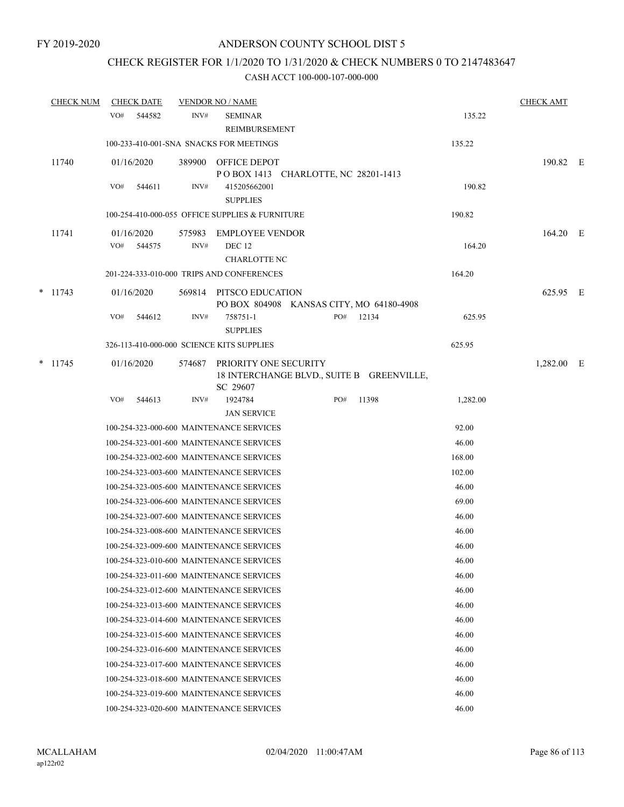# CHECK REGISTER FOR 1/1/2020 TO 1/31/2020 & CHECK NUMBERS 0 TO 2147483647

| <b>CHECK NUM</b> |     | <b>CHECK DATE</b>    |                | <b>VENDOR NO / NAME</b>                                      |     |                                           |          | <b>CHECK AMT</b> |  |
|------------------|-----|----------------------|----------------|--------------------------------------------------------------|-----|-------------------------------------------|----------|------------------|--|
|                  | VO# | 544582               | INV#           | <b>SEMINAR</b><br><b>REIMBURSEMENT</b>                       |     |                                           | 135.22   |                  |  |
|                  |     |                      |                | 100-233-410-001-SNA SNACKS FOR MEETINGS                      |     |                                           | 135.22   |                  |  |
| 11740            |     | 01/16/2020           |                | 389900 OFFICE DEPOT<br>POBOX 1413 CHARLOTTE, NC 28201-1413   |     |                                           |          | 190.82 E         |  |
|                  | VO# | 544611               | INV#           | 415205662001<br><b>SUPPLIES</b>                              |     |                                           | 190.82   |                  |  |
|                  |     |                      |                | 100-254-410-000-055 OFFICE SUPPLIES & FURNITURE              |     |                                           | 190.82   |                  |  |
| 11741            | VO# | 01/16/2020<br>544575 | 575983<br>INV# | <b>EMPLOYEE VENDOR</b><br>DEC <sub>12</sub>                  |     |                                           | 164.20   | 164.20 E         |  |
|                  |     |                      |                | <b>CHARLOTTE NC</b>                                          |     |                                           | 164.20   |                  |  |
|                  |     |                      |                | 201-224-333-010-000 TRIPS AND CONFERENCES                    |     |                                           |          |                  |  |
| $*$ 11743        |     | 01/16/2020           | 569814         | PITSCO EDUCATION<br>PO BOX 804908 KANSAS CITY, MO 64180-4908 |     |                                           |          | 625.95 E         |  |
|                  | VO# | 544612               | INV#           | 758751-1<br><b>SUPPLIES</b>                                  | PO# | 12134                                     | 625.95   |                  |  |
|                  |     |                      |                | 326-113-410-000-000 SCIENCE KITS SUPPLIES                    |     |                                           | 625.95   |                  |  |
| $*$ 11745        |     | 01/16/2020           | 574687         | PRIORITY ONE SECURITY<br>SC 29607                            |     | 18 INTERCHANGE BLVD., SUITE B GREENVILLE, |          | 1,282.00 E       |  |
|                  | VO# | 544613               | INV#           | 1924784<br><b>JAN SERVICE</b>                                | PO# | 11398                                     | 1,282.00 |                  |  |
|                  |     |                      |                | 100-254-323-000-600 MAINTENANCE SERVICES                     |     |                                           | 92.00    |                  |  |
|                  |     |                      |                | 100-254-323-001-600 MAINTENANCE SERVICES                     |     |                                           | 46.00    |                  |  |
|                  |     |                      |                | 100-254-323-002-600 MAINTENANCE SERVICES                     |     |                                           | 168.00   |                  |  |
|                  |     |                      |                | 100-254-323-003-600 MAINTENANCE SERVICES                     |     |                                           | 102.00   |                  |  |
|                  |     |                      |                | 100-254-323-005-600 MAINTENANCE SERVICES                     |     |                                           | 46.00    |                  |  |
|                  |     |                      |                | 100-254-323-006-600 MAINTENANCE SERVICES                     |     |                                           | 69.00    |                  |  |
|                  |     |                      |                | 100-254-323-007-600 MAINTENANCE SERVICES                     |     |                                           | 46.00    |                  |  |
|                  |     |                      |                | 100-254-323-008-600 MAINTENANCE SERVICES                     |     |                                           | 46.00    |                  |  |
|                  |     |                      |                | 100-254-323-009-600 MAINTENANCE SERVICES                     |     |                                           | 46.00    |                  |  |
|                  |     |                      |                | 100-254-323-010-600 MAINTENANCE SERVICES                     |     |                                           | 46.00    |                  |  |
|                  |     |                      |                | 100-254-323-011-600 MAINTENANCE SERVICES                     |     |                                           | 46.00    |                  |  |
|                  |     |                      |                | 100-254-323-012-600 MAINTENANCE SERVICES                     |     |                                           | 46.00    |                  |  |
|                  |     |                      |                | 100-254-323-013-600 MAINTENANCE SERVICES                     |     |                                           | 46.00    |                  |  |
|                  |     |                      |                | 100-254-323-014-600 MAINTENANCE SERVICES                     |     |                                           | 46.00    |                  |  |
|                  |     |                      |                | 100-254-323-015-600 MAINTENANCE SERVICES                     |     |                                           | 46.00    |                  |  |
|                  |     |                      |                | 100-254-323-016-600 MAINTENANCE SERVICES                     |     |                                           | 46.00    |                  |  |
|                  |     |                      |                | 100-254-323-017-600 MAINTENANCE SERVICES                     |     |                                           | 46.00    |                  |  |
|                  |     |                      |                | 100-254-323-018-600 MAINTENANCE SERVICES                     |     |                                           | 46.00    |                  |  |
|                  |     |                      |                | 100-254-323-019-600 MAINTENANCE SERVICES                     |     |                                           | 46.00    |                  |  |
|                  |     |                      |                | 100-254-323-020-600 MAINTENANCE SERVICES                     |     |                                           | 46.00    |                  |  |
|                  |     |                      |                |                                                              |     |                                           |          |                  |  |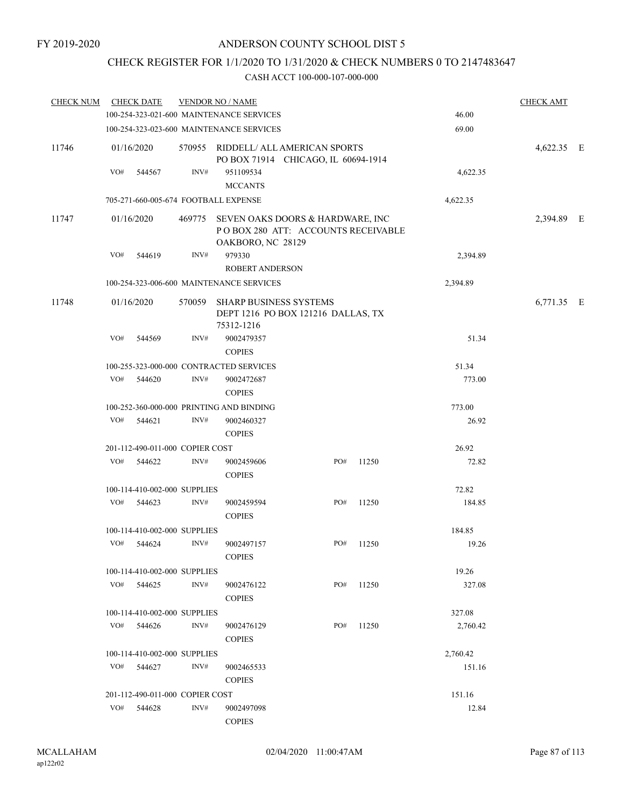## CHECK REGISTER FOR 1/1/2020 TO 1/31/2020 & CHECK NUMBERS 0 TO 2147483647

| <b>CHECK NUM</b> |     | <b>CHECK DATE</b>               |        | <b>VENDOR NO / NAME</b>                                                                            |        |        |          | <b>CHECK AMT</b> |  |
|------------------|-----|---------------------------------|--------|----------------------------------------------------------------------------------------------------|--------|--------|----------|------------------|--|
|                  |     |                                 |        | 100-254-323-021-600 MAINTENANCE SERVICES                                                           |        |        | 46.00    |                  |  |
|                  |     |                                 |        | 100-254-323-023-600 MAINTENANCE SERVICES                                                           |        |        | 69.00    |                  |  |
| 11746            |     | 01/16/2020                      |        | 570955 RIDDELL/ ALL AMERICAN SPORTS<br>PO BOX 71914 CHICAGO, IL 60694-1914                         |        |        |          | 4,622.35 E       |  |
|                  | VO# | 544567                          | INV#   | 951109534<br><b>MCCANTS</b>                                                                        |        |        | 4,622.35 |                  |  |
|                  |     |                                 |        | 705-271-660-005-674 FOOTBALL EXPENSE                                                               |        |        | 4,622.35 |                  |  |
| 11747            |     | 01/16/2020                      |        | 469775 SEVEN OAKS DOORS & HARDWARE, INC<br>POBOX 280 ATT: ACCOUNTS RECEIVABLE<br>OAKBORO, NC 28129 |        |        |          | 2,394.89 E       |  |
|                  | VO# | 544619                          | INV#   | 979330<br><b>ROBERT ANDERSON</b>                                                                   |        |        | 2,394.89 |                  |  |
|                  |     |                                 |        | 100-254-323-006-600 MAINTENANCE SERVICES                                                           |        |        | 2,394.89 |                  |  |
| 11748            |     | 01/16/2020                      | 570059 | SHARP BUSINESS SYSTEMS<br>DEPT 1216 PO BOX 121216 DALLAS, TX<br>75312-1216                         |        |        |          | 6,771.35 E       |  |
|                  | VO# | 544569                          | INV#   | 9002479357                                                                                         |        |        | 51.34    |                  |  |
|                  |     |                                 |        | <b>COPIES</b>                                                                                      |        |        |          |                  |  |
|                  |     |                                 |        | 100-255-323-000-000 CONTRACTED SERVICES                                                            |        |        | 51.34    |                  |  |
|                  | VO# | 544620                          | INV#   | 9002472687<br><b>COPIES</b>                                                                        |        |        | 773.00   |                  |  |
|                  |     |                                 |        | 100-252-360-000-000 PRINTING AND BINDING                                                           | 773.00 |        |          |                  |  |
|                  | VO# | 544621                          | INV#   | 9002460327<br><b>COPIES</b>                                                                        |        |        | 26.92    |                  |  |
|                  |     | 201-112-490-011-000 COPIER COST |        |                                                                                                    |        |        | 26.92    |                  |  |
|                  | VO# | 544622                          | INV#   | 9002459606<br><b>COPIES</b>                                                                        | PO#    | 11250  | 72.82    |                  |  |
|                  |     | 100-114-410-002-000 SUPPLIES    |        |                                                                                                    |        |        | 72.82    |                  |  |
|                  | VO# | 544623                          | INV#   | 9002459594<br><b>COPIES</b>                                                                        | PO#    | 11250  | 184.85   |                  |  |
|                  |     | 100-114-410-002-000 SUPPLIES    |        |                                                                                                    |        |        | 184.85   |                  |  |
|                  | VO# | 544624                          | INV#   | 9002497157<br><b>COPIES</b>                                                                        | PO#    | 11250  | 19.26    |                  |  |
|                  |     | 100-114-410-002-000 SUPPLIES    |        |                                                                                                    |        |        | 19.26    |                  |  |
|                  |     | VO# 544625                      | INV#   | 9002476122<br><b>COPIES</b>                                                                        | PO#    | 11250  | 327.08   |                  |  |
|                  |     | 100-114-410-002-000 SUPPLIES    |        |                                                                                                    |        |        | 327.08   |                  |  |
|                  | VO# | 544626                          | INV#   | 9002476129<br><b>COPIES</b>                                                                        | PO#    | 11250  | 2,760.42 |                  |  |
|                  |     | 100-114-410-002-000 SUPPLIES    |        |                                                                                                    |        |        | 2,760.42 |                  |  |
|                  | VO# | 544627                          | INV#   | 9002465533<br><b>COPIES</b>                                                                        |        |        | 151.16   |                  |  |
|                  |     | 201-112-490-011-000 COPIER COST |        |                                                                                                    |        | 151.16 |          |                  |  |
|                  | VO# | 544628                          | INV#   | 9002497098<br><b>COPIES</b>                                                                        |        |        | 12.84    |                  |  |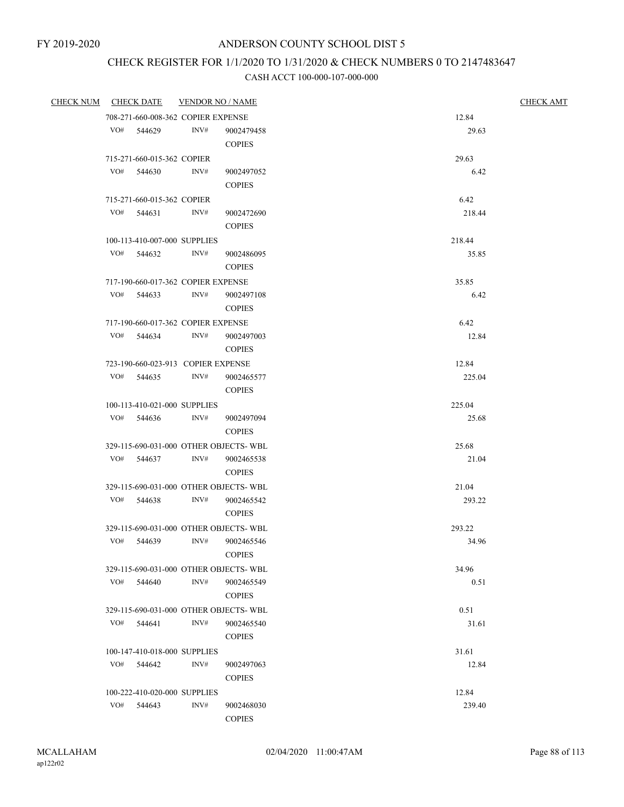# CHECK REGISTER FOR 1/1/2020 TO 1/31/2020 & CHECK NUMBERS 0 TO 2147483647

| <b>CHECK NUM</b> |     | <u>CHECK DATE</u>          | <b>VENDOR NO / NAME</b>                    |                                        | <b>CHECK AMT</b> |
|------------------|-----|----------------------------|--------------------------------------------|----------------------------------------|------------------|
|                  |     |                            | 708-271-660-008-362 COPIER EXPENSE         |                                        | 12.84            |
|                  |     | VO# 544629                 | INV#                                       | 9002479458                             | 29.63            |
|                  |     |                            |                                            | <b>COPIES</b>                          |                  |
|                  |     | 715-271-660-015-362 COPIER |                                            |                                        | 29.63            |
|                  | VO# | 544630                     | INV#                                       | 9002497052                             | 6.42             |
|                  |     |                            |                                            | <b>COPIES</b>                          |                  |
|                  |     | 715-271-660-015-362 COPIER |                                            |                                        | 6.42             |
|                  |     | VO# 544631                 | INV#                                       | 9002472690                             | 218.44           |
|                  |     |                            |                                            | <b>COPIES</b>                          |                  |
|                  |     |                            | 100-113-410-007-000 SUPPLIES               |                                        | 218.44           |
|                  |     | VO# 544632                 | INV#                                       | 9002486095                             | 35.85            |
|                  |     |                            |                                            | <b>COPIES</b>                          |                  |
|                  |     |                            | 717-190-660-017-362 COPIER EXPENSE         |                                        | 35.85            |
|                  |     | VO# 544633                 | INV#                                       | 9002497108                             | 6.42             |
|                  |     |                            |                                            | <b>COPIES</b>                          |                  |
|                  |     | VO# 544634                 | 717-190-660-017-362 COPIER EXPENSE<br>INV# |                                        | 6.42             |
|                  |     |                            |                                            | 9002497003<br><b>COPIES</b>            | 12.84            |
|                  |     |                            | 723-190-660-023-913 COPIER EXPENSE         |                                        | 12.84            |
|                  |     | VO# 544635                 | INV#                                       | 9002465577                             | 225.04           |
|                  |     |                            |                                            | <b>COPIES</b>                          |                  |
|                  |     |                            | 100-113-410-021-000 SUPPLIES               |                                        | 225.04           |
|                  |     | VO# 544636                 | INV#                                       | 9002497094                             | 25.68            |
|                  |     |                            |                                            | <b>COPIES</b>                          |                  |
|                  |     |                            |                                            | 329-115-690-031-000 OTHER OBJECTS-WBL  | 25.68            |
|                  |     | VO# 544637                 | INV#                                       | 9002465538                             | 21.04            |
|                  |     |                            |                                            | <b>COPIES</b>                          |                  |
|                  |     |                            |                                            | 329-115-690-031-000 OTHER OBJECTS-WBL  | 21.04            |
|                  |     | VO# 544638                 | INV#                                       | 9002465542                             | 293.22           |
|                  |     |                            |                                            | <b>COPIES</b>                          |                  |
|                  |     |                            |                                            | 329-115-690-031-000 OTHER OBJECTS-WBL  | 293.22           |
|                  |     | VO# 544639                 | INV#                                       | 9002465546                             | 34.96            |
|                  |     |                            |                                            | $\mbox{COPIES}$                        |                  |
|                  |     |                            |                                            | 329-115-690-031-000 OTHER OBJECTS-WBL  | 34.96            |
|                  | VO# | 544640                     | INV#                                       | 9002465549                             | 0.51             |
|                  |     |                            |                                            | <b>COPIES</b>                          |                  |
|                  |     |                            |                                            | 329-115-690-031-000 OTHER OBJECTS- WBL | 0.51             |
|                  | VO# | 544641                     | INV#                                       | 9002465540                             | 31.61            |
|                  |     |                            |                                            | <b>COPIES</b>                          |                  |
|                  |     |                            | 100-147-410-018-000 SUPPLIES               |                                        | 31.61            |
|                  | VO# | 544642                     | INV#                                       | 9002497063                             | 12.84            |
|                  |     |                            |                                            | <b>COPIES</b>                          |                  |
|                  |     |                            | 100-222-410-020-000 SUPPLIES               |                                        | 12.84            |
|                  | VO# | 544643                     | INV#                                       | 9002468030                             | 239.40           |
|                  |     |                            |                                            | <b>COPIES</b>                          |                  |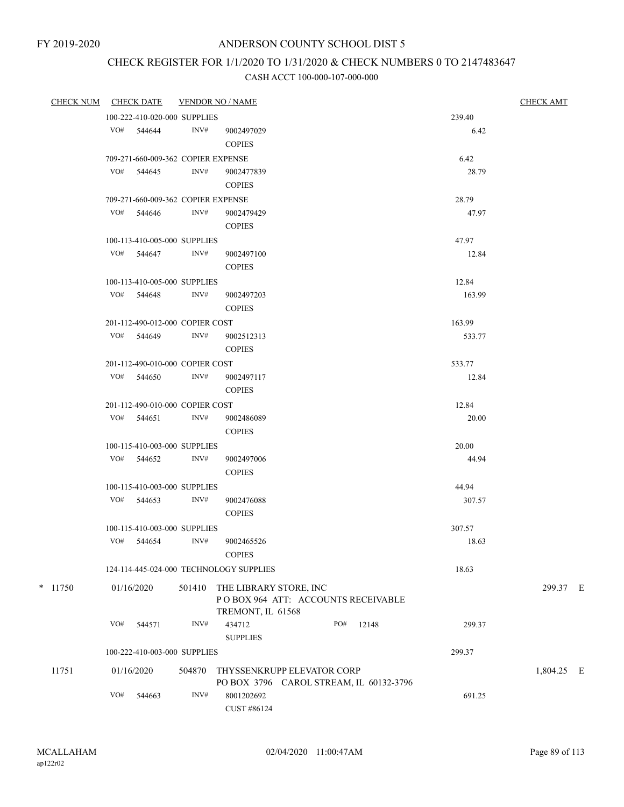# CHECK REGISTER FOR 1/1/2020 TO 1/31/2020 & CHECK NUMBERS 0 TO 2147483647

|           | CHECK NUM CHECK DATE                    | <b>VENDOR NO / NAME</b> |                                                                                   | <b>CHECK AMT</b> |        |            |  |  |
|-----------|-----------------------------------------|-------------------------|-----------------------------------------------------------------------------------|------------------|--------|------------|--|--|
|           | 100-222-410-020-000 SUPPLIES            |                         |                                                                                   |                  | 239.40 |            |  |  |
|           | VO# 544644                              | INV#                    | 9002497029<br><b>COPIES</b>                                                       |                  | 6.42   |            |  |  |
|           | 709-271-660-009-362 COPIER EXPENSE      |                         |                                                                                   |                  | 6.42   |            |  |  |
|           | VO# 544645                              | INV#                    | 9002477839<br><b>COPIES</b>                                                       |                  | 28.79  |            |  |  |
|           | 709-271-660-009-362 COPIER EXPENSE      |                         |                                                                                   |                  | 28.79  |            |  |  |
|           | VO# 544646                              | INV#                    | 9002479429<br><b>COPIES</b>                                                       |                  | 47.97  |            |  |  |
|           | 100-113-410-005-000 SUPPLIES            |                         |                                                                                   |                  | 47.97  |            |  |  |
|           | VO# 544647                              | INV#                    | 9002497100<br><b>COPIES</b>                                                       |                  | 12.84  |            |  |  |
|           | 100-113-410-005-000 SUPPLIES            |                         |                                                                                   |                  | 12.84  |            |  |  |
|           | VO# 544648                              | INV#                    | 9002497203<br><b>COPIES</b>                                                       |                  | 163.99 |            |  |  |
|           | 201-112-490-012-000 COPIER COST         |                         |                                                                                   |                  | 163.99 |            |  |  |
|           | VO# 544649                              | INV#                    | 9002512313<br><b>COPIES</b>                                                       |                  | 533.77 |            |  |  |
|           | 201-112-490-010-000 COPIER COST         |                         |                                                                                   |                  | 533.77 |            |  |  |
|           | VO# 544650                              | INV#                    | 9002497117<br><b>COPIES</b>                                                       |                  | 12.84  |            |  |  |
|           | 201-112-490-010-000 COPIER COST         |                         |                                                                                   |                  | 12.84  |            |  |  |
|           | VO# 544651                              | INV#                    | 9002486089<br><b>COPIES</b>                                                       |                  | 20.00  |            |  |  |
|           | 100-115-410-003-000 SUPPLIES            |                         |                                                                                   |                  | 20.00  |            |  |  |
|           | VO# 544652                              | INV#                    | 9002497006<br><b>COPIES</b>                                                       |                  | 44.94  |            |  |  |
|           | 100-115-410-003-000 SUPPLIES            |                         |                                                                                   |                  | 44.94  |            |  |  |
|           | VO# 544653                              | INV#                    | 9002476088<br><b>COPIES</b>                                                       |                  | 307.57 |            |  |  |
|           | 100-115-410-003-000 SUPPLIES            |                         |                                                                                   |                  | 307.57 |            |  |  |
|           | VO# 544654                              | INV#                    | 9002465526<br>$\mbox{COPIES}$                                                     |                  | 18.63  |            |  |  |
|           | 124-114-445-024-000 TECHNOLOGY SUPPLIES |                         |                                                                                   |                  | 18.63  |            |  |  |
| $*$ 11750 | 01/16/2020                              | 501410                  | THE LIBRARY STORE, INC<br>POBOX 964 ATT: ACCOUNTS RECEIVABLE<br>TREMONT, IL 61568 |                  |        | 299.37 E   |  |  |
|           | VO#<br>544571                           | INV#                    | 434712<br>PO#<br><b>SUPPLIES</b>                                                  | 12148            | 299.37 |            |  |  |
|           | 100-222-410-003-000 SUPPLIES            |                         |                                                                                   |                  | 299.37 |            |  |  |
| 11751     | 01/16/2020                              | 504870                  | THYSSENKRUPP ELEVATOR CORP<br>PO BOX 3796 CAROL STREAM, IL 60132-3796             |                  |        | 1,804.25 E |  |  |
|           | VO#<br>544663                           | INV#                    | 8001202692<br>CUST #86124                                                         |                  | 691.25 |            |  |  |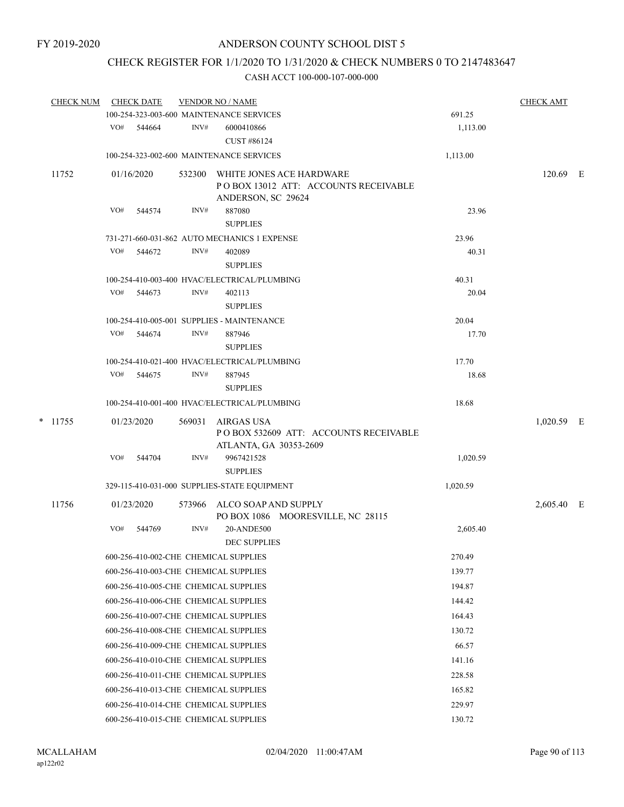## CHECK REGISTER FOR 1/1/2020 TO 1/31/2020 & CHECK NUMBERS 0 TO 2147483647

| <b>CHECK NUM</b> |     | <b>CHECK DATE</b> |        | <b>VENDOR NO / NAME</b>                                                                 |          | <b>CHECK AMT</b> |  |
|------------------|-----|-------------------|--------|-----------------------------------------------------------------------------------------|----------|------------------|--|
|                  |     |                   |        | 100-254-323-003-600 MAINTENANCE SERVICES                                                | 691.25   |                  |  |
|                  | VO# | 544664            | INV#   | 6000410866<br>CUST #86124                                                               | 1,113.00 |                  |  |
|                  |     |                   |        | 100-254-323-002-600 MAINTENANCE SERVICES                                                | 1,113.00 |                  |  |
| 11752            |     | 01/16/2020        | 532300 | WHITE JONES ACE HARDWARE<br>PO BOX 13012 ATT: ACCOUNTS RECEIVABLE<br>ANDERSON, SC 29624 |          | 120.69 E         |  |
|                  | VO# | 544574            | INV#   | 887080<br><b>SUPPLIES</b>                                                               | 23.96    |                  |  |
|                  |     |                   |        | 731-271-660-031-862 AUTO MECHANICS 1 EXPENSE                                            | 23.96    |                  |  |
|                  | VO# | 544672            | INV#   | 402089<br><b>SUPPLIES</b>                                                               | 40.31    |                  |  |
|                  |     |                   |        | 100-254-410-003-400 HVAC/ELECTRICAL/PLUMBING                                            | 40.31    |                  |  |
|                  | VO# | 544673            | INV#   | 402113<br><b>SUPPLIES</b>                                                               | 20.04    |                  |  |
|                  |     |                   |        | 100-254-410-005-001 SUPPLIES - MAINTENANCE                                              | 20.04    |                  |  |
|                  |     | VO# 544674        | INV#   | 887946<br><b>SUPPLIES</b>                                                               | 17.70    |                  |  |
|                  |     |                   |        | 100-254-410-021-400 HVAC/ELECTRICAL/PLUMBING                                            | 17.70    |                  |  |
|                  | VO# | 544675            | INV#   | 887945<br><b>SUPPLIES</b>                                                               | 18.68    |                  |  |
|                  |     |                   |        | 100-254-410-001-400 HVAC/ELECTRICAL/PLUMBING                                            | 18.68    |                  |  |
| $*$ 11755        |     | 01/23/2020        | 569031 | AIRGAS USA<br>PO BOX 532609 ATT: ACCOUNTS RECEIVABLE<br>ATLANTA, GA 30353-2609          |          | $1,020.59$ E     |  |
|                  | VO# | 544704            | INV#   | 9967421528<br><b>SUPPLIES</b>                                                           | 1,020.59 |                  |  |
|                  |     |                   |        | 329-115-410-031-000 SUPPLIES-STATE EQUIPMENT                                            | 1,020.59 |                  |  |
| 11756            |     | 01/23/2020        | 573966 | ALCO SOAP AND SUPPLY<br>PO BOX 1086 MOORESVILLE, NC 28115                               |          | 2,605.40 E       |  |
|                  | VO# | 544769            | INV#   | 20-ANDE500<br><b>DEC SUPPLIES</b>                                                       | 2,605.40 |                  |  |
|                  |     |                   |        | 600-256-410-002-CHE CHEMICAL SUPPLIES                                                   | 270.49   |                  |  |
|                  |     |                   |        | 600-256-410-003-CHE CHEMICAL SUPPLIES                                                   | 139.77   |                  |  |
|                  |     |                   |        | 600-256-410-005-CHE CHEMICAL SUPPLIES                                                   | 194.87   |                  |  |
|                  |     |                   |        | 600-256-410-006-CHE CHEMICAL SUPPLIES                                                   | 144.42   |                  |  |
|                  |     |                   |        | 600-256-410-007-CHE CHEMICAL SUPPLIES                                                   | 164.43   |                  |  |
|                  |     |                   |        | 600-256-410-008-CHE CHEMICAL SUPPLIES                                                   | 130.72   |                  |  |
|                  |     |                   |        | 600-256-410-009-CHE CHEMICAL SUPPLIES                                                   | 66.57    |                  |  |
|                  |     |                   |        | 600-256-410-010-CHE CHEMICAL SUPPLIES                                                   | 141.16   |                  |  |
|                  |     |                   |        | 600-256-410-011-CHE CHEMICAL SUPPLIES                                                   | 228.58   |                  |  |
|                  |     |                   |        | 600-256-410-013-CHE CHEMICAL SUPPLIES                                                   | 165.82   |                  |  |
|                  |     |                   |        | 600-256-410-014-CHE CHEMICAL SUPPLIES                                                   | 229.97   |                  |  |
|                  |     |                   |        | 600-256-410-015-CHE CHEMICAL SUPPLIES                                                   | 130.72   |                  |  |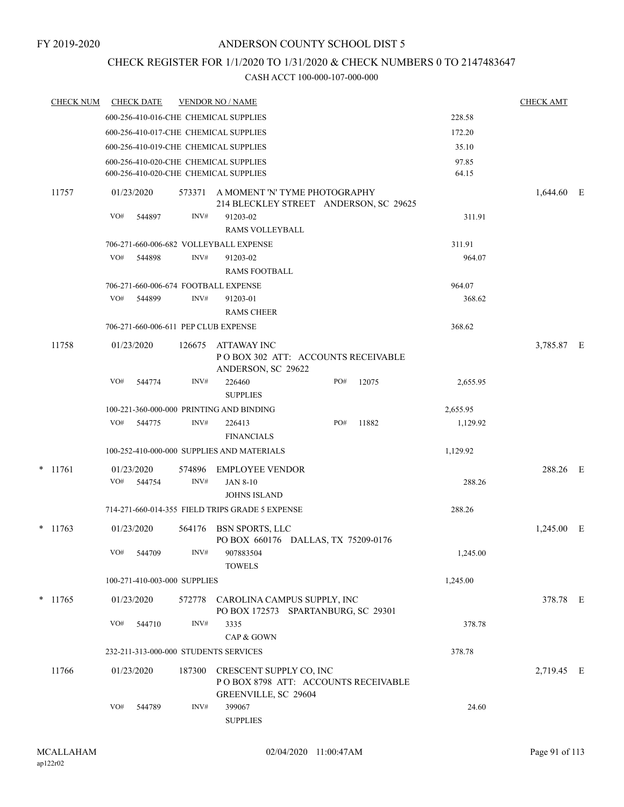## CHECK REGISTER FOR 1/1/2020 TO 1/31/2020 & CHECK NUMBERS 0 TO 2147483647

| <b>CHECK NUM</b> |     | <b>CHECK DATE</b>    |                              | <b>VENDOR NO / NAME</b>                                                                |     |       |          | <b>CHECK AMT</b> |  |
|------------------|-----|----------------------|------------------------------|----------------------------------------------------------------------------------------|-----|-------|----------|------------------|--|
|                  |     |                      |                              | 600-256-410-016-CHE CHEMICAL SUPPLIES                                                  |     |       | 228.58   |                  |  |
|                  |     |                      |                              | 600-256-410-017-CHE CHEMICAL SUPPLIES                                                  |     |       | 172.20   |                  |  |
|                  |     |                      |                              | 600-256-410-019-CHE CHEMICAL SUPPLIES                                                  |     |       | 35.10    |                  |  |
|                  |     |                      |                              | 600-256-410-020-CHE CHEMICAL SUPPLIES                                                  |     |       | 97.85    |                  |  |
|                  |     |                      |                              | 600-256-410-020-CHE CHEMICAL SUPPLIES                                                  |     |       | 64.15    |                  |  |
| 11757            |     | 01/23/2020           | 573371                       | A MOMENT 'N' TYME PHOTOGRAPHY<br>214 BLECKLEY STREET ANDERSON, SC 29625                |     |       |          | $1,644.60$ E     |  |
|                  | VO# | 544897               | INV#                         | 91203-02<br><b>RAMS VOLLEYBALL</b>                                                     |     |       | 311.91   |                  |  |
|                  |     |                      |                              | 706-271-660-006-682 VOLLEYBALL EXPENSE                                                 |     |       | 311.91   |                  |  |
|                  | VO# | 544898               | INV#                         | 91203-02<br><b>RAMS FOOTBALL</b>                                                       |     |       | 964.07   |                  |  |
|                  |     |                      |                              | 706-271-660-006-674 FOOTBALL EXPENSE                                                   |     |       | 964.07   |                  |  |
|                  | VO# | 544899               | INV#                         | 91203-01<br><b>RAMS CHEER</b>                                                          |     |       | 368.62   |                  |  |
|                  |     |                      |                              | 706-271-660-006-611 PEP CLUB EXPENSE                                                   |     |       | 368.62   |                  |  |
| 11758            |     | 01/23/2020           | 126675                       | ATTAWAY INC<br>POBOX 302 ATT: ACCOUNTS RECEIVABLE<br>ANDERSON, SC 29622                |     |       |          | 3,785.87 E       |  |
|                  | VO# | 544774               | INV#                         | 226460<br><b>SUPPLIES</b>                                                              | PO# | 12075 | 2,655.95 |                  |  |
|                  |     |                      |                              | 100-221-360-000-000 PRINTING AND BINDING                                               |     |       | 2,655.95 |                  |  |
|                  | VO# | 544775               | INV#                         | 226413<br><b>FINANCIALS</b>                                                            | PO# | 11882 | 1,129.92 |                  |  |
|                  |     |                      |                              | 100-252-410-000-000 SUPPLIES AND MATERIALS                                             |     |       | 1,129.92 |                  |  |
| $*$ 11761        | VO# | 01/23/2020<br>544754 | 574896<br>INV#               | <b>EMPLOYEE VENDOR</b><br><b>JAN 8-10</b>                                              |     |       | 288.26   | 288.26 E         |  |
|                  |     |                      |                              | <b>JOHNS ISLAND</b>                                                                    |     |       |          |                  |  |
|                  |     |                      |                              | 714-271-660-014-355 FIELD TRIPS GRADE 5 EXPENSE                                        |     |       | 288.26   |                  |  |
| $*$ 11763        |     | 01/23/2020           | 564176                       | BSN SPORTS, LLC<br>PO BOX 660176 DALLAS, TX 75209-0176                                 |     |       |          | $1,245.00$ E     |  |
|                  | VO# | 544709               | INV#                         | 907883504<br><b>TOWELS</b>                                                             |     |       | 1,245.00 |                  |  |
|                  |     |                      | 100-271-410-003-000 SUPPLIES |                                                                                        |     |       | 1,245.00 |                  |  |
| $*$ 11765        |     | 01/23/2020           |                              | 572778 CAROLINA CAMPUS SUPPLY, INC<br>PO BOX 172573 SPARTANBURG, SC 29301              |     |       |          | 378.78 E         |  |
|                  | VO# | 544710               | INV#                         | 3335<br>CAP & GOWN                                                                     |     |       | 378.78   |                  |  |
|                  |     |                      |                              | 232-211-313-000-000 STUDENTS SERVICES                                                  |     |       | 378.78   |                  |  |
| 11766            |     | 01/23/2020           | 187300                       | CRESCENT SUPPLY CO, INC<br>POBOX 8798 ATT: ACCOUNTS RECEIVABLE<br>GREENVILLE, SC 29604 |     |       |          | 2,719.45 E       |  |
|                  | VO# | 544789               | INV#                         | 399067<br><b>SUPPLIES</b>                                                              |     |       | 24.60    |                  |  |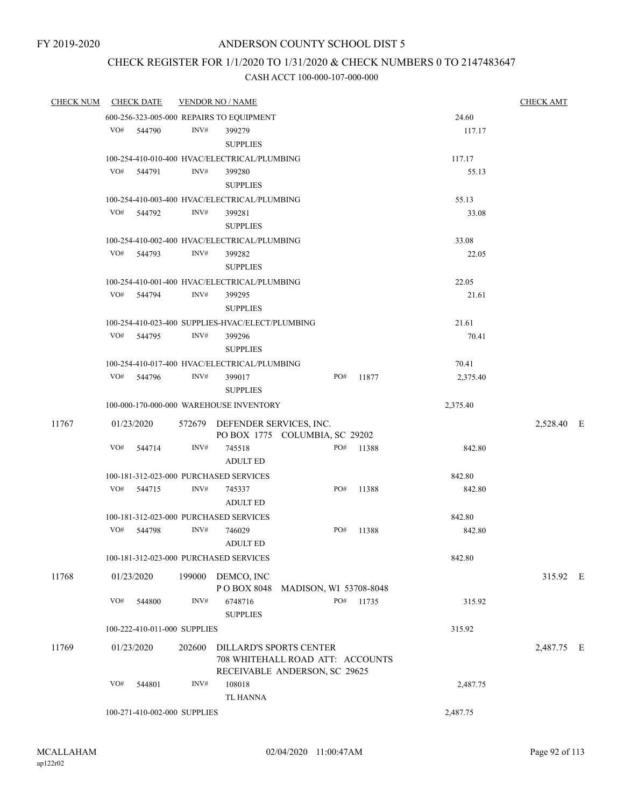# CHECK REGISTER FOR 1/1/2020 TO 1/31/2020 & CHECK NUMBERS 0 TO 2147483647

| <b>CHECK NUM</b> |     | <b>CHECK DATE</b>            |                | <b>VENDOR NO / NAME</b>                          |     |           |          | <b>CHECK AMT</b> |          |
|------------------|-----|------------------------------|----------------|--------------------------------------------------|-----|-----------|----------|------------------|----------|
|                  |     |                              |                | 600-256-323-005-000 REPAIRS TO EQUIPMENT         |     |           | 24.60    |                  |          |
|                  |     | VO# 544790                   | $\text{INV}\#$ | 399279                                           |     |           | 117.17   |                  |          |
|                  |     |                              |                | <b>SUPPLIES</b>                                  |     |           |          |                  |          |
|                  |     |                              |                | 100-254-410-010-400 HVAC/ELECTRICAL/PLUMBING     |     |           | 117.17   |                  |          |
|                  |     | VO# 544791                   | INV#           | 399280                                           |     |           | 55.13    |                  |          |
|                  |     |                              |                | <b>SUPPLIES</b>                                  |     |           |          |                  |          |
|                  |     |                              |                | 100-254-410-003-400 HVAC/ELECTRICAL/PLUMBING     |     |           | 55.13    |                  |          |
|                  | VO# | 544792                       | INV#           | 399281                                           |     |           | 33.08    |                  |          |
|                  |     |                              |                | <b>SUPPLIES</b>                                  |     |           |          |                  |          |
|                  |     |                              |                | 100-254-410-002-400 HVAC/ELECTRICAL/PLUMBING     |     |           | 33.08    |                  |          |
|                  | VO# | 544793                       | INV#           | 399282                                           |     |           | 22.05    |                  |          |
|                  |     |                              |                | <b>SUPPLIES</b>                                  |     |           |          |                  |          |
|                  |     |                              |                | 100-254-410-001-400 HVAC/ELECTRICAL/PLUMBING     |     |           | 22.05    |                  |          |
|                  |     | VO# 544794                   | INV#           | 399295                                           |     |           | 21.61    |                  |          |
|                  |     |                              |                | <b>SUPPLIES</b>                                  |     |           |          |                  |          |
|                  |     |                              |                | 100-254-410-023-400 SUPPLIES-HVAC/ELECT/PLUMBING |     |           | 21.61    |                  |          |
|                  | VO# | 544795                       | INV#           | 399296                                           |     |           | 70.41    |                  |          |
|                  |     |                              |                | <b>SUPPLIES</b>                                  |     |           |          |                  |          |
|                  |     |                              |                | 100-254-410-017-400 HVAC/ELECTRICAL/PLUMBING     |     |           | 70.41    |                  |          |
|                  |     | VO# 544796                   | INV#           | 399017                                           | PO# | 11877     | 2,375.40 |                  |          |
|                  |     |                              |                | <b>SUPPLIES</b>                                  |     |           |          |                  |          |
|                  |     |                              |                | 100-000-170-000-000 WAREHOUSE INVENTORY          |     |           | 2,375.40 |                  |          |
| 11767            |     | 01/23/2020                   |                | 572679 DEFENDER SERVICES, INC.                   |     |           |          | 2,528.40 E       |          |
|                  |     |                              |                | PO BOX 1775 COLUMBIA, SC 29202                   |     |           |          |                  |          |
|                  | VO# | 544714                       | INV#           | 745518                                           | PO# | 11388     | 842.80   |                  |          |
|                  |     |                              |                | <b>ADULT ED</b>                                  |     |           |          |                  |          |
|                  |     |                              |                | 100-181-312-023-000 PURCHASED SERVICES           |     |           | 842.80   |                  |          |
|                  | VO# | 544715                       | INV#           | 745337                                           | PO# | 11388     | 842.80   |                  |          |
|                  |     |                              |                | <b>ADULT ED</b>                                  |     |           |          |                  |          |
|                  |     |                              |                | 100-181-312-023-000 PURCHASED SERVICES           |     |           | 842.80   |                  |          |
|                  | VO# | 544798                       | INV#           | 746029                                           | PO# | 11388     | 842.80   |                  |          |
|                  |     |                              |                | <b>ADULT ED</b>                                  |     |           |          |                  |          |
|                  |     |                              |                | 100-181-312-023-000 PURCHASED SERVICES           |     |           | 842.80   |                  |          |
| 11768            |     | 01/23/2020                   |                | 199000 DEMCO, INC                                |     |           |          |                  | 315.92 E |
|                  |     |                              |                | POBOX 8048 MADISON, WI 53708-8048                |     |           |          |                  |          |
|                  | VO# | 544800                       | INV#           | 6748716                                          |     | PO# 11735 | 315.92   |                  |          |
|                  |     |                              |                | <b>SUPPLIES</b>                                  |     |           |          |                  |          |
|                  |     | 100-222-410-011-000 SUPPLIES |                |                                                  |     |           | 315.92   |                  |          |
| 11769            |     | 01/23/2020                   | 202600         | DILLARD'S SPORTS CENTER                          |     |           |          | 2,487.75 E       |          |
|                  |     |                              |                | 708 WHITEHALL ROAD ATT: ACCOUNTS                 |     |           |          |                  |          |
|                  |     |                              |                | RECEIVABLE ANDERSON, SC 29625                    |     |           |          |                  |          |
|                  | VO# | 544801                       | INV#           | 108018                                           |     |           | 2,487.75 |                  |          |
|                  |     |                              |                | <b>TL HANNA</b>                                  |     |           |          |                  |          |
|                  |     | 100-271-410-002-000 SUPPLIES |                |                                                  |     |           | 2,487.75 |                  |          |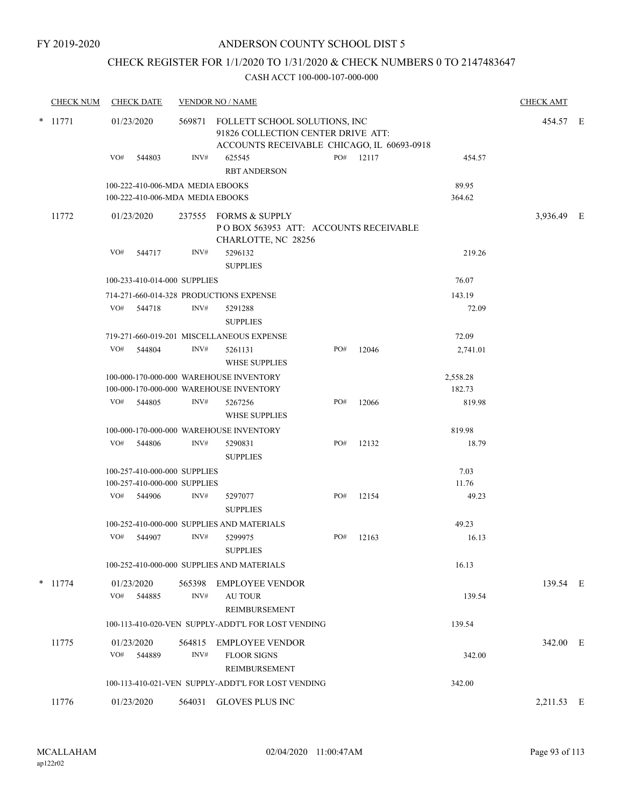## CHECK REGISTER FOR 1/1/2020 TO 1/31/2020 & CHECK NUMBERS 0 TO 2147483647

| <b>CHECK NUM</b> | <b>CHECK DATE</b><br><b>VENDOR NO / NAME</b> |                                                                      |                |                                                                                                                                    |     |       |                    |            |  |
|------------------|----------------------------------------------|----------------------------------------------------------------------|----------------|------------------------------------------------------------------------------------------------------------------------------------|-----|-------|--------------------|------------|--|
| $*$ 11771        | VO#                                          | 01/23/2020<br>544803                                                 | INV#           | 569871 FOLLETT SCHOOL SOLUTIONS, INC<br>91826 COLLECTION CENTER DRIVE ATT:<br>ACCOUNTS RECEIVABLE CHICAGO, IL 60693-0918<br>625545 | PO# | 12117 | 454.57             | 454.57 E   |  |
|                  |                                              |                                                                      |                | <b>RBT ANDERSON</b>                                                                                                                |     |       |                    |            |  |
|                  |                                              | 100-222-410-006-MDA MEDIA EBOOKS<br>100-222-410-006-MDA MEDIA EBOOKS |                |                                                                                                                                    |     |       | 89.95<br>364.62    |            |  |
| 11772            |                                              | 01/23/2020                                                           |                | 237555 FORMS & SUPPLY<br>POBOX 563953 ATT: ACCOUNTS RECEIVABLE<br>CHARLOTTE, NC 28256                                              |     |       |                    | 3,936.49 E |  |
|                  | VO#                                          | 544717                                                               | INV#           | 5296132<br><b>SUPPLIES</b>                                                                                                         |     |       | 219.26             |            |  |
|                  |                                              | 100-233-410-014-000 SUPPLIES                                         |                |                                                                                                                                    |     |       | 76.07              |            |  |
|                  |                                              |                                                                      |                | 714-271-660-014-328 PRODUCTIONS EXPENSE                                                                                            |     |       | 143.19             |            |  |
|                  | VO#                                          | 544718                                                               | INV#           | 5291288<br><b>SUPPLIES</b>                                                                                                         |     |       | 72.09              |            |  |
|                  |                                              |                                                                      |                | 719-271-660-019-201 MISCELLANEOUS EXPENSE                                                                                          |     |       | 72.09              |            |  |
|                  | VO#                                          | 544804                                                               | INV#           | 5261131<br><b>WHSE SUPPLIES</b>                                                                                                    | PO# | 12046 | 2,741.01           |            |  |
|                  |                                              |                                                                      |                | 100-000-170-000-000 WAREHOUSE INVENTORY<br>100-000-170-000-000 WAREHOUSE INVENTORY                                                 |     |       | 2,558.28<br>182.73 |            |  |
|                  | VO#                                          | 544805                                                               | INV#           | 5267256<br><b>WHSE SUPPLIES</b>                                                                                                    | PO# | 12066 | 819.98             |            |  |
|                  |                                              |                                                                      |                | 100-000-170-000-000 WAREHOUSE INVENTORY                                                                                            |     |       | 819.98             |            |  |
|                  | VO#                                          | 544806                                                               | INV#           | 5290831<br><b>SUPPLIES</b>                                                                                                         | PO# | 12132 | 18.79              |            |  |
|                  |                                              | 100-257-410-000-000 SUPPLIES                                         |                |                                                                                                                                    |     |       | 7.03               |            |  |
|                  |                                              | 100-257-410-000-000 SUPPLIES                                         |                |                                                                                                                                    |     |       | 11.76              |            |  |
|                  |                                              | VO# 544906                                                           | INV#           | 5297077<br><b>SUPPLIES</b>                                                                                                         | PO# | 12154 | 49.23              |            |  |
|                  |                                              |                                                                      |                | 100-252-410-000-000 SUPPLIES AND MATERIALS                                                                                         |     |       | 49.23              |            |  |
|                  | VO#                                          | 544907                                                               | INV#           | 5299975<br><b>SUPPLIES</b>                                                                                                         | PO# | 12163 | 16.13              |            |  |
|                  |                                              |                                                                      |                | 100-252-410-000-000 SUPPLIES AND MATERIALS                                                                                         |     |       | 16.13              |            |  |
| $*$ 11774        | VO#                                          | 01/23/2020<br>544885                                                 | 565398<br>INV# | <b>EMPLOYEE VENDOR</b><br><b>AU TOUR</b>                                                                                           |     |       | 139.54             | 139.54 E   |  |
|                  |                                              |                                                                      |                | REIMBURSEMENT<br>100-113-410-020-VEN SUPPLY-ADDT'L FOR LOST VENDING                                                                |     |       | 139.54             |            |  |
|                  |                                              |                                                                      |                |                                                                                                                                    |     |       |                    |            |  |
| 11775            | VO#                                          | 01/23/2020<br>544889                                                 | 564815<br>INV# | <b>EMPLOYEE VENDOR</b><br><b>FLOOR SIGNS</b><br>REIMBURSEMENT                                                                      |     |       | 342.00             | 342.00 E   |  |
|                  |                                              |                                                                      |                | 100-113-410-021-VEN SUPPLY-ADDT'L FOR LOST VENDING                                                                                 |     |       | 342.00             |            |  |
| 11776            |                                              | 01/23/2020                                                           |                | 564031 GLOVES PLUS INC                                                                                                             |     |       |                    | 2,211.53 E |  |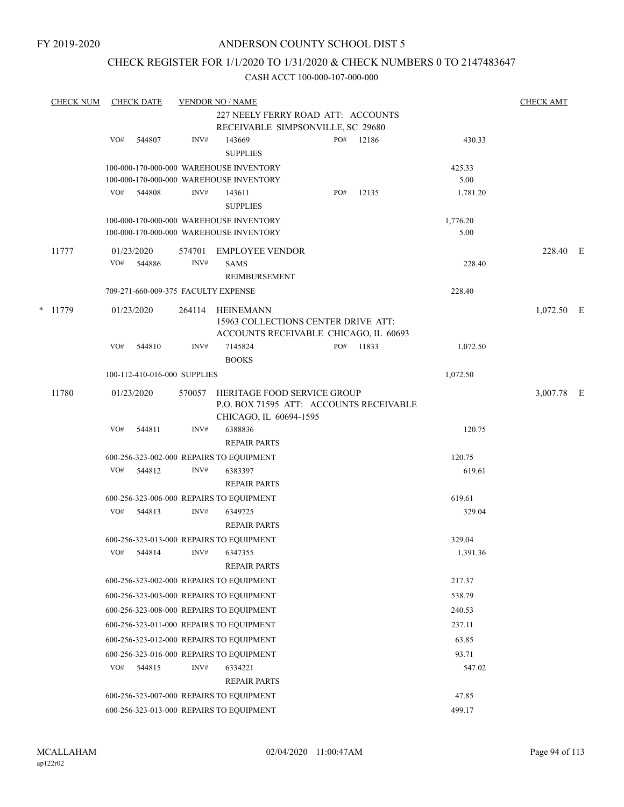## CHECK REGISTER FOR 1/1/2020 TO 1/31/2020 & CHECK NUMBERS 0 TO 2147483647

|   | <b>CHECK NUM</b> |     | <b>CHECK DATE</b>                   |        | <b>VENDOR NO / NAME</b>                  |     |           |          | <b>CHECK AMT</b> |  |
|---|------------------|-----|-------------------------------------|--------|------------------------------------------|-----|-----------|----------|------------------|--|
|   |                  |     |                                     |        | 227 NEELY FERRY ROAD ATT: ACCOUNTS       |     |           |          |                  |  |
|   |                  |     |                                     |        | RECEIVABLE SIMPSONVILLE, SC 29680        |     |           |          |                  |  |
|   |                  | VO# | 544807                              | INV#   | 143669                                   | PO# | 12186     | 430.33   |                  |  |
|   |                  |     |                                     |        | <b>SUPPLIES</b>                          |     |           |          |                  |  |
|   |                  |     |                                     |        | 100-000-170-000-000 WAREHOUSE INVENTORY  |     |           | 425.33   |                  |  |
|   |                  |     |                                     |        | 100-000-170-000-000 WAREHOUSE INVENTORY  |     |           | 5.00     |                  |  |
|   |                  | VO# | 544808                              | INV#   | 143611                                   | PO# | 12135     | 1,781.20 |                  |  |
|   |                  |     |                                     |        | <b>SUPPLIES</b>                          |     |           |          |                  |  |
|   |                  |     |                                     |        | 100-000-170-000-000 WAREHOUSE INVENTORY  |     |           | 1,776.20 |                  |  |
|   |                  |     |                                     |        | 100-000-170-000-000 WAREHOUSE INVENTORY  |     |           | 5.00     |                  |  |
|   | 11777            |     | 01/23/2020                          | 574701 | EMPLOYEE VENDOR                          |     |           |          | 228.40 E         |  |
|   |                  | VO# | 544886                              | INV#   | <b>SAMS</b>                              |     |           | 228.40   |                  |  |
|   |                  |     |                                     |        | REIMBURSEMENT                            |     |           |          |                  |  |
|   |                  |     | 709-271-660-009-375 FACULTY EXPENSE |        |                                          |     |           | 228.40   |                  |  |
| * | 11779            |     | 01/23/2020                          | 264114 | <b>HEINEMANN</b>                         |     |           |          | $1,072.50$ E     |  |
|   |                  |     |                                     |        | 15963 COLLECTIONS CENTER DRIVE ATT:      |     |           |          |                  |  |
|   |                  |     |                                     |        | ACCOUNTS RECEIVABLE CHICAGO, IL 60693    |     |           |          |                  |  |
|   |                  | VO# | 544810                              | INV#   | 7145824                                  |     | PO# 11833 | 1,072.50 |                  |  |
|   |                  |     |                                     |        | <b>BOOKS</b>                             |     |           |          |                  |  |
|   |                  |     | 100-112-410-016-000 SUPPLIES        |        |                                          |     |           | 1,072.50 |                  |  |
|   | 11780            |     | 01/23/2020                          | 570057 | HERITAGE FOOD SERVICE GROUP              |     |           |          | 3,007.78 E       |  |
|   |                  |     |                                     |        | P.O. BOX 71595 ATT: ACCOUNTS RECEIVABLE  |     |           |          |                  |  |
|   |                  |     |                                     |        | CHICAGO, IL 60694-1595                   |     |           |          |                  |  |
|   |                  | VO# | 544811                              | INV#   | 6388836                                  |     |           | 120.75   |                  |  |
|   |                  |     |                                     |        | <b>REPAIR PARTS</b>                      |     |           |          |                  |  |
|   |                  |     |                                     |        | 600-256-323-002-000 REPAIRS TO EQUIPMENT |     |           | 120.75   |                  |  |
|   |                  | VO# | 544812                              | INV#   | 6383397                                  |     |           | 619.61   |                  |  |
|   |                  |     |                                     |        | <b>REPAIR PARTS</b>                      |     |           |          |                  |  |
|   |                  |     |                                     |        | 600-256-323-006-000 REPAIRS TO EQUIPMENT |     |           | 619.61   |                  |  |
|   |                  | VO# | 544813                              | INV#   | 6349725                                  |     |           | 329.04   |                  |  |
|   |                  |     |                                     |        | <b>REPAIR PARTS</b>                      |     |           |          |                  |  |
|   |                  |     |                                     |        | 600-256-323-013-000 REPAIRS TO EQUIPMENT |     |           | 329.04   |                  |  |
|   |                  |     | VO# 544814 INV# 6347355             |        |                                          |     |           | 1,391.36 |                  |  |
|   |                  |     |                                     |        | <b>REPAIR PARTS</b>                      |     |           |          |                  |  |
|   |                  |     |                                     |        | 600-256-323-002-000 REPAIRS TO EQUIPMENT |     |           | 217.37   |                  |  |
|   |                  |     |                                     |        | 600-256-323-003-000 REPAIRS TO EQUIPMENT |     |           | 538.79   |                  |  |
|   |                  |     |                                     |        | 600-256-323-008-000 REPAIRS TO EQUIPMENT |     |           | 240.53   |                  |  |
|   |                  |     |                                     |        | 600-256-323-011-000 REPAIRS TO EQUIPMENT |     |           | 237.11   |                  |  |
|   |                  |     |                                     |        | 600-256-323-012-000 REPAIRS TO EQUIPMENT |     |           | 63.85    |                  |  |
|   |                  |     |                                     |        | 600-256-323-016-000 REPAIRS TO EQUIPMENT |     |           | 93.71    |                  |  |
|   |                  | VO# | 544815                              | INV#   | 6334221                                  |     |           | 547.02   |                  |  |
|   |                  |     |                                     |        | <b>REPAIR PARTS</b>                      |     |           |          |                  |  |
|   |                  |     |                                     |        | 600-256-323-007-000 REPAIRS TO EQUIPMENT |     |           | 47.85    |                  |  |
|   |                  |     |                                     |        | 600-256-323-013-000 REPAIRS TO EQUIPMENT |     |           | 499.17   |                  |  |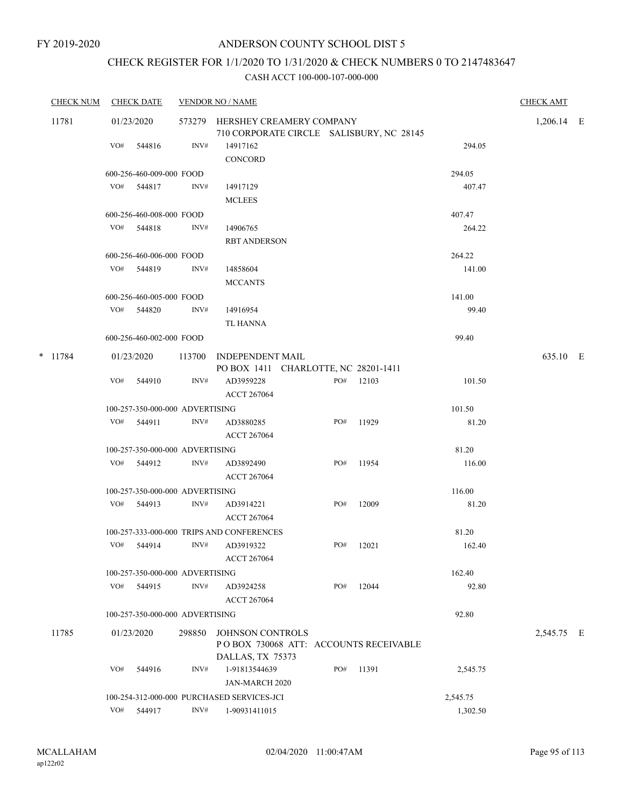# CHECK REGISTER FOR 1/1/2020 TO 1/31/2020 & CHECK NUMBERS 0 TO 2147483647

| <b>CHECK NUM</b> |     | <b>CHECK DATE</b>               |        | <b>VENDOR NO / NAME</b>                    |                                                                             |       |          | <b>CHECK AMT</b> |  |
|------------------|-----|---------------------------------|--------|--------------------------------------------|-----------------------------------------------------------------------------|-------|----------|------------------|--|
| 11781            |     | 01/23/2020                      |        |                                            | 573279 HERSHEY CREAMERY COMPANY<br>710 CORPORATE CIRCLE SALISBURY, NC 28145 |       |          | 1,206.14 E       |  |
|                  | VO# | 544816                          | INV#   | 14917162                                   |                                                                             |       | 294.05   |                  |  |
|                  |     |                                 |        | CONCORD                                    |                                                                             |       |          |                  |  |
|                  |     | 600-256-460-009-000 FOOD        |        |                                            |                                                                             |       | 294.05   |                  |  |
|                  |     | VO# 544817                      | INV#   | 14917129                                   |                                                                             |       | 407.47   |                  |  |
|                  |     |                                 |        | <b>MCLEES</b>                              |                                                                             |       |          |                  |  |
|                  |     | 600-256-460-008-000 FOOD        |        |                                            |                                                                             |       | 407.47   |                  |  |
|                  |     | VO# 544818                      | INV#   | 14906765                                   |                                                                             |       | 264.22   |                  |  |
|                  |     |                                 |        | <b>RBT ANDERSON</b>                        |                                                                             |       |          |                  |  |
|                  |     | 600-256-460-006-000 FOOD        |        |                                            |                                                                             |       | 264.22   |                  |  |
|                  |     | VO# 544819                      | INV#   | 14858604                                   |                                                                             |       | 141.00   |                  |  |
|                  |     |                                 |        | <b>MCCANTS</b>                             |                                                                             |       |          |                  |  |
|                  |     | 600-256-460-005-000 FOOD        |        |                                            |                                                                             |       | 141.00   |                  |  |
|                  |     | VO# 544820                      | INV#   | 14916954                                   |                                                                             |       | 99.40    |                  |  |
|                  |     |                                 |        | TL HANNA                                   |                                                                             |       |          |                  |  |
|                  |     | 600-256-460-002-000 FOOD        |        |                                            |                                                                             |       | 99.40    |                  |  |
| $*$ 11784        |     | 01/23/2020                      | 113700 | INDEPENDENT MAIL                           |                                                                             |       |          | 635.10 E         |  |
|                  |     |                                 |        |                                            | PO BOX 1411 CHARLOTTE, NC 28201-1411                                        |       |          |                  |  |
|                  | VO# | 544910                          | INV#   | AD3959228                                  | PO#                                                                         | 12103 | 101.50   |                  |  |
|                  |     |                                 |        | <b>ACCT 267064</b>                         |                                                                             |       |          |                  |  |
|                  |     | 100-257-350-000-000 ADVERTISING |        |                                            |                                                                             |       | 101.50   |                  |  |
|                  |     | VO# 544911                      | INV#   | AD3880285                                  | PO#                                                                         | 11929 | 81.20    |                  |  |
|                  |     |                                 |        | <b>ACCT 267064</b>                         |                                                                             |       |          |                  |  |
|                  |     | 100-257-350-000-000 ADVERTISING |        |                                            |                                                                             |       | 81.20    |                  |  |
|                  |     | VO# 544912                      | INV#   | AD3892490                                  | PO#                                                                         | 11954 | 116.00   |                  |  |
|                  |     |                                 |        | <b>ACCT 267064</b>                         |                                                                             |       |          |                  |  |
|                  |     | 100-257-350-000-000 ADVERTISING |        |                                            |                                                                             |       | 116.00   |                  |  |
|                  |     | VO# 544913                      | INV#   | AD3914221                                  | PO#                                                                         | 12009 | 81.20    |                  |  |
|                  |     |                                 |        | ACCT 267064                                |                                                                             |       |          |                  |  |
|                  |     |                                 |        | 100-257-333-000-000 TRIPS AND CONFERENCES  |                                                                             |       | 81.20    |                  |  |
|                  |     | VO# 544914                      | INV#   | AD3919322                                  | PO#                                                                         | 12021 | 162.40   |                  |  |
|                  |     |                                 |        | <b>ACCT 267064</b>                         |                                                                             |       |          |                  |  |
|                  |     | 100-257-350-000-000 ADVERTISING |        |                                            |                                                                             |       | 162.40   |                  |  |
|                  |     | VO# 544915                      | INV#   | AD3924258                                  | PO#                                                                         | 12044 | 92.80    |                  |  |
|                  |     |                                 |        | <b>ACCT 267064</b>                         |                                                                             |       |          |                  |  |
|                  |     | 100-257-350-000-000 ADVERTISING |        |                                            |                                                                             |       | 92.80    |                  |  |
| 11785            |     | 01/23/2020                      | 298850 | <b>JOHNSON CONTROLS</b>                    |                                                                             |       |          | 2,545.75 E       |  |
|                  |     |                                 |        |                                            | POBOX 730068 ATT: ACCOUNTS RECEIVABLE                                       |       |          |                  |  |
|                  |     |                                 |        | DALLAS, TX 75373                           |                                                                             |       |          |                  |  |
|                  | VO# | 544916                          | INV#   | 1-91813544639                              | PO#                                                                         | 11391 | 2,545.75 |                  |  |
|                  |     |                                 |        | <b>JAN-MARCH 2020</b>                      |                                                                             |       |          |                  |  |
|                  |     |                                 |        | 100-254-312-000-000 PURCHASED SERVICES-JCI |                                                                             |       | 2,545.75 |                  |  |
|                  |     | VO# 544917                      | INV#   | 1-90931411015                              |                                                                             |       | 1,302.50 |                  |  |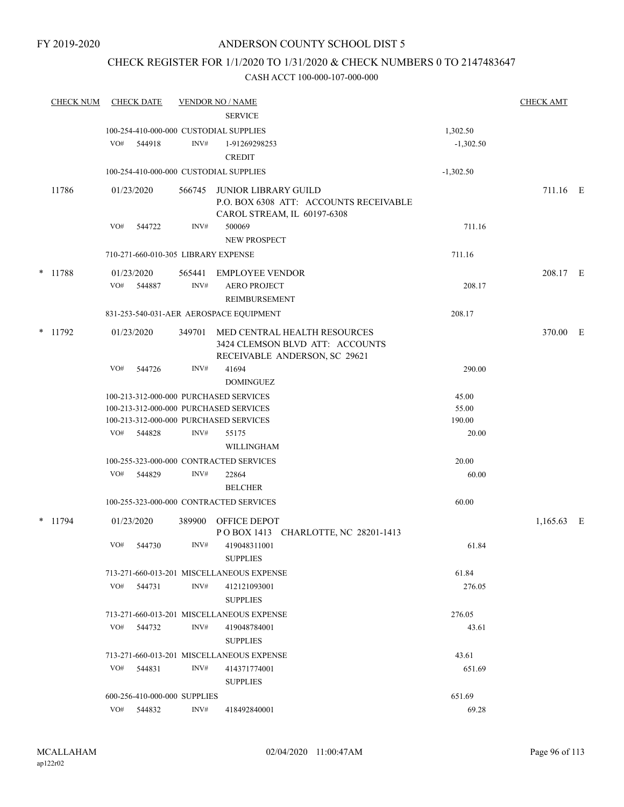## CHECK REGISTER FOR 1/1/2020 TO 1/31/2020 & CHECK NUMBERS 0 TO 2147483647

|   | <b>CHECK NUM</b> |            | <b>CHECK DATE</b> |                              | <b>VENDOR NO / NAME</b><br><b>SERVICE</b>                                        |                 | <b>CHECK AMT</b> |  |
|---|------------------|------------|-------------------|------------------------------|----------------------------------------------------------------------------------|-----------------|------------------|--|
|   |                  |            |                   |                              | 100-254-410-000-000 CUSTODIAL SUPPLIES                                           | 1,302.50        |                  |  |
|   |                  | VO#        | 544918            | INV#                         | 1-91269298253                                                                    | $-1,302.50$     |                  |  |
|   |                  |            |                   |                              | <b>CREDIT</b>                                                                    |                 |                  |  |
|   |                  |            |                   |                              | 100-254-410-000-000 CUSTODIAL SUPPLIES                                           | $-1,302.50$     |                  |  |
|   | 11786            | 01/23/2020 |                   | 566745                       | <b>JUNIOR LIBRARY GUILD</b>                                                      |                 | 711.16 E         |  |
|   |                  |            |                   |                              | P.O. BOX 6308 ATT: ACCOUNTS RECEIVABLE                                           |                 |                  |  |
|   |                  |            |                   |                              | CAROL STREAM, IL 60197-6308                                                      |                 |                  |  |
|   |                  | VO#        | 544722            | INV#                         | 500069                                                                           | 711.16          |                  |  |
|   |                  |            |                   |                              | <b>NEW PROSPECT</b>                                                              |                 |                  |  |
|   |                  |            |                   |                              | 710-271-660-010-305 LIBRARY EXPENSE                                              | 711.16          |                  |  |
| * | 11788            |            | 01/23/2020        | 565441                       | <b>EMPLOYEE VENDOR</b>                                                           |                 | 208.17 E         |  |
|   |                  | VO#        | 544887            | INV#                         | <b>AERO PROJECT</b>                                                              | 208.17          |                  |  |
|   |                  |            |                   |                              | REIMBURSEMENT                                                                    |                 |                  |  |
|   |                  |            |                   |                              | 831-253-540-031-AER AEROSPACE EQUIPMENT                                          | 208.17          |                  |  |
|   | * 11792          |            | 01/23/2020        | 349701                       | MED CENTRAL HEALTH RESOURCES                                                     |                 | 370.00 E         |  |
|   |                  |            |                   |                              | 3424 CLEMSON BLVD ATT: ACCOUNTS                                                  |                 |                  |  |
|   |                  |            |                   |                              | RECEIVABLE ANDERSON, SC 29621                                                    |                 |                  |  |
|   |                  | VO#        | 544726            | INV#                         | 41694                                                                            | 290.00          |                  |  |
|   |                  |            |                   |                              | <b>DOMINGUEZ</b>                                                                 |                 |                  |  |
|   |                  |            |                   |                              | 100-213-312-000-000 PURCHASED SERVICES                                           | 45.00           |                  |  |
|   |                  |            |                   |                              | 100-213-312-000-000 PURCHASED SERVICES<br>100-213-312-000-000 PURCHASED SERVICES | 55.00<br>190.00 |                  |  |
|   |                  | VO#        | 544828            | INV#                         | 55175                                                                            | 20.00           |                  |  |
|   |                  |            |                   |                              | WILLINGHAM                                                                       |                 |                  |  |
|   |                  |            |                   |                              | 100-255-323-000-000 CONTRACTED SERVICES                                          | 20.00           |                  |  |
|   |                  | VO#        | 544829            | INV#                         | 22864                                                                            | 60.00           |                  |  |
|   |                  |            |                   |                              | <b>BELCHER</b>                                                                   |                 |                  |  |
|   |                  |            |                   |                              | 100-255-323-000-000 CONTRACTED SERVICES                                          | 60.00           |                  |  |
|   |                  |            |                   |                              |                                                                                  |                 |                  |  |
|   | $*$ 11794        | 01/23/2020 |                   | 389900                       | <b>OFFICE DEPOT</b><br>POBOX 1413 CHARLOTTE, NC 28201-1413                       |                 | $1,165.63$ E     |  |
|   |                  | VO#        | 544730            | INV#                         | 419048311001                                                                     | 61.84           |                  |  |
|   |                  |            |                   |                              | <b>SUPPLIES</b>                                                                  |                 |                  |  |
|   |                  |            |                   |                              | 713-271-660-013-201 MISCELLANEOUS EXPENSE                                        | 61.84           |                  |  |
|   |                  | VO#        | 544731            | INV#                         | 412121093001                                                                     | 276.05          |                  |  |
|   |                  |            |                   |                              | <b>SUPPLIES</b>                                                                  |                 |                  |  |
|   |                  |            |                   |                              | 713-271-660-013-201 MISCELLANEOUS EXPENSE                                        | 276.05          |                  |  |
|   |                  | VO#        | 544732            | INV#                         | 419048784001                                                                     | 43.61           |                  |  |
|   |                  |            |                   |                              | <b>SUPPLIES</b>                                                                  |                 |                  |  |
|   |                  |            |                   |                              | 713-271-660-013-201 MISCELLANEOUS EXPENSE                                        | 43.61           |                  |  |
|   |                  | VO#        | 544831            | INV#                         | 414371774001                                                                     | 651.69          |                  |  |
|   |                  |            |                   |                              | <b>SUPPLIES</b>                                                                  |                 |                  |  |
|   |                  |            |                   | 600-256-410-000-000 SUPPLIES |                                                                                  | 651.69          |                  |  |
|   |                  |            | VO# 544832        | INV#                         | 418492840001                                                                     | 69.28           |                  |  |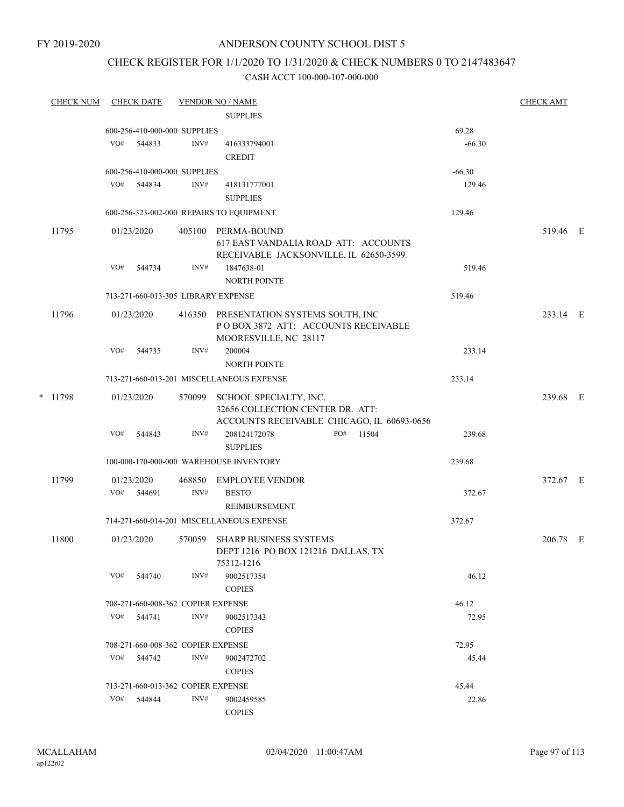## CHECK REGISTER FOR 1/1/2020 TO 1/31/2020 & CHECK NUMBERS 0 TO 2147483647

| <b>CHECK NUM</b> |     | <b>CHECK DATE</b> |                                    | <b>VENDOR NO / NAME</b>                                                                                  |     |       |          | <b>CHECK AMT</b> |  |
|------------------|-----|-------------------|------------------------------------|----------------------------------------------------------------------------------------------------------|-----|-------|----------|------------------|--|
|                  |     |                   |                                    | <b>SUPPLIES</b>                                                                                          |     |       |          |                  |  |
|                  |     |                   | 600-256-410-000-000 SUPPLIES       |                                                                                                          |     |       | 69.28    |                  |  |
|                  | VO# | 544833            | INV#                               | 416333794001                                                                                             |     |       | $-66.30$ |                  |  |
|                  |     |                   |                                    | <b>CREDIT</b>                                                                                            |     |       |          |                  |  |
|                  |     |                   | 600-256-410-000-000 SUPPLIES       |                                                                                                          |     |       | $-66.30$ |                  |  |
|                  |     | VO# 544834        | INV#                               | 418131777001                                                                                             |     |       | 129.46   |                  |  |
|                  |     |                   |                                    | <b>SUPPLIES</b>                                                                                          |     |       |          |                  |  |
|                  |     |                   |                                    | 600-256-323-002-000 REPAIRS TO EQUIPMENT                                                                 |     |       | 129.46   |                  |  |
| 11795            |     | 01/23/2020        |                                    | 405100 PERMA-BOUND<br>617 EAST VANDALIA ROAD ATT: ACCOUNTS<br>RECEIVABLE JACKSONVILLE, IL 62650-3599     |     |       |          | 519.46 E         |  |
|                  | VO# | 544734            | INV#                               | 1847638-01<br><b>NORTH POINTE</b>                                                                        |     |       | 519.46   |                  |  |
|                  |     |                   |                                    | 713-271-660-013-305 LIBRARY EXPENSE                                                                      |     |       | 519.46   |                  |  |
|                  |     |                   |                                    |                                                                                                          |     |       |          |                  |  |
| 11796            |     | 01/23/2020        | 416350                             | PRESENTATION SYSTEMS SOUTH, INC<br>POBOX 3872 ATT: ACCOUNTS RECEIVABLE<br>MOORESVILLE, NC 28117          |     |       |          | 233.14 E         |  |
|                  | VO# | 544735            | INV#                               | 200004<br>NORTH POINTE                                                                                   |     |       | 233.14   |                  |  |
|                  |     |                   |                                    | 713-271-660-013-201 MISCELLANEOUS EXPENSE                                                                |     |       | 233.14   |                  |  |
| * 11798          |     | 01/23/2020        | 570099                             | SCHOOL SPECIALTY, INC.<br>32656 COLLECTION CENTER DR. ATT:<br>ACCOUNTS RECEIVABLE CHICAGO, IL 60693-0656 |     |       |          | 239.68 E         |  |
|                  | VO# | 544843            | INV#                               | 208124172078<br><b>SUPPLIES</b>                                                                          | PO# | 11504 | 239.68   |                  |  |
|                  |     |                   |                                    | 100-000-170-000-000 WAREHOUSE INVENTORY                                                                  |     |       | 239.68   |                  |  |
| 11799            |     | 01/23/2020        | 468850                             | <b>EMPLOYEE VENDOR</b>                                                                                   |     |       |          | 372.67 E         |  |
|                  | VO# | 544691            | INV#                               | <b>BESTO</b><br><b>REIMBURSEMENT</b>                                                                     |     |       | 372.67   |                  |  |
|                  |     |                   |                                    | 714-271-660-014-201 MISCELLANEOUS EXPENSE                                                                |     |       | 372.67   |                  |  |
| 11800            |     | 01/23/2020        |                                    | 570059 SHARP BUSINESS SYSTEMS<br>DEPT 1216 PO BOX 121216 DALLAS, TX<br>75312-1216                        |     |       |          | 206.78 E         |  |
|                  | VO# | 544740            | INV#                               | 9002517354<br><b>COPIES</b>                                                                              |     |       | 46.12    |                  |  |
|                  |     |                   | 708-271-660-008-362 COPIER EXPENSE |                                                                                                          |     |       | 46.12    |                  |  |
|                  | VO# | 544741            | INV#                               | 9002517343<br><b>COPIES</b>                                                                              |     |       | 72.95    |                  |  |
|                  |     |                   | 708-271-660-008-362 COPIER EXPENSE |                                                                                                          |     |       | 72.95    |                  |  |
|                  | VO# | 544742            | INV#                               | 9002472702<br><b>COPIES</b>                                                                              |     |       | 45.44    |                  |  |
|                  |     |                   | 713-271-660-013-362 COPIER EXPENSE |                                                                                                          |     |       | 45.44    |                  |  |
|                  | VO# | 544844            | INV#                               | 9002459585<br><b>COPIES</b>                                                                              |     |       | 22.86    |                  |  |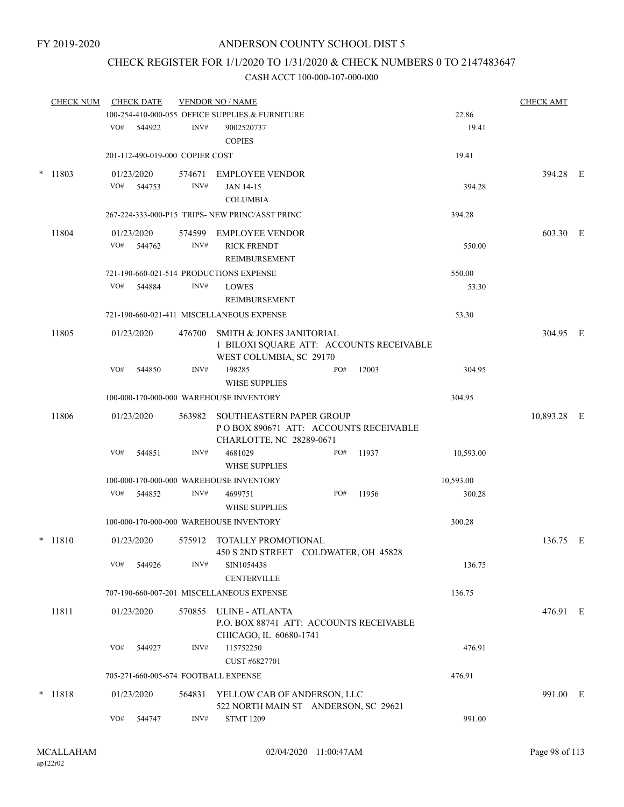# CHECK REGISTER FOR 1/1/2020 TO 1/31/2020 & CHECK NUMBERS 0 TO 2147483647

|        | <b>CHECK NUM</b> |                                           | <b>CHECK DATE</b>               |                | <b>VENDOR NO / NAME</b><br>100-254-410-000-055 OFFICE SUPPLIES & FURNITURE                             |     |       | 22.86     | <b>CHECK AMT</b> |  |
|--------|------------------|-------------------------------------------|---------------------------------|----------------|--------------------------------------------------------------------------------------------------------|-----|-------|-----------|------------------|--|
|        |                  | VO#                                       | 544922                          | INV#           | 9002520737<br><b>COPIES</b>                                                                            |     |       | 19.41     |                  |  |
|        |                  |                                           | 201-112-490-019-000 COPIER COST |                |                                                                                                        |     |       | 19.41     |                  |  |
| $\ast$ | 11803            | VO#                                       | 01/23/2020<br>544753            | 574671<br>INV# | <b>EMPLOYEE VENDOR</b><br><b>JAN 14-15</b><br><b>COLUMBIA</b>                                          |     |       | 394.28    | 394.28 E         |  |
|        |                  |                                           |                                 |                | 267-224-333-000-P15 TRIPS- NEW PRINC/ASST PRINC                                                        |     |       | 394.28    |                  |  |
|        | 11804            | VO#                                       | 01/23/2020<br>544762            | INV#           | 574599 EMPLOYEE VENDOR<br><b>RICK FRENDT</b><br>REIMBURSEMENT                                          |     |       | 550.00    | 603.30 E         |  |
|        |                  |                                           |                                 |                | 721-190-660-021-514 PRODUCTIONS EXPENSE                                                                |     |       | 550.00    |                  |  |
|        |                  | VO#                                       | 544884                          | INV#           | <b>LOWES</b><br>REIMBURSEMENT                                                                          |     |       | 53.30     |                  |  |
|        |                  | 721-190-660-021-411 MISCELLANEOUS EXPENSE |                                 |                |                                                                                                        |     |       |           |                  |  |
|        | 11805            |                                           | 01/23/2020                      |                | 476700 SMITH & JONES JANITORIAL<br>1 BILOXI SQUARE ATT: ACCOUNTS RECEIVABLE<br>WEST COLUMBIA, SC 29170 |     |       |           | 304.95 E         |  |
|        |                  | VO#                                       | 544850                          | INV#           | 198285<br><b>WHSE SUPPLIES</b>                                                                         | PO# | 12003 | 304.95    |                  |  |
|        |                  |                                           |                                 |                | 100-000-170-000-000 WAREHOUSE INVENTORY                                                                |     |       | 304.95    |                  |  |
|        | 11806            |                                           | 01/23/2020                      | 563982         | SOUTHEASTERN PAPER GROUP<br>POBOX 890671 ATT: ACCOUNTS RECEIVABLE<br>CHARLOTTE, NC 28289-0671          |     |       |           | 10,893.28 E      |  |
|        |                  | VO#                                       | 544851                          | INV#           | 4681029<br><b>WHSE SUPPLIES</b>                                                                        | PO# | 11937 | 10,593.00 |                  |  |
|        |                  |                                           |                                 |                | 100-000-170-000-000 WAREHOUSE INVENTORY                                                                |     |       | 10,593.00 |                  |  |
|        |                  | VO#                                       | 544852                          | INV#           | 4699751<br><b>WHSE SUPPLIES</b>                                                                        | PO# | 11956 | 300.28    |                  |  |
|        |                  |                                           |                                 |                | 100-000-170-000-000 WAREHOUSE INVENTORY                                                                |     |       | 300.28    |                  |  |
|        | $*$ 11810        |                                           | 01/23/2020                      | 575912         | TOTALLY PROMOTIONAL<br>450 S 2ND STREET COLDWATER, OH 45828                                            |     |       |           | 136.75 E         |  |
|        |                  | VO#                                       | 544926                          | INV#           | SIN1054438<br><b>CENTERVILLE</b>                                                                       |     |       | 136.75    |                  |  |
|        |                  |                                           |                                 |                | 707-190-660-007-201 MISCELLANEOUS EXPENSE                                                              |     |       | 136.75    |                  |  |
|        | 11811            |                                           | 01/23/2020                      |                | 570855 ULINE - ATLANTA<br>P.O. BOX 88741 ATT: ACCOUNTS RECEIVABLE<br>CHICAGO, IL 60680-1741            |     |       |           | 476.91 E         |  |
|        |                  | VO#                                       | 544927                          | INV#           | 115752250<br>CUST #6827701                                                                             |     |       | 476.91    |                  |  |
|        |                  |                                           |                                 |                | 705-271-660-005-674 FOOTBALL EXPENSE                                                                   |     |       | 476.91    |                  |  |
| $\ast$ | 11818            |                                           | 01/23/2020                      |                | 564831 YELLOW CAB OF ANDERSON, LLC<br>522 NORTH MAIN ST ANDERSON, SC 29621                             |     |       |           | 991.00 E         |  |
|        |                  | VO#                                       | 544747                          | INV#           | <b>STMT 1209</b>                                                                                       |     |       | 991.00    |                  |  |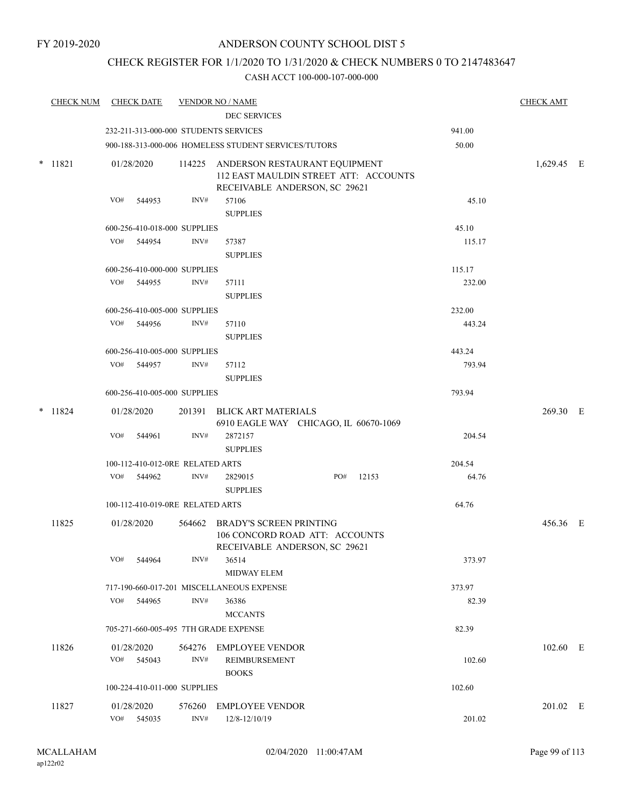## CHECK REGISTER FOR 1/1/2020 TO 1/31/2020 & CHECK NUMBERS 0 TO 2147483647

|        | CHECK NUM CHECK DATE |                          |                                       | <b>VENDOR NO / NAME</b>                                                                                        |     |       |        | <b>CHECK AMT</b> |  |
|--------|----------------------|--------------------------|---------------------------------------|----------------------------------------------------------------------------------------------------------------|-----|-------|--------|------------------|--|
|        |                      |                          |                                       | <b>DEC SERVICES</b>                                                                                            |     |       |        |                  |  |
|        |                      |                          | 232-211-313-000-000 STUDENTS SERVICES |                                                                                                                |     |       | 941.00 |                  |  |
|        |                      |                          |                                       | 900-188-313-000-006 HOMELESS STUDENT SERVICES/TUTORS                                                           |     |       | 50.00  |                  |  |
| $\ast$ | 11821                | 01/28/2020               |                                       | 114225 ANDERSON RESTAURANT EQUIPMENT<br>112 EAST MAULDIN STREET ATT: ACCOUNTS<br>RECEIVABLE ANDERSON, SC 29621 |     |       |        | 1,629.45 E       |  |
|        |                      | VO#<br>544953            | INV#                                  | 57106<br><b>SUPPLIES</b>                                                                                       |     |       | 45.10  |                  |  |
|        |                      |                          | 600-256-410-018-000 SUPPLIES          |                                                                                                                |     |       | 45.10  |                  |  |
|        |                      | VO# 544954               | INV#                                  | 57387<br><b>SUPPLIES</b>                                                                                       |     |       | 115.17 |                  |  |
|        |                      |                          | 600-256-410-000-000 SUPPLIES          |                                                                                                                |     |       | 115.17 |                  |  |
|        |                      | VO# 544955               | INV#                                  | 57111<br><b>SUPPLIES</b>                                                                                       |     |       | 232.00 |                  |  |
|        |                      |                          | 600-256-410-005-000 SUPPLIES          |                                                                                                                |     |       | 232.00 |                  |  |
|        |                      | VO# 544956               | INV#                                  | 57110<br><b>SUPPLIES</b>                                                                                       |     |       | 443.24 |                  |  |
|        |                      |                          | 600-256-410-005-000 SUPPLIES          |                                                                                                                |     |       | 443.24 |                  |  |
|        |                      | VO# 544957               | INV#                                  | 57112<br><b>SUPPLIES</b>                                                                                       |     |       | 793.94 |                  |  |
|        |                      |                          | 600-256-410-005-000 SUPPLIES          |                                                                                                                |     |       | 793.94 |                  |  |
|        | $*$ 11824            | 01/28/2020               |                                       | 201391 BLICK ART MATERIALS<br>6910 EAGLE WAY CHICAGO, IL 60670-1069                                            |     |       |        | 269.30 E         |  |
|        |                      | VO#                      | INV#<br>544961                        | 2872157<br><b>SUPPLIES</b>                                                                                     |     |       | 204.54 |                  |  |
|        |                      |                          | 100-112-410-012-0RE RELATED ARTS      |                                                                                                                |     |       | 204.54 |                  |  |
|        |                      | VO# 544962               | INV#                                  | 2829015<br><b>SUPPLIES</b>                                                                                     | PO# | 12153 | 64.76  |                  |  |
|        |                      |                          | 100-112-410-019-0RE RELATED ARTS      |                                                                                                                |     |       | 64.76  |                  |  |
|        | 11825                | 01/28/2020               |                                       | 564662 BRADY'S SCREEN PRINTING<br>106 CONCORD ROAD ATT: ACCOUNTS<br>RECEIVABLE ANDERSON, SC 29621              |     |       |        | 456.36 E         |  |
|        |                      | VO#                      | INV#<br>544964                        | 36514<br><b>MIDWAY ELEM</b>                                                                                    |     |       | 373.97 |                  |  |
|        |                      |                          |                                       | 717-190-660-017-201 MISCELLANEOUS EXPENSE                                                                      |     |       | 373.97 |                  |  |
|        |                      | VO#                      | 544965<br>INV#                        | 36386<br><b>MCCANTS</b>                                                                                        |     |       | 82.39  |                  |  |
|        |                      |                          | 705-271-660-005-495 7TH GRADE EXPENSE |                                                                                                                |     |       | 82.39  |                  |  |
|        | 11826                | 01/28/2020<br>VO# 545043 | INV#                                  | 564276 EMPLOYEE VENDOR<br>REIMBURSEMENT<br><b>BOOKS</b>                                                        |     |       | 102.60 | 102.60 E         |  |
|        |                      |                          | 100-224-410-011-000 SUPPLIES          |                                                                                                                |     |       | 102.60 |                  |  |
|        |                      |                          |                                       |                                                                                                                |     |       |        |                  |  |
|        | 11827                | 01/28/2020<br>VO#        | 576260<br>INV#<br>545035              | <b>EMPLOYEE VENDOR</b><br>12/8-12/10/19                                                                        |     |       | 201.02 | 201.02 E         |  |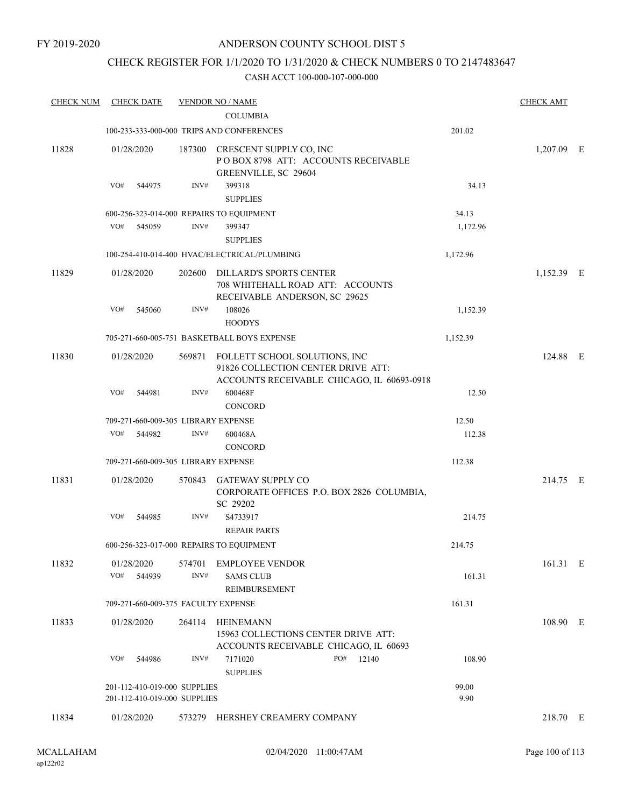## CHECK REGISTER FOR 1/1/2020 TO 1/31/2020 & CHECK NUMBERS 0 TO 2147483647

| <b>CHECK NUM</b> | <b>CHECK DATE</b>                        |        | <b>VENDOR NO / NAME</b>                                                                                                  |          | <b>CHECK AMT</b> |  |
|------------------|------------------------------------------|--------|--------------------------------------------------------------------------------------------------------------------------|----------|------------------|--|
|                  |                                          |        | <b>COLUMBIA</b>                                                                                                          |          |                  |  |
|                  |                                          |        | 100-233-333-000-000 TRIPS AND CONFERENCES                                                                                | 201.02   |                  |  |
| 11828            | 01/28/2020                               |        | 187300 CRESCENT SUPPLY CO, INC<br>POBOX 8798 ATT: ACCOUNTS RECEIVABLE<br>GREENVILLE, SC 29604                            |          | 1,207.09 E       |  |
|                  | VO#<br>544975                            | INV#   | 399318<br><b>SUPPLIES</b>                                                                                                | 34.13    |                  |  |
|                  | 600-256-323-014-000 REPAIRS TO EQUIPMENT |        |                                                                                                                          | 34.13    |                  |  |
|                  | VO#<br>545059                            | INV#   | 399347                                                                                                                   | 1,172.96 |                  |  |
|                  |                                          |        | <b>SUPPLIES</b>                                                                                                          |          |                  |  |
|                  |                                          |        | 100-254-410-014-400 HVAC/ELECTRICAL/PLUMBING                                                                             | 1,172.96 |                  |  |
| 11829            | 01/28/2020                               |        | 202600 DILLARD'S SPORTS CENTER<br>708 WHITEHALL ROAD ATT: ACCOUNTS<br>RECEIVABLE ANDERSON, SC 29625                      |          | 1,152.39 E       |  |
|                  | VO#<br>545060                            | INV#   | 108026                                                                                                                   | 1,152.39 |                  |  |
|                  |                                          |        | <b>HOODYS</b>                                                                                                            |          |                  |  |
|                  |                                          |        | 705-271-660-005-751 BASKETBALL BOYS EXPENSE                                                                              | 1,152.39 |                  |  |
| 11830            | 01/28/2020                               |        | 569871 FOLLETT SCHOOL SOLUTIONS, INC<br>91826 COLLECTION CENTER DRIVE ATT:<br>ACCOUNTS RECEIVABLE CHICAGO, IL 60693-0918 |          | 124.88 E         |  |
|                  | VO#<br>544981                            | INV#   | 600468F<br><b>CONCORD</b>                                                                                                | 12.50    |                  |  |
|                  | 709-271-660-009-305 LIBRARY EXPENSE      |        |                                                                                                                          | 12.50    |                  |  |
|                  | VO#<br>544982                            | INV#   | 600468A                                                                                                                  | 112.38   |                  |  |
|                  |                                          |        | <b>CONCORD</b>                                                                                                           |          |                  |  |
|                  | 709-271-660-009-305 LIBRARY EXPENSE      |        |                                                                                                                          | 112.38   |                  |  |
| 11831            | 01/28/2020                               | 570843 | GATEWAY SUPPLY CO<br>CORPORATE OFFICES P.O. BOX 2826 COLUMBIA,<br>SC 29202                                               |          | 214.75 E         |  |
|                  | VO#<br>544985                            | INV#   | S4733917                                                                                                                 | 214.75   |                  |  |
|                  |                                          |        | <b>REPAIR PARTS</b>                                                                                                      |          |                  |  |
|                  | 600-256-323-017-000 REPAIRS TO EQUIPMENT |        |                                                                                                                          | 214.75   |                  |  |
| 11832            | 01/28/2020                               |        | 574701 EMPLOYEE VENDOR                                                                                                   |          | 161.31 E         |  |
|                  | VO#<br>544939                            | INV#   | <b>SAMS CLUB</b><br>REIMBURSEMENT                                                                                        | 161.31   |                  |  |
|                  | 709-271-660-009-375 FACULTY EXPENSE      |        |                                                                                                                          | 161.31   |                  |  |
| 11833            | 01/28/2020                               |        | 264114 HEINEMANN<br>15963 COLLECTIONS CENTER DRIVE ATT:<br>ACCOUNTS RECEIVABLE CHICAGO, IL 60693                         |          | 108.90 E         |  |
|                  | VO#<br>544986                            | INV#   | 7171020<br>PO# 12140                                                                                                     | 108.90   |                  |  |
|                  |                                          |        | <b>SUPPLIES</b>                                                                                                          |          |                  |  |
|                  | 201-112-410-019-000 SUPPLIES             |        |                                                                                                                          | 99.00    |                  |  |
|                  | 201-112-410-019-000 SUPPLIES             |        |                                                                                                                          | 9.90     |                  |  |
| 11834            | 01/28/2020                               |        | 573279 HERSHEY CREAMERY COMPANY                                                                                          |          | 218.70 E         |  |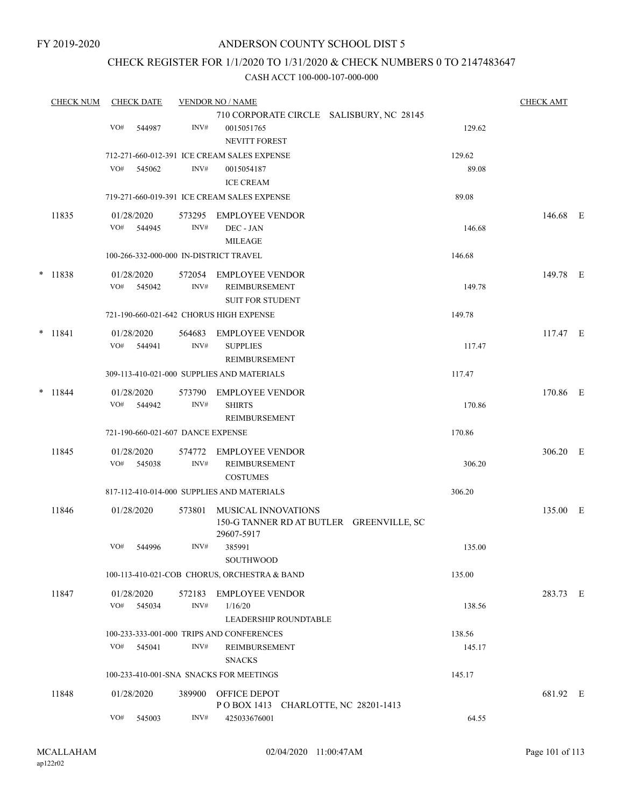## CHECK REGISTER FOR 1/1/2020 TO 1/31/2020 & CHECK NUMBERS 0 TO 2147483647

| <b>CHECK NUM</b> | <b>CHECK DATE</b>                       |                | <b>VENDOR NO / NAME</b>                                                       |        | <b>CHECK AMT</b> |  |
|------------------|-----------------------------------------|----------------|-------------------------------------------------------------------------------|--------|------------------|--|
|                  |                                         |                | 710 CORPORATE CIRCLE SALISBURY, NC 28145                                      |        |                  |  |
|                  | VO#<br>544987                           | INV#           | 0015051765<br><b>NEVITT FOREST</b>                                            | 129.62 |                  |  |
|                  |                                         |                | 712-271-660-012-391 ICE CREAM SALES EXPENSE                                   | 129.62 |                  |  |
|                  | VO#<br>545062                           | INV#           | 0015054187                                                                    | 89.08  |                  |  |
|                  |                                         |                | <b>ICE CREAM</b><br>719-271-660-019-391 ICE CREAM SALES EXPENSE               | 89.08  |                  |  |
| 11835            | 01/28/2020                              | 573295         | EMPLOYEE VENDOR                                                               |        | 146.68 E         |  |
|                  | VO# 544945                              | INV#           | DEC - JAN<br><b>MILEAGE</b>                                                   | 146.68 |                  |  |
|                  | 100-266-332-000-000 IN-DISTRICT TRAVEL  |                |                                                                               | 146.68 |                  |  |
| $*$ 11838        | 01/28/2020                              | 572054         | EMPLOYEE VENDOR                                                               |        | 149.78 E         |  |
|                  | VO#<br>545042                           | INV#           | REIMBURSEMENT<br><b>SUIT FOR STUDENT</b>                                      | 149.78 |                  |  |
|                  | 721-190-660-021-642 CHORUS HIGH EXPENSE |                |                                                                               | 149.78 |                  |  |
| $* 11841$        | 01/28/2020<br>VO#<br>544941             | 564683<br>INV# | <b>EMPLOYEE VENDOR</b><br><b>SUPPLIES</b>                                     | 117.47 | 117.47 E         |  |
|                  |                                         |                | REIMBURSEMENT                                                                 |        |                  |  |
|                  |                                         |                | 309-113-410-021-000 SUPPLIES AND MATERIALS                                    | 117.47 |                  |  |
| $* 11844$        | 01/28/2020                              | 573790         | <b>EMPLOYEE VENDOR</b>                                                        |        | 170.86 E         |  |
|                  | VO#<br>544942                           | INV#           | <b>SHIRTS</b><br>REIMBURSEMENT                                                | 170.86 |                  |  |
|                  | 721-190-660-021-607 DANCE EXPENSE       |                |                                                                               | 170.86 |                  |  |
| 11845            | 01/28/2020<br>VO#                       | 574772<br>INV# | EMPLOYEE VENDOR                                                               |        | 306.20 E         |  |
|                  | 545038                                  |                | REIMBURSEMENT<br><b>COSTUMES</b>                                              | 306.20 |                  |  |
|                  |                                         |                | 817-112-410-014-000 SUPPLIES AND MATERIALS                                    | 306.20 |                  |  |
| 11846            | 01/28/2020                              | 573801         | MUSICAL INNOVATIONS<br>150-G TANNER RD AT BUTLER GREENVILLE, SC<br>29607-5917 |        | 135.00 E         |  |
|                  | VO#<br>544996                           | INV#           | 385991<br>SOUTHWOOD                                                           | 135.00 |                  |  |
|                  |                                         |                | 100-113-410-021-COB CHORUS, ORCHESTRA & BAND                                  | 135.00 |                  |  |
| 11847            | 01/28/2020                              | 572183         | <b>EMPLOYEE VENDOR</b>                                                        |        | 283.73 E         |  |
|                  | VO#<br>545034                           | INV#           | 1/16/20<br><b>LEADERSHIP ROUNDTABLE</b>                                       | 138.56 |                  |  |
|                  |                                         |                | 100-233-333-001-000 TRIPS AND CONFERENCES                                     | 138.56 |                  |  |
|                  | VO#<br>545041                           | INV#           | REIMBURSEMENT<br><b>SNACKS</b>                                                | 145.17 |                  |  |
|                  |                                         |                | 100-233-410-001-SNA SNACKS FOR MEETINGS                                       | 145.17 |                  |  |
| 11848            | 01/28/2020                              | 389900         | <b>OFFICE DEPOT</b>                                                           |        | 681.92 E         |  |
|                  | VO#<br>545003                           | INV#           | POBOX 1413 CHARLOTTE, NC 28201-1413<br>425033676001                           | 64.55  |                  |  |
|                  |                                         |                |                                                                               |        |                  |  |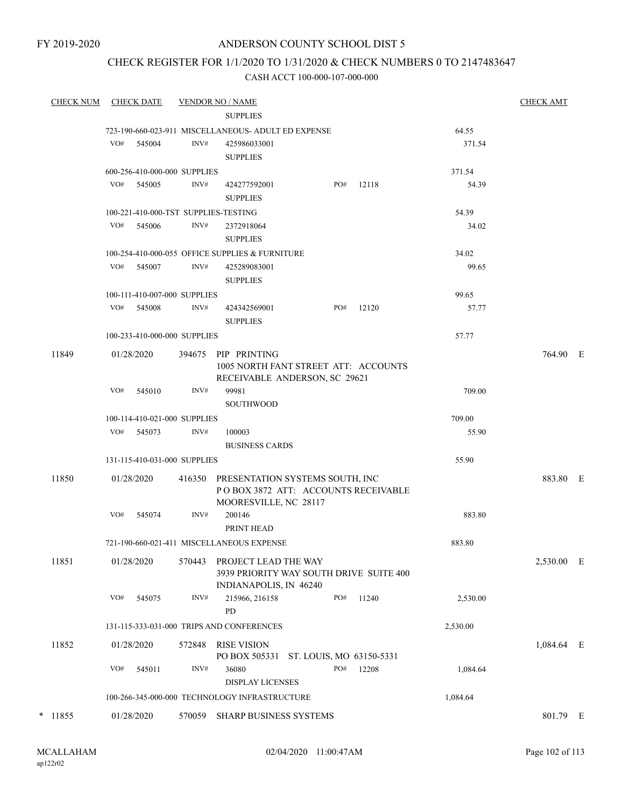FY 2019-2020

# ANDERSON COUNTY SCHOOL DIST 5

# CHECK REGISTER FOR 1/1/2020 TO 1/31/2020 & CHECK NUMBERS 0 TO 2147483647

| <b>CHECK NUM</b> |     | CHECK DATE                   |        | <b>VENDOR NO / NAME</b>                                         |     |       |                | <b>CHECK AMT</b> |  |
|------------------|-----|------------------------------|--------|-----------------------------------------------------------------|-----|-------|----------------|------------------|--|
|                  |     |                              |        | <b>SUPPLIES</b>                                                 |     |       |                |                  |  |
|                  |     |                              |        | 723-190-660-023-911 MISCELLANEOUS- ADULT ED EXPENSE             |     |       | 64.55          |                  |  |
|                  | VO# | 545004                       | INV#   | 425986033001                                                    |     |       | 371.54         |                  |  |
|                  |     |                              |        | <b>SUPPLIES</b>                                                 |     |       |                |                  |  |
|                  |     | 600-256-410-000-000 SUPPLIES |        |                                                                 |     |       | 371.54         |                  |  |
|                  |     | VO# 545005                   | INV#   | 424277592001                                                    | PO# | 12118 | 54.39          |                  |  |
|                  |     |                              |        | <b>SUPPLIES</b>                                                 |     |       |                |                  |  |
|                  |     |                              |        | 100-221-410-000-TST SUPPLIES-TESTING                            |     |       | 54.39          |                  |  |
|                  | VO# | 545006                       | INV#   | 2372918064                                                      |     |       | 34.02          |                  |  |
|                  |     |                              |        | <b>SUPPLIES</b>                                                 |     |       |                |                  |  |
|                  | VO# | 545007                       | INV#   | 100-254-410-000-055 OFFICE SUPPLIES & FURNITURE                 |     |       | 34.02<br>99.65 |                  |  |
|                  |     |                              |        | 425289083001<br><b>SUPPLIES</b>                                 |     |       |                |                  |  |
|                  |     | 100-111-410-007-000 SUPPLIES |        |                                                                 |     |       | 99.65          |                  |  |
|                  |     | VO# 545008                   | INV#   | 424342569001                                                    | PO# | 12120 | 57.77          |                  |  |
|                  |     |                              |        | <b>SUPPLIES</b>                                                 |     |       |                |                  |  |
|                  |     | 100-233-410-000-000 SUPPLIES |        |                                                                 |     |       | 57.77          |                  |  |
| 11849            |     | 01/28/2020                   |        | 394675 PIP PRINTING                                             |     |       |                | 764.90 E         |  |
|                  |     |                              |        | 1005 NORTH FANT STREET ATT: ACCOUNTS                            |     |       |                |                  |  |
|                  |     |                              |        | RECEIVABLE ANDERSON, SC 29621                                   |     |       |                |                  |  |
|                  | VO# | 545010                       | INV#   | 99981                                                           |     |       | 709.00         |                  |  |
|                  |     |                              |        | <b>SOUTHWOOD</b>                                                |     |       |                |                  |  |
|                  |     | 100-114-410-021-000 SUPPLIES |        |                                                                 |     |       | 709.00         |                  |  |
|                  | VO# | 545073                       | INV#   | 100003                                                          |     |       | 55.90          |                  |  |
|                  |     |                              |        | <b>BUSINESS CARDS</b>                                           |     |       |                |                  |  |
|                  |     | 131-115-410-031-000 SUPPLIES |        |                                                                 |     |       | 55.90          |                  |  |
| 11850            |     | 01/28/2020                   |        | 416350 PRESENTATION SYSTEMS SOUTH, INC                          |     |       |                | 883.80 E         |  |
|                  |     |                              |        | POBOX 3872 ATT: ACCOUNTS RECEIVABLE                             |     |       |                |                  |  |
|                  | VO# | 545074                       | INV#   | MOORESVILLE, NC 28117<br>200146                                 |     |       | 883.80         |                  |  |
|                  |     |                              |        | PRINT HEAD                                                      |     |       |                |                  |  |
|                  |     |                              |        | 721-190-660-021-411 MISCELLANEOUS EXPENSE                       |     |       | 883.80         |                  |  |
|                  |     |                              |        |                                                                 |     |       |                |                  |  |
| 11851            |     | 01/28/2020                   | 570443 | PROJECT LEAD THE WAY<br>3939 PRIORITY WAY SOUTH DRIVE SUITE 400 |     |       |                | 2,530.00 E       |  |
|                  |     |                              |        | INDIANAPOLIS, IN 46240                                          |     |       |                |                  |  |
|                  | VO# | 545075                       | INV#   | 215966, 216158                                                  | PO# | 11240 | 2,530.00       |                  |  |
|                  |     |                              |        | <b>PD</b>                                                       |     |       |                |                  |  |
|                  |     |                              |        | 131-115-333-031-000 TRIPS AND CONFERENCES                       |     |       | 2,530.00       |                  |  |
| 11852            |     | 01/28/2020                   | 572848 | RISE VISION                                                     |     |       |                | 1,084.64 E       |  |
|                  |     |                              |        | PO BOX 505331 ST. LOUIS, MO 63150-5331                          |     |       |                |                  |  |
|                  | VO# | 545011                       | INV#   | 36080                                                           | PO# | 12208 | 1,084.64       |                  |  |
|                  |     |                              |        | <b>DISPLAY LICENSES</b>                                         |     |       |                |                  |  |
|                  |     |                              |        | 100-266-345-000-000 TECHNOLOGY INFRASTRUCTURE                   |     |       | 1,084.64       |                  |  |
| $*$ 11855        |     | 01/28/2020                   | 570059 | SHARP BUSINESS SYSTEMS                                          |     |       |                | 801.79 E         |  |
|                  |     |                              |        |                                                                 |     |       |                |                  |  |
|                  |     |                              |        |                                                                 |     |       |                |                  |  |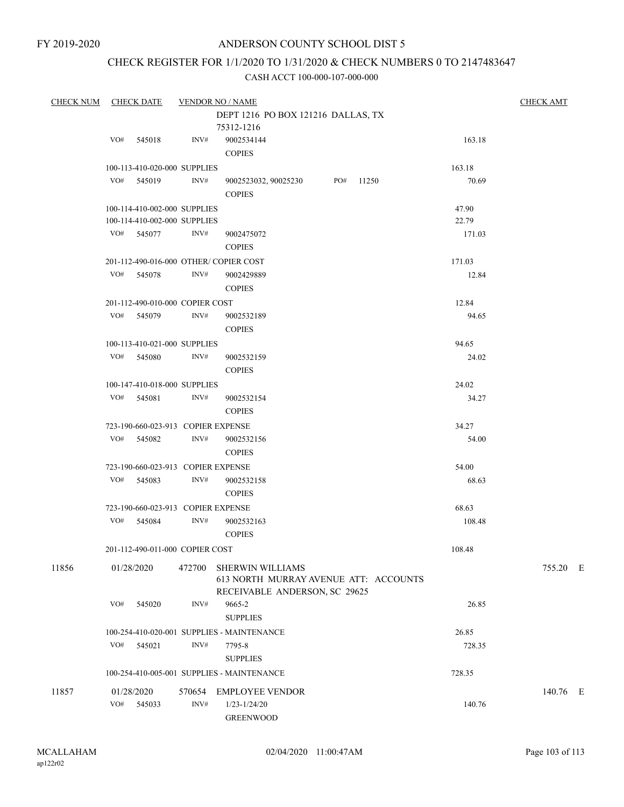# CHECK REGISTER FOR 1/1/2020 TO 1/31/2020 & CHECK NUMBERS 0 TO 2147483647

| CHECK NUM CHECK DATE |     |                                    |        | <b>VENDOR NO / NAME</b>                    |  |           |        | <b>CHECK AMT</b> |
|----------------------|-----|------------------------------------|--------|--------------------------------------------|--|-----------|--------|------------------|
|                      |     |                                    |        | DEPT 1216 PO BOX 121216 DALLAS, TX         |  |           |        |                  |
|                      |     |                                    |        | 75312-1216                                 |  |           |        |                  |
|                      | VO# | 545018                             | INV#   | 9002534144                                 |  |           | 163.18 |                  |
|                      |     |                                    |        | <b>COPIES</b>                              |  |           |        |                  |
|                      |     | 100-113-410-020-000 SUPPLIES       |        |                                            |  |           | 163.18 |                  |
|                      |     | VO# 545019                         | INV#   | 9002523032, 90025230                       |  | PO# 11250 | 70.69  |                  |
|                      |     |                                    |        | <b>COPIES</b>                              |  |           |        |                  |
|                      |     | 100-114-410-002-000 SUPPLIES       |        |                                            |  |           | 47.90  |                  |
|                      |     | 100-114-410-002-000 SUPPLIES       |        |                                            |  |           | 22.79  |                  |
|                      |     | VO# 545077                         | INV#   | 9002475072                                 |  |           | 171.03 |                  |
|                      |     |                                    |        | <b>COPIES</b>                              |  |           |        |                  |
|                      |     |                                    |        |                                            |  |           |        |                  |
|                      |     |                                    |        | 201-112-490-016-000 OTHER/COPIER COST      |  |           | 171.03 |                  |
|                      |     | VO# 545078                         | INV#   | 9002429889                                 |  |           | 12.84  |                  |
|                      |     |                                    |        | <b>COPIES</b>                              |  |           |        |                  |
|                      |     | 201-112-490-010-000 COPIER COST    |        |                                            |  |           | 12.84  |                  |
|                      |     | VO# 545079                         | INV#   | 9002532189                                 |  |           | 94.65  |                  |
|                      |     |                                    |        | <b>COPIES</b>                              |  |           |        |                  |
|                      |     | 100-113-410-021-000 SUPPLIES       |        |                                            |  |           | 94.65  |                  |
|                      |     | VO# 545080                         | INV#   | 9002532159                                 |  |           | 24.02  |                  |
|                      |     |                                    |        | <b>COPIES</b>                              |  |           |        |                  |
|                      |     | 100-147-410-018-000 SUPPLIES       |        |                                            |  |           | 24.02  |                  |
|                      |     | VO# 545081                         | INV#   | 9002532154                                 |  |           | 34.27  |                  |
|                      |     |                                    |        | <b>COPIES</b>                              |  |           |        |                  |
|                      |     | 723-190-660-023-913 COPIER EXPENSE |        |                                            |  |           | 34.27  |                  |
|                      |     | VO# 545082                         | INV#   | 9002532156                                 |  |           | 54.00  |                  |
|                      |     |                                    |        | <b>COPIES</b>                              |  |           |        |                  |
|                      |     | 723-190-660-023-913 COPIER EXPENSE |        |                                            |  |           | 54.00  |                  |
|                      |     | VO# 545083                         | INV#   | 9002532158                                 |  |           | 68.63  |                  |
|                      |     |                                    |        | <b>COPIES</b>                              |  |           |        |                  |
|                      |     |                                    |        |                                            |  |           |        |                  |
|                      |     | 723-190-660-023-913 COPIER EXPENSE |        |                                            |  |           | 68.63  |                  |
|                      |     | VO# 545084                         | INV#   | 9002532163                                 |  |           | 108.48 |                  |
|                      |     |                                    |        | <b>COPIES</b>                              |  |           |        |                  |
|                      |     | 201-112-490-011-000 COPIER COST    |        |                                            |  |           | 108.48 |                  |
| 11856                |     | 01/28/2020                         | 472700 | <b>SHERWIN WILLIAMS</b>                    |  |           |        | 755.20 E         |
|                      |     |                                    |        | 613 NORTH MURRAY AVENUE ATT: ACCOUNTS      |  |           |        |                  |
|                      |     |                                    |        | RECEIVABLE ANDERSON, SC 29625              |  |           |        |                  |
|                      | VO# | 545020                             | INV#   | 9665-2                                     |  |           | 26.85  |                  |
|                      |     |                                    |        | <b>SUPPLIES</b>                            |  |           |        |                  |
|                      |     |                                    |        | 100-254-410-020-001 SUPPLIES - MAINTENANCE |  |           | 26.85  |                  |
|                      | VO# | 545021                             | INV#   | 7795-8                                     |  |           | 728.35 |                  |
|                      |     |                                    |        | <b>SUPPLIES</b>                            |  |           |        |                  |
|                      |     |                                    |        | 100-254-410-005-001 SUPPLIES - MAINTENANCE |  |           | 728.35 |                  |
| 11857                |     | 01/28/2020                         | 570654 | <b>EMPLOYEE VENDOR</b>                     |  |           |        | 140.76 E         |
|                      | VO# | 545033                             | INV#   | $1/23 - 1/24/20$                           |  |           | 140.76 |                  |
|                      |     |                                    |        | <b>GREENWOOD</b>                           |  |           |        |                  |
|                      |     |                                    |        |                                            |  |           |        |                  |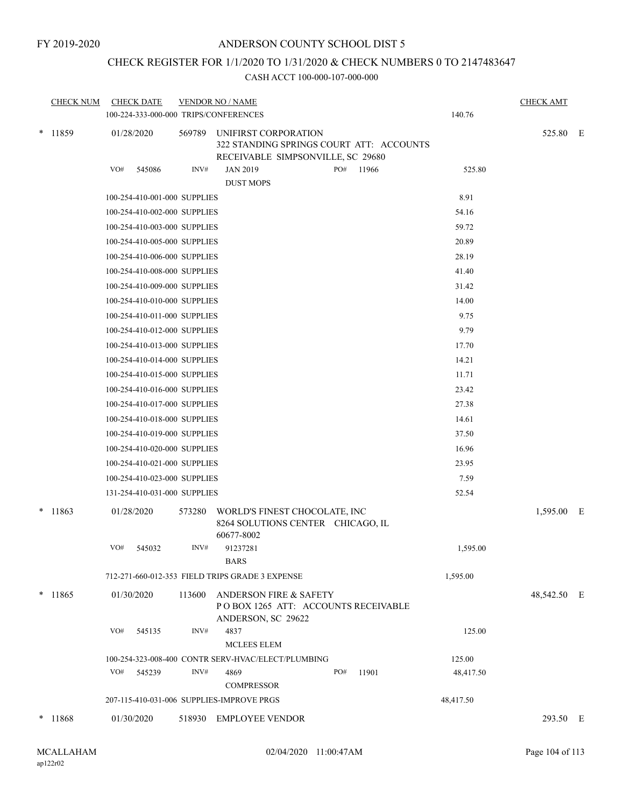# CHECK REGISTER FOR 1/1/2020 TO 1/31/2020 & CHECK NUMBERS 0 TO 2147483647

|        | <b>CHECK NUM</b> | <b>CHECK DATE</b><br>100-224-333-000-000 TRIPS/CONFERENCES |        | <b>VENDOR NO / NAME</b>                                                                               | 140.76    | <b>CHECK AMT</b> |  |
|--------|------------------|------------------------------------------------------------|--------|-------------------------------------------------------------------------------------------------------|-----------|------------------|--|
|        | $*$ 11859        | 01/28/2020                                                 | 569789 | UNIFIRST CORPORATION<br>322 STANDING SPRINGS COURT ATT: ACCOUNTS<br>RECEIVABLE SIMPSONVILLE, SC 29680 |           | 525.80 E         |  |
|        |                  | VO#<br>545086                                              | INV#   | <b>JAN 2019</b><br>PO#<br>11966<br><b>DUST MOPS</b>                                                   | 525.80    |                  |  |
|        |                  | 100-254-410-001-000 SUPPLIES                               |        |                                                                                                       | 8.91      |                  |  |
|        |                  | 100-254-410-002-000 SUPPLIES                               |        |                                                                                                       | 54.16     |                  |  |
|        |                  | 100-254-410-003-000 SUPPLIES                               |        |                                                                                                       | 59.72     |                  |  |
|        |                  | 100-254-410-005-000 SUPPLIES                               |        |                                                                                                       | 20.89     |                  |  |
|        |                  | 100-254-410-006-000 SUPPLIES                               |        |                                                                                                       | 28.19     |                  |  |
|        |                  | 100-254-410-008-000 SUPPLIES                               |        |                                                                                                       | 41.40     |                  |  |
|        |                  | 100-254-410-009-000 SUPPLIES                               |        |                                                                                                       | 31.42     |                  |  |
|        |                  | 100-254-410-010-000 SUPPLIES                               |        |                                                                                                       | 14.00     |                  |  |
|        |                  | 100-254-410-011-000 SUPPLIES                               |        |                                                                                                       | 9.75      |                  |  |
|        |                  | 100-254-410-012-000 SUPPLIES                               |        |                                                                                                       | 9.79      |                  |  |
|        |                  | 100-254-410-013-000 SUPPLIES                               |        |                                                                                                       | 17.70     |                  |  |
|        |                  | 100-254-410-014-000 SUPPLIES                               |        |                                                                                                       | 14.21     |                  |  |
|        |                  | 100-254-410-015-000 SUPPLIES                               |        |                                                                                                       | 11.71     |                  |  |
|        |                  | 100-254-410-016-000 SUPPLIES                               |        |                                                                                                       | 23.42     |                  |  |
|        |                  | 100-254-410-017-000 SUPPLIES                               |        |                                                                                                       | 27.38     |                  |  |
|        |                  | 100-254-410-018-000 SUPPLIES                               |        |                                                                                                       | 14.61     |                  |  |
|        |                  | 100-254-410-019-000 SUPPLIES                               |        |                                                                                                       | 37.50     |                  |  |
|        |                  | 100-254-410-020-000 SUPPLIES                               |        |                                                                                                       | 16.96     |                  |  |
|        |                  | 100-254-410-021-000 SUPPLIES                               |        |                                                                                                       | 23.95     |                  |  |
|        |                  | 100-254-410-023-000 SUPPLIES                               |        |                                                                                                       | 7.59      |                  |  |
|        |                  | 131-254-410-031-000 SUPPLIES                               |        |                                                                                                       | 52.54     |                  |  |
| $\ast$ | 11863            | 01/28/2020                                                 | 573280 | WORLD'S FINEST CHOCOLATE, INC<br>8264 SOLUTIONS CENTER CHICAGO, IL<br>60677-8002                      |           | 1,595.00 E       |  |
|        |                  | VO#<br>545032                                              | INV#   | 91237281<br><b>BARS</b>                                                                               | 1,595.00  |                  |  |
|        |                  |                                                            |        | 712-271-660-012-353 FIELD TRIPS GRADE 3 EXPENSE                                                       | 1,595.00  |                  |  |
|        | $*$ 11865        | 01/30/2020                                                 | 113600 | <b>ANDERSON FIRE &amp; SAFETY</b><br>POBOX 1265 ATT: ACCOUNTS RECEIVABLE<br>ANDERSON, SC 29622        |           | 48,542.50 E      |  |
|        |                  | VO#<br>545135                                              | INV#   | 4837<br><b>MCLEES ELEM</b>                                                                            | 125.00    |                  |  |
|        |                  |                                                            |        | 100-254-323-008-400 CONTR SERV-HVAC/ELECT/PLUMBING                                                    | 125.00    |                  |  |
|        |                  | VO#<br>545239                                              | INV#   | PO#<br>4869<br>11901<br><b>COMPRESSOR</b>                                                             | 48,417.50 |                  |  |
|        |                  | 207-115-410-031-006 SUPPLIES-IMPROVE PRGS                  |        |                                                                                                       | 48,417.50 |                  |  |
|        | $* 11868$        | 01/30/2020                                                 |        | 518930 EMPLOYEE VENDOR                                                                                |           | 293.50 E         |  |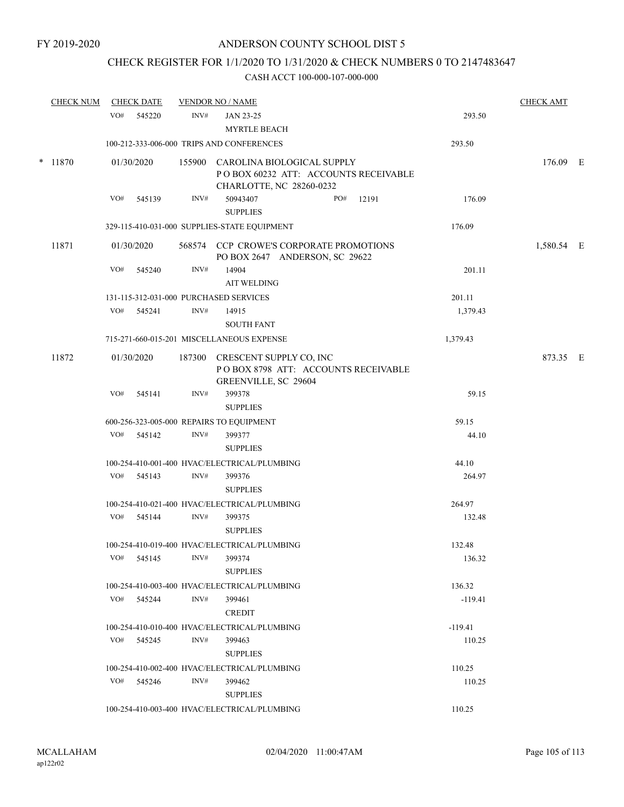# CHECK REGISTER FOR 1/1/2020 TO 1/31/2020 & CHECK NUMBERS 0 TO 2147483647

| <b>CHECK NUM</b> |     | <b>CHECK DATE</b> |        | <b>VENDOR NO / NAME</b>                                                                               |                  | <b>CHECK AMT</b> |  |
|------------------|-----|-------------------|--------|-------------------------------------------------------------------------------------------------------|------------------|------------------|--|
|                  | VO# | 545220            | INV#   | JAN 23-25<br><b>MYRTLE BEACH</b>                                                                      | 293.50           |                  |  |
|                  |     |                   |        | 100-212-333-006-000 TRIPS AND CONFERENCES                                                             | 293.50           |                  |  |
| $*$ 11870        |     | 01/30/2020        |        | 155900 CAROLINA BIOLOGICAL SUPPLY<br>POBOX 60232 ATT: ACCOUNTS RECEIVABLE<br>CHARLOTTE, NC 28260-0232 |                  | 176.09 E         |  |
|                  | VO# | 545139            | INV#   | PO#<br>50943407<br>12191<br><b>SUPPLIES</b>                                                           | 176.09           |                  |  |
|                  |     |                   |        | 329-115-410-031-000 SUPPLIES-STATE EQUIPMENT                                                          | 176.09           |                  |  |
| 11871            |     | 01/30/2020        |        | 568574 CCP CROWE'S CORPORATE PROMOTIONS<br>PO BOX 2647 ANDERSON, SC 29622                             |                  | 1,580.54 E       |  |
|                  | VO# | 545240            | INV#   | 14904<br><b>AIT WELDING</b>                                                                           | 201.11           |                  |  |
|                  |     |                   |        | 131-115-312-031-000 PURCHASED SERVICES                                                                | 201.11           |                  |  |
|                  |     | VO# 545241        | INV#   | 14915<br><b>SOUTH FANT</b>                                                                            | 1,379.43         |                  |  |
|                  |     |                   |        | 715-271-660-015-201 MISCELLANEOUS EXPENSE                                                             | 1,379.43         |                  |  |
| 11872            |     | 01/30/2020        | 187300 | CRESCENT SUPPLY CO. INC<br>POBOX 8798 ATT: ACCOUNTS RECEIVABLE<br>GREENVILLE, SC 29604                |                  | 873.35 E         |  |
|                  | VO# | 545141            | INV#   | 399378<br><b>SUPPLIES</b>                                                                             | 59.15            |                  |  |
|                  |     |                   |        | 600-256-323-005-000 REPAIRS TO EQUIPMENT                                                              | 59.15            |                  |  |
|                  | VO# | 545142            | INV#   | 399377<br><b>SUPPLIES</b>                                                                             | 44.10            |                  |  |
|                  |     |                   |        | 100-254-410-001-400 HVAC/ELECTRICAL/PLUMBING                                                          | 44.10            |                  |  |
|                  | VO# | 545143            | INV#   | 399376<br><b>SUPPLIES</b>                                                                             | 264.97           |                  |  |
|                  |     |                   |        | 100-254-410-021-400 HVAC/ELECTRICAL/PLUMBING                                                          | 264.97           |                  |  |
|                  |     | VO# 545144        | INV#   | 399375<br><b>SUPPLIES</b>                                                                             | 132.48           |                  |  |
|                  | VO# | 545145            | INV#   | 100-254-410-019-400 HVAC/ELECTRICAL/PLUMBING<br>399374<br><b>SUPPLIES</b>                             | 132.48<br>136.32 |                  |  |
|                  |     |                   |        | 100-254-410-003-400 HVAC/ELECTRICAL/PLUMBING                                                          | 136.32           |                  |  |
|                  |     | VO# 545244        | INV#   | 399461<br><b>CREDIT</b>                                                                               | $-119.41$        |                  |  |
|                  |     |                   |        | 100-254-410-010-400 HVAC/ELECTRICAL/PLUMBING                                                          | $-119.41$        |                  |  |
|                  | VO# | 545245            | INV#   | 399463<br><b>SUPPLIES</b>                                                                             | 110.25           |                  |  |
|                  |     |                   |        | 100-254-410-002-400 HVAC/ELECTRICAL/PLUMBING                                                          | 110.25           |                  |  |
|                  |     | VO# 545246        | INV#   | 399462<br><b>SUPPLIES</b>                                                                             | 110.25           |                  |  |
|                  |     |                   |        | 100-254-410-003-400 HVAC/ELECTRICAL/PLUMBING                                                          | 110.25           |                  |  |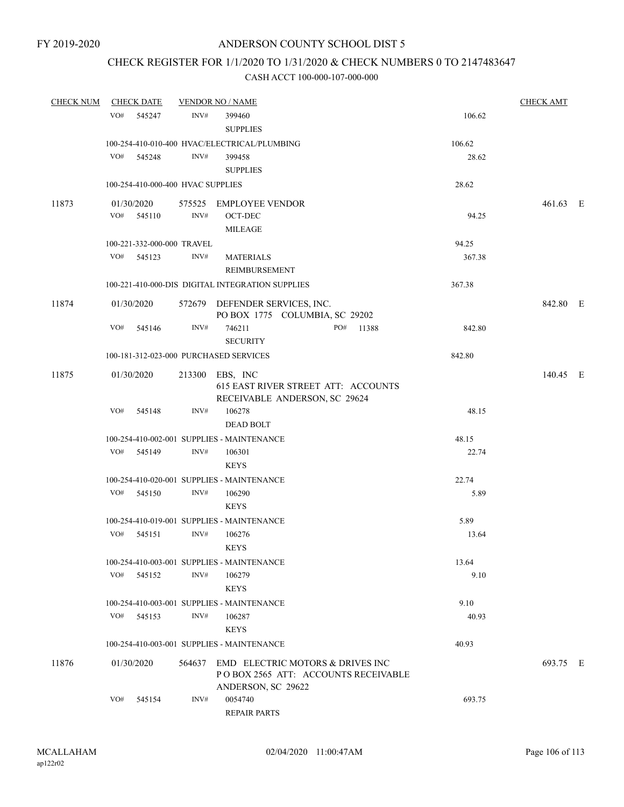## CHECK REGISTER FOR 1/1/2020 TO 1/31/2020 & CHECK NUMBERS 0 TO 2147483647

| CHECK NUM CHECK DATE |               |                                   | <b>VENDOR NO / NAME</b>                                              |        | <b>CHECK AMT</b> |  |
|----------------------|---------------|-----------------------------------|----------------------------------------------------------------------|--------|------------------|--|
|                      | VO# 545247    | INV#                              | 399460                                                               | 106.62 |                  |  |
|                      |               |                                   | <b>SUPPLIES</b>                                                      |        |                  |  |
|                      |               |                                   | 100-254-410-010-400 HVAC/ELECTRICAL/PLUMBING                         | 106.62 |                  |  |
|                      | VO# 545248    | INV#                              | 399458                                                               | 28.62  |                  |  |
|                      |               |                                   | <b>SUPPLIES</b>                                                      |        |                  |  |
|                      |               | 100-254-410-000-400 HVAC SUPPLIES |                                                                      | 28.62  |                  |  |
| 11873                | 01/30/2020    |                                   | 575525 EMPLOYEE VENDOR                                               |        | 461.63 E         |  |
|                      | VO# 545110    | INV#                              | OCT-DEC                                                              | 94.25  |                  |  |
|                      |               |                                   | <b>MILEAGE</b>                                                       |        |                  |  |
|                      |               | 100-221-332-000-000 TRAVEL        |                                                                      | 94.25  |                  |  |
|                      | VO# 545123    | INV#                              | <b>MATERIALS</b>                                                     | 367.38 |                  |  |
|                      |               |                                   | REIMBURSEMENT                                                        |        |                  |  |
|                      |               |                                   | 100-221-410-000-DIS DIGITAL INTEGRATION SUPPLIES                     | 367.38 |                  |  |
| 11874                | 01/30/2020    |                                   | 572679 DEFENDER SERVICES, INC.                                       |        | 842.80 E         |  |
|                      |               |                                   | PO BOX 1775 COLUMBIA, SC 29202                                       |        |                  |  |
|                      | VO# 545146    | INV#                              | 746211<br>PO# 11388                                                  | 842.80 |                  |  |
|                      |               |                                   | <b>SECURITY</b>                                                      |        |                  |  |
|                      |               |                                   | 100-181-312-023-000 PURCHASED SERVICES                               | 842.80 |                  |  |
| 11875                | 01/30/2020    |                                   | 213300 EBS, INC                                                      |        | 140.45 E         |  |
|                      |               |                                   | 615 EAST RIVER STREET ATT: ACCOUNTS<br>RECEIVABLE ANDERSON, SC 29624 |        |                  |  |
|                      | VO# 545148    | INV#                              | 106278                                                               | 48.15  |                  |  |
|                      |               |                                   | <b>DEAD BOLT</b>                                                     |        |                  |  |
|                      |               |                                   | 100-254-410-002-001 SUPPLIES - MAINTENANCE                           | 48.15  |                  |  |
|                      | VO# 545149    | INV#                              | 106301                                                               | 22.74  |                  |  |
|                      |               |                                   | <b>KEYS</b>                                                          |        |                  |  |
|                      |               |                                   | 100-254-410-020-001 SUPPLIES - MAINTENANCE                           | 22.74  |                  |  |
|                      | VO# 545150    | INV#                              | 106290                                                               | 5.89   |                  |  |
|                      |               |                                   | <b>KEYS</b>                                                          |        |                  |  |
|                      |               |                                   | 100-254-410-019-001 SUPPLIES - MAINTENANCE                           | 5.89   |                  |  |
|                      | VO# 545151    | INV#                              | 106276                                                               | 13.64  |                  |  |
|                      |               |                                   | <b>KEYS</b>                                                          |        |                  |  |
|                      |               |                                   | 100-254-410-003-001 SUPPLIES - MAINTENANCE                           | 13.64  |                  |  |
|                      | VO#<br>545152 | INV#                              | 106279                                                               | 9.10   |                  |  |
|                      |               |                                   | <b>KEYS</b>                                                          |        |                  |  |
|                      |               |                                   | 100-254-410-003-001 SUPPLIES - MAINTENANCE                           | 9.10   |                  |  |
|                      | VO#<br>545153 | INV#                              | 106287                                                               | 40.93  |                  |  |
|                      |               |                                   | <b>KEYS</b>                                                          |        |                  |  |
|                      |               |                                   | 100-254-410-003-001 SUPPLIES - MAINTENANCE                           | 40.93  |                  |  |
| 11876                | 01/30/2020    |                                   | 564637 EMD ELECTRIC MOTORS & DRIVES INC                              |        | 693.75 E         |  |
|                      |               |                                   | POBOX 2565 ATT: ACCOUNTS RECEIVABLE                                  |        |                  |  |
|                      |               |                                   | ANDERSON, SC 29622                                                   |        |                  |  |
|                      | VO#<br>545154 | INV#                              | 0054740                                                              | 693.75 |                  |  |
|                      |               |                                   | <b>REPAIR PARTS</b>                                                  |        |                  |  |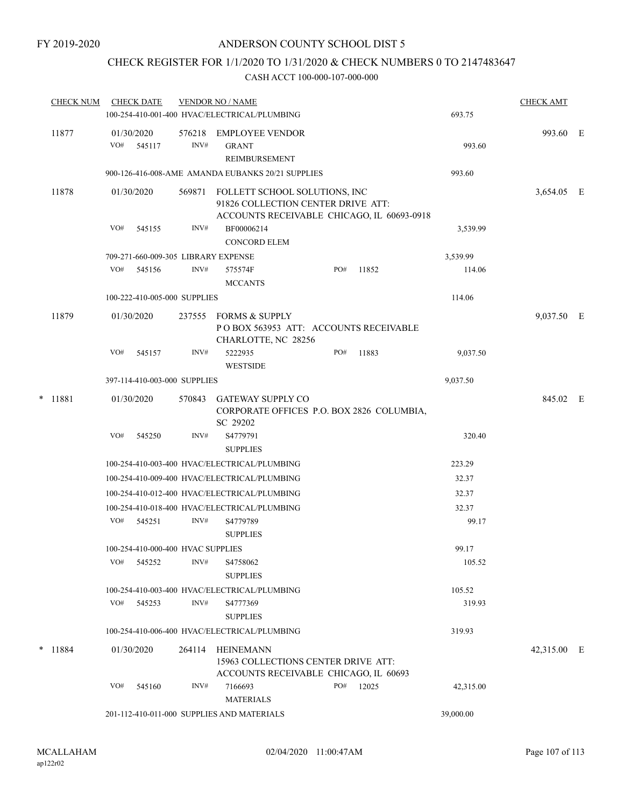## CHECK REGISTER FOR 1/1/2020 TO 1/31/2020 & CHECK NUMBERS 0 TO 2147483647

| <b>CHECK NUM</b> |     | <b>CHECK DATE</b>                   |                | <b>VENDOR NO / NAME</b><br>100-254-410-001-400 HVAC/ELECTRICAL/PLUMBING                                           |     |       | 693.75    | <b>CHECK AMT</b> |  |
|------------------|-----|-------------------------------------|----------------|-------------------------------------------------------------------------------------------------------------------|-----|-------|-----------|------------------|--|
| 11877            | VO# | 01/30/2020<br>545117                | 576218<br>INV# | <b>EMPLOYEE VENDOR</b><br><b>GRANT</b><br><b>REIMBURSEMENT</b>                                                    |     |       | 993.60    | 993.60 E         |  |
|                  |     |                                     |                | 900-126-416-008-AME AMANDA EUBANKS 20/21 SUPPLIES                                                                 |     |       | 993.60    |                  |  |
| 11878            |     | 01/30/2020                          | 569871         | FOLLETT SCHOOL SOLUTIONS, INC<br>91826 COLLECTION CENTER DRIVE ATT:<br>ACCOUNTS RECEIVABLE CHICAGO, IL 60693-0918 |     |       |           | 3,654.05 E       |  |
|                  | VO# | 545155                              | INV#           | BF00006214<br><b>CONCORD ELEM</b>                                                                                 |     |       | 3,539.99  |                  |  |
|                  |     | 709-271-660-009-305 LIBRARY EXPENSE |                |                                                                                                                   |     |       | 3,539.99  |                  |  |
|                  | VO# | 545156                              | INV#           | 575574F<br><b>MCCANTS</b>                                                                                         | PO# | 11852 | 114.06    |                  |  |
|                  |     | 100-222-410-005-000 SUPPLIES        |                |                                                                                                                   |     |       | 114.06    |                  |  |
| 11879            |     | 01/30/2020                          | 237555         | FORMS & SUPPLY<br>POBOX 563953 ATT: ACCOUNTS RECEIVABLE<br>CHARLOTTE, NC 28256                                    |     |       |           | 9,037.50 E       |  |
|                  | VO# | 545157                              | INV#           | 5222935<br><b>WESTSIDE</b>                                                                                        | PO# | 11883 | 9,037.50  |                  |  |
|                  |     | 397-114-410-003-000 SUPPLIES        |                |                                                                                                                   |     |       | 9,037.50  |                  |  |
| * 11881          |     | 01/30/2020                          | 570843         | <b>GATEWAY SUPPLY CO</b><br>CORPORATE OFFICES P.O. BOX 2826 COLUMBIA,<br>SC 29202                                 |     |       |           | 845.02 E         |  |
|                  | VO# | 545250                              | INV#           | S4779791<br><b>SUPPLIES</b>                                                                                       |     |       | 320.40    |                  |  |
|                  |     |                                     |                | 100-254-410-003-400 HVAC/ELECTRICAL/PLUMBING                                                                      |     |       | 223.29    |                  |  |
|                  |     |                                     |                | 100-254-410-009-400 HVAC/ELECTRICAL/PLUMBING                                                                      |     |       | 32.37     |                  |  |
|                  |     |                                     |                | 100-254-410-012-400 HVAC/ELECTRICAL/PLUMBING                                                                      |     |       | 32.37     |                  |  |
|                  |     |                                     |                | 100-254-410-018-400 HVAC/ELECTRICAL/PLUMBING                                                                      |     |       | 32.37     |                  |  |
|                  | VO# | 545251                              | INV#           | S4779789<br><b>SUPPLIES</b>                                                                                       |     |       | 99.17     |                  |  |
|                  |     | 100-254-410-000-400 HVAC SUPPLIES   |                |                                                                                                                   |     |       | 99.17     |                  |  |
|                  | VO# | 545252                              | INV#           | S4758062<br><b>SUPPLIES</b>                                                                                       |     |       | 105.52    |                  |  |
|                  |     |                                     |                | 100-254-410-003-400 HVAC/ELECTRICAL/PLUMBING                                                                      |     |       | 105.52    |                  |  |
|                  | VO# | 545253                              | INV#           | S4777369<br><b>SUPPLIES</b>                                                                                       |     |       | 319.93    |                  |  |
|                  |     |                                     |                | 100-254-410-006-400 HVAC/ELECTRICAL/PLUMBING                                                                      |     |       | 319.93    |                  |  |
| $*$ 11884        |     | 01/30/2020                          | 264114         | <b>HEINEMANN</b><br>15963 COLLECTIONS CENTER DRIVE ATT:                                                           |     |       |           | 42,315.00 E      |  |
|                  |     |                                     |                | ACCOUNTS RECEIVABLE CHICAGO, IL 60693                                                                             |     |       |           |                  |  |
|                  | VO# | 545160                              | INV#           | 7166693<br><b>MATERIALS</b>                                                                                       | PO# | 12025 | 42,315.00 |                  |  |
|                  |     |                                     |                | 201-112-410-011-000 SUPPLIES AND MATERIALS                                                                        |     |       | 39,000.00 |                  |  |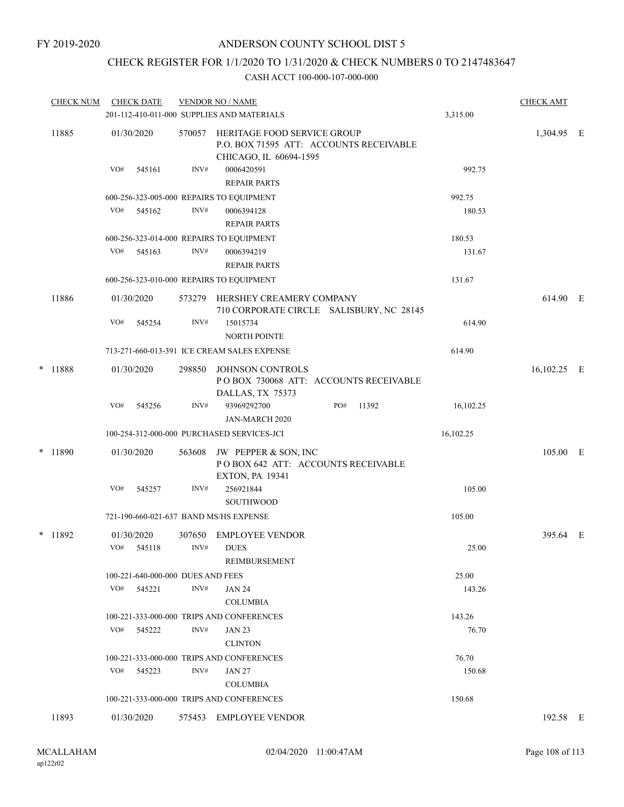# CHECK REGISTER FOR 1/1/2020 TO 1/31/2020 & CHECK NUMBERS 0 TO 2147483647

|       | <b>CHECK NUM</b> | <b>CHECK DATE</b>                      |        | <b>VENDOR NO / NAME</b><br>201-112-410-011-000 SUPPLIES AND MATERIALS                            |                                          | 3,315.00  | <b>CHECK AMT</b> |  |
|-------|------------------|----------------------------------------|--------|--------------------------------------------------------------------------------------------------|------------------------------------------|-----------|------------------|--|
| 11885 |                  | 01/30/2020                             | 570057 | HERITAGE FOOD SERVICE GROUP<br>P.O. BOX 71595 ATT: ACCOUNTS RECEIVABLE<br>CHICAGO, IL 60694-1595 |                                          |           | 1,304.95 E       |  |
|       |                  | VO#<br>545161                          | INV#   | 0006420591<br><b>REPAIR PARTS</b>                                                                |                                          | 992.75    |                  |  |
|       |                  |                                        |        | 600-256-323-005-000 REPAIRS TO EQUIPMENT                                                         |                                          | 992.75    |                  |  |
|       |                  | VO#<br>545162                          | INV#   | 0006394128<br><b>REPAIR PARTS</b>                                                                |                                          | 180.53    |                  |  |
|       |                  |                                        |        | 600-256-323-014-000 REPAIRS TO EQUIPMENT                                                         |                                          | 180.53    |                  |  |
|       |                  | VO#<br>545163                          | INV#   | 0006394219<br><b>REPAIR PARTS</b>                                                                |                                          | 131.67    |                  |  |
|       |                  |                                        |        | 600-256-323-010-000 REPAIRS TO EQUIPMENT                                                         |                                          | 131.67    |                  |  |
|       | 11886            | 01/30/2020                             | 573279 | HERSHEY CREAMERY COMPANY                                                                         | 710 CORPORATE CIRCLE SALISBURY, NC 28145 |           | 614.90 E         |  |
|       |                  | VO#<br>545254                          | INV#   | 15015734<br><b>NORTH POINTE</b>                                                                  |                                          | 614.90    |                  |  |
|       |                  |                                        |        | 713-271-660-013-391 ICE CREAM SALES EXPENSE                                                      |                                          | 614.90    |                  |  |
| *     | 11888            | 01/30/2020                             | 298850 | JOHNSON CONTROLS<br>POBOX 730068 ATT: ACCOUNTS RECEIVABLE<br>DALLAS, TX 75373                    |                                          |           | 16,102.25 E      |  |
|       |                  | VO#<br>545256                          | INV#   | 93969292700<br>JAN-MARCH 2020                                                                    | PO#<br>11392                             | 16,102.25 |                  |  |
|       |                  |                                        |        | 100-254-312-000-000 PURCHASED SERVICES-JCI                                                       |                                          | 16,102.25 |                  |  |
|       | $*$ 11890        | 01/30/2020                             | 563608 | JW PEPPER & SON, INC<br>POBOX 642 ATT: ACCOUNTS RECEIVABLE<br><b>EXTON, PA 19341</b>             |                                          |           | 105.00 E         |  |
|       |                  | VO#<br>545257                          | INV#   | 256921844<br><b>SOUTHWOOD</b>                                                                    |                                          | 105.00    |                  |  |
|       |                  | 721-190-660-021-637 BAND MS/HS EXPENSE |        |                                                                                                  |                                          | 105.00    |                  |  |
|       | * 11892          | 01/30/2020                             | 307650 | <b>EMPLOYEE VENDOR</b>                                                                           |                                          |           | 395.64 E         |  |
|       |                  | VO#<br>545118                          | INV#   | <b>DUES</b><br>REIMBURSEMENT                                                                     |                                          | 25.00     |                  |  |
|       |                  | 100-221-640-000-000 DUES AND FEES      |        |                                                                                                  |                                          | 25.00     |                  |  |
|       |                  | VO#<br>545221                          | INV#   | <b>JAN 24</b><br><b>COLUMBIA</b>                                                                 |                                          | 143.26    |                  |  |
|       |                  |                                        |        | 100-221-333-000-000 TRIPS AND CONFERENCES                                                        |                                          | 143.26    |                  |  |
|       |                  | VO#<br>545222                          | INV#   | <b>JAN 23</b><br><b>CLINTON</b>                                                                  |                                          | 76.70     |                  |  |
|       |                  |                                        |        | 100-221-333-000-000 TRIPS AND CONFERENCES                                                        |                                          | 76.70     |                  |  |
|       |                  | VO#<br>545223                          | INV#   | JAN 27<br>COLUMBIA                                                                               |                                          | 150.68    |                  |  |
|       |                  |                                        |        | 100-221-333-000-000 TRIPS AND CONFERENCES                                                        |                                          | 150.68    |                  |  |
|       | 11893            | 01/30/2020                             |        | 575453 EMPLOYEE VENDOR                                                                           |                                          |           | 192.58 E         |  |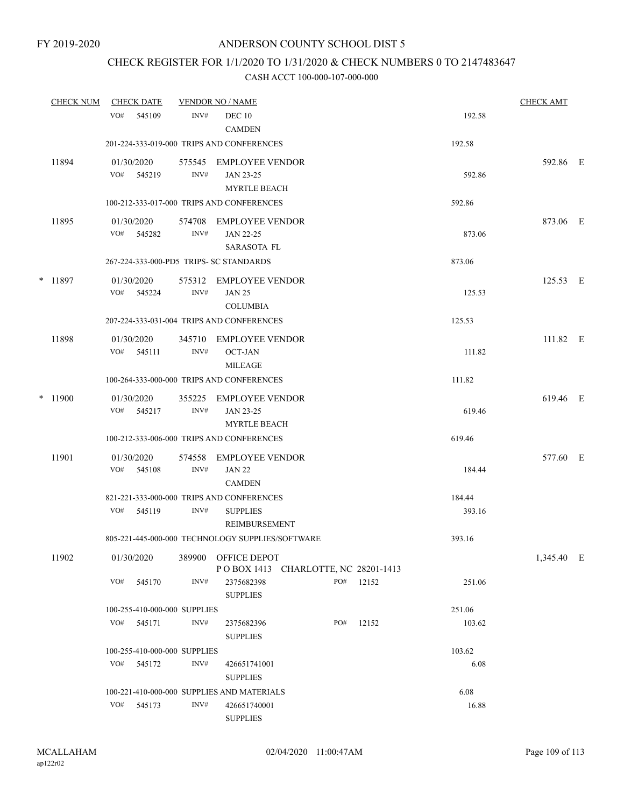# CHECK REGISTER FOR 1/1/2020 TO 1/31/2020 & CHECK NUMBERS 0 TO 2147483647

|   | <b>CHECK NUM</b> |                   | <b>CHECK DATE</b>            |                | <b>VENDOR NO / NAME</b>                                    |     |           |        | <b>CHECK AMT</b> |  |
|---|------------------|-------------------|------------------------------|----------------|------------------------------------------------------------|-----|-----------|--------|------------------|--|
|   |                  | VO#               | 545109                       | INV#           | <b>DEC 10</b><br><b>CAMDEN</b>                             |     |           | 192.58 |                  |  |
|   |                  |                   |                              |                | 201-224-333-019-000 TRIPS AND CONFERENCES                  |     |           | 192.58 |                  |  |
|   | 11894            | 01/30/2020<br>VO# | 545219                       | INV#           | 575545 EMPLOYEE VENDOR<br>JAN 23-25<br><b>MYRTLE BEACH</b> |     |           | 592.86 | 592.86 E         |  |
|   |                  |                   |                              |                | 100-212-333-017-000 TRIPS AND CONFERENCES                  |     |           | 592.86 |                  |  |
|   | 11895            |                   | 01/30/2020<br>VO# 545282     | 574708<br>INV# | EMPLOYEE VENDOR<br>JAN 22-25<br>SARASOTA FL                |     |           | 873.06 | 873.06 E         |  |
|   |                  |                   |                              |                | 267-224-333-000-PD5 TRIPS- SC STANDARDS                    |     |           | 873.06 |                  |  |
| * | 11897            | VO#               | 01/30/2020<br>545224         | INV#           | 575312 EMPLOYEE VENDOR<br><b>JAN 25</b><br><b>COLUMBIA</b> |     |           | 125.53 | 125.53 E         |  |
|   |                  |                   |                              |                | 207-224-333-031-004 TRIPS AND CONFERENCES                  |     |           | 125.53 |                  |  |
|   | 11898            | 01/30/2020<br>VO# | 545111                       | 345710<br>INV# | <b>EMPLOYEE VENDOR</b><br><b>OCT-JAN</b><br><b>MILEAGE</b> |     |           | 111.82 | 111.82 E         |  |
|   |                  |                   |                              |                | 100-264-333-000-000 TRIPS AND CONFERENCES                  |     |           | 111.82 |                  |  |
|   | $*$ 11900        | 01/30/2020        | VO# 545217                   | 355225<br>INV# | <b>EMPLOYEE VENDOR</b><br>JAN 23-25<br><b>MYRTLE BEACH</b> |     |           | 619.46 | 619.46 E         |  |
|   |                  |                   |                              |                | 100-212-333-006-000 TRIPS AND CONFERENCES                  |     |           | 619.46 |                  |  |
|   | 11901            | 01/30/2020        |                              | 574558         | EMPLOYEE VENDOR                                            |     |           |        | 577.60 E         |  |
|   |                  |                   | VO# 545108                   | INV#           | <b>JAN 22</b><br><b>CAMDEN</b>                             |     |           | 184.44 |                  |  |
|   |                  |                   |                              |                | 821-221-333-000-000 TRIPS AND CONFERENCES                  |     |           | 184.44 |                  |  |
|   |                  | VO#               | 545119                       | INV#           | <b>SUPPLIES</b><br>REIMBURSEMENT                           |     |           | 393.16 |                  |  |
|   |                  |                   |                              |                | 805-221-445-000-000 TECHNOLOGY SUPPLIES/SOFTWARE           |     |           | 393.16 |                  |  |
|   | 11902            | 01/30/2020        |                              |                | 389900 OFFICE DEPOT<br>POBOX 1413 CHARLOTTE, NC 28201-1413 |     |           |        | 1,345.40 E       |  |
|   |                  | VO#               | 545170                       | INV#           | 2375682398<br><b>SUPPLIES</b>                              |     | PO# 12152 | 251.06 |                  |  |
|   |                  |                   | 100-255-410-000-000 SUPPLIES |                |                                                            |     |           | 251.06 |                  |  |
|   |                  | VO#               | 545171                       | INV#           | 2375682396<br><b>SUPPLIES</b>                              | PO# | 12152     | 103.62 |                  |  |
|   |                  |                   | 100-255-410-000-000 SUPPLIES |                |                                                            |     |           | 103.62 |                  |  |
|   |                  | VO#               | 545172                       | INV#           | 426651741001<br><b>SUPPLIES</b>                            |     |           | 6.08   |                  |  |
|   |                  |                   |                              |                | 100-221-410-000-000 SUPPLIES AND MATERIALS                 |     |           | 6.08   |                  |  |
|   |                  | VO#               | 545173                       | INV#           | 426651740001<br><b>SUPPLIES</b>                            |     |           | 16.88  |                  |  |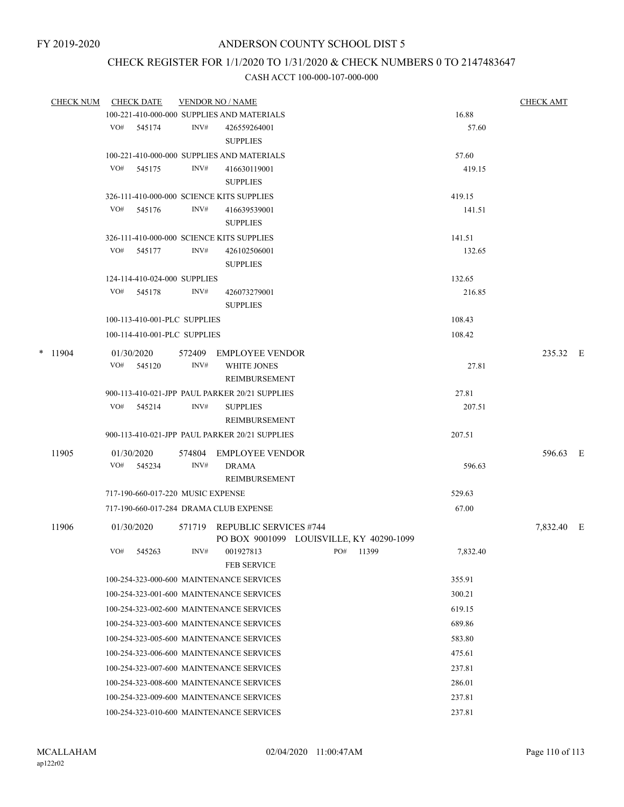# CHECK REGISTER FOR 1/1/2020 TO 1/31/2020 & CHECK NUMBERS 0 TO 2147483647

| <b>CHECK NUM</b> |           |     | <b>CHECK DATE</b>                        | <b>VENDOR NO / NAME</b> | <b>CHECK AMT</b>                               |                                          |          |            |  |
|------------------|-----------|-----|------------------------------------------|-------------------------|------------------------------------------------|------------------------------------------|----------|------------|--|
|                  |           |     |                                          |                         | 100-221-410-000-000 SUPPLIES AND MATERIALS     |                                          | 16.88    |            |  |
|                  |           | VO# | 545174                                   | INV#                    | 426559264001                                   |                                          | 57.60    |            |  |
|                  |           |     |                                          |                         | <b>SUPPLIES</b>                                |                                          |          |            |  |
|                  |           |     |                                          |                         | 100-221-410-000-000 SUPPLIES AND MATERIALS     |                                          | 57.60    |            |  |
|                  |           | VO# | 545175                                   | INV#                    | 416630119001                                   |                                          | 419.15   |            |  |
|                  |           |     |                                          |                         | <b>SUPPLIES</b>                                |                                          |          |            |  |
|                  |           |     |                                          |                         | 326-111-410-000-000 SCIENCE KITS SUPPLIES      |                                          | 419.15   |            |  |
|                  |           | VO# | 545176                                   | INV#                    | 416639539001                                   |                                          | 141.51   |            |  |
|                  |           |     |                                          |                         | <b>SUPPLIES</b>                                |                                          |          |            |  |
|                  |           |     |                                          |                         | 326-111-410-000-000 SCIENCE KITS SUPPLIES      |                                          | 141.51   |            |  |
|                  |           | VO# | 545177                                   | INV#                    | 426102506001                                   |                                          | 132.65   |            |  |
|                  |           |     |                                          |                         | <b>SUPPLIES</b>                                |                                          |          |            |  |
|                  |           |     | 124-114-410-024-000 SUPPLIES             |                         |                                                |                                          | 132.65   |            |  |
|                  |           | VO# | 545178                                   | INV#                    | 426073279001                                   |                                          | 216.85   |            |  |
|                  |           |     |                                          |                         | <b>SUPPLIES</b>                                |                                          |          |            |  |
|                  |           |     | 100-113-410-001-PLC SUPPLIES             |                         |                                                |                                          | 108.43   |            |  |
|                  |           |     | 100-114-410-001-PLC SUPPLIES             |                         |                                                |                                          | 108.42   |            |  |
|                  | $*$ 11904 |     | 01/30/2020                               | 572409                  | <b>EMPLOYEE VENDOR</b>                         |                                          |          | 235.32 E   |  |
|                  |           | VO# | 545120                                   | INV#                    | <b>WHITE JONES</b>                             |                                          | 27.81    |            |  |
|                  |           |     |                                          |                         | REIMBURSEMENT                                  |                                          |          |            |  |
|                  |           |     |                                          |                         | 900-113-410-021-JPP PAUL PARKER 20/21 SUPPLIES |                                          | 27.81    |            |  |
|                  |           |     | VO# 545214                               | INV#                    | <b>SUPPLIES</b>                                |                                          | 207.51   |            |  |
|                  |           |     |                                          |                         | REIMBURSEMENT                                  |                                          |          |            |  |
|                  |           |     |                                          |                         | 900-113-410-021-JPP PAUL PARKER 20/21 SUPPLIES |                                          | 207.51   |            |  |
|                  | 11905     |     | 01/30/2020                               | 574804                  | <b>EMPLOYEE VENDOR</b>                         |                                          |          | 596.63 E   |  |
|                  |           | VO# | 545234                                   | INV#                    | <b>DRAMA</b>                                   |                                          | 596.63   |            |  |
|                  |           |     |                                          |                         | REIMBURSEMENT                                  |                                          |          |            |  |
|                  |           |     | 717-190-660-017-220 MUSIC EXPENSE        |                         |                                                |                                          | 529.63   |            |  |
|                  |           |     |                                          |                         | 717-190-660-017-284 DRAMA CLUB EXPENSE         |                                          | 67.00    |            |  |
|                  |           |     |                                          |                         |                                                |                                          |          |            |  |
|                  | 11906     |     | 01/30/2020                               |                         | 571719 REPUBLIC SERVICES #744                  |                                          |          | 7,832.40 E |  |
|                  |           | VO# |                                          | INV#                    |                                                | PO BOX 9001099 LOUISVILLE, KY 40290-1099 |          |            |  |
|                  |           |     | 545263                                   |                         | 001927813<br><b>FEB SERVICE</b>                | PO# 11399                                | 7,832.40 |            |  |
|                  |           |     |                                          |                         | 100-254-323-000-600 MAINTENANCE SERVICES       |                                          | 355.91   |            |  |
|                  |           |     |                                          |                         |                                                |                                          |          |            |  |
|                  |           |     | 100-254-323-001-600 MAINTENANCE SERVICES |                         | 300.21                                         |                                          |          |            |  |
|                  |           |     | 100-254-323-002-600 MAINTENANCE SERVICES |                         | 619.15                                         |                                          |          |            |  |
|                  |           |     |                                          |                         | 100-254-323-003-600 MAINTENANCE SERVICES       | 689.86                                   |          |            |  |
|                  |           |     |                                          |                         | 100-254-323-005-600 MAINTENANCE SERVICES       |                                          | 583.80   |            |  |
|                  |           |     |                                          |                         | 100-254-323-006-600 MAINTENANCE SERVICES       |                                          | 475.61   |            |  |
|                  |           |     |                                          |                         | 100-254-323-007-600 MAINTENANCE SERVICES       |                                          | 237.81   |            |  |
|                  |           |     |                                          |                         | 100-254-323-008-600 MAINTENANCE SERVICES       |                                          | 286.01   |            |  |
|                  |           |     |                                          |                         | 100-254-323-009-600 MAINTENANCE SERVICES       |                                          | 237.81   |            |  |
|                  |           |     |                                          |                         | 100-254-323-010-600 MAINTENANCE SERVICES       |                                          | 237.81   |            |  |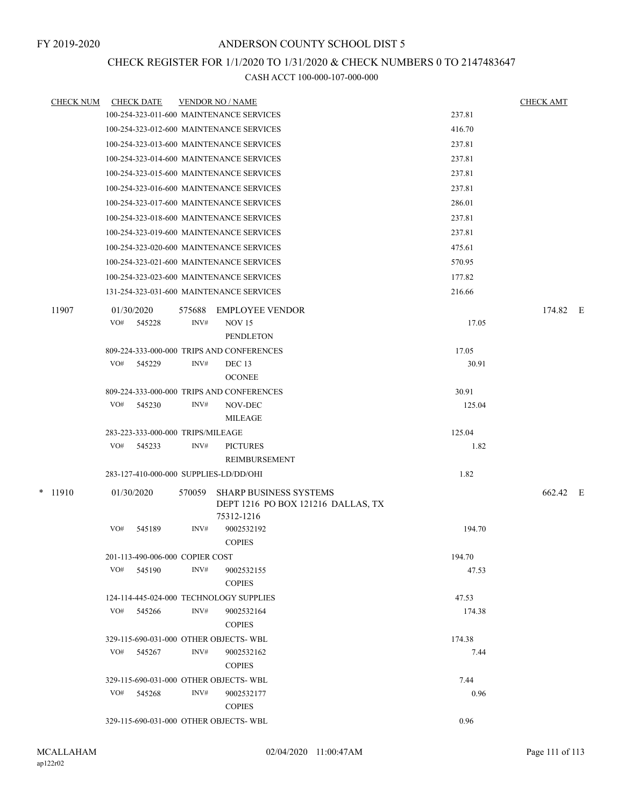### CHECK REGISTER FOR 1/1/2020 TO 1/31/2020 & CHECK NUMBERS 0 TO 2147483647

|  | <b>CHECK NUM</b> | <b>CHECK DATE</b>                 |        |        | <b>VENDOR NO / NAME</b>                                 |              | <b>CHECK AMT</b> |  |
|--|------------------|-----------------------------------|--------|--------|---------------------------------------------------------|--------------|------------------|--|
|  |                  |                                   |        |        | 100-254-323-011-600 MAINTENANCE SERVICES                | 237.81       |                  |  |
|  |                  |                                   |        |        | 100-254-323-012-600 MAINTENANCE SERVICES                | 416.70       |                  |  |
|  |                  |                                   |        |        | 100-254-323-013-600 MAINTENANCE SERVICES                | 237.81       |                  |  |
|  |                  |                                   |        |        | 100-254-323-014-600 MAINTENANCE SERVICES                | 237.81       |                  |  |
|  |                  |                                   |        |        | 100-254-323-015-600 MAINTENANCE SERVICES                | 237.81       |                  |  |
|  |                  |                                   |        |        | 100-254-323-016-600 MAINTENANCE SERVICES                | 237.81       |                  |  |
|  |                  |                                   |        |        | 100-254-323-017-600 MAINTENANCE SERVICES                | 286.01       |                  |  |
|  |                  |                                   |        |        | 100-254-323-018-600 MAINTENANCE SERVICES                | 237.81       |                  |  |
|  |                  |                                   |        |        | 100-254-323-019-600 MAINTENANCE SERVICES                | 237.81       |                  |  |
|  |                  |                                   |        |        | 100-254-323-020-600 MAINTENANCE SERVICES                | 475.61       |                  |  |
|  |                  |                                   |        |        | 100-254-323-021-600 MAINTENANCE SERVICES                | 570.95       |                  |  |
|  |                  |                                   |        |        | 100-254-323-023-600 MAINTENANCE SERVICES                | 177.82       |                  |  |
|  |                  |                                   |        |        | 131-254-323-031-600 MAINTENANCE SERVICES                | 216.66       |                  |  |
|  | 11907            | 01/30/2020                        |        | 575688 | <b>EMPLOYEE VENDOR</b>                                  |              | 174.82 E         |  |
|  |                  | VO#                               | 545228 | INV#   | <b>NOV 15</b>                                           | 17.05        |                  |  |
|  |                  |                                   |        |        | <b>PENDLETON</b>                                        |              |                  |  |
|  |                  |                                   |        |        | 809-224-333-000-000 TRIPS AND CONFERENCES               | 17.05        |                  |  |
|  |                  | VO#                               | 545229 | INV#   | DEC <sub>13</sub>                                       | 30.91        |                  |  |
|  |                  |                                   |        |        | <b>OCONEE</b>                                           |              |                  |  |
|  |                  |                                   |        |        | 809-224-333-000-000 TRIPS AND CONFERENCES               | 30.91        |                  |  |
|  |                  | VO#                               | 545230 | INV#   | NOV-DEC                                                 | 125.04       |                  |  |
|  |                  |                                   |        |        | MILEAGE                                                 |              |                  |  |
|  |                  | 283-223-333-000-000 TRIPS/MILEAGE |        |        |                                                         | 125.04       |                  |  |
|  |                  | VO#                               | 545233 | INV#   | <b>PICTURES</b>                                         | 1.82         |                  |  |
|  |                  |                                   |        |        | REIMBURSEMENT<br>283-127-410-000-000 SUPPLIES-LD/DD/OHI | 1.82         |                  |  |
|  |                  |                                   |        |        |                                                         |              |                  |  |
|  | $*$ 11910        | 01/30/2020                        |        | 570059 | <b>SHARP BUSINESS SYSTEMS</b>                           |              | 662.42 E         |  |
|  |                  |                                   |        |        | DEPT 1216 PO BOX 121216 DALLAS, TX<br>75312-1216        |              |                  |  |
|  |                  | VO#                               | 545189 | INV#   | 9002532192                                              | 194.70       |                  |  |
|  |                  |                                   |        |        | <b>COPIES</b>                                           |              |                  |  |
|  |                  | 201-113-490-006-000 COPIER COST   |        |        |                                                         | 194.70       |                  |  |
|  |                  | VO#                               | 545190 | INV#   | 9002532155                                              | 47.53        |                  |  |
|  |                  |                                   |        |        | <b>COPIES</b>                                           |              |                  |  |
|  |                  |                                   |        |        | 124-114-445-024-000 TECHNOLOGY SUPPLIES                 | 47.53        |                  |  |
|  |                  | VO# 545266                        |        | INV#   | 9002532164                                              | 174.38       |                  |  |
|  |                  |                                   |        |        | <b>COPIES</b>                                           |              |                  |  |
|  |                  |                                   |        |        | 329-115-690-031-000 OTHER OBJECTS-WBL                   | 174.38       |                  |  |
|  |                  | VO#                               | 545267 | INV#   | 9002532162                                              | 7.44         |                  |  |
|  |                  |                                   |        |        | <b>COPIES</b><br>329-115-690-031-000 OTHER OBJECTS-WBL  |              |                  |  |
|  |                  | VO# 545268                        |        | INV#   | 9002532177                                              | 7.44<br>0.96 |                  |  |
|  |                  |                                   |        |        | <b>COPIES</b>                                           |              |                  |  |
|  |                  |                                   |        |        | 329-115-690-031-000 OTHER OBJECTS-WBL                   | 0.96         |                  |  |
|  |                  |                                   |        |        |                                                         |              |                  |  |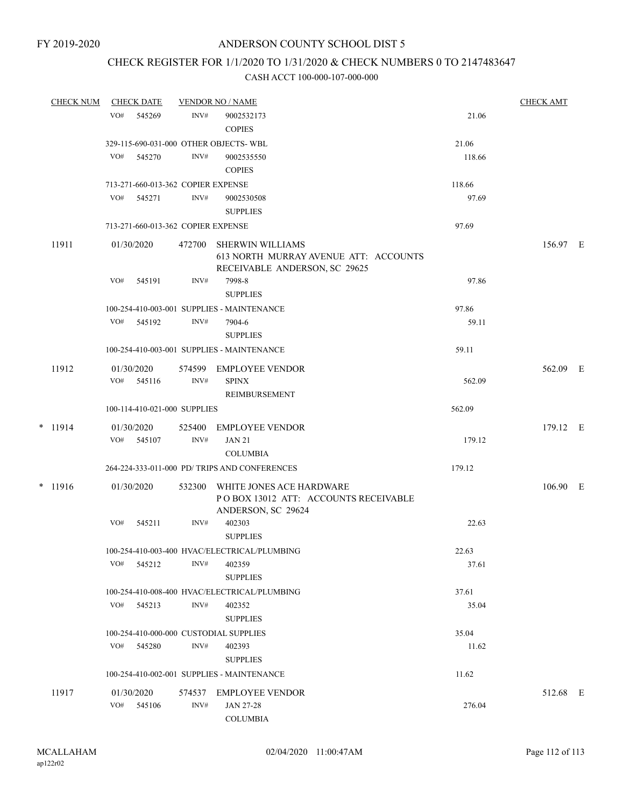# CHECK REGISTER FOR 1/1/2020 TO 1/31/2020 & CHECK NUMBERS 0 TO 2147483647

|           | VO#<br>VO# | 545269                   | INV#                               | 9002532173<br><b>COPIES</b>                                                                       | 21.06          |          |  |
|-----------|------------|--------------------------|------------------------------------|---------------------------------------------------------------------------------------------------|----------------|----------|--|
|           |            |                          |                                    |                                                                                                   |                |          |  |
|           |            |                          |                                    | 329-115-690-031-000 OTHER OBJECTS- WBL                                                            | 21.06          |          |  |
|           |            | 545270                   | INV#                               | 9002535550<br><b>COPIES</b>                                                                       | 118.66         |          |  |
|           |            |                          | 713-271-660-013-362 COPIER EXPENSE |                                                                                                   | 118.66         |          |  |
|           |            | VO# 545271               | INV#                               | 9002530508<br><b>SUPPLIES</b>                                                                     | 97.69          |          |  |
|           |            |                          | 713-271-660-013-362 COPIER EXPENSE |                                                                                                   | 97.69          |          |  |
| 11911     |            | 01/30/2020               |                                    | 472700 SHERWIN WILLIAMS<br>613 NORTH MURRAY AVENUE ATT: ACCOUNTS<br>RECEIVABLE ANDERSON, SC 29625 |                | 156.97 E |  |
|           | VO#        | 545191                   | INV#                               | 7998-8<br><b>SUPPLIES</b>                                                                         | 97.86          |          |  |
|           |            |                          |                                    | 100-254-410-003-001 SUPPLIES - MAINTENANCE                                                        | 97.86          |          |  |
|           | VO#        | 545192                   | INV#                               | 7904-6<br><b>SUPPLIES</b>                                                                         | 59.11          |          |  |
|           |            |                          |                                    | 100-254-410-003-001 SUPPLIES - MAINTENANCE                                                        | 59.11          |          |  |
| 11912     |            | 01/30/2020<br>VO# 545116 | INV#                               | 574599 EMPLOYEE VENDOR<br><b>SPINX</b><br>REIMBURSEMENT                                           | 562.09         | 562.09 E |  |
|           |            |                          | 100-114-410-021-000 SUPPLIES       |                                                                                                   | 562.09         |          |  |
| $*$ 11914 |            | 01/30/2020               | 525400                             | EMPLOYEE VENDOR                                                                                   |                | 179.12 E |  |
|           | VO#        | 545107                   | INV#                               | <b>JAN 21</b><br><b>COLUMBIA</b>                                                                  | 179.12         |          |  |
|           |            |                          |                                    | 264-224-333-011-000 PD/ TRIPS AND CONFERENCES                                                     | 179.12         |          |  |
| $* 11916$ |            | 01/30/2020               | 532300                             | WHITE JONES ACE HARDWARE<br>POBOX 13012 ATT: ACCOUNTS RECEIVABLE<br>ANDERSON, SC 29624            |                | 106.90 E |  |
|           | VO#        | 545211                   | INV#                               | 402303<br><b>SUPPLIES</b>                                                                         | 22.63          |          |  |
|           |            | VO# 545212               | INV#                               | 100-254-410-003-400 HVAC/ELECTRICAL/PLUMBING<br>402359<br><b>SUPPLIES</b>                         | 22.63<br>37.61 |          |  |
|           |            |                          |                                    | 100-254-410-008-400 HVAC/ELECTRICAL/PLUMBING                                                      | 37.61          |          |  |
|           | VO#        | 545213                   | INV#                               | 402352<br><b>SUPPLIES</b>                                                                         | 35.04          |          |  |
|           |            |                          |                                    | 100-254-410-000-000 CUSTODIAL SUPPLIES                                                            | 35.04          |          |  |
|           |            | VO# 545280               | INV#                               | 402393<br><b>SUPPLIES</b>                                                                         | 11.62          |          |  |
|           |            |                          |                                    | 100-254-410-002-001 SUPPLIES - MAINTENANCE                                                        | 11.62          |          |  |
| 11917     |            | 01/30/2020<br>VO# 545106 | 574537<br>INV#                     | <b>EMPLOYEE VENDOR</b><br>JAN 27-28<br><b>COLUMBIA</b>                                            | 276.04         | 512.68 E |  |